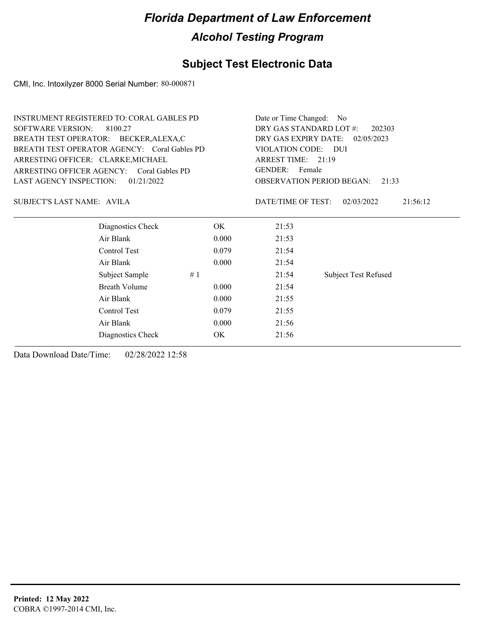### **Subject Test Electronic Data**

CMI, Inc. Intoxilyzer 8000 Serial Number: 80-000871

| DRY GAS STANDARD LOT #:<br>202303            |
|----------------------------------------------|
|                                              |
| DRY GAS EXPIRY DATE:<br>02/05/2023           |
| VIOLATION CODE: DUI                          |
| ARREST TIME: 21:19                           |
| GENDER: Female                               |
| <b>OBSERVATION PERIOD BEGAN:</b><br>21:33    |
| DATE/TIME OF TEST:<br>02/03/2022<br>21:56:12 |
| 21:53                                        |
| 21:53                                        |
| 21:54                                        |
| 21:54                                        |
| <b>Subject Test Refused</b><br>21:54         |
| 21:54                                        |
| 21:55                                        |
| 21:55                                        |
| 21:56                                        |
| 21:56                                        |
|                                              |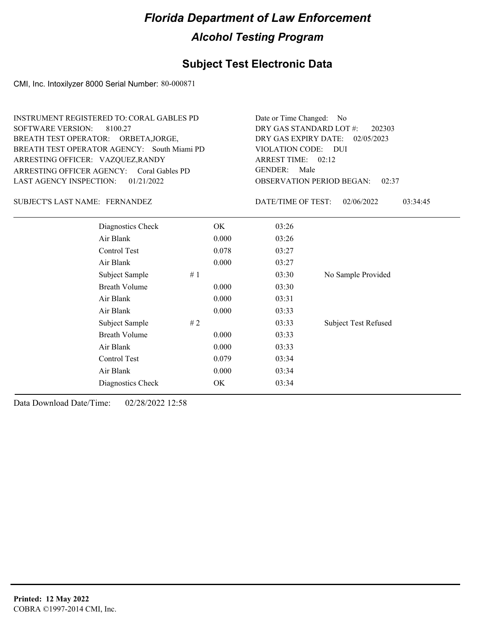### **Subject Test Electronic Data**

CMI, Inc. Intoxilyzer 8000 Serial Number: 80-000871

| INSTRUMENT REGISTERED TO: CORAL GABLES PD                         | Date or Time Changed: No                                              |
|-------------------------------------------------------------------|-----------------------------------------------------------------------|
| SOFTWARE VERSION: 8100.27<br>BREATH TEST OPERATOR: ORBETA, JORGE, | DRY GAS STANDARD LOT $\#$ : 202303<br>DRY GAS EXPIRY DATE: 02/05/2023 |
| BREATH TEST OPERATOR AGENCY: South Miami PD                       | VIOLATION CODE: DUI                                                   |
| ARRESTING OFFICER: VAZQUEZ, RANDY                                 | ARREST TIME: $02:12$                                                  |
| ARRESTING OFFICER AGENCY: Coral Gables PD                         | GENDER: Male                                                          |
| LAST AGENCY INSPECTION: $01/21/2022$                              | <b>OBSERVATION PERIOD BEGAN: 02:37</b>                                |

#### SUBJECT'S LAST NAME: FERNANDEZ DATE/TIME OF TEST:

DATE/TIME OF TEST: 02/06/2022 03:34:45

| Diagnostics Check    | OK    | 03:26 |                             |
|----------------------|-------|-------|-----------------------------|
| Air Blank            | 0.000 | 03:26 |                             |
| Control Test         | 0.078 | 03:27 |                             |
| Air Blank            | 0.000 | 03:27 |                             |
| Subject Sample<br>#1 |       | 03:30 | No Sample Provided          |
| <b>Breath Volume</b> | 0.000 | 03:30 |                             |
| Air Blank            | 0.000 | 03:31 |                             |
| Air Blank            | 0.000 | 03:33 |                             |
| Subject Sample<br>#2 |       | 03:33 | <b>Subject Test Refused</b> |
| <b>Breath Volume</b> | 0.000 | 03:33 |                             |
| Air Blank            | 0.000 | 03:33 |                             |
| Control Test         | 0.079 | 03:34 |                             |
| Air Blank            | 0.000 | 03:34 |                             |
| Diagnostics Check    | OK.   | 03:34 |                             |
|                      |       |       |                             |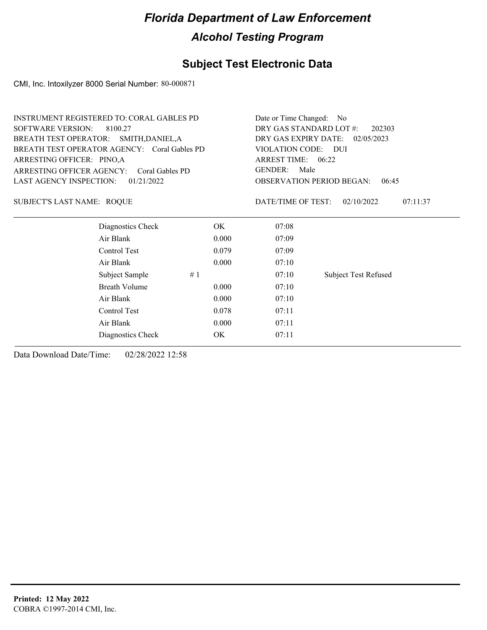### **Subject Test Electronic Data**

CMI, Inc. Intoxilyzer 8000 Serial Number: 80-000871

| <b>INSTRUMENT REGISTERED TO: CORAL GABLES PD</b> | Date or Time Changed: No                  |                                              |  |  |
|--------------------------------------------------|-------------------------------------------|----------------------------------------------|--|--|
| SOFTWARE VERSION:<br>8100.27                     | DRY GAS STANDARD LOT #:<br>202303         |                                              |  |  |
| BREATH TEST OPERATOR: SMITH, DANIEL, A           |                                           | DRY GAS EXPIRY DATE:<br>02/05/2023           |  |  |
| BREATH TEST OPERATOR AGENCY: Coral Gables PD     |                                           | VIOLATION CODE: DUI                          |  |  |
| ARRESTING OFFICER: PINO,A                        |                                           | ARREST TIME: 06:22                           |  |  |
| ARRESTING OFFICER AGENCY:<br>Coral Gables PD     |                                           | GENDER:<br>Male                              |  |  |
| LAST AGENCY INSPECTION: $01/21/2022$             | <b>OBSERVATION PERIOD BEGAN:</b><br>06:45 |                                              |  |  |
| SUBJECT'S LAST NAME: ROOUE                       |                                           | DATE/TIME OF TEST:<br>02/10/2022<br>07:11:37 |  |  |
| Diagnostics Check                                | OK.                                       | 07:08                                        |  |  |
| Air Blank                                        | 0.000                                     | 07:09                                        |  |  |
| Control Test                                     | 0.079                                     | 07:09                                        |  |  |
| Air Blank                                        | 0.000                                     | 07:10                                        |  |  |

Subject Sample # 1  $07:10$  Subject Test Refused

Breath Volume 0.000 07:10 Air Blank 0.000 07:10 Control Test 0.078 07:11 Air Blank 0.000 07:11 Diagnostics Check OK 07:11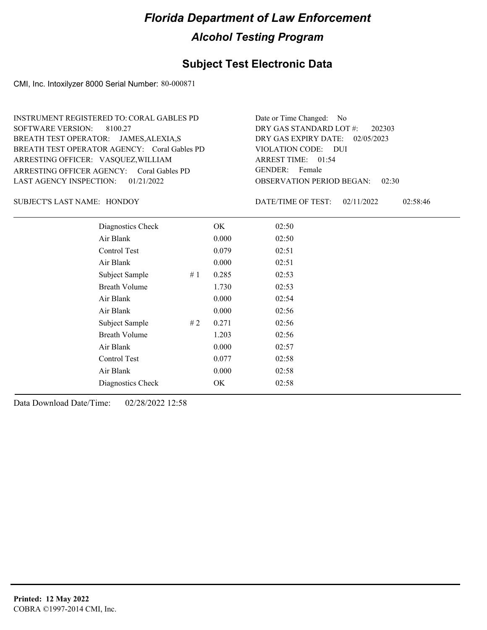### **Subject Test Electronic Data**

CMI, Inc. Intoxilyzer 8000 Serial Number: 80-000871

ARRESTING OFFICER AGENCY: GENDER: Coral Gables PD BREATH TEST OPERATOR AGENCY: Coral Gables PD VIOLATION CODE: SOFTWARE VERSION: 8100.27 ARRESTING OFFICER: VASQUEZ, WILLIAM BREATH TEST OPERATOR: JAMES,ALEXIA,S LAST AGENCY INSPECTION: 01/21/2022 INSTRUMENT REGISTERED TO: CORAL GABLES PD

OBSERVATION PERIOD BEGAN: 02:30 VIOLATION CODE: DUI ARREST TIME: 01:54 DRY GAS EXPIRY DATE: 02/05/2023 202303 DRY GAS STANDARD LOT #: Date or Time Changed: No GENDER: Female

SUBJECT'S LAST NAME: HONDOY DATE/TIME OF TEST:

DATE/TIME OF TEST: 02/11/2022 02:58:46

| Diagnostics Check    |    | OK    | 02:50 |
|----------------------|----|-------|-------|
| Air Blank            |    | 0.000 | 02:50 |
| Control Test         |    | 0.079 | 02:51 |
| Air Blank            |    | 0.000 | 02:51 |
| Subject Sample       | #1 | 0.285 | 02:53 |
| <b>Breath Volume</b> |    | 1.730 | 02:53 |
| Air Blank            |    | 0.000 | 02:54 |
| Air Blank            |    | 0.000 | 02:56 |
| Subject Sample       | #2 | 0.271 | 02:56 |
| <b>Breath Volume</b> |    | 1.203 | 02:56 |
| Air Blank            |    | 0.000 | 02:57 |
| Control Test         |    | 0.077 | 02:58 |
| Air Blank            |    | 0.000 | 02:58 |
| Diagnostics Check    |    | OK    | 02:58 |
|                      |    |       |       |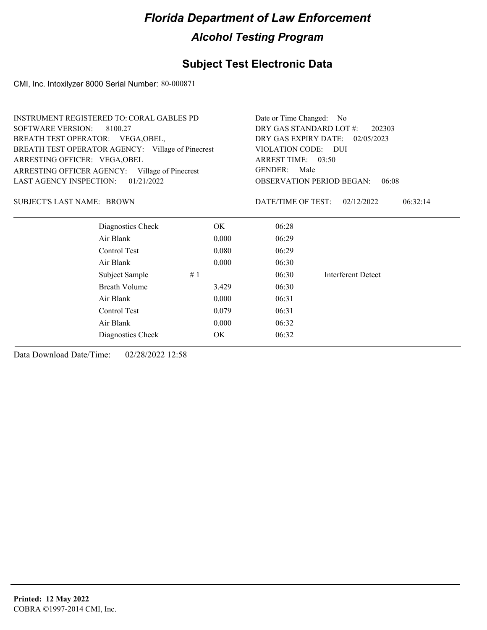### **Subject Test Electronic Data**

CMI, Inc. Intoxilyzer 8000 Serial Number: 80-000871

| <b>INSTRUMENT REGISTERED TO: CORAL GABLES PD</b> |                                                   |       | Date or Time Changed: No        |                                           |  |
|--------------------------------------------------|---------------------------------------------------|-------|---------------------------------|-------------------------------------------|--|
| <b>SOFTWARE VERSION:</b>                         | 8100.27                                           |       | DRY GAS STANDARD LOT #:         | 202303                                    |  |
| BREATH TEST OPERATOR: VEGA, OBEL,                |                                                   |       | DRY GAS EXPIRY DATE: 02/05/2023 |                                           |  |
|                                                  | BREATH TEST OPERATOR AGENCY: Village of Pinecrest |       | VIOLATION CODE: DUI             |                                           |  |
| ARRESTING OFFICER: VEGA, OBEL                    |                                                   |       | ARREST TIME: 03:50              |                                           |  |
|                                                  | ARRESTING OFFICER AGENCY: Village of Pinecrest    |       | <b>GENDER:</b><br>Male          |                                           |  |
| <b>LAST AGENCY INSPECTION:</b>                   | 01/21/2022                                        |       |                                 | <b>OBSERVATION PERIOD BEGAN:</b><br>06:08 |  |
| SUBJECT'S LAST NAME: BROWN                       |                                                   |       | DATE/TIME OF TEST:              | 02/12/2022<br>06:32:14                    |  |
|                                                  | Diagnostics Check                                 | OK.   | 06:28                           |                                           |  |
|                                                  | Air Blank                                         | 0.000 | 06:29                           |                                           |  |
|                                                  | Control Test                                      | 0.080 | 06:29                           |                                           |  |
|                                                  | Air Blank                                         | 0.000 | 06:30                           |                                           |  |
|                                                  | Subject Sample                                    | #1    | 06:30                           | Interferent Detect                        |  |
|                                                  | Breath Volume                                     | 3.429 | 06:30                           |                                           |  |
|                                                  | Air Blank                                         | 0.000 | 06:31                           |                                           |  |
|                                                  | Control Test                                      | 0.079 | 06:31                           |                                           |  |
|                                                  |                                                   |       |                                 |                                           |  |

Air Blank 0.000 06:32 Diagnostics Check OK 06:32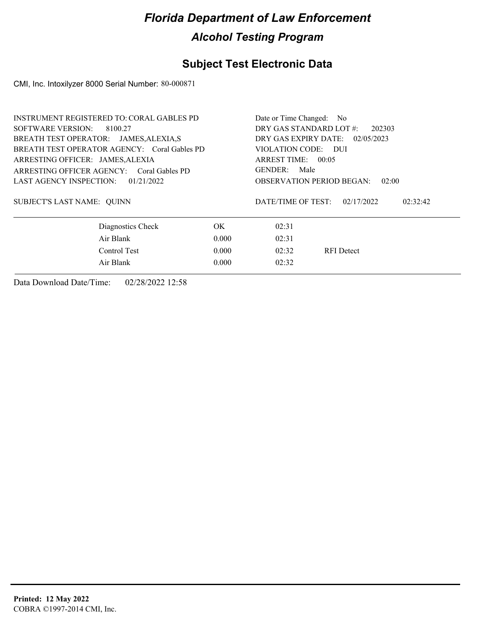### **Subject Test Electronic Data**

CMI, Inc. Intoxilyzer 8000 Serial Number: 80-000871

| <b>INSTRUMENT REGISTERED TO: CORAL GABLES PD</b> |                                  |                                                                           |
|--------------------------------------------------|----------------------------------|---------------------------------------------------------------------------|
| SOFTWARE VERSION: 8100.27                        |                                  |                                                                           |
|                                                  | DRY GAS EXPIRY DATE:             | 02/05/2023                                                                |
|                                                  | VIOLATION CODE: DUI              |                                                                           |
| ARRESTING OFFICER: JAMES, ALEXIA                 |                                  |                                                                           |
|                                                  | GENDER: Male                     |                                                                           |
|                                                  | <b>OBSERVATION PERIOD BEGAN:</b> | 02:00                                                                     |
|                                                  | DATE/TIME OF TEST:               | 02/17/2022<br>02:32:42                                                    |
| OK.                                              | 02:31                            |                                                                           |
| 0.000                                            | 02:31                            |                                                                           |
| 0.000                                            | 02:32                            | <b>RFI</b> Detect                                                         |
| 0.000                                            | 02:32                            |                                                                           |
|                                                  |                                  | Date or Time Changed: No<br>DRY GAS STANDARD LOT #:<br>ARREST TIME: 00:05 |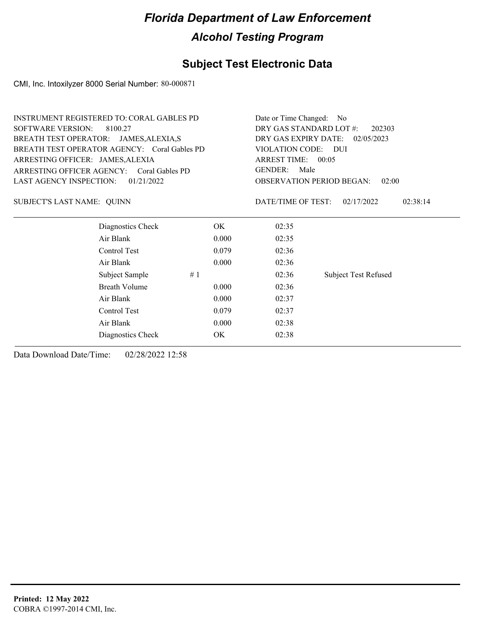### **Subject Test Electronic Data**

CMI, Inc. Intoxilyzer 8000 Serial Number: 80-000871

| <b>INSTRUMENT REGISTERED TO: CORAL GABLES PD</b> | Date or Time Changed: No                     |
|--------------------------------------------------|----------------------------------------------|
| <b>SOFTWARE VERSION:</b><br>8100.27              | DRY GAS STANDARD LOT #:<br>202303            |
| BREATH TEST OPERATOR: JAMES, ALEXIA, S           | DRY GAS EXPIRY DATE:<br>02/05/2023           |
| BREATH TEST OPERATOR AGENCY: Coral Gables PD     | VIOLATION CODE: DUI                          |
| ARRESTING OFFICER: JAMES, ALEXIA                 | ARREST TIME: 00:05                           |
| ARRESTING OFFICER AGENCY: Coral Gables PD        | <b>GENDER:</b><br>Male                       |
| <b>LAST AGENCY INSPECTION:</b><br>01/21/2022     | <b>OBSERVATION PERIOD BEGAN:</b><br>02:00    |
| SUBJECT'S LAST NAME: QUINN                       | DATE/TIME OF TEST:<br>02/17/2022<br>02:38:14 |
| Diagnostics Check<br>OK                          | 02:35                                        |
| Air Blank<br>0.000                               | 02:35                                        |
| Control Test<br>0.079                            | 02:36                                        |
| Air Blank<br>0.000                               | 02:36                                        |
| Subject Sample<br>#1                             | 02:36<br><b>Subject Test Refused</b>         |
| <b>Breath Volume</b><br>0.000                    | 02:36                                        |
| Air Blank<br>0.000                               | 02:37                                        |
| Control Test<br>0.079                            | 02:37                                        |
| Air Blank<br>0.000                               | 02:38                                        |
| OK<br>Diagnostics Check                          | 02:38                                        |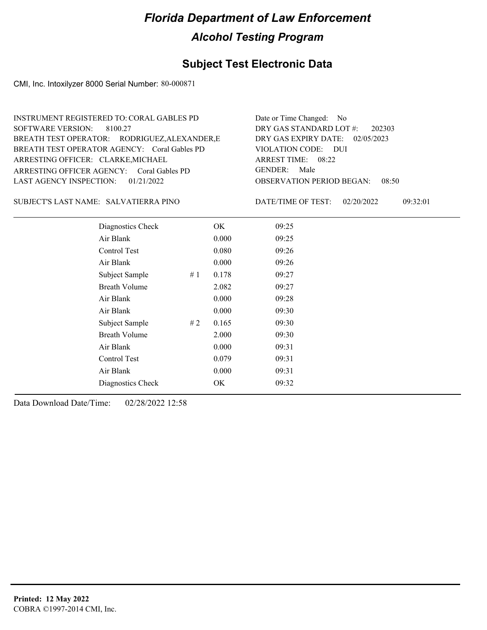### **Subject Test Electronic Data**

CMI, Inc. Intoxilyzer 8000 Serial Number: 80-000871

| INSTRUMENT REGISTERED TO: CORAL GABLES PD     | Date or Time Changed: No               |
|-----------------------------------------------|----------------------------------------|
| SOFTWARE VERSION: 8100.27                     | DRY GAS STANDARD LOT $\#$ : 202303     |
| BREATH TEST OPERATOR: RODRIGUEZ, ALEXANDER, E | DRY GAS EXPIRY DATE: $02/05/2023$      |
| BREATH TEST OPERATOR AGENCY: Coral Gables PD  | VIOLATION CODE: DUI                    |
| ARRESTING OFFICER: CLARKE, MICHAEL            | ARREST TIME: 08:22                     |
| ARRESTING OFFICER AGENCY: Coral Gables PD     | GENDER: Male                           |
| LAST AGENCY INSPECTION: $01/21/2022$          | <b>OBSERVATION PERIOD BEGAN: 08:50</b> |

#### SALVATIERRA PINO SUBJECT'S LAST NAME: DATE/TIME OF TEST:

DATE/TIME OF TEST: 02/20/2022 09:32:01

| Diagnostics Check    | OK    | 09:25 |
|----------------------|-------|-------|
| Air Blank            | 0.000 | 09:25 |
| Control Test         | 0.080 | 09:26 |
| Air Blank            | 0.000 | 09:26 |
| Subject Sample<br>#1 | 0.178 | 09:27 |
| <b>Breath Volume</b> | 2.082 | 09:27 |
| Air Blank            | 0.000 | 09:28 |
| Air Blank            | 0.000 | 09:30 |
| Subject Sample<br>#2 | 0.165 | 09:30 |
| <b>Breath Volume</b> | 2.000 | 09:30 |
| Air Blank            | 0.000 | 09:31 |
| Control Test         | 0.079 | 09:31 |
| Air Blank            | 0.000 | 09:31 |
| Diagnostics Check    | OK    | 09:32 |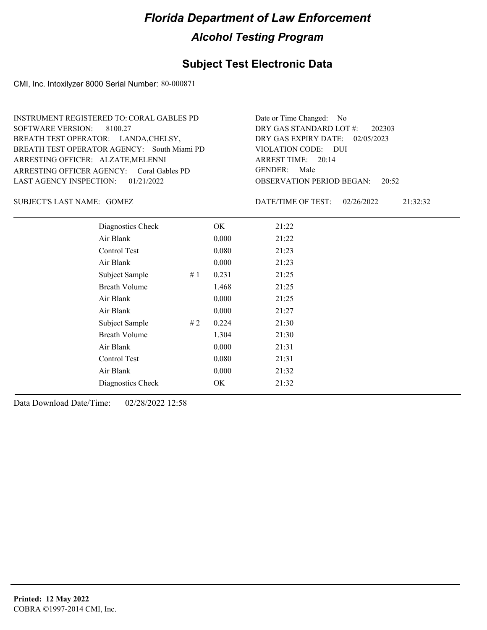### **Subject Test Electronic Data**

CMI, Inc. Intoxilyzer 8000 Serial Number: 80-000871

| INSTRUMENT REGISTERED TO: CORAL GABLES PD   | Date or Time Changed: No               |
|---------------------------------------------|----------------------------------------|
| SOFTWARE VERSION: 8100.27                   | DRY GAS STANDARD LOT $\#$ : 202303     |
| BREATH TEST OPERATOR: LANDA, CHELSY,        | DRY GAS EXPIRY DATE: 02/05/2023        |
| BREATH TEST OPERATOR AGENCY: South Miami PD | VIOLATION CODE: DUI                    |
| ARRESTING OFFICER: ALZATE, MELENNI          | ARREST TIME: $20:14$                   |
| ARRESTING OFFICER AGENCY: Coral Gables PD   | GENDER: Male                           |
| LAST AGENCY INSPECTION: $01/21/2022$        | <b>OBSERVATION PERIOD BEGAN:</b> 20:52 |

GOMEZ SUBJECT'S LAST NAME: DATE/TIME OF TEST:

DATE/TIME OF TEST: 02/26/2022 21:32:32

| Diagnostics Check    |    | OK    | 21:22 |
|----------------------|----|-------|-------|
| Air Blank            |    | 0.000 | 21:22 |
| <b>Control Test</b>  |    | 0.080 | 21:23 |
| Air Blank            |    | 0.000 | 21:23 |
| Subject Sample       | #1 | 0.231 | 21:25 |
| <b>Breath Volume</b> |    | 1.468 | 21:25 |
| Air Blank            |    | 0.000 | 21:25 |
| Air Blank            |    | 0.000 | 21:27 |
| Subject Sample       | #2 | 0.224 | 21:30 |
| <b>Breath Volume</b> |    | 1.304 | 21:30 |
| Air Blank            |    | 0.000 | 21:31 |
| Control Test         |    | 0.080 | 21:31 |
| Air Blank            |    | 0.000 | 21:32 |
| Diagnostics Check    |    | OK    | 21:32 |
|                      |    |       |       |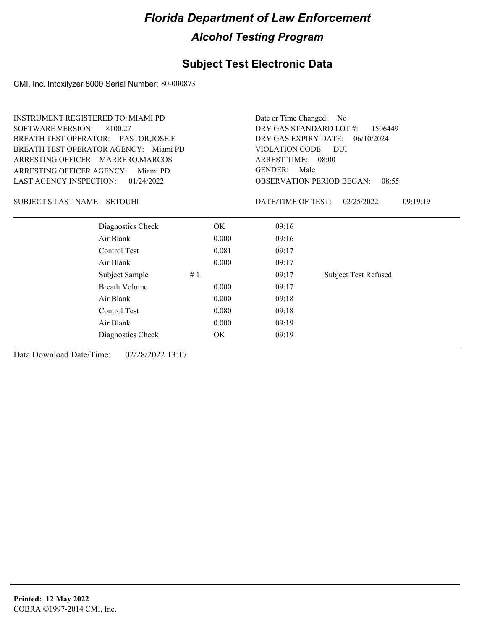### **Subject Test Electronic Data**

CMI, Inc. Intoxilyzer 8000 Serial Number: 80-000873

| <b>INSTRUMENT REGISTERED TO: MIAMI PD</b> |                                       |                                    | Date or Time Changed:<br>- No      |                             |  |
|-------------------------------------------|---------------------------------------|------------------------------------|------------------------------------|-----------------------------|--|
| <b>SOFTWARE VERSION:</b>                  | 8100.27                               | DRY GAS STANDARD LOT #:<br>1506449 |                                    |                             |  |
| BREATH TEST OPERATOR: PASTOR, JOSE, F     |                                       |                                    | DRY GAS EXPIRY DATE:<br>06/10/2024 |                             |  |
|                                           | BREATH TEST OPERATOR AGENCY: Miami PD |                                    | VIOLATION CODE: DUI                |                             |  |
| ARRESTING OFFICER: MARRERO, MARCOS        |                                       |                                    | ARREST TIME: 08:00                 |                             |  |
| ARRESTING OFFICER AGENCY:                 | Miami PD                              |                                    | <b>GENDER:</b><br>Male             |                             |  |
| <b>LAST AGENCY INSPECTION:</b>            | 01/24/2022                            |                                    | <b>OBSERVATION PERIOD BEGAN:</b>   | 08:55                       |  |
| <b>SUBJECT'S LAST NAME: SETOUHI</b>       |                                       |                                    | DATE/TIME OF TEST:                 | 09:19:19<br>02/25/2022      |  |
|                                           | Diagnostics Check                     | OK.                                | 09:16                              |                             |  |
|                                           | Air Blank                             | 0.000                              | 09:16                              |                             |  |
|                                           | Control Test                          | 0.081                              | 09:17                              |                             |  |
|                                           | Air Blank                             | 0.000                              | 09:17                              |                             |  |
|                                           | Subject Sample<br>#1                  |                                    | 09:17                              | <b>Subject Test Refused</b> |  |
|                                           | <b>Breath Volume</b>                  | 0.000                              | 09:17                              |                             |  |
|                                           | Air Blank                             | 0.000                              | 09:18                              |                             |  |
|                                           | Control Test                          | 0.080                              | 09:18                              |                             |  |
|                                           | Air Blank                             | 0.000                              | 09:19                              |                             |  |
|                                           | Diagnostics Check                     | OK                                 | 09:19                              |                             |  |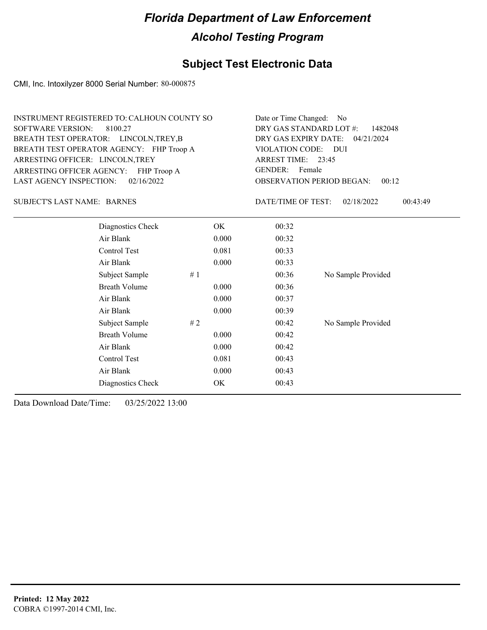### **Subject Test Electronic Data**

CMI, Inc. Intoxilyzer 8000 Serial Number: 80-000875

| INSTRUMENT REGISTERED TO: CALHOUN COUNTY SO | Date or Time Changed: No               |
|---------------------------------------------|----------------------------------------|
| SOFTWARE VERSION: 8100.27                   | DRY GAS STANDARD LOT $\#$ : 1482048    |
| BREATH TEST OPERATOR: LINCOLN, TREY, B      | DRY GAS EXPIRY DATE: 04/21/2024        |
| BREATH TEST OPERATOR AGENCY: FHP Troop A    | VIOLATION CODE: DUI                    |
| ARRESTING OFFICER: LINCOLN, TREY            | ARREST TIME: 23:45                     |
| ARRESTING OFFICER AGENCY: FHP Troop A       | GENDER: Female                         |
| LAST AGENCY INSPECTION: $02/16/2022$        | <b>OBSERVATION PERIOD BEGAN: 00:12</b> |

SUBJECT'S LAST NAME: BARNES DATE/TIME OF TEST:

DATE/TIME OF TEST: 02/18/2022 00:43:49

| Diagnostics Check    | OK    | 00:32 |                    |
|----------------------|-------|-------|--------------------|
| Air Blank            | 0.000 | 00:32 |                    |
| Control Test         | 0.081 | 00:33 |                    |
| Air Blank            | 0.000 | 00:33 |                    |
| Subject Sample<br>#1 |       | 00:36 | No Sample Provided |
| <b>Breath Volume</b> | 0.000 | 00:36 |                    |
| Air Blank            | 0.000 | 00:37 |                    |
| Air Blank            | 0.000 | 00:39 |                    |
| Subject Sample<br>#2 |       | 00:42 | No Sample Provided |
| <b>Breath Volume</b> | 0.000 | 00:42 |                    |
| Air Blank            | 0.000 | 00:42 |                    |
| Control Test         | 0.081 | 00:43 |                    |
| Air Blank            | 0.000 | 00:43 |                    |
| Diagnostics Check    | OK    | 00:43 |                    |
|                      |       |       |                    |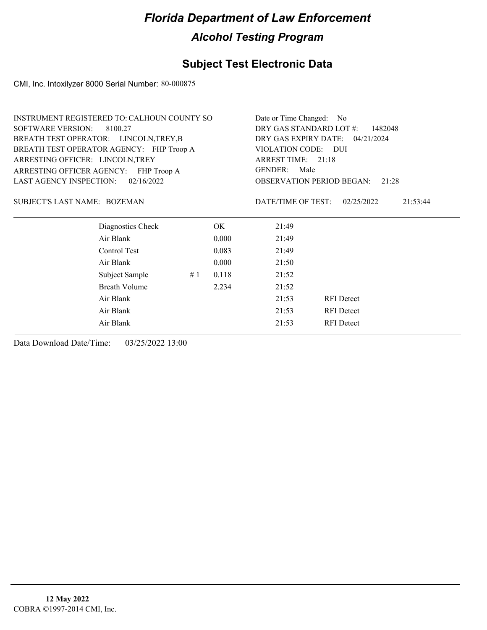### **Subject Test Electronic Data**

CMI, Inc. Intoxilyzer 8000 Serial Number: 80-000875

|                                        | <b>INSTRUMENT REGISTERED TO: CALHOUN COUNTY SO</b> |    |       | Date or Time Changed: No         |                        |
|----------------------------------------|----------------------------------------------------|----|-------|----------------------------------|------------------------|
| <b>SOFTWARE VERSION:</b>               | 8100.27                                            |    |       | DRY GAS STANDARD LOT #:          | 1482048                |
| BREATH TEST OPERATOR: LINCOLN, TREY, B |                                                    |    |       | DRY GAS EXPIRY DATE: 04/21/2024  |                        |
|                                        | BREATH TEST OPERATOR AGENCY: FHP Troop A           |    |       | VIOLATION CODE: DUI              |                        |
| ARRESTING OFFICER: LINCOLN, TREY       |                                                    |    |       | ARREST TIME: 21:18               |                        |
|                                        | ARRESTING OFFICER AGENCY: FHP Troop A              |    |       | GENDER:<br>Male                  |                        |
| <b>LAST AGENCY INSPECTION:</b>         | 02/16/2022                                         |    |       | <b>OBSERVATION PERIOD BEGAN:</b> | 21:28                  |
|                                        |                                                    |    |       |                                  |                        |
| SUBJECT'S LAST NAME: BOZEMAN           |                                                    |    |       | DATE/TIME OF TEST:               | 02/25/2022<br>21:53:44 |
|                                        |                                                    |    |       |                                  |                        |
|                                        | Diagnostics Check                                  |    | OK.   | 21:49                            |                        |
|                                        | Air Blank                                          |    | 0.000 | 21:49                            |                        |
|                                        | Control Test                                       |    | 0.083 | 21:49                            |                        |
|                                        | Air Blank                                          |    | 0.000 | 21:50                            |                        |
|                                        | Subject Sample                                     | #1 | 0.118 | 21:52                            |                        |
|                                        | <b>Breath Volume</b>                               |    | 2.234 | 21:52                            |                        |
|                                        | Air Blank                                          |    |       | 21:53                            | <b>RFI</b> Detect      |
|                                        | Air Blank                                          |    |       | 21:53                            | <b>RFI</b> Detect      |
|                                        | Air Blank                                          |    |       | 21:53                            | <b>RFI</b> Detect      |
|                                        |                                                    |    |       |                                  |                        |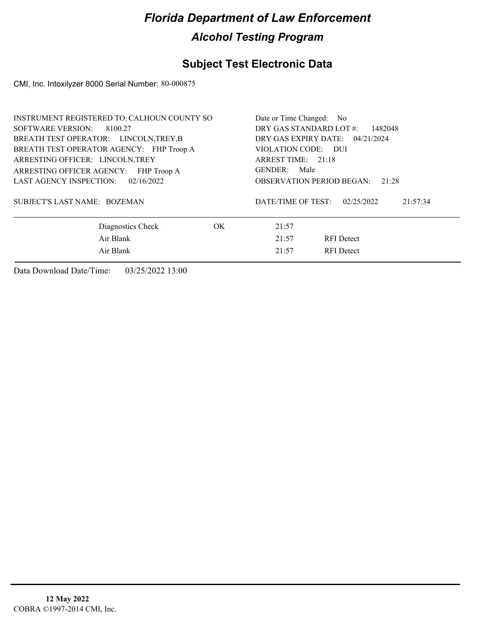### **Subject Test Electronic Data**

CMI, Inc. Intoxilyzer 8000 Serial Number: 80-000875

| INSTRUMENT REGISTERED TO: CALHOUN COUNTY SO | Date or Time Changed: No                     |  |  |  |
|---------------------------------------------|----------------------------------------------|--|--|--|
| SOFTWARE VERSION: 8100.27                   | DRY GAS STANDARD LOT #:<br>1482048           |  |  |  |
| BREATH TEST OPERATOR: LINCOLN, TREY, B      | DRY GAS EXPIRY DATE: 04/21/2024              |  |  |  |
| BREATH TEST OPERATOR AGENCY: FHP Troop A    | VIOLATION CODE: DUI                          |  |  |  |
| ARRESTING OFFICER: LINCOLN, TREY            | ARREST TIME: 21:18                           |  |  |  |
| ARRESTING OFFICER AGENCY: FHP Troop A       | GENDER:<br>Male                              |  |  |  |
| LAST AGENCY INSPECTION: 02/16/2022          | OBSERVATION PERIOD BEGAN:<br>21:28           |  |  |  |
| SUBJECT'S LAST NAME: BOZEMAN                | DATE/TIME OF TEST:<br>02/25/2022<br>21:57:34 |  |  |  |
| Diagnostics Check<br>OK.                    | 21:57                                        |  |  |  |
| Air Blank                                   | 21:57<br><b>RFI</b> Detect                   |  |  |  |
| Air Blank                                   | <b>RFI</b> Detect<br>21:57                   |  |  |  |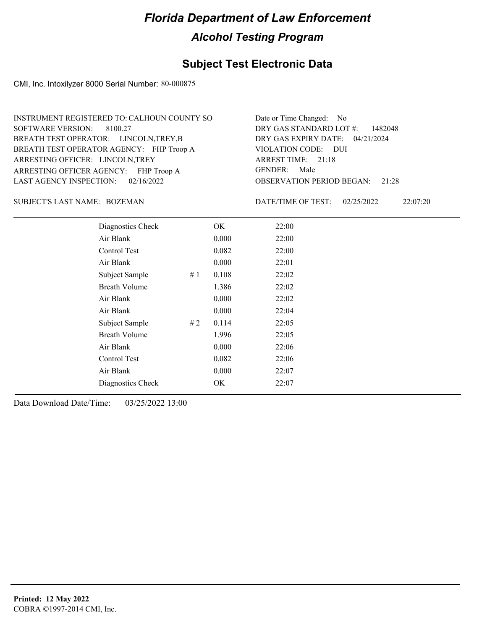### **Subject Test Electronic Data**

CMI, Inc. Intoxilyzer 8000 Serial Number: 80-000875

| INSTRUMENT REGISTERED TO: CALHOUN COUNTY SO | Date or Time Changed: No               |
|---------------------------------------------|----------------------------------------|
| SOFTWARE VERSION: 8100.27                   | DRY GAS STANDARD LOT #: 1482048        |
| BREATH TEST OPERATOR: LINCOLN, TREY, B      | DRY GAS EXPIRY DATE: 04/21/2024        |
| BREATH TEST OPERATOR AGENCY: FHP Troop A    | VIOLATION CODE: DUI                    |
| ARRESTING OFFICER: LINCOLN, TREY            | ARREST TIME: 21:18                     |
| ARRESTING OFFICER AGENCY: FHP Troop A       | GENDER: Male                           |
| LAST AGENCY INSPECTION: 02/16/2022          | <b>OBSERVATION PERIOD BEGAN: 21:28</b> |

BOZEMAN SUBJECT'S LAST NAME: DATE/TIME OF TEST:

DATE/TIME OF TEST: 02/25/2022 22:07:20

| Diagnostics Check    |    | OK    | 22:00 |  |
|----------------------|----|-------|-------|--|
| Air Blank            |    | 0.000 | 22:00 |  |
| Control Test         |    | 0.082 | 22:00 |  |
| Air Blank            |    | 0.000 | 22:01 |  |
| Subject Sample       | #1 | 0.108 | 22:02 |  |
| <b>Breath Volume</b> |    | 1.386 | 22:02 |  |
| Air Blank            |    | 0.000 | 22:02 |  |
| Air Blank            |    | 0.000 | 22:04 |  |
| Subject Sample       | #2 | 0.114 | 22:05 |  |
| <b>Breath Volume</b> |    | 1.996 | 22:05 |  |
| Air Blank            |    | 0.000 | 22:06 |  |
| Control Test         |    | 0.082 | 22:06 |  |
| Air Blank            |    | 0.000 | 22:07 |  |
| Diagnostics Check    |    | OK    | 22:07 |  |
|                      |    |       |       |  |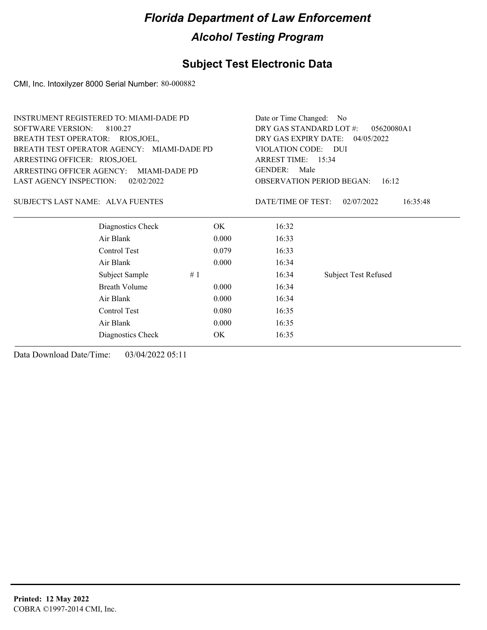### **Subject Test Electronic Data**

CMI, Inc. Intoxilyzer 8000 Serial Number: 80-000882

|                                            | <b>INSTRUMENT REGISTERED TO: MIAMI-DADE PD</b> |                                       |                                           | Date or Time Changed: No    |  |  |
|--------------------------------------------|------------------------------------------------|---------------------------------------|-------------------------------------------|-----------------------------|--|--|
| <b>SOFTWARE VERSION:</b>                   | 8100.27                                        | DRY GAS STANDARD LOT #:<br>05620080A1 |                                           |                             |  |  |
| BREATH TEST OPERATOR: RIOS, JOEL,          |                                                | DRY GAS EXPIRY DATE: 04/05/2022       |                                           |                             |  |  |
| BREATH TEST OPERATOR AGENCY: MIAMI-DADE PD |                                                | VIOLATION CODE: DUI                   |                                           |                             |  |  |
| ARRESTING OFFICER: RIOS, JOEL              |                                                | ARREST TIME: 15:34                    |                                           |                             |  |  |
| <b>ARRESTING OFFICER AGENCY:</b>           | MIAMI-DADE PD                                  |                                       | <b>GENDER:</b><br>Male                    |                             |  |  |
| <b>LAST AGENCY INSPECTION:</b>             | 02/02/2022                                     |                                       | <b>OBSERVATION PERIOD BEGAN:</b><br>16:12 |                             |  |  |
| SUBJECT'S LAST NAME: ALVA FUENTES          |                                                |                                       | DATE/TIME OF TEST:                        | 02/07/2022<br>16:35:48      |  |  |
|                                            | Diagnostics Check                              | OK.                                   | 16:32                                     |                             |  |  |
| Air Blank                                  |                                                | 0.000                                 | 16:33                                     |                             |  |  |
|                                            | Control Test                                   | 0.079                                 | 16:33                                     |                             |  |  |
| Air Blank                                  |                                                | 0.000                                 | 16:34                                     |                             |  |  |
|                                            | Subject Sample                                 | #1                                    | 16:34                                     | <b>Subject Test Refused</b> |  |  |
|                                            | <b>Breath Volume</b>                           | 0.000                                 | 16:34                                     |                             |  |  |
| Air Blank                                  |                                                | 0.000                                 | 16:34                                     |                             |  |  |
|                                            | Control Test                                   | 0.080                                 | 16:35                                     |                             |  |  |
| Air Blank                                  |                                                | 0.000                                 | 16:35                                     |                             |  |  |
|                                            | Diagnostics Check                              | OK                                    | 16:35                                     |                             |  |  |
|                                            |                                                |                                       |                                           |                             |  |  |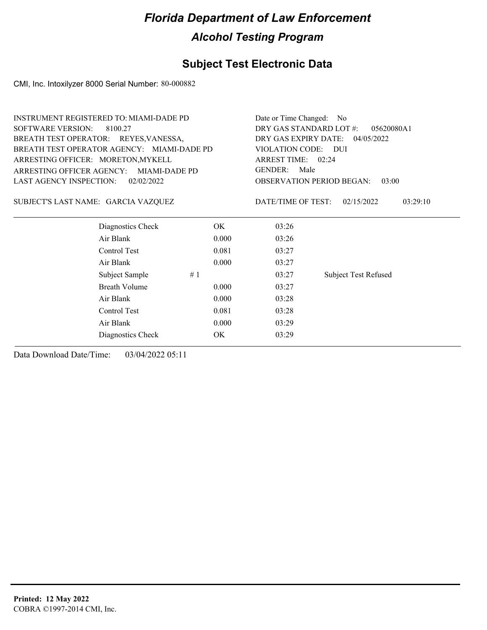### **Subject Test Electronic Data**

CMI, Inc. Intoxilyzer 8000 Serial Number: 80-000882

| <b>SOFTWARE VERSION:</b><br>DRY GAS STANDARD LOT #:<br>8100.27<br>05620080A1<br>DRY GAS EXPIRY DATE:<br>BREATH TEST OPERATOR: REYES, VANESSA,<br>04/05/2022<br>BREATH TEST OPERATOR AGENCY: MIAMI-DADE PD<br>VIOLATION CODE: DUI<br>ARRESTING OFFICER: MORETON, MYKELL<br>ARREST TIME: 02:24<br><b>GENDER:</b><br>Male<br>ARRESTING OFFICER AGENCY: MIAMI-DADE PD<br><b>LAST AGENCY INSPECTION:</b><br><b>OBSERVATION PERIOD BEGAN:</b><br>02/02/2022<br>03:00<br>SUBJECT'S LAST NAME: GARCIA VAZQUEZ<br>DATE/TIME OF TEST:<br>03:29:10<br>02/15/2022<br>Diagnostics Check<br>OK.<br>03:26<br>Air Blank<br>03:26<br>0.000<br>Control Test<br>0.081<br>03:27<br>Air Blank<br>0.000<br>03:27<br><b>Subject Test Refused</b><br>Subject Sample<br>#1<br>03:27<br><b>Breath Volume</b><br>0.000<br>03:27<br>Air Blank<br>0.000<br>03:28<br>Control Test<br>0.081<br>03:28<br>Air Blank<br>0.000<br>03:29<br>OK<br>03:29<br>Diagnostics Check | <b>INSTRUMENT REGISTERED TO: MIAMI-DADE PD</b> |  | Date or Time Changed: No |  |  |
|------------------------------------------------------------------------------------------------------------------------------------------------------------------------------------------------------------------------------------------------------------------------------------------------------------------------------------------------------------------------------------------------------------------------------------------------------------------------------------------------------------------------------------------------------------------------------------------------------------------------------------------------------------------------------------------------------------------------------------------------------------------------------------------------------------------------------------------------------------------------------------------------------------------------------------------|------------------------------------------------|--|--------------------------|--|--|
|                                                                                                                                                                                                                                                                                                                                                                                                                                                                                                                                                                                                                                                                                                                                                                                                                                                                                                                                          |                                                |  |                          |  |  |
|                                                                                                                                                                                                                                                                                                                                                                                                                                                                                                                                                                                                                                                                                                                                                                                                                                                                                                                                          |                                                |  |                          |  |  |
|                                                                                                                                                                                                                                                                                                                                                                                                                                                                                                                                                                                                                                                                                                                                                                                                                                                                                                                                          |                                                |  |                          |  |  |
|                                                                                                                                                                                                                                                                                                                                                                                                                                                                                                                                                                                                                                                                                                                                                                                                                                                                                                                                          |                                                |  |                          |  |  |
|                                                                                                                                                                                                                                                                                                                                                                                                                                                                                                                                                                                                                                                                                                                                                                                                                                                                                                                                          |                                                |  |                          |  |  |
|                                                                                                                                                                                                                                                                                                                                                                                                                                                                                                                                                                                                                                                                                                                                                                                                                                                                                                                                          |                                                |  |                          |  |  |
|                                                                                                                                                                                                                                                                                                                                                                                                                                                                                                                                                                                                                                                                                                                                                                                                                                                                                                                                          |                                                |  |                          |  |  |
|                                                                                                                                                                                                                                                                                                                                                                                                                                                                                                                                                                                                                                                                                                                                                                                                                                                                                                                                          |                                                |  |                          |  |  |
|                                                                                                                                                                                                                                                                                                                                                                                                                                                                                                                                                                                                                                                                                                                                                                                                                                                                                                                                          |                                                |  |                          |  |  |
|                                                                                                                                                                                                                                                                                                                                                                                                                                                                                                                                                                                                                                                                                                                                                                                                                                                                                                                                          |                                                |  |                          |  |  |
|                                                                                                                                                                                                                                                                                                                                                                                                                                                                                                                                                                                                                                                                                                                                                                                                                                                                                                                                          |                                                |  |                          |  |  |
|                                                                                                                                                                                                                                                                                                                                                                                                                                                                                                                                                                                                                                                                                                                                                                                                                                                                                                                                          |                                                |  |                          |  |  |
|                                                                                                                                                                                                                                                                                                                                                                                                                                                                                                                                                                                                                                                                                                                                                                                                                                                                                                                                          |                                                |  |                          |  |  |
|                                                                                                                                                                                                                                                                                                                                                                                                                                                                                                                                                                                                                                                                                                                                                                                                                                                                                                                                          |                                                |  |                          |  |  |
|                                                                                                                                                                                                                                                                                                                                                                                                                                                                                                                                                                                                                                                                                                                                                                                                                                                                                                                                          |                                                |  |                          |  |  |
|                                                                                                                                                                                                                                                                                                                                                                                                                                                                                                                                                                                                                                                                                                                                                                                                                                                                                                                                          |                                                |  |                          |  |  |
|                                                                                                                                                                                                                                                                                                                                                                                                                                                                                                                                                                                                                                                                                                                                                                                                                                                                                                                                          |                                                |  |                          |  |  |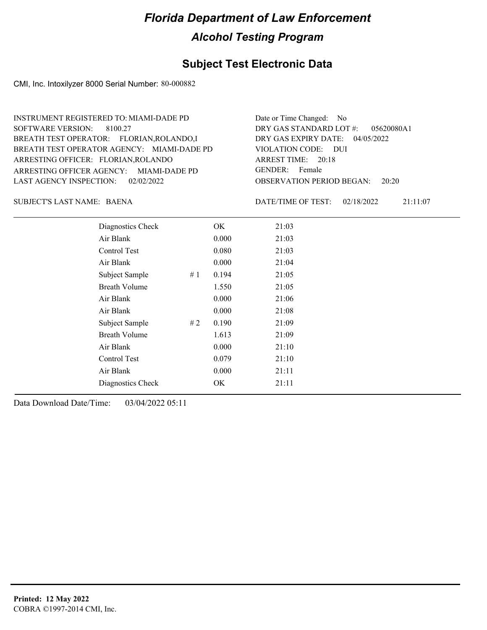### **Subject Test Electronic Data**

CMI, Inc. Intoxilyzer 8000 Serial Number: 80-000882

ARRESTING OFFICER AGENCY: GENDER: MIAMI-DADE PD BREATH TEST OPERATOR AGENCY: MIAMI-DADE PD VIOLATION CODE: SOFTWARE VERSION: 8100.27 ARRESTING OFFICER: FLORIAN,ROLANDO BREATH TEST OPERATOR: FLORIAN,ROLANDO,I LAST AGENCY INSPECTION: 02/02/2022 INSTRUMENT REGISTERED TO: MIAMI-DADE PD

OBSERVATION PERIOD BEGAN: 20:20 VIOLATION CODE: DUI ARREST TIME: 20:18 04/05/2022 DRY GAS EXPIRY DATE: 05620080A1 DRY GAS STANDARD LOT #: Date or Time Changed: No GENDER: Female

BAENA SUBJECT'S LAST NAME: DATE/TIME OF TEST:

DATE/TIME OF TEST: 02/18/2022 21:11:07

| Diagnostics Check    |    | OK    | 21:03 |
|----------------------|----|-------|-------|
| Air Blank            |    | 0.000 | 21:03 |
| Control Test         |    | 0.080 | 21:03 |
| Air Blank            |    | 0.000 | 21:04 |
| Subject Sample       | #1 | 0.194 | 21:05 |
| <b>Breath Volume</b> |    | 1.550 | 21:05 |
| Air Blank            |    | 0.000 | 21:06 |
| Air Blank            |    | 0.000 | 21:08 |
| Subject Sample       | #2 | 0.190 | 21:09 |
| <b>Breath Volume</b> |    | 1.613 | 21:09 |
| Air Blank            |    | 0.000 | 21:10 |
| Control Test         |    | 0.079 | 21:10 |
| Air Blank            |    | 0.000 | 21:11 |
| Diagnostics Check    |    | OK.   | 21:11 |
|                      |    |       |       |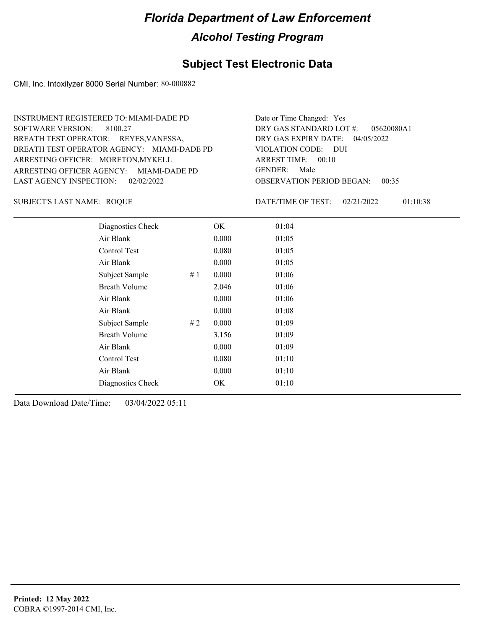### **Subject Test Electronic Data**

CMI, Inc. Intoxilyzer 8000 Serial Number: 80-000882

ARRESTING OFFICER AGENCY: GENDER: MIAMI-DADE PD BREATH TEST OPERATOR AGENCY: MIAMI-DADE PD VIOLATION CODE: SOFTWARE VERSION: 8100.27 ARRESTING OFFICER: MORETON, MYKELL BREATH TEST OPERATOR: REYES, VANESSA, LAST AGENCY INSPECTION: 02/02/2022 INSTRUMENT REGISTERED TO: MIAMI-DADE PD

OBSERVATION PERIOD BEGAN: 00:35 VIOLATION CODE: DUI ARREST TIME: 00:10 04/05/2022 DRY GAS EXPIRY DATE: 05620080A1 DRY GAS STANDARD LOT #: Date or Time Changed: Yes GENDER: Male

ROQUE SUBJECT'S LAST NAME: DATE/TIME OF TEST:

DATE/TIME OF TEST: 02/21/2022 01:10:38

| Diagnostics Check    |    | OK    | 01:04 |
|----------------------|----|-------|-------|
| Air Blank            |    | 0.000 | 01:05 |
| Control Test         |    | 0.080 | 01:05 |
| Air Blank            |    | 0.000 | 01:05 |
| Subject Sample       | #1 | 0.000 | 01:06 |
| <b>Breath Volume</b> |    | 2.046 | 01:06 |
| Air Blank            |    | 0.000 | 01:06 |
| Air Blank            |    | 0.000 | 01:08 |
| Subject Sample       | #2 | 0.000 | 01:09 |
| <b>Breath Volume</b> |    | 3.156 | 01:09 |
| Air Blank            |    | 0.000 | 01:09 |
| Control Test         |    | 0.080 | 01:10 |
| Air Blank            |    | 0.000 | 01:10 |
| Diagnostics Check    |    | OK.   | 01:10 |
|                      |    |       |       |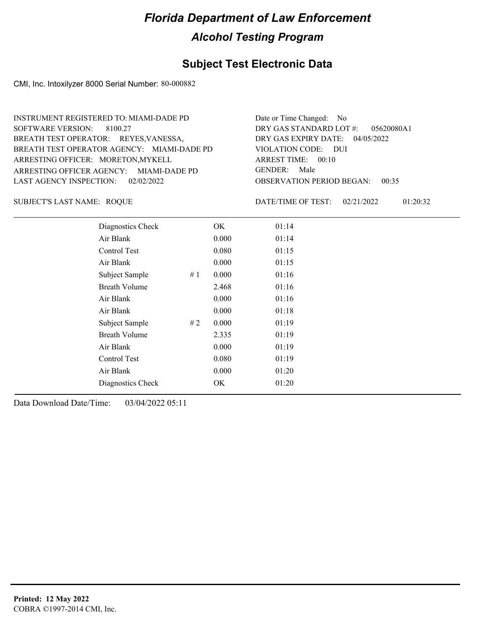### **Subject Test Electronic Data**

CMI, Inc. Intoxilyzer 8000 Serial Number: 80-000882

ARRESTING OFFICER AGENCY: GENDER: MIAMI-DADE PD BREATH TEST OPERATOR AGENCY: MIAMI-DADE PD VIOLATION CODE: SOFTWARE VERSION: 8100.27 ARRESTING OFFICER: MORETON, MYKELL BREATH TEST OPERATOR: REYES, VANESSA, LAST AGENCY INSPECTION: 02/02/2022 INSTRUMENT REGISTERED TO: MIAMI-DADE PD

OBSERVATION PERIOD BEGAN: 00:35 VIOLATION CODE: DUI ARREST TIME: 00:10 04/05/2022 DRY GAS EXPIRY DATE: 05620080A1 DRY GAS STANDARD LOT #: Date or Time Changed: No GENDER: Male

ROQUE SUBJECT'S LAST NAME: DATE/TIME OF TEST:

DATE/TIME OF TEST: 02/21/2022 01:20:32

| Diagnostics Check    |    | OK    | 01:14 |
|----------------------|----|-------|-------|
| Air Blank            |    | 0.000 | 01:14 |
| Control Test         |    | 0.080 | 01:15 |
| Air Blank            |    | 0.000 | 01:15 |
| Subject Sample       | #1 | 0.000 | 01:16 |
| <b>Breath Volume</b> |    | 2.468 | 01:16 |
| Air Blank            |    | 0.000 | 01:16 |
| Air Blank            |    | 0.000 | 01:18 |
| Subject Sample       | #2 | 0.000 | 01:19 |
| <b>Breath Volume</b> |    | 2.335 | 01:19 |
| Air Blank            |    | 0.000 | 01:19 |
| Control Test         |    | 0.080 | 01:19 |
| Air Blank            |    | 0.000 | 01:20 |
| Diagnostics Check    |    | OK    | 01:20 |
|                      |    |       |       |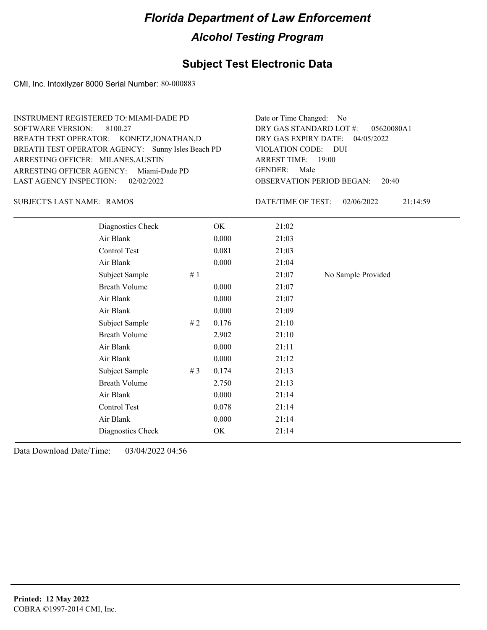### **Subject Test Electronic Data**

CMI, Inc. Intoxilyzer 8000 Serial Number: 80-000883

OBSERVATION PERIOD BEGAN: 20:40 ARRESTING OFFICER AGENCY: Miami-Dade PD GENDER: BREATH TEST OPERATOR AGENCY: Sunny Isles Beach PD VIOLATION CODE: SOFTWARE VERSION: 8100.27 VIOLATION CODE: DUI ARREST TIME: 19:00 ARRESTING OFFICER: MILANES, AUSTIN 04/05/2022 DRY GAS EXPIRY DATE: 05620080A1 BREATH TEST OPERATOR: KONETZ,JONATHAN,D LAST AGENCY INSPECTION: 02/02/2022 INSTRUMENT REGISTERED TO: MIAMI-DADE PD DRY GAS STANDARD LOT #: Date or Time Changed: No GENDER: Male

SUBJECT'S LAST NAME: RAMOS DATE/TIME OF TEST:

DATE/TIME OF TEST: 02/06/2022 21:14:59

| Diagnostics Check    |    | OK    | 21:02 |                    |
|----------------------|----|-------|-------|--------------------|
| Air Blank            |    | 0.000 | 21:03 |                    |
| Control Test         |    | 0.081 | 21:03 |                    |
| Air Blank            |    | 0.000 | 21:04 |                    |
| Subject Sample       | #1 |       | 21:07 | No Sample Provided |
| <b>Breath Volume</b> |    | 0.000 | 21:07 |                    |
| Air Blank            |    | 0.000 | 21:07 |                    |
| Air Blank            |    | 0.000 | 21:09 |                    |
| Subject Sample       | #2 | 0.176 | 21:10 |                    |
| <b>Breath Volume</b> |    | 2.902 | 21:10 |                    |
| Air Blank            |    | 0.000 | 21:11 |                    |
| Air Blank            |    | 0.000 | 21:12 |                    |
| Subject Sample       | #3 | 0.174 | 21:13 |                    |
| <b>Breath Volume</b> |    | 2.750 | 21:13 |                    |
| Air Blank            |    | 0.000 | 21:14 |                    |
| Control Test         |    | 0.078 | 21:14 |                    |
| Air Blank            |    | 0.000 | 21:14 |                    |
| Diagnostics Check    |    | OK    | 21:14 |                    |
|                      |    |       |       |                    |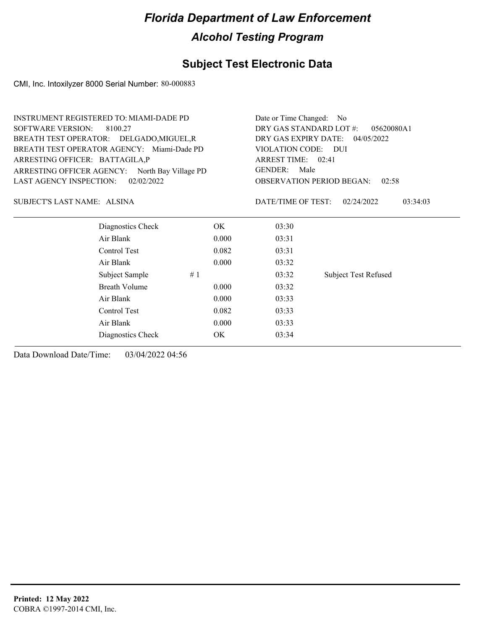### **Subject Test Electronic Data**

CMI, Inc. Intoxilyzer 8000 Serial Number: 80-000883

| DRY GAS STANDARD LOT #:<br><b>SOFTWARE VERSION:</b><br>8100.27<br>05620080A1<br>BREATH TEST OPERATOR: DELGADO, MIGUEL, R<br>DRY GAS EXPIRY DATE: 04/05/2022<br>BREATH TEST OPERATOR AGENCY: Miami-Dade PD<br>VIOLATION CODE: DUI<br>ARRESTING OFFICER: BATTAGILA,P<br>ARREST TIME: 02:41<br><b>GENDER:</b><br>Male<br>ARRESTING OFFICER AGENCY: North Bay Village PD<br><b>LAST AGENCY INSPECTION:</b><br>02/02/2022<br><b>OBSERVATION PERIOD BEGAN:</b><br>02:58<br>DATE/TIME OF TEST:<br>SUBJECT'S LAST NAME: ALSINA<br>02/24/2022<br>03:34:03<br>Diagnostics Check<br>OK.<br>03:30<br>Air Blank<br>0.000<br>03:31<br>Control Test<br>0.082<br>03:31<br>Air Blank<br>0.000<br>03:32<br><b>Subject Test Refused</b><br>Subject Sample<br>#1<br>03:32<br><b>Breath Volume</b><br>0.000<br>03:32<br>Air Blank<br>0.000<br>03:33<br>Control Test<br>0.082<br>03:33<br>Air Blank<br>0.000<br>03:33<br>OK.<br>03:34<br>Diagnostics Check | INSTRUMENT REGISTERED TO: MIAMI-DADE PD | Date or Time Changed: No |  |  |  |
|--------------------------------------------------------------------------------------------------------------------------------------------------------------------------------------------------------------------------------------------------------------------------------------------------------------------------------------------------------------------------------------------------------------------------------------------------------------------------------------------------------------------------------------------------------------------------------------------------------------------------------------------------------------------------------------------------------------------------------------------------------------------------------------------------------------------------------------------------------------------------------------------------------------------------------------|-----------------------------------------|--------------------------|--|--|--|
|                                                                                                                                                                                                                                                                                                                                                                                                                                                                                                                                                                                                                                                                                                                                                                                                                                                                                                                                      |                                         |                          |  |  |  |
|                                                                                                                                                                                                                                                                                                                                                                                                                                                                                                                                                                                                                                                                                                                                                                                                                                                                                                                                      |                                         |                          |  |  |  |
|                                                                                                                                                                                                                                                                                                                                                                                                                                                                                                                                                                                                                                                                                                                                                                                                                                                                                                                                      |                                         |                          |  |  |  |
|                                                                                                                                                                                                                                                                                                                                                                                                                                                                                                                                                                                                                                                                                                                                                                                                                                                                                                                                      |                                         |                          |  |  |  |
|                                                                                                                                                                                                                                                                                                                                                                                                                                                                                                                                                                                                                                                                                                                                                                                                                                                                                                                                      |                                         |                          |  |  |  |
|                                                                                                                                                                                                                                                                                                                                                                                                                                                                                                                                                                                                                                                                                                                                                                                                                                                                                                                                      |                                         |                          |  |  |  |
|                                                                                                                                                                                                                                                                                                                                                                                                                                                                                                                                                                                                                                                                                                                                                                                                                                                                                                                                      |                                         |                          |  |  |  |
|                                                                                                                                                                                                                                                                                                                                                                                                                                                                                                                                                                                                                                                                                                                                                                                                                                                                                                                                      |                                         |                          |  |  |  |
|                                                                                                                                                                                                                                                                                                                                                                                                                                                                                                                                                                                                                                                                                                                                                                                                                                                                                                                                      |                                         |                          |  |  |  |
|                                                                                                                                                                                                                                                                                                                                                                                                                                                                                                                                                                                                                                                                                                                                                                                                                                                                                                                                      |                                         |                          |  |  |  |
|                                                                                                                                                                                                                                                                                                                                                                                                                                                                                                                                                                                                                                                                                                                                                                                                                                                                                                                                      |                                         |                          |  |  |  |
|                                                                                                                                                                                                                                                                                                                                                                                                                                                                                                                                                                                                                                                                                                                                                                                                                                                                                                                                      |                                         |                          |  |  |  |
|                                                                                                                                                                                                                                                                                                                                                                                                                                                                                                                                                                                                                                                                                                                                                                                                                                                                                                                                      |                                         |                          |  |  |  |
|                                                                                                                                                                                                                                                                                                                                                                                                                                                                                                                                                                                                                                                                                                                                                                                                                                                                                                                                      |                                         |                          |  |  |  |
|                                                                                                                                                                                                                                                                                                                                                                                                                                                                                                                                                                                                                                                                                                                                                                                                                                                                                                                                      |                                         |                          |  |  |  |
|                                                                                                                                                                                                                                                                                                                                                                                                                                                                                                                                                                                                                                                                                                                                                                                                                                                                                                                                      |                                         |                          |  |  |  |
|                                                                                                                                                                                                                                                                                                                                                                                                                                                                                                                                                                                                                                                                                                                                                                                                                                                                                                                                      |                                         |                          |  |  |  |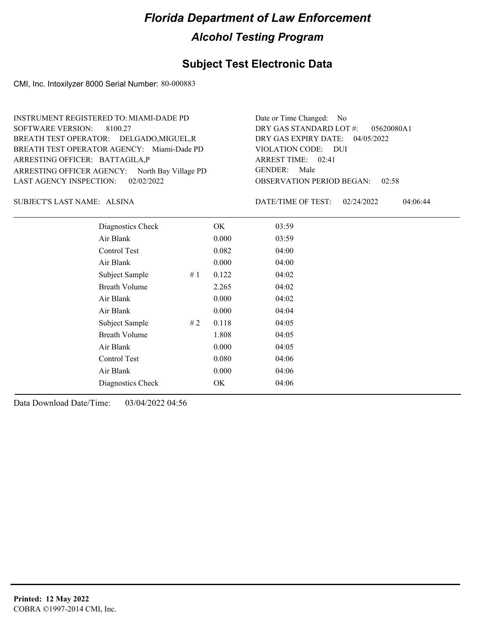### **Subject Test Electronic Data**

CMI, Inc. Intoxilyzer 8000 Serial Number: 80-000883

ARRESTING OFFICER AGENCY: North Bay Village PD GENDER: BREATH TEST OPERATOR AGENCY: Miami-Dade PD VIOLATION CODE: SOFTWARE VERSION: 8100.27 ARRESTING OFFICER: BATTAGILA,P BREATH TEST OPERATOR: DELGADO,MIGUEL,R LAST AGENCY INSPECTION: 02/02/2022 INSTRUMENT REGISTERED TO: MIAMI-DADE PD

OBSERVATION PERIOD BEGAN: 02:58 VIOLATION CODE: DUI 02:41 ARREST TIME: 04/05/2022 DRY GAS EXPIRY DATE: 05620080A1 DRY GAS STANDARD LOT #: Date or Time Changed: No GENDER: Male

ALSINA SUBJECT'S LAST NAME: DATE/TIME OF TEST:

DATE/TIME OF TEST: 02/24/2022 04:06:44

| Diagnostics Check    |    | OK    | 03:59 |
|----------------------|----|-------|-------|
| Air Blank            |    | 0.000 | 03:59 |
| Control Test         |    | 0.082 | 04:00 |
| Air Blank            |    | 0.000 | 04:00 |
| Subject Sample       | #1 | 0.122 | 04:02 |
| <b>Breath Volume</b> |    | 2.265 | 04:02 |
| Air Blank            |    | 0.000 | 04:02 |
| Air Blank            |    | 0.000 | 04:04 |
| Subject Sample       | #2 | 0.118 | 04:05 |
| <b>Breath Volume</b> |    | 1.808 | 04:05 |
| Air Blank            |    | 0.000 | 04:05 |
| Control Test         |    | 0.080 | 04:06 |
| Air Blank            |    | 0.000 | 04:06 |
| Diagnostics Check    |    | OK    | 04:06 |
|                      |    |       |       |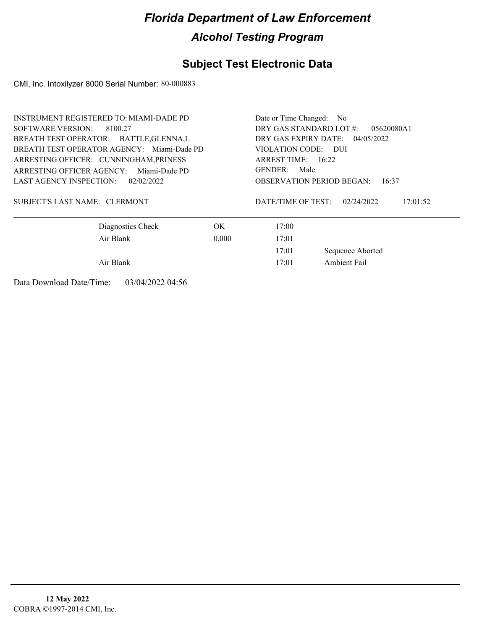### **Subject Test Electronic Data**

CMI, Inc. Intoxilyzer 8000 Serial Number: 80-000883

| INSTRUMENT REGISTERED TO: MIAMI-DADE PD<br>SOFTWARE VERSION: 8100.27<br>BREATH TEST OPERATOR: BATTLE, GLENNA, L | Date or Time Changed: No<br>DRY GAS STANDARD LOT #:<br>05620080A1<br>DRY GAS EXPIRY DATE:<br>04/05/2022 |                                                  |                        |
|-----------------------------------------------------------------------------------------------------------------|---------------------------------------------------------------------------------------------------------|--------------------------------------------------|------------------------|
| BREATH TEST OPERATOR AGENCY: Miami-Dade PD<br>ARRESTING OFFICER: CUNNINGHAM, PRINESS                            | VIOLATION CODE: DUI<br>ARREST TIME: $16:22$                                                             |                                                  |                        |
| ARRESTING OFFICER AGENCY:<br>Miami-Dade PD<br>LAST AGENCY INSPECTION:<br>02/02/2022                             |                                                                                                         | GENDER: Male<br><b>OBSERVATION PERIOD BEGAN:</b> | 16:37                  |
| SUBJECT'S LAST NAME: CLERMONT                                                                                   |                                                                                                         | DATE/TIME OF TEST:                               | 02/24/2022<br>17:01:52 |
| Diagnostics Check                                                                                               | OK.                                                                                                     | 17:00                                            |                        |
| Air Blank                                                                                                       | 0.000                                                                                                   | 17:01                                            |                        |
|                                                                                                                 | 17:01                                                                                                   | Sequence Aborted                                 |                        |
| Air Blank                                                                                                       |                                                                                                         | 17:01                                            | Ambient Fail           |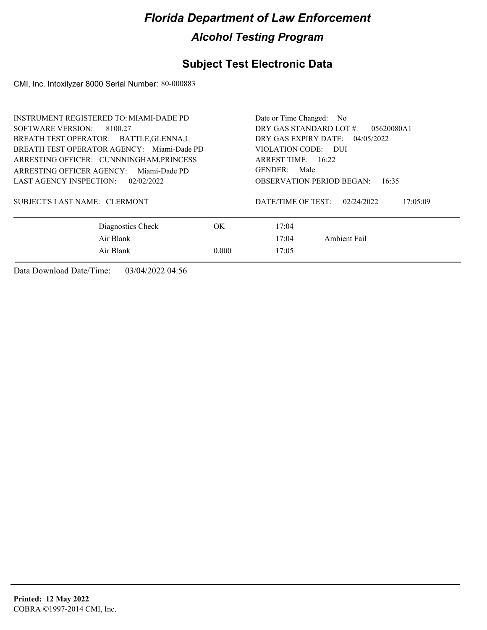### **Subject Test Electronic Data**

CMI, Inc. Intoxilyzer 8000 Serial Number: 80-000883

| <b>INSTRUMENT REGISTERED TO: MIAMI-DADE PD</b> | Date or Time Changed:<br>N <sub>o</sub>      |
|------------------------------------------------|----------------------------------------------|
| SOFTWARE VERSION:<br>8100.27                   | DRY GAS STANDARD LOT #:<br>05620080A1        |
| BREATH TEST OPERATOR: BATTLE, GLENNA, L        | DRY GAS EXPIRY DATE:<br>04/05/2022           |
| BREATH TEST OPERATOR AGENCY: Miami-Dade PD     | VIOLATION CODE: DUI                          |
| ARRESTING OFFICER: CUNNNINGHAM, PRINCESS       | ARREST TIME: $16:22$                         |
| ARRESTING OFFICER AGENCY:<br>Miami-Dade PD     | Male<br>GENDER:                              |
| LAST AGENCY INSPECTION:<br>02/02/2022          | <b>OBSERVATION PERIOD BEGAN:</b><br>16:35    |
| SUBJECT'S LAST NAME: CLERMONT                  | DATE/TIME OF TEST:<br>02/24/2022<br>17:05:09 |
| Diagnostics Check<br>OK.                       | 17:04                                        |
| Air Blank                                      | Ambient Fail<br>17:04                        |
| Air Blank<br>0.000                             | 17:05                                        |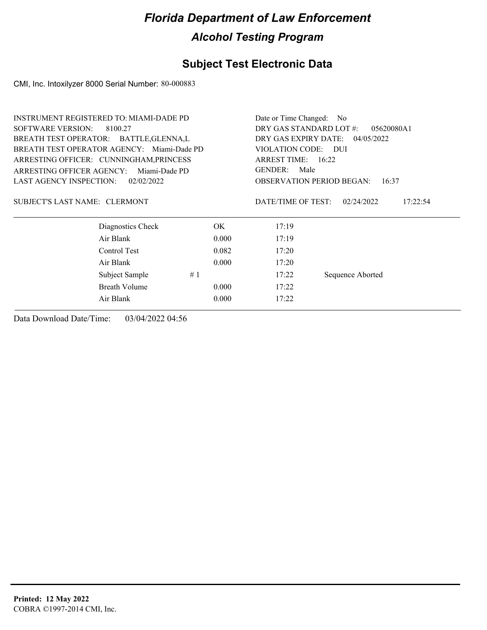### **Subject Test Electronic Data**

CMI, Inc. Intoxilyzer 8000 Serial Number: 80-000883

| <b>SOFTWARE VERSION:</b><br>8100.27<br>DRY GAS STANDARD LOT #:<br>05620080A1<br>DRY GAS EXPIRY DATE: 04/05/2022<br>BREATH TEST OPERATOR: BATTLE, GLENNA, L<br>BREATH TEST OPERATOR AGENCY: Miami-Dade PD<br>VIOLATION CODE: DUI<br>ARRESTING OFFICER: CUNNINGHAM, PRINCESS<br>ARREST TIME: 16:22<br>GENDER:<br>Male<br>ARRESTING OFFICER AGENCY:<br>Miami-Dade PD<br><b>LAST AGENCY INSPECTION:</b><br>02/02/2022<br><b>OBSERVATION PERIOD BEGAN:</b><br>16:37<br>DATE/TIME OF TEST:<br>SUBJECT'S LAST NAME: CLERMONT<br>02/24/2022<br>17:22:54<br>Diagnostics Check<br>OK.<br>17:19<br>Air Blank<br>0.000<br>17:19<br>Control Test<br>0.082<br>17:20<br>Air Blank<br>0.000<br>17:20<br>#1<br>Subject Sample<br>17:22<br>Sequence Aborted<br>Breath Volume<br>0.000<br>17:22<br>Air Blank<br>0.000<br>17:22 | <b>INSTRUMENT REGISTERED TO: MIAMI-DADE PD</b> | Date or Time Changed: No |  |  |
|-------------------------------------------------------------------------------------------------------------------------------------------------------------------------------------------------------------------------------------------------------------------------------------------------------------------------------------------------------------------------------------------------------------------------------------------------------------------------------------------------------------------------------------------------------------------------------------------------------------------------------------------------------------------------------------------------------------------------------------------------------------------------------------------------------------|------------------------------------------------|--------------------------|--|--|
|                                                                                                                                                                                                                                                                                                                                                                                                                                                                                                                                                                                                                                                                                                                                                                                                             |                                                |                          |  |  |
|                                                                                                                                                                                                                                                                                                                                                                                                                                                                                                                                                                                                                                                                                                                                                                                                             |                                                |                          |  |  |
|                                                                                                                                                                                                                                                                                                                                                                                                                                                                                                                                                                                                                                                                                                                                                                                                             |                                                |                          |  |  |
|                                                                                                                                                                                                                                                                                                                                                                                                                                                                                                                                                                                                                                                                                                                                                                                                             |                                                |                          |  |  |
|                                                                                                                                                                                                                                                                                                                                                                                                                                                                                                                                                                                                                                                                                                                                                                                                             |                                                |                          |  |  |
|                                                                                                                                                                                                                                                                                                                                                                                                                                                                                                                                                                                                                                                                                                                                                                                                             |                                                |                          |  |  |
|                                                                                                                                                                                                                                                                                                                                                                                                                                                                                                                                                                                                                                                                                                                                                                                                             |                                                |                          |  |  |
|                                                                                                                                                                                                                                                                                                                                                                                                                                                                                                                                                                                                                                                                                                                                                                                                             |                                                |                          |  |  |
|                                                                                                                                                                                                                                                                                                                                                                                                                                                                                                                                                                                                                                                                                                                                                                                                             |                                                |                          |  |  |
|                                                                                                                                                                                                                                                                                                                                                                                                                                                                                                                                                                                                                                                                                                                                                                                                             |                                                |                          |  |  |
|                                                                                                                                                                                                                                                                                                                                                                                                                                                                                                                                                                                                                                                                                                                                                                                                             |                                                |                          |  |  |
|                                                                                                                                                                                                                                                                                                                                                                                                                                                                                                                                                                                                                                                                                                                                                                                                             |                                                |                          |  |  |
|                                                                                                                                                                                                                                                                                                                                                                                                                                                                                                                                                                                                                                                                                                                                                                                                             |                                                |                          |  |  |
|                                                                                                                                                                                                                                                                                                                                                                                                                                                                                                                                                                                                                                                                                                                                                                                                             |                                                |                          |  |  |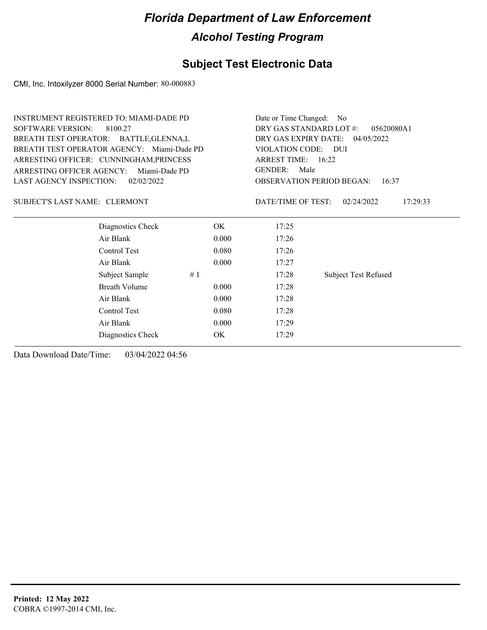### **Subject Test Electronic Data**

CMI, Inc. Intoxilyzer 8000 Serial Number: 80-000883

| <b>INSTRUMENT REGISTERED TO: MIAMI-DADE PD</b> |               |                      | Date or Time Changed:<br>- No             |  |  |
|------------------------------------------------|---------------|----------------------|-------------------------------------------|--|--|
| <b>SOFTWARE VERSION:</b><br>8100.27            |               |                      | DRY GAS STANDARD LOT #:<br>05620080A1     |  |  |
| BREATH TEST OPERATOR: BATTLE, GLENNA, L        |               | DRY GAS EXPIRY DATE: | 04/05/2022                                |  |  |
| BREATH TEST OPERATOR AGENCY: Miami-Dade PD     |               | VIOLATION CODE: DUI  |                                           |  |  |
| ARRESTING OFFICER: CUNNINGHAM, PRINCESS        |               | ARREST TIME: 16:22   |                                           |  |  |
| <b>ARRESTING OFFICER AGENCY:</b>               | Miami-Dade PD | <b>GENDER:</b>       | Male                                      |  |  |
| <b>LAST AGENCY INSPECTION:</b>                 | 02/02/2022    |                      | <b>OBSERVATION PERIOD BEGAN:</b><br>16:37 |  |  |
| SUBJECT'S LAST NAME: CLERMONT                  |               | DATE/TIME OF TEST:   | 17:29:33<br>02/24/2022                    |  |  |
| Diagnostics Check                              | OK            | 17:25                |                                           |  |  |
| Air Blank                                      | 0.000         | 17:26                |                                           |  |  |
| Control Test                                   | 0.080         | 17:26                |                                           |  |  |
| Air Blank                                      | 0.000         | 17:27                |                                           |  |  |
| Subject Sample                                 | #1            | 17:28                | <b>Subject Test Refused</b>               |  |  |
| <b>Breath Volume</b>                           | 0.000         | 17:28                |                                           |  |  |
| Air Blank                                      | 0.000         | 17:28                |                                           |  |  |
| Control Test                                   | 0.080         | 17:28                |                                           |  |  |
| Air Blank                                      | 0.000         | 17:29                |                                           |  |  |
| Diagnostics Check                              | OK.           | 17:29                |                                           |  |  |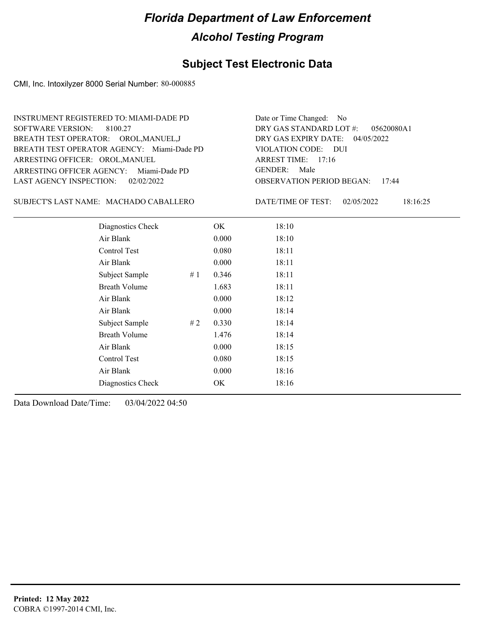### **Subject Test Electronic Data**

CMI, Inc. Intoxilyzer 8000 Serial Number: 80-000885

ARRESTING OFFICER AGENCY: Miami-Dade PD GENDER: BREATH TEST OPERATOR AGENCY: Miami-Dade PD VIOLATION CODE: SOFTWARE VERSION: 8100.27 ARRESTING OFFICER: OROL, MANUEL BREATH TEST OPERATOR: OROL,MANUEL,J LAST AGENCY INSPECTION: 02/02/2022 INSTRUMENT REGISTERED TO: MIAMI-DADE PD

OBSERVATION PERIOD BEGAN: 17:44 VIOLATION CODE: DUI ARREST TIME: 17:16 04/05/2022 DRY GAS EXPIRY DATE: 05620080A1 DRY GAS STANDARD LOT #: Date or Time Changed: No GENDER: Male

MACHADO CABALLERO SUBJECT'S LAST NAME: DATE/TIME OF TEST:

DATE/TIME OF TEST: 02/05/2022 18:16:25

| Diagnostics Check    |    | OK    | 18:10 |
|----------------------|----|-------|-------|
| Air Blank            |    | 0.000 | 18:10 |
| Control Test         |    | 0.080 | 18:11 |
| Air Blank            |    | 0.000 | 18:11 |
| Subject Sample       | #1 | 0.346 | 18:11 |
| <b>Breath Volume</b> |    | 1.683 | 18:11 |
| Air Blank            |    | 0.000 | 18:12 |
| Air Blank            |    | 0.000 | 18:14 |
| Subject Sample       | #2 | 0.330 | 18:14 |
| <b>Breath Volume</b> |    | 1.476 | 18:14 |
| Air Blank            |    | 0.000 | 18:15 |
| Control Test         |    | 0.080 | 18:15 |
| Air Blank            |    | 0.000 | 18:16 |
| Diagnostics Check    |    | OK    | 18:16 |
|                      |    |       |       |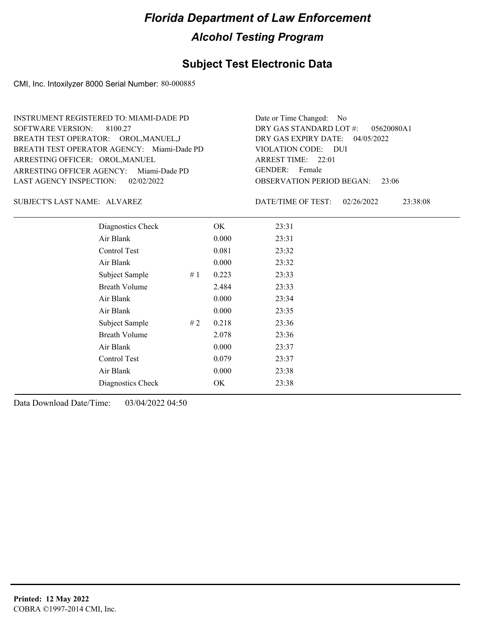### **Subject Test Electronic Data**

CMI, Inc. Intoxilyzer 8000 Serial Number: 80-000885

ARRESTING OFFICER AGENCY: Miami-Dade PD GENDER: BREATH TEST OPERATOR AGENCY: Miami-Dade PD VIOLATION CODE: SOFTWARE VERSION: 8100.27 ARRESTING OFFICER: OROL, MANUEL BREATH TEST OPERATOR: OROL,MANUEL,J LAST AGENCY INSPECTION: 02/02/2022 INSTRUMENT REGISTERED TO: MIAMI-DADE PD

OBSERVATION PERIOD BEGAN: 23:06 VIOLATION CODE: DUI ARREST TIME: 22:01 04/05/2022 DRY GAS EXPIRY DATE: 05620080A1 DRY GAS STANDARD LOT #: Date or Time Changed: No GENDER: Female

SUBJECT'S LAST NAME: ALVAREZ DATE/TIME OF TEST:

DATE/TIME OF TEST: 02/26/2022 23:38:08

| Diagnostics Check    |    | OK    | 23:31 |
|----------------------|----|-------|-------|
| Air Blank            |    | 0.000 | 23:31 |
| <b>Control Test</b>  |    | 0.081 | 23:32 |
| Air Blank            |    | 0.000 | 23:32 |
| Subject Sample       | #1 | 0.223 | 23:33 |
| <b>Breath Volume</b> |    | 2.484 | 23:33 |
| Air Blank            |    | 0.000 | 23:34 |
| Air Blank            |    | 0.000 | 23:35 |
| Subject Sample       | #2 | 0.218 | 23:36 |
| <b>Breath Volume</b> |    | 2.078 | 23:36 |
| Air Blank            |    | 0.000 | 23:37 |
| Control Test         |    | 0.079 | 23:37 |
| Air Blank            |    | 0.000 | 23:38 |
| Diagnostics Check    |    | OK    | 23:38 |
|                      |    |       |       |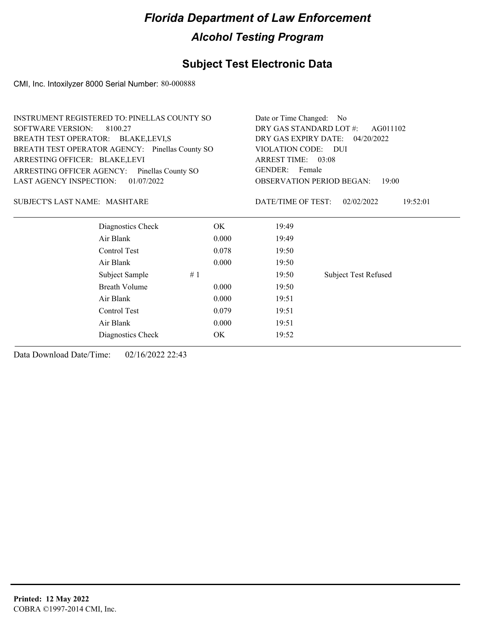### **Subject Test Electronic Data**

CMI, Inc. Intoxilyzer 8000 Serial Number: 80-000888

| INSTRUMENT REGISTERED TO: PINELLAS COUNTY SO    | Date or Time Changed: No               |
|-------------------------------------------------|----------------------------------------|
| SOFTWARE VERSION: 8100.27                       | DRY GAS STANDARD LOT #: AG011102       |
| BREATH TEST OPERATOR: BLAKE, LEVI, S            | DRY GAS EXPIRY DATE: 04/20/2022        |
| BREATH TEST OPERATOR AGENCY: Pinellas County SO | VIOLATION CODE: DUI                    |
| ARRESTING OFFICER: BLAKE, LEVI                  | ARREST TIME: 03:08                     |
| ARRESTING OFFICER AGENCY: Pinellas County SO    | GENDER: Female                         |
| LAST AGENCY INSPECTION: 01/07/2022              | <b>OBSERVATION PERIOD BEGAN: 19:00</b> |
|                                                 |                                        |

#### MASHTARE SUBJECT'S LAST NAME: DATE/TIME OF TEST:

DATE/TIME OF TEST: 02/02/2022 19:52:01

| Diagnostics Check    | OK    | 19:49 |                             |
|----------------------|-------|-------|-----------------------------|
| Air Blank            | 0.000 | 19:49 |                             |
| Control Test         | 0.078 | 19:50 |                             |
| Air Blank            | 0.000 | 19:50 |                             |
| Subject Sample<br>#1 |       | 19:50 | <b>Subject Test Refused</b> |
| <b>Breath Volume</b> | 0.000 | 19:50 |                             |
| Air Blank            | 0.000 | 19:51 |                             |
| Control Test         | 0.079 | 19:51 |                             |
| Air Blank            | 0.000 | 19:51 |                             |
| Diagnostics Check    | OK    | 19:52 |                             |
|                      |       |       |                             |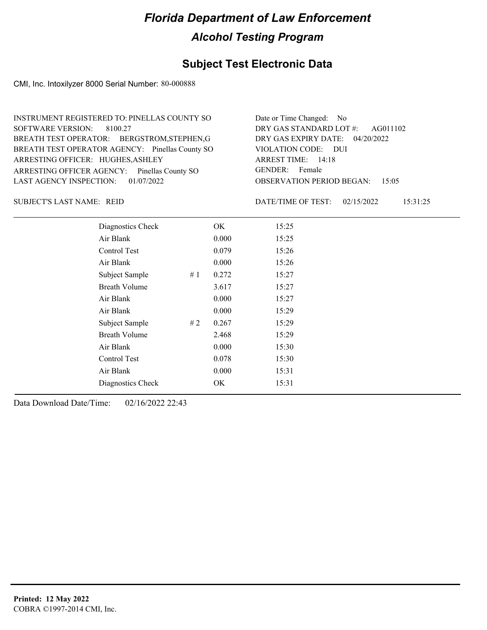### **Subject Test Electronic Data**

CMI, Inc. Intoxilyzer 8000 Serial Number: 80-000888

| INSTRUMENT REGISTERED TO: PINELLAS COUNTY SO    | Date or Time Changed: No               |
|-------------------------------------------------|----------------------------------------|
| SOFTWARE VERSION: 8100.27                       | DRY GAS STANDARD LOT #: AG011102       |
| BREATH TEST OPERATOR: BERGSTROM, STEPHEN, G     | DRY GAS EXPIRY DATE: 04/20/2022        |
| BREATH TEST OPERATOR AGENCY: Pinellas County SO | VIOLATION CODE: DUI                    |
| ARRESTING OFFICER: HUGHES, ASHLEY               | ARREST TIME: 14:18                     |
| ARRESTING OFFICER AGENCY: Pinellas County SO    | GENDER: Female                         |
| LAST AGENCY INSPECTION: 01/07/2022              | <b>OBSERVATION PERIOD BEGAN: 15:05</b> |

SUBJECT'S LAST NAME: REID DATE/TIME OF TEST:

DATE/TIME OF TEST: 02/15/2022 15:31:25

| Diagnostics Check    |    | OK    | 15:25 |
|----------------------|----|-------|-------|
| Air Blank            |    | 0.000 | 15:25 |
| Control Test         |    | 0.079 | 15:26 |
| Air Blank            |    | 0.000 | 15:26 |
| Subject Sample       | #1 | 0.272 | 15:27 |
| <b>Breath Volume</b> |    | 3.617 | 15:27 |
| Air Blank            |    | 0.000 | 15:27 |
| Air Blank            |    | 0.000 | 15:29 |
| Subject Sample       | #2 | 0.267 | 15:29 |
| <b>Breath Volume</b> |    | 2.468 | 15:29 |
| Air Blank            |    | 0.000 | 15:30 |
| Control Test         |    | 0.078 | 15:30 |
| Air Blank            |    | 0.000 | 15:31 |
| Diagnostics Check    |    | OK    | 15:31 |
|                      |    |       |       |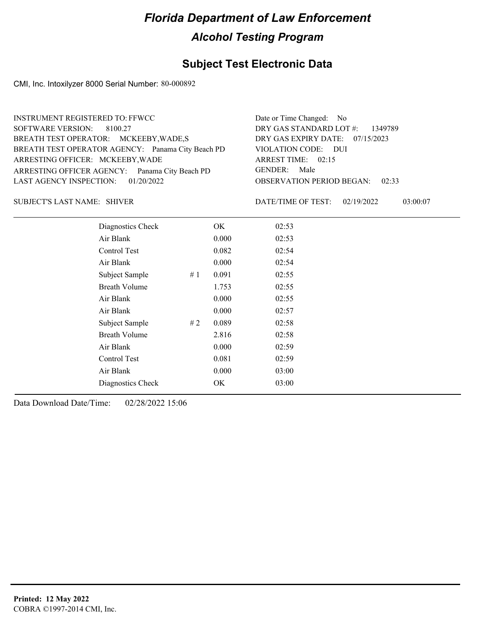### **Subject Test Electronic Data**

CMI, Inc. Intoxilyzer 8000 Serial Number: 80-000892

| <b>INSTRUMENT REGISTERED TO: FFWCC</b>            | Date or Time Changed: No               |
|---------------------------------------------------|----------------------------------------|
| SOFTWARE VERSION: 8100.27                         | DRY GAS STANDARD LOT $\#$ : 1349789    |
| BREATH TEST OPERATOR: MCKEEBY, WADE, S            | DRY GAS EXPIRY DATE: 07/15/2023        |
| BREATH TEST OPERATOR AGENCY: Panama City Beach PD | VIOLATION CODE: DUI                    |
| ARRESTING OFFICER: MCKEEBY, WADE                  | ARREST TIME: 02:15                     |
| ARRESTING OFFICER AGENCY: Panama City Beach PD    | GENDER: Male                           |
| LAST AGENCY INSPECTION: 01/20/2022                | <b>OBSERVATION PERIOD BEGAN: 02:33</b> |
|                                                   |                                        |

SHIVER SUBJECT'S LAST NAME: DATE/TIME OF TEST:

DATE/TIME OF TEST: 02/19/2022 03:00:07

| Diagnostics Check    |    | OK    | 02:53 |
|----------------------|----|-------|-------|
| Air Blank            |    | 0.000 | 02:53 |
| Control Test         |    | 0.082 | 02:54 |
| Air Blank            |    | 0.000 | 02:54 |
| Subject Sample       | #1 | 0.091 | 02:55 |
| <b>Breath Volume</b> |    | 1.753 | 02:55 |
| Air Blank            |    | 0.000 | 02:55 |
| Air Blank            |    | 0.000 | 02:57 |
| Subject Sample       | #2 | 0.089 | 02:58 |
| <b>Breath Volume</b> |    | 2.816 | 02:58 |
| Air Blank            |    | 0.000 | 02:59 |
| Control Test         |    | 0.081 | 02:59 |
| Air Blank            |    | 0.000 | 03:00 |
| Diagnostics Check    |    | OK    | 03:00 |
|                      |    |       |       |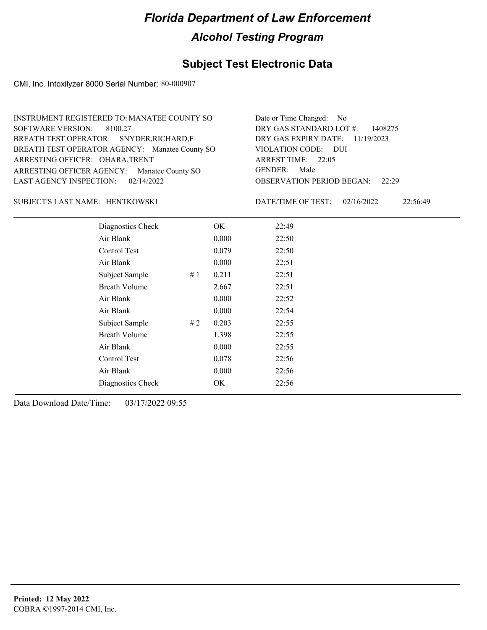### **Subject Test Electronic Data**

CMI, Inc. Intoxilyzer 8000 Serial Number: 80-000907

| INSTRUMENT REGISTERED TO: MANATEE COUNTY SO    | Date or Time Changed: No               |
|------------------------------------------------|----------------------------------------|
| SOFTWARE VERSION: 8100.27                      | DRY GAS STANDARD LOT $\#$ : 1408275    |
| BREATH TEST OPERATOR: SNYDER, RICHARD, F       | DRY GAS EXPIRY DATE: 11/19/2023        |
| BREATH TEST OPERATOR AGENCY: Manatee County SO | VIOLATION CODE: DUI                    |
| ARRESTING OFFICER: OHARA, TRENT                | ARREST TIME: 22:05                     |
| ARRESTING OFFICER AGENCY: Manatee County SO    | GENDER: Male                           |
| LAST AGENCY INSPECTION: $02/14/2022$           | <b>OBSERVATION PERIOD BEGAN:</b> 22:29 |

#### HENTKOWSKI SUBJECT'S LAST NAME: DATE/TIME OF TEST:

DATE/TIME OF TEST: 02/16/2022 22:56:49

| Diagnostics Check    |    | OK    | 22:49 |  |
|----------------------|----|-------|-------|--|
| Air Blank            |    | 0.000 | 22:50 |  |
| Control Test         |    | 0.079 | 22:50 |  |
| Air Blank            |    | 0.000 | 22:51 |  |
| Subject Sample       | #1 | 0.211 | 22:51 |  |
| <b>Breath Volume</b> |    | 2.667 | 22:51 |  |
| Air Blank            |    | 0.000 | 22:52 |  |
| Air Blank            |    | 0.000 | 22:54 |  |
| Subject Sample       | #2 | 0.203 | 22:55 |  |
| <b>Breath Volume</b> |    | 1.398 | 22:55 |  |
| Air Blank            |    | 0.000 | 22:55 |  |
| Control Test         |    | 0.078 | 22:56 |  |
| Air Blank            |    | 0.000 | 22:56 |  |
| Diagnostics Check    |    | OK    | 22:56 |  |
|                      |    |       |       |  |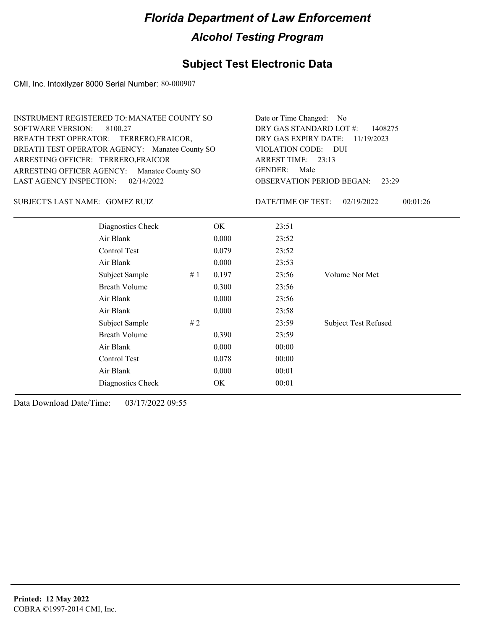### **Subject Test Electronic Data**

CMI, Inc. Intoxilyzer 8000 Serial Number: 80-000907

| <b>INSTRUMENT REGISTERED TO: MANATEE COUNTY SO</b><br><b>SOFTWARE VERSION:</b><br>8100.27<br>BREATH TEST OPERATOR: TERRERO, FRAICOR,<br>BREATH TEST OPERATOR AGENCY: Manatee County SO<br>ARRESTING OFFICER: TERRERO, FRAICOR<br>ARRESTING OFFICER AGENCY: Manatee County SO |                      |    |       | Date or Time Changed: No<br>DRY GAS STANDARD LOT #:<br>1408275<br>DRY GAS EXPIRY DATE:<br>11/19/2023<br><b>VIOLATION CODE:</b><br><b>DUI</b><br>ARREST TIME: 23:13<br><b>GENDER:</b><br>Male |                             |  |
|------------------------------------------------------------------------------------------------------------------------------------------------------------------------------------------------------------------------------------------------------------------------------|----------------------|----|-------|----------------------------------------------------------------------------------------------------------------------------------------------------------------------------------------------|-----------------------------|--|
| <b>LAST AGENCY INSPECTION:</b>                                                                                                                                                                                                                                               | 02/14/2022           |    |       | <b>OBSERVATION PERIOD BEGAN:</b>                                                                                                                                                             | 23:29                       |  |
| SUBJECT'S LAST NAME: GOMEZ RUIZ                                                                                                                                                                                                                                              |                      |    |       | DATE/TIME OF TEST:                                                                                                                                                                           | 00:01:26<br>02/19/2022      |  |
|                                                                                                                                                                                                                                                                              | Diagnostics Check    |    | OK.   | 23:51                                                                                                                                                                                        |                             |  |
|                                                                                                                                                                                                                                                                              | Air Blank            |    | 0.000 | 23:52                                                                                                                                                                                        |                             |  |
|                                                                                                                                                                                                                                                                              | Control Test         |    | 0.079 | 23:52                                                                                                                                                                                        |                             |  |
|                                                                                                                                                                                                                                                                              | Air Blank            |    | 0.000 | 23:53                                                                                                                                                                                        |                             |  |
|                                                                                                                                                                                                                                                                              | Subject Sample       | #1 | 0.197 | 23:56                                                                                                                                                                                        | Volume Not Met              |  |
|                                                                                                                                                                                                                                                                              | <b>Breath Volume</b> |    | 0.300 | 23:56                                                                                                                                                                                        |                             |  |
|                                                                                                                                                                                                                                                                              | Air Blank            |    | 0.000 | 23:56                                                                                                                                                                                        |                             |  |
|                                                                                                                                                                                                                                                                              | Air Blank            |    | 0.000 | 23:58                                                                                                                                                                                        |                             |  |
|                                                                                                                                                                                                                                                                              | Subject Sample       | #2 |       | 23:59                                                                                                                                                                                        | <b>Subject Test Refused</b> |  |
|                                                                                                                                                                                                                                                                              | <b>Breath Volume</b> |    | 0.390 | 23:59                                                                                                                                                                                        |                             |  |
|                                                                                                                                                                                                                                                                              | Air Blank            |    | 0.000 | 00:00                                                                                                                                                                                        |                             |  |
|                                                                                                                                                                                                                                                                              | Control Test         |    | 0.078 | 00:00                                                                                                                                                                                        |                             |  |
|                                                                                                                                                                                                                                                                              | Air Blank            |    | 0.000 | 00:01                                                                                                                                                                                        |                             |  |
|                                                                                                                                                                                                                                                                              | Diagnostics Check    |    | OK    | 00:01                                                                                                                                                                                        |                             |  |
|                                                                                                                                                                                                                                                                              |                      |    |       |                                                                                                                                                                                              |                             |  |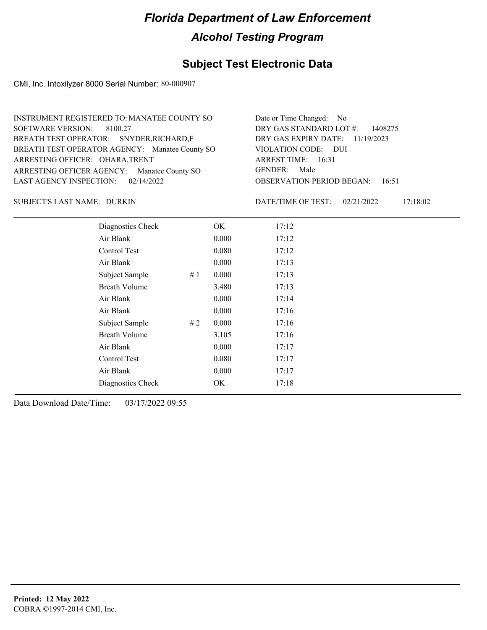### **Subject Test Electronic Data**

CMI, Inc. Intoxilyzer 8000 Serial Number: 80-000907

| INSTRUMENT REGISTERED TO: MANATEE COUNTY SO    | Date or Time Changed: No               |
|------------------------------------------------|----------------------------------------|
| SOFTWARE VERSION: 8100.27                      | DRY GAS STANDARD LOT $\#$ : 1408275    |
| BREATH TEST OPERATOR: SNYDER, RICHARD, F       | DRY GAS EXPIRY DATE: 11/19/2023        |
| BREATH TEST OPERATOR AGENCY: Manatee County SO | VIOLATION CODE: DUI                    |
| ARRESTING OFFICER: OHARA, TRENT                | ARREST TIME: 16:31                     |
| ARRESTING OFFICER AGENCY: Manatee County SO    | GENDER: Male                           |
| LAST AGENCY INSPECTION: 02/14/2022             | <b>OBSERVATION PERIOD BEGAN:</b> 16:51 |

SUBJECT'S LAST NAME: DURKIN  $\overline{D}$  DATE/TIME OF TEST:

DATE/TIME OF TEST: 02/21/2022 17:18:02

| Diagnostics Check    |    | OK    | 17:12 |
|----------------------|----|-------|-------|
| Air Blank            |    | 0.000 | 17:12 |
| Control Test         |    | 0.080 | 17:12 |
| Air Blank            |    | 0.000 | 17:13 |
| Subject Sample       | #1 | 0.000 | 17:13 |
| <b>Breath Volume</b> |    | 3.480 | 17:13 |
| Air Blank            |    | 0.000 | 17:14 |
| Air Blank            |    | 0.000 | 17:16 |
| Subject Sample       | #2 | 0.000 | 17:16 |
| <b>Breath Volume</b> |    | 3.105 | 17:16 |
| Air Blank            |    | 0.000 | 17:17 |
| Control Test         |    | 0.080 | 17:17 |
| Air Blank            |    | 0.000 | 17:17 |
| Diagnostics Check    |    | OK    | 17:18 |
|                      |    |       |       |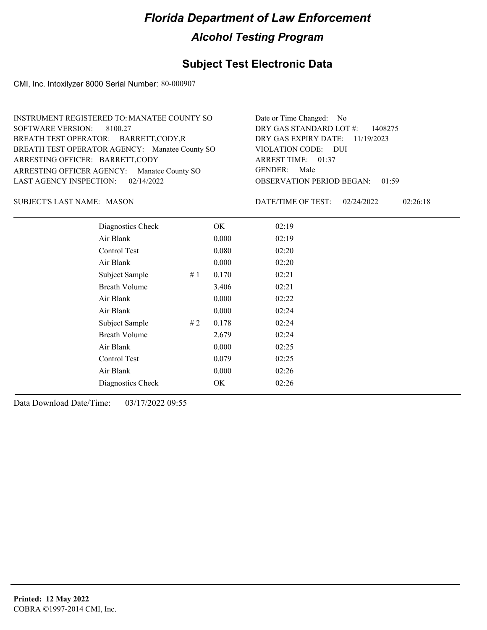### **Subject Test Electronic Data**

CMI, Inc. Intoxilyzer 8000 Serial Number: 80-000907

| INSTRUMENT REGISTERED TO: MANATEE COUNTY SO    | Date or Time Changed: No               |
|------------------------------------------------|----------------------------------------|
| SOFTWARE VERSION: 8100.27                      | DRY GAS STANDARD LOT $\#$ : 1408275    |
| BREATH TEST OPERATOR: BARRETT,CODY,R           | DRY GAS EXPIRY DATE: 11/19/2023        |
| BREATH TEST OPERATOR AGENCY: Manatee County SO | VIOLATION CODE: DUI                    |
| ARRESTING OFFICER: BARRETT, CODY               | ARREST TIME: 01:37                     |
| ARRESTING OFFICER AGENCY: Manatee County SO    | GENDER: Male                           |
| LAST AGENCY INSPECTION: $02/14/2022$           | <b>OBSERVATION PERIOD BEGAN: 01:59</b> |

SUBJECT'S LAST NAME: MASON DATE/TIME OF TEST:

DATE/TIME OF TEST: 02/24/2022 02:26:18

| Diagnostics Check    | OK    | 02:19 |
|----------------------|-------|-------|
| Air Blank            | 0.000 | 02:19 |
| Control Test         | 0.080 | 02:20 |
| Air Blank            | 0.000 | 02:20 |
| Subject Sample<br>#1 | 0.170 | 02:21 |
| <b>Breath Volume</b> | 3.406 | 02:21 |
| Air Blank            | 0.000 | 02:22 |
| Air Blank            | 0.000 | 02:24 |
| Subject Sample<br>#2 | 0.178 | 02:24 |
| <b>Breath Volume</b> | 2.679 | 02:24 |
| Air Blank            | 0.000 | 02:25 |
| Control Test         | 0.079 | 02:25 |
| Air Blank            | 0.000 | 02:26 |
| Diagnostics Check    | OK    | 02:26 |
|                      |       |       |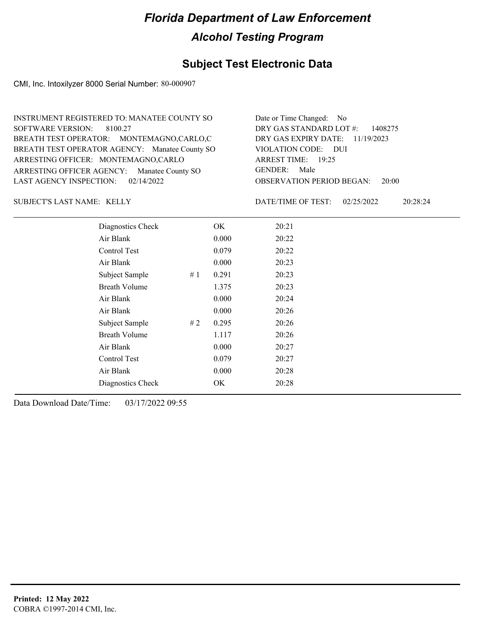### **Subject Test Electronic Data**

CMI, Inc. Intoxilyzer 8000 Serial Number: 80-000907

| INSTRUMENT REGISTERED TO: MANATEE COUNTY SO    | Date or Time Changed: No               |
|------------------------------------------------|----------------------------------------|
| SOFTWARE VERSION: 8100.27                      | DRY GAS STANDARD LOT $\#$ : 1408275    |
| BREATH TEST OPERATOR: MONTEMAGNO,CARLO,C       | DRY GAS EXPIRY DATE: 11/19/2023        |
| BREATH TEST OPERATOR AGENCY: Manatee County SO | VIOLATION CODE: DUI                    |
| ARRESTING OFFICER: MONTEMAGNO,CARLO            | ARREST TIME: 19:25                     |
| ARRESTING OFFICER AGENCY: Manatee County SO    | GENDER: Male                           |
| LAST AGENCY INSPECTION: $02/14/2022$           | <b>OBSERVATION PERIOD BEGAN: 20:00</b> |

SUBJECT'S LAST NAME: KELLY DATE/TIME OF TEST:

DATE/TIME OF TEST: 02/25/2022 20:28:24

| Diagnostics Check    |    | OK    | 20:21 |  |
|----------------------|----|-------|-------|--|
| Air Blank            |    | 0.000 | 20:22 |  |
| Control Test         |    | 0.079 | 20:22 |  |
| Air Blank            |    | 0.000 | 20:23 |  |
| Subject Sample       | #1 | 0.291 | 20:23 |  |
| <b>Breath Volume</b> |    | 1.375 | 20:23 |  |
| Air Blank            |    | 0.000 | 20:24 |  |
| Air Blank            |    | 0.000 | 20:26 |  |
| Subject Sample       | #2 | 0.295 | 20:26 |  |
| <b>Breath Volume</b> |    | 1.117 | 20:26 |  |
| Air Blank            |    | 0.000 | 20:27 |  |
| Control Test         |    | 0.079 | 20:27 |  |
| Air Blank            |    | 0.000 | 20:28 |  |
| Diagnostics Check    |    | OK    | 20:28 |  |
|                      |    |       |       |  |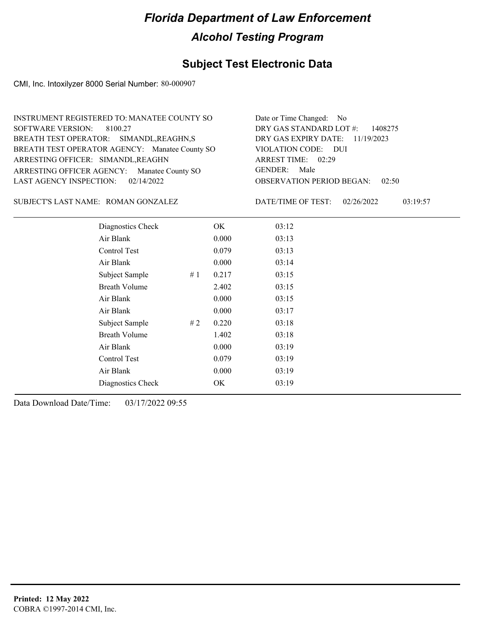### **Subject Test Electronic Data**

CMI, Inc. Intoxilyzer 8000 Serial Number: 80-000907

| INSTRUMENT REGISTERED TO: MANATEE COUNTY SO    | Date or Time Changed: No               |
|------------------------------------------------|----------------------------------------|
| SOFTWARE VERSION: 8100.27                      | DRY GAS STANDARD LOT $\#$ : 1408275    |
| BREATH TEST OPERATOR: SIMANDL, REAGHN, S       | DRY GAS EXPIRY DATE: 11/19/2023        |
| BREATH TEST OPERATOR AGENCY: Manatee County SO | VIOLATION CODE: DUI                    |
| ARRESTING OFFICER: SIMANDL, REAGHN             | ARREST TIME: 02:29                     |
| ARRESTING OFFICER AGENCY: Manatee County SO    | GENDER: Male                           |
| LAST AGENCY INSPECTION: $02/14/2022$           | <b>OBSERVATION PERIOD BEGAN: 02:50</b> |

#### SUBJECT'S LAST NAME: ROMAN GONZALEZ DATE/TIME OF TEST:

DATE/TIME OF TEST: 02/26/2022 03:19:57

| Diagnostics Check    |    | OK    | 03:12 |
|----------------------|----|-------|-------|
| Air Blank            |    | 0.000 | 03:13 |
| Control Test         |    | 0.079 | 03:13 |
| Air Blank            |    | 0.000 | 03:14 |
| Subject Sample       | #1 | 0.217 | 03:15 |
| <b>Breath Volume</b> |    | 2.402 | 03:15 |
| Air Blank            |    | 0.000 | 03:15 |
| Air Blank            |    | 0.000 | 03:17 |
| Subject Sample       | #2 | 0.220 | 03:18 |
| <b>Breath Volume</b> |    | 1.402 | 03:18 |
| Air Blank            |    | 0.000 | 03:19 |
| Control Test         |    | 0.079 | 03:19 |
| Air Blank            |    | 0.000 | 03:19 |
| Diagnostics Check    |    | OK    | 03:19 |
|                      |    |       |       |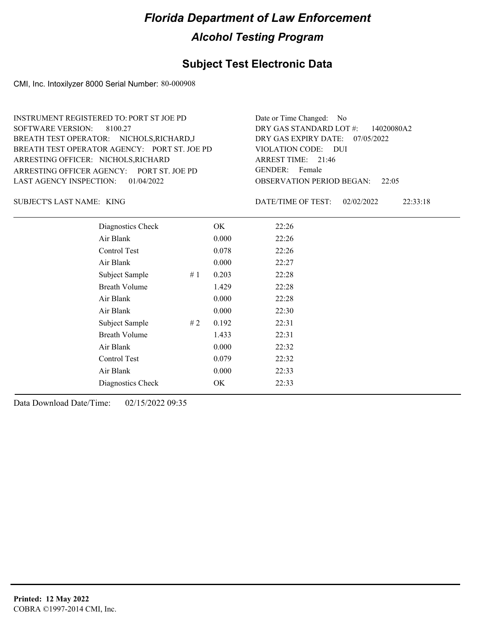### **Subject Test Electronic Data**

CMI, Inc. Intoxilyzer 8000 Serial Number: 80-000908

ARRESTING OFFICER AGENCY: PORT ST. JOE PD GENDER: BREATH TEST OPERATOR AGENCY: VIOLATION CODE: PORT ST. JOE PD SOFTWARE VERSION: 8100.27 ARRESTING OFFICER: NICHOLS, RICHARD BREATH TEST OPERATOR: NICHOLS,RICHARD,J LAST AGENCY INSPECTION: 01/04/2022 INSTRUMENT REGISTERED TO: PORT ST JOE PD

OBSERVATION PERIOD BEGAN: 22:05 VIOLATION CODE: DUI 21:46 ARREST TIME: DRY GAS EXPIRY DATE: 07/05/2022 DRY GAS STANDARD LOT #: 14020080A2 Date or Time Changed: No GENDER: Female

KING SUBJECT'S LAST NAME: DATE/TIME OF TEST:

DATE/TIME OF TEST: 02/02/2022 22:33:18

| Diagnostics Check    |    | OK    | 22:26 |
|----------------------|----|-------|-------|
| Air Blank            |    | 0.000 | 22:26 |
| Control Test         |    | 0.078 | 22:26 |
| Air Blank            |    | 0.000 | 22:27 |
| Subject Sample       | #1 | 0.203 | 22:28 |
| <b>Breath Volume</b> |    | 1.429 | 22:28 |
| Air Blank            |    | 0.000 | 22:28 |
| Air Blank            |    | 0.000 | 22:30 |
| Subject Sample       | #2 | 0.192 | 22:31 |
| <b>Breath Volume</b> |    | 1.433 | 22:31 |
| Air Blank            |    | 0.000 | 22:32 |
| Control Test         |    | 0.079 | 22:32 |
| Air Blank            |    | 0.000 | 22:33 |
| Diagnostics Check    |    | OK    | 22:33 |
|                      |    |       |       |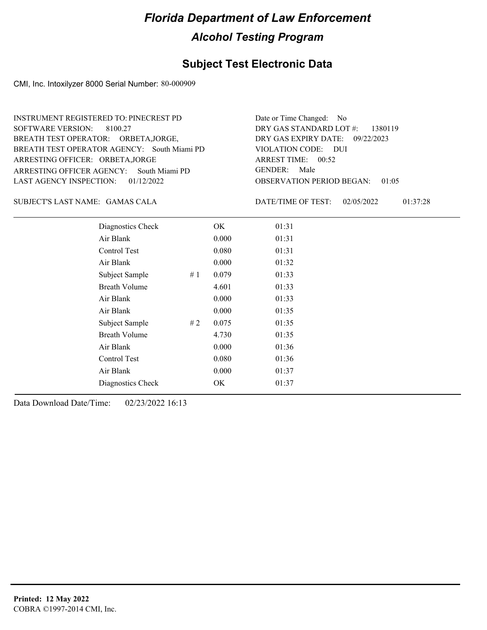### **Subject Test Electronic Data**

CMI, Inc. Intoxilyzer 8000 Serial Number: 80-000909

ARRESTING OFFICER AGENCY: GENDER: South Miami PD BREATH TEST OPERATOR AGENCY: South Miami PD VIOLATION CODE: SOFTWARE VERSION: 8100.27 ARRESTING OFFICER: ORBETA,JORGE BREATH TEST OPERATOR: ORBETA,JORGE, LAST AGENCY INSPECTION: 01/12/2022 INSTRUMENT REGISTERED TO: PINECREST PD

OBSERVATION PERIOD BEGAN: 01:05 VIOLATION CODE: DUI ARREST TIME: 00:52 09/22/2023 DRY GAS EXPIRY DATE: DRY GAS STANDARD LOT #: 1380119 Date or Time Changed: No GENDER: Male

GAMAS CALA SUBJECT'S LAST NAME: DATE/TIME OF TEST:

DATE/TIME OF TEST: 02/05/2022 01:37:28

| Diagnostics Check    |    | OK    | 01:31 |
|----------------------|----|-------|-------|
| Air Blank            |    | 0.000 | 01:31 |
| Control Test         |    | 0.080 | 01:31 |
| Air Blank            |    | 0.000 | 01:32 |
| Subject Sample       | #1 | 0.079 | 01:33 |
| <b>Breath Volume</b> |    | 4.601 | 01:33 |
| Air Blank            |    | 0.000 | 01:33 |
| Air Blank            |    | 0.000 | 01:35 |
| Subject Sample       | #2 | 0.075 | 01:35 |
| <b>Breath Volume</b> |    | 4.730 | 01:35 |
| Air Blank            |    | 0.000 | 01:36 |
| <b>Control Test</b>  |    | 0.080 | 01:36 |
| Air Blank            |    | 0.000 | 01:37 |
| Diagnostics Check    |    | OK    | 01:37 |
|                      |    |       |       |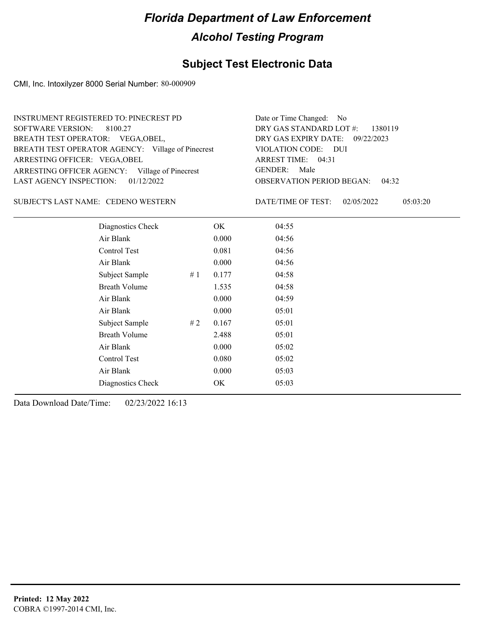### **Subject Test Electronic Data**

CMI, Inc. Intoxilyzer 8000 Serial Number: 80-000909

| INSTRUMENT REGISTERED TO: PINECREST PD            | Date or Time Changed: No               |
|---------------------------------------------------|----------------------------------------|
| SOFTWARE VERSION: 8100.27                         | DRY GAS STANDARD LOT $\#$ : 1380119    |
| BREATH TEST OPERATOR: VEGA, OBEL,                 | DRY GAS EXPIRY DATE: 09/22/2023        |
| BREATH TEST OPERATOR AGENCY: Village of Pinecrest | VIOLATION CODE: DUI                    |
| ARRESTING OFFICER: VEGA, OBEL                     | ARREST TIME: 04:31                     |
| ARRESTING OFFICER AGENCY: Village of Pinecrest    | GENDER: Male                           |
| LAST AGENCY INSPECTION: $01/12/2022$              | <b>OBSERVATION PERIOD BEGAN: 04:32</b> |

SUBJECT'S LAST NAME: CEDENO WESTERN DATE/TIME OF TEST:

DATE/TIME OF TEST: 02/05/2022 05:03:20

| Diagnostics Check    |    | OK    | 04:55 |  |
|----------------------|----|-------|-------|--|
| Air Blank            |    | 0.000 | 04:56 |  |
| Control Test         |    | 0.081 | 04:56 |  |
| Air Blank            |    | 0.000 | 04:56 |  |
| Subject Sample       | #1 | 0.177 | 04:58 |  |
| <b>Breath Volume</b> |    | 1.535 | 04:58 |  |
| Air Blank            |    | 0.000 | 04:59 |  |
| Air Blank            |    | 0.000 | 05:01 |  |
| Subject Sample       | #2 | 0.167 | 05:01 |  |
| <b>Breath Volume</b> |    | 2.488 | 05:01 |  |
| Air Blank            |    | 0.000 | 05:02 |  |
| Control Test         |    | 0.080 | 05:02 |  |
| Air Blank            |    | 0.000 | 05:03 |  |
| Diagnostics Check    |    | OK    | 05:03 |  |
|                      |    |       |       |  |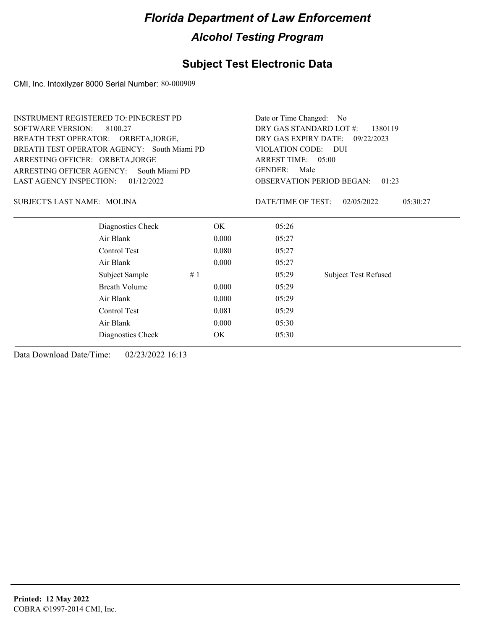### **Subject Test Electronic Data**

CMI, Inc. Intoxilyzer 8000 Serial Number: 80-000909

| <b>INSTRUMENT REGISTERED TO: PINECREST PD</b> |       | Date or Time Changed:<br>N <sub>o</sub><br>DRY GAS STANDARD LOT #:<br>1380119<br>DRY GAS EXPIRY DATE:<br>09/22/2023 |                                           |  |  |  |
|-----------------------------------------------|-------|---------------------------------------------------------------------------------------------------------------------|-------------------------------------------|--|--|--|
| <b>SOFTWARE VERSION:</b><br>8100.27           |       |                                                                                                                     |                                           |  |  |  |
| BREATH TEST OPERATOR: ORBETA, JORGE,          |       |                                                                                                                     |                                           |  |  |  |
| BREATH TEST OPERATOR AGENCY: South Miami PD   |       | VIOLATION CODE:                                                                                                     | – DUI                                     |  |  |  |
| ARRESTING OFFICER: ORBETA, JORGE              |       | ARREST TIME: 05:00                                                                                                  |                                           |  |  |  |
| ARRESTING OFFICER AGENCY:<br>South Miami PD   |       | <b>GENDER:</b><br>Male                                                                                              |                                           |  |  |  |
| <b>LAST AGENCY INSPECTION:</b><br>01/12/2022  |       |                                                                                                                     | <b>OBSERVATION PERIOD BEGAN:</b><br>01:23 |  |  |  |
| SUBJECT'S LAST NAME: MOLINA                   |       | DATE/TIME OF TEST:                                                                                                  | 02/05/2022<br>05:30:27                    |  |  |  |
| Diagnostics Check                             | OK.   | 05:26                                                                                                               |                                           |  |  |  |
| Air Blank                                     | 0.000 | 05:27                                                                                                               |                                           |  |  |  |
| Control Test                                  | 0.080 | 05:27                                                                                                               |                                           |  |  |  |
| Air Blank                                     | 0.000 | 05:27                                                                                                               |                                           |  |  |  |
| Subject Sample                                | #1    | 05:29                                                                                                               | <b>Subject Test Refused</b>               |  |  |  |
| <b>Breath Volume</b>                          | 0.000 | 05:29                                                                                                               |                                           |  |  |  |
| Air Blank                                     | 0.000 | 05:29                                                                                                               |                                           |  |  |  |
| Control Test                                  | 0.081 | 05:29                                                                                                               |                                           |  |  |  |
| Air Blank                                     | 0.000 | 05:30                                                                                                               |                                           |  |  |  |
| Diagnostics Check                             | OK    | 05:30                                                                                                               |                                           |  |  |  |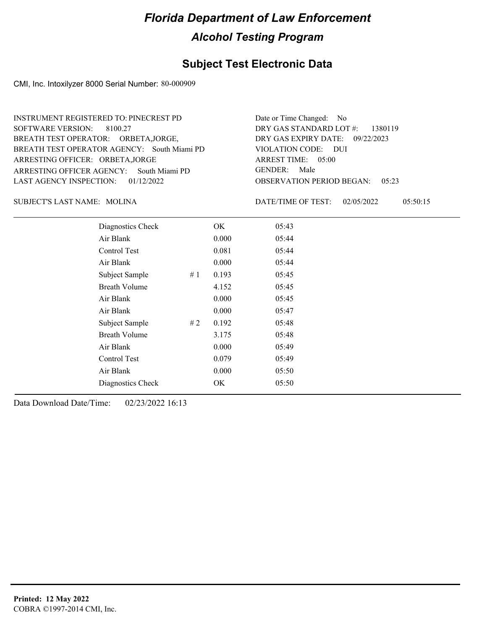### **Subject Test Electronic Data**

CMI, Inc. Intoxilyzer 8000 Serial Number: 80-000909

ARRESTING OFFICER AGENCY: GENDER: South Miami PD BREATH TEST OPERATOR AGENCY: South Miami PD VIOLATION CODE: SOFTWARE VERSION: 8100.27 ARRESTING OFFICER: ORBETA,JORGE BREATH TEST OPERATOR: ORBETA,JORGE, LAST AGENCY INSPECTION: 01/12/2022 INSTRUMENT REGISTERED TO: PINECREST PD

OBSERVATION PERIOD BEGAN: 05:23 VIOLATION CODE: DUI ARREST TIME: 05:00 09/22/2023 DRY GAS EXPIRY DATE: DRY GAS STANDARD LOT #: 1380119 Date or Time Changed: No GENDER: Male

MOLINA SUBJECT'S LAST NAME: DATE/TIME OF TEST:

DATE/TIME OF TEST: 02/05/2022 05:50:15

| Diagnostics Check    | OK    | 05:43 |
|----------------------|-------|-------|
| Air Blank            | 0.000 | 05:44 |
| Control Test         | 0.081 | 05:44 |
| Air Blank            | 0.000 | 05:44 |
| Subject Sample<br>#1 | 0.193 | 05:45 |
| <b>Breath Volume</b> | 4.152 | 05:45 |
| Air Blank            | 0.000 | 05:45 |
| Air Blank            | 0.000 | 05:47 |
| Subject Sample<br>#2 | 0.192 | 05:48 |
| <b>Breath Volume</b> | 3.175 | 05:48 |
| Air Blank            | 0.000 | 05:49 |
| Control Test         | 0.079 | 05:49 |
| Air Blank            | 0.000 | 05:50 |
| Diagnostics Check    | OK    | 05:50 |
|                      |       |       |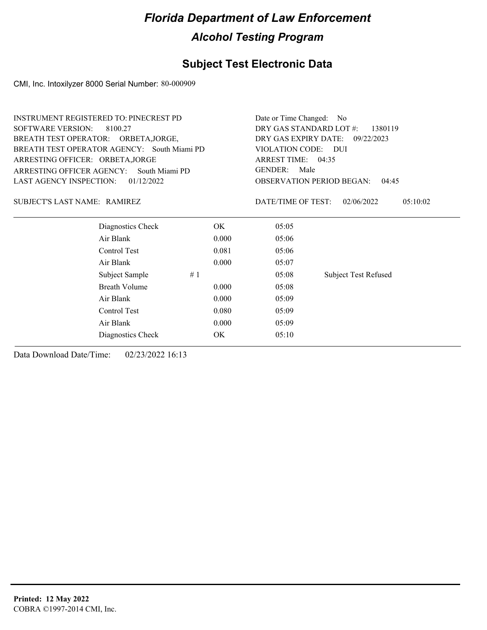### **Subject Test Electronic Data**

CMI, Inc. Intoxilyzer 8000 Serial Number: 80-000909

| <b>INSTRUMENT REGISTERED TO: PINECREST PD</b> |                                    | Date or Time Changed: No           |                                           |  |  |  |
|-----------------------------------------------|------------------------------------|------------------------------------|-------------------------------------------|--|--|--|
| <b>SOFTWARE VERSION:</b><br>8100.27           | DRY GAS STANDARD LOT #:<br>1380119 |                                    |                                           |  |  |  |
| BREATH TEST OPERATOR: ORBETA, JORGE,          |                                    | DRY GAS EXPIRY DATE:<br>09/22/2023 |                                           |  |  |  |
| BREATH TEST OPERATOR AGENCY: South Miami PD   |                                    | VIOLATION CODE: DUI                |                                           |  |  |  |
| ARRESTING OFFICER: ORBETA, JORGE              |                                    | ARREST TIME: 04:35                 |                                           |  |  |  |
| ARRESTING OFFICER AGENCY:<br>South Miami PD   |                                    | <b>GENDER:</b><br>Male             |                                           |  |  |  |
| LAST AGENCY INSPECTION:<br>01/12/2022         |                                    |                                    | <b>OBSERVATION PERIOD BEGAN:</b><br>04:45 |  |  |  |
| SUBJECT'S LAST NAME: RAMIREZ                  |                                    | DATE/TIME OF TEST:                 | 05:10:02<br>02/06/2022                    |  |  |  |
| Diagnostics Check                             | OK.                                | 05:05                              |                                           |  |  |  |
| Air Blank                                     | 0.000                              | 05:06                              |                                           |  |  |  |
| Control Test                                  | 0.081                              | 05:06                              |                                           |  |  |  |
| Air Blank                                     | 0.000                              | 05:07                              |                                           |  |  |  |
| Subject Sample                                | #1                                 | 05:08                              | <b>Subject Test Refused</b>               |  |  |  |
| <b>Breath Volume</b>                          | 0.000                              | 05:08                              |                                           |  |  |  |
| Air Blank                                     | 0.000                              | 05:09                              |                                           |  |  |  |
| Control Test                                  | 0.080                              | 05:09                              |                                           |  |  |  |
| Air Blank                                     | 0.000                              | 05:09                              |                                           |  |  |  |
| Diagnostics Check                             | OK                                 | 05:10                              |                                           |  |  |  |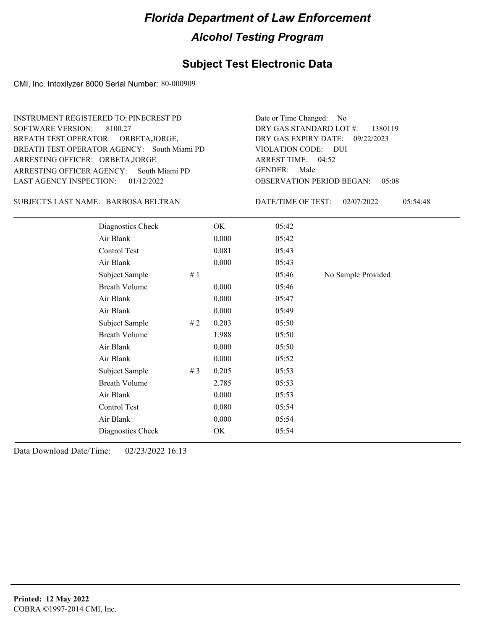### **Subject Test Electronic Data**

CMI, Inc. Intoxilyzer 8000 Serial Number: 80-000909

ARRESTING OFFICER AGENCY: GENDER: South Miami PD BREATH TEST OPERATOR AGENCY: South Miami PD VIOLATION CODE: SOFTWARE VERSION: 8100.27 ARRESTING OFFICER: ORBETA,JORGE BREATH TEST OPERATOR: ORBETA,JORGE, LAST AGENCY INSPECTION: 01/12/2022 INSTRUMENT REGISTERED TO: PINECREST PD

BARBOSA BELTRAN SUBJECT'S LAST NAME: DATE/TIME OF TEST:

OBSERVATION PERIOD BEGAN: 05:08 VIOLATION CODE: DUI ARREST TIME: 04:52 09/22/2023 DRY GAS EXPIRY DATE: DRY GAS STANDARD LOT #: 1380119 Date or Time Changed: No GENDER: Male

DATE/TIME OF TEST: 02/07/2022 05:54:48

| Diagnostics Check    |    | OK    | 05:42 |                    |
|----------------------|----|-------|-------|--------------------|
| Air Blank            |    | 0.000 | 05:42 |                    |
| Control Test         |    | 0.081 | 05:43 |                    |
| Air Blank            |    | 0.000 | 05:43 |                    |
| Subject Sample       | #1 |       | 05:46 | No Sample Provided |
| <b>Breath Volume</b> |    | 0.000 | 05:46 |                    |
| Air Blank            |    | 0.000 | 05:47 |                    |
| Air Blank            |    | 0.000 | 05:49 |                    |
| Subject Sample       | #2 | 0.203 | 05:50 |                    |
| <b>Breath Volume</b> |    | 1.988 | 05:50 |                    |
| Air Blank            |    | 0.000 | 05:50 |                    |
| Air Blank            |    | 0.000 | 05:52 |                    |
| Subject Sample       | #3 | 0.205 | 05:53 |                    |
| <b>Breath Volume</b> |    | 2.785 | 05:53 |                    |
| Air Blank            |    | 0.000 | 05:53 |                    |
| Control Test         |    | 0.080 | 05:54 |                    |
| Air Blank            |    | 0.000 | 05:54 |                    |
| Diagnostics Check    |    | OK    | 05:54 |                    |
|                      |    |       |       |                    |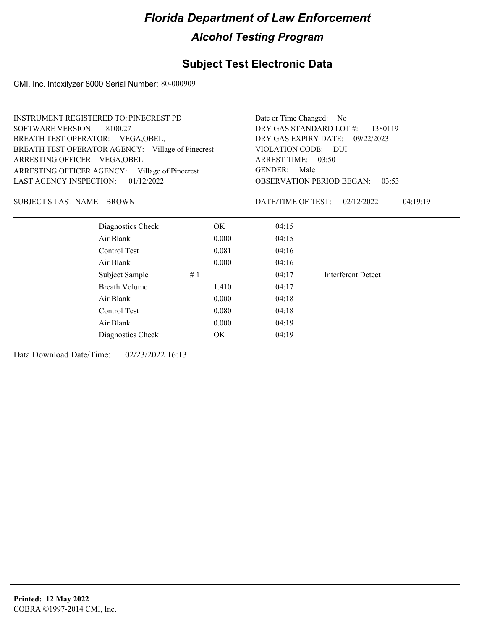### **Subject Test Electronic Data**

CMI, Inc. Intoxilyzer 8000 Serial Number: 80-000909

| DRY GAS STANDARD LOT #:<br>1380119<br>DRY GAS EXPIRY DATE: 09/22/2023<br>VIOLATION CODE: DUI<br><b>OBSERVATION PERIOD BEGAN:</b><br>03:53 |
|-------------------------------------------------------------------------------------------------------------------------------------------|
|                                                                                                                                           |
|                                                                                                                                           |
|                                                                                                                                           |
|                                                                                                                                           |
|                                                                                                                                           |
|                                                                                                                                           |
| 02/12/2022<br>04:19:19                                                                                                                    |
|                                                                                                                                           |
|                                                                                                                                           |
|                                                                                                                                           |
|                                                                                                                                           |
| Interferent Detect                                                                                                                        |
|                                                                                                                                           |
|                                                                                                                                           |
|                                                                                                                                           |
|                                                                                                                                           |
|                                                                                                                                           |
|                                                                                                                                           |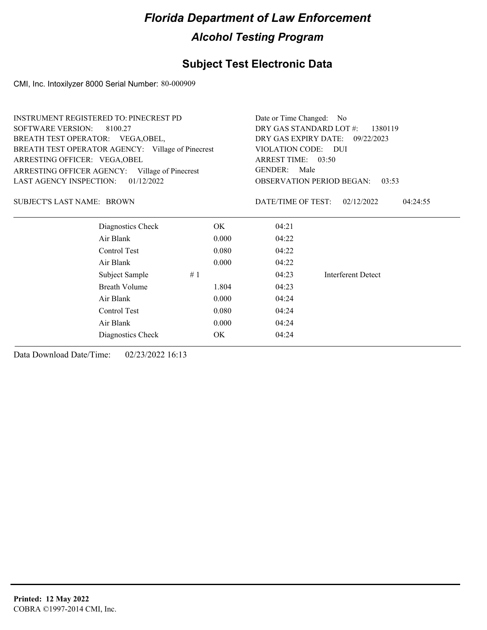### **Subject Test Electronic Data**

CMI, Inc. Intoxilyzer 8000 Serial Number: 80-000909

| <b>SOFTWARE VERSION:</b><br>8100.27               |                                           |                        |                                                                                                                                                                              |  |  |
|---------------------------------------------------|-------------------------------------------|------------------------|------------------------------------------------------------------------------------------------------------------------------------------------------------------------------|--|--|
| BREATH TEST OPERATOR: VEGA, OBEL,                 |                                           |                        |                                                                                                                                                                              |  |  |
| BREATH TEST OPERATOR AGENCY: Village of Pinecrest |                                           |                        |                                                                                                                                                                              |  |  |
|                                                   |                                           |                        |                                                                                                                                                                              |  |  |
| ARRESTING OFFICER AGENCY: Village of Pinecrest    | <b>GENDER:</b>                            |                        |                                                                                                                                                                              |  |  |
|                                                   | <b>OBSERVATION PERIOD BEGAN:</b><br>03:53 |                        |                                                                                                                                                                              |  |  |
|                                                   |                                           | 02/12/2022<br>04:24:55 |                                                                                                                                                                              |  |  |
| OK.                                               | 04:21                                     |                        |                                                                                                                                                                              |  |  |
| 0.000                                             | 04:22                                     |                        |                                                                                                                                                                              |  |  |
| 0.080                                             | 04:22                                     |                        |                                                                                                                                                                              |  |  |
| 0.000                                             | 04:22                                     |                        |                                                                                                                                                                              |  |  |
| #1                                                | 04:23                                     | Interferent Detect     |                                                                                                                                                                              |  |  |
| 1.804                                             | 04:23                                     |                        |                                                                                                                                                                              |  |  |
| 0.000                                             | 04:24                                     |                        |                                                                                                                                                                              |  |  |
| 0.080                                             | 04:24                                     |                        |                                                                                                                                                                              |  |  |
| 0.000                                             | 04:24                                     |                        |                                                                                                                                                                              |  |  |
| OK.                                               | 04:24                                     |                        |                                                                                                                                                                              |  |  |
|                                                   |                                           |                        | Date or Time Changed: No<br>DRY GAS STANDARD LOT #:<br>1380119<br>DRY GAS EXPIRY DATE: 09/22/2023<br>VIOLATION CODE: DUI<br>ARREST TIME: 03:50<br>Male<br>DATE/TIME OF TEST: |  |  |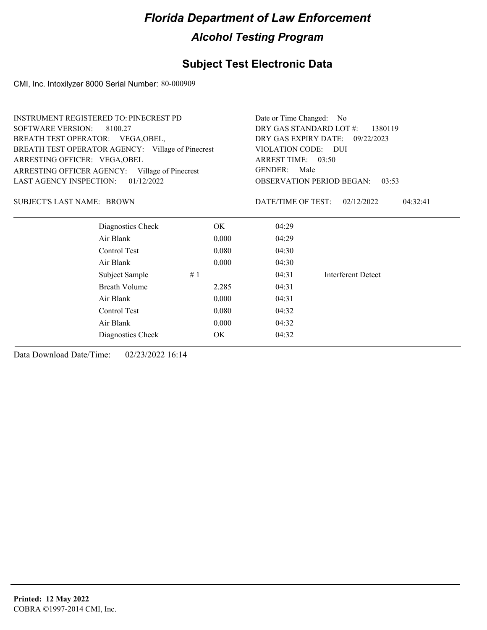### **Subject Test Electronic Data**

CMI, Inc. Intoxilyzer 8000 Serial Number: 80-000909

| <b>INSTRUMENT REGISTERED TO: PINECREST PD</b>     |                      |                                           | Date or Time Changed: No           |                        |  |
|---------------------------------------------------|----------------------|-------------------------------------------|------------------------------------|------------------------|--|
| <b>SOFTWARE VERSION:</b>                          | 8100.27              |                                           | DRY GAS STANDARD LOT #:<br>1380119 |                        |  |
| BREATH TEST OPERATOR: VEGA, OBEL,                 |                      |                                           | DRY GAS EXPIRY DATE: 09/22/2023    |                        |  |
| BREATH TEST OPERATOR AGENCY: Village of Pinecrest |                      |                                           | VIOLATION CODE: DUI                |                        |  |
| ARRESTING OFFICER: VEGA, OBEL                     |                      |                                           | ARREST TIME: 03:50                 |                        |  |
| ARRESTING OFFICER AGENCY: Village of Pinecrest    |                      | <b>GENDER:</b><br>Male                    |                                    |                        |  |
| LAST AGENCY INSPECTION:                           | 01/12/2022           | <b>OBSERVATION PERIOD BEGAN:</b><br>03:53 |                                    |                        |  |
| <b>SUBJECT'S LAST NAME: BROWN</b>                 |                      |                                           | DATE/TIME OF TEST:                 | 02/12/2022<br>04:32:41 |  |
|                                                   | Diagnostics Check    | OK.                                       | 04:29                              |                        |  |
|                                                   | Air Blank            | 0.000                                     | 04:29                              |                        |  |
|                                                   | Control Test         | 0.080                                     | 04:30                              |                        |  |
|                                                   | Air Blank            | 0.000                                     | 04:30                              |                        |  |
|                                                   | Subject Sample       | #1                                        | 04:31                              | Interferent Detect     |  |
|                                                   | <b>Breath Volume</b> | 2.285                                     | 04:31                              |                        |  |
|                                                   | Air Blank            | 0.000                                     | 04:31                              |                        |  |
|                                                   | Control Test         | 0.080                                     | 04:32                              |                        |  |
|                                                   | Air Blank            | 04:32                                     |                                    |                        |  |
|                                                   | Diagnostics Check    | OK.                                       | 04:32                              |                        |  |
|                                                   |                      |                                           |                                    |                        |  |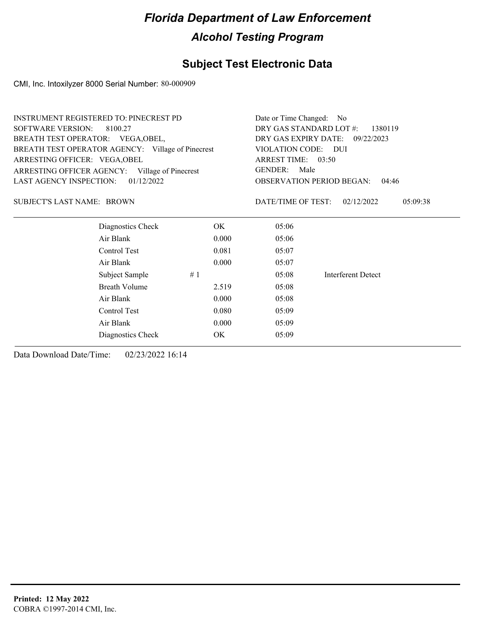### **Subject Test Electronic Data**

CMI, Inc. Intoxilyzer 8000 Serial Number: 80-000909

| DRY GAS STANDARD LOT #:<br><b>SOFTWARE VERSION:</b><br>8100.27<br>1380119<br>BREATH TEST OPERATOR: VEGA, OBEL,<br>DRY GAS EXPIRY DATE: 09/22/2023<br>BREATH TEST OPERATOR AGENCY: Village of Pinecrest<br>VIOLATION CODE: DUI<br>ARRESTING OFFICER: VEGA, OBEL<br>ARREST TIME: 03:50<br><b>GENDER:</b><br>Male<br>ARRESTING OFFICER AGENCY:<br>Village of Pinecrest<br>LAST AGENCY INSPECTION:<br>01/12/2022<br><b>OBSERVATION PERIOD BEGAN:</b><br>04:46<br><b>SUBJECT'S LAST NAME: BROWN</b><br>DATE/TIME OF TEST:<br>02/12/2022<br>05:09:38<br>Diagnostics Check<br>OK<br>05:06<br>Air Blank<br>0.000<br>05:06<br>Control Test<br>0.081<br>05:07<br>Air Blank<br>0.000<br>05:07<br>Subject Sample<br>#1<br>05:08<br>Interferent Detect<br><b>Breath Volume</b><br>2.519<br>05:08<br>Air Blank<br>0.000<br>05:08<br>Control Test<br>0.080<br>05:09<br>Air Blank<br>0.000<br>05:09<br>OK<br>05:09<br>Diagnostics Check | <b>INSTRUMENT REGISTERED TO: PINECREST PD</b> | Date or Time Changed: No |  |  |  |
|-------------------------------------------------------------------------------------------------------------------------------------------------------------------------------------------------------------------------------------------------------------------------------------------------------------------------------------------------------------------------------------------------------------------------------------------------------------------------------------------------------------------------------------------------------------------------------------------------------------------------------------------------------------------------------------------------------------------------------------------------------------------------------------------------------------------------------------------------------------------------------------------------------------------------|-----------------------------------------------|--------------------------|--|--|--|
|                                                                                                                                                                                                                                                                                                                                                                                                                                                                                                                                                                                                                                                                                                                                                                                                                                                                                                                         |                                               |                          |  |  |  |
|                                                                                                                                                                                                                                                                                                                                                                                                                                                                                                                                                                                                                                                                                                                                                                                                                                                                                                                         |                                               |                          |  |  |  |
|                                                                                                                                                                                                                                                                                                                                                                                                                                                                                                                                                                                                                                                                                                                                                                                                                                                                                                                         |                                               |                          |  |  |  |
|                                                                                                                                                                                                                                                                                                                                                                                                                                                                                                                                                                                                                                                                                                                                                                                                                                                                                                                         |                                               |                          |  |  |  |
|                                                                                                                                                                                                                                                                                                                                                                                                                                                                                                                                                                                                                                                                                                                                                                                                                                                                                                                         |                                               |                          |  |  |  |
|                                                                                                                                                                                                                                                                                                                                                                                                                                                                                                                                                                                                                                                                                                                                                                                                                                                                                                                         |                                               |                          |  |  |  |
|                                                                                                                                                                                                                                                                                                                                                                                                                                                                                                                                                                                                                                                                                                                                                                                                                                                                                                                         |                                               |                          |  |  |  |
|                                                                                                                                                                                                                                                                                                                                                                                                                                                                                                                                                                                                                                                                                                                                                                                                                                                                                                                         |                                               |                          |  |  |  |
|                                                                                                                                                                                                                                                                                                                                                                                                                                                                                                                                                                                                                                                                                                                                                                                                                                                                                                                         |                                               |                          |  |  |  |
|                                                                                                                                                                                                                                                                                                                                                                                                                                                                                                                                                                                                                                                                                                                                                                                                                                                                                                                         |                                               |                          |  |  |  |
|                                                                                                                                                                                                                                                                                                                                                                                                                                                                                                                                                                                                                                                                                                                                                                                                                                                                                                                         |                                               |                          |  |  |  |
|                                                                                                                                                                                                                                                                                                                                                                                                                                                                                                                                                                                                                                                                                                                                                                                                                                                                                                                         |                                               |                          |  |  |  |
|                                                                                                                                                                                                                                                                                                                                                                                                                                                                                                                                                                                                                                                                                                                                                                                                                                                                                                                         |                                               |                          |  |  |  |
|                                                                                                                                                                                                                                                                                                                                                                                                                                                                                                                                                                                                                                                                                                                                                                                                                                                                                                                         |                                               |                          |  |  |  |
|                                                                                                                                                                                                                                                                                                                                                                                                                                                                                                                                                                                                                                                                                                                                                                                                                                                                                                                         |                                               |                          |  |  |  |
|                                                                                                                                                                                                                                                                                                                                                                                                                                                                                                                                                                                                                                                                                                                                                                                                                                                                                                                         |                                               |                          |  |  |  |
|                                                                                                                                                                                                                                                                                                                                                                                                                                                                                                                                                                                                                                                                                                                                                                                                                                                                                                                         |                                               |                          |  |  |  |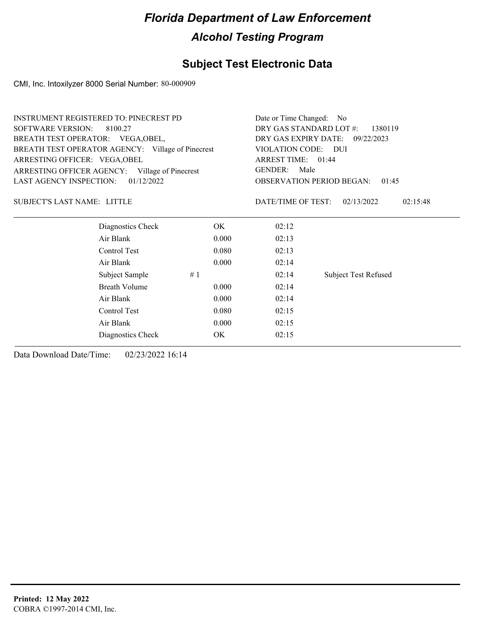### **Subject Test Electronic Data**

CMI, Inc. Intoxilyzer 8000 Serial Number: 80-000909

| DRY GAS STANDARD LOT #:<br><b>SOFTWARE VERSION:</b><br>8100.27<br>1380119<br>BREATH TEST OPERATOR: VEGA, OBEL,<br>DRY GAS EXPIRY DATE: 09/22/2023<br>BREATH TEST OPERATOR AGENCY: Village of Pinecrest<br>VIOLATION CODE: DUI<br>ARREST TIME: 01:44<br>ARRESTING OFFICER: VEGA, OBEL<br><b>GENDER:</b><br>Male<br>ARRESTING OFFICER AGENCY: Village of Pinecrest<br>LAST AGENCY INSPECTION:<br>01/12/2022<br><b>OBSERVATION PERIOD BEGAN:</b><br>01:45<br><b>SUBJECT'S LAST NAME: LITTLE</b><br>DATE/TIME OF TEST:<br>02/13/2022<br>02:15:48<br>Diagnostics Check<br>OK.<br>02:12<br>Air Blank<br>0.000<br>02:13<br>Control Test<br>0.080<br>02:13<br>Air Blank<br>0.000<br>02:14<br><b>Subject Test Refused</b><br>Subject Sample<br>#1<br>02:14<br><b>Breath Volume</b><br>0.000<br>02:14<br>Air Blank<br>0.000<br>02:14<br>Control Test<br>0.080<br>02:15<br>Air Blank<br>0.000<br>02:15<br>OK<br>02:15<br>Diagnostics Check | <b>INSTRUMENT REGISTERED TO: PINECREST PD</b> | Date or Time Changed: No |  |  |
|---------------------------------------------------------------------------------------------------------------------------------------------------------------------------------------------------------------------------------------------------------------------------------------------------------------------------------------------------------------------------------------------------------------------------------------------------------------------------------------------------------------------------------------------------------------------------------------------------------------------------------------------------------------------------------------------------------------------------------------------------------------------------------------------------------------------------------------------------------------------------------------------------------------------------------|-----------------------------------------------|--------------------------|--|--|
|                                                                                                                                                                                                                                                                                                                                                                                                                                                                                                                                                                                                                                                                                                                                                                                                                                                                                                                                 |                                               |                          |  |  |
|                                                                                                                                                                                                                                                                                                                                                                                                                                                                                                                                                                                                                                                                                                                                                                                                                                                                                                                                 |                                               |                          |  |  |
|                                                                                                                                                                                                                                                                                                                                                                                                                                                                                                                                                                                                                                                                                                                                                                                                                                                                                                                                 |                                               |                          |  |  |
|                                                                                                                                                                                                                                                                                                                                                                                                                                                                                                                                                                                                                                                                                                                                                                                                                                                                                                                                 |                                               |                          |  |  |
|                                                                                                                                                                                                                                                                                                                                                                                                                                                                                                                                                                                                                                                                                                                                                                                                                                                                                                                                 |                                               |                          |  |  |
|                                                                                                                                                                                                                                                                                                                                                                                                                                                                                                                                                                                                                                                                                                                                                                                                                                                                                                                                 |                                               |                          |  |  |
|                                                                                                                                                                                                                                                                                                                                                                                                                                                                                                                                                                                                                                                                                                                                                                                                                                                                                                                                 |                                               |                          |  |  |
|                                                                                                                                                                                                                                                                                                                                                                                                                                                                                                                                                                                                                                                                                                                                                                                                                                                                                                                                 |                                               |                          |  |  |
|                                                                                                                                                                                                                                                                                                                                                                                                                                                                                                                                                                                                                                                                                                                                                                                                                                                                                                                                 |                                               |                          |  |  |
|                                                                                                                                                                                                                                                                                                                                                                                                                                                                                                                                                                                                                                                                                                                                                                                                                                                                                                                                 |                                               |                          |  |  |
|                                                                                                                                                                                                                                                                                                                                                                                                                                                                                                                                                                                                                                                                                                                                                                                                                                                                                                                                 |                                               |                          |  |  |
|                                                                                                                                                                                                                                                                                                                                                                                                                                                                                                                                                                                                                                                                                                                                                                                                                                                                                                                                 |                                               |                          |  |  |
|                                                                                                                                                                                                                                                                                                                                                                                                                                                                                                                                                                                                                                                                                                                                                                                                                                                                                                                                 |                                               |                          |  |  |
|                                                                                                                                                                                                                                                                                                                                                                                                                                                                                                                                                                                                                                                                                                                                                                                                                                                                                                                                 |                                               |                          |  |  |
|                                                                                                                                                                                                                                                                                                                                                                                                                                                                                                                                                                                                                                                                                                                                                                                                                                                                                                                                 |                                               |                          |  |  |
|                                                                                                                                                                                                                                                                                                                                                                                                                                                                                                                                                                                                                                                                                                                                                                                                                                                                                                                                 |                                               |                          |  |  |
|                                                                                                                                                                                                                                                                                                                                                                                                                                                                                                                                                                                                                                                                                                                                                                                                                                                                                                                                 |                                               |                          |  |  |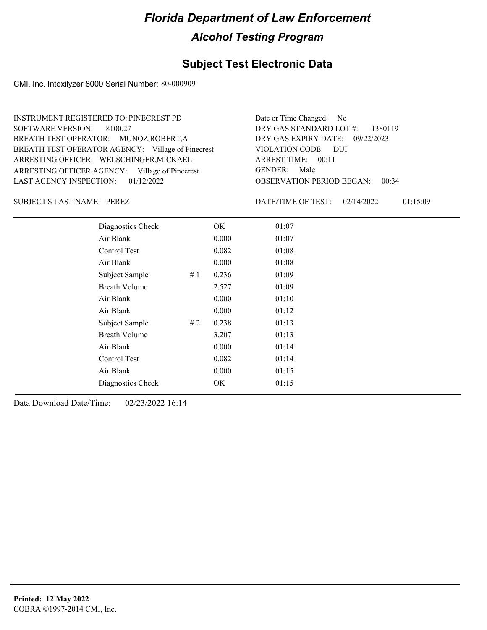### **Subject Test Electronic Data**

CMI, Inc. Intoxilyzer 8000 Serial Number: 80-000909

| <b>INSTRUMENT REGISTERED TO: PINECREST PD</b>     | Date or Time Changed: No                  |
|---------------------------------------------------|-------------------------------------------|
| SOFTWARE VERSION: 8100.27                         | DRY GAS STANDARD LOT $\#$ : 1380119       |
| BREATH TEST OPERATOR: MUNOZ, ROBERT, A            | DRY GAS EXPIRY DATE: 09/22/2023           |
| BREATH TEST OPERATOR AGENCY: Village of Pinecrest | VIOLATION CODE: DUI                       |
| ARRESTING OFFICER: WELSCHINGER, MICKAEL           | ARREST TIME: 00:11                        |
| ARRESTING OFFICER AGENCY: Village of Pinecrest    | GENDER: Male                              |
| LAST AGENCY INSPECTION: $01/12/2022$              | <b>OBSERVATION PERIOD BEGAN:</b><br>00:34 |

SUBJECT'S LAST NAME: PEREZ DATE/TIME OF TEST:

DATE/TIME OF TEST: 02/14/2022 01:15:09

| Diagnostics Check    |    | OK    | 01:07 |
|----------------------|----|-------|-------|
| Air Blank            |    | 0.000 | 01:07 |
| Control Test         |    | 0.082 | 01:08 |
| Air Blank            |    | 0.000 | 01:08 |
| Subject Sample       | #1 | 0.236 | 01:09 |
| <b>Breath Volume</b> |    | 2.527 | 01:09 |
| Air Blank            |    | 0.000 | 01:10 |
| Air Blank            |    | 0.000 | 01:12 |
| Subject Sample       | #2 | 0.238 | 01:13 |
| <b>Breath Volume</b> |    | 3.207 | 01:13 |
| Air Blank            |    | 0.000 | 01:14 |
| Control Test         |    | 0.082 | 01:14 |
| Air Blank            |    | 0.000 | 01:15 |
| Diagnostics Check    |    | OK    | 01:15 |
|                      |    |       |       |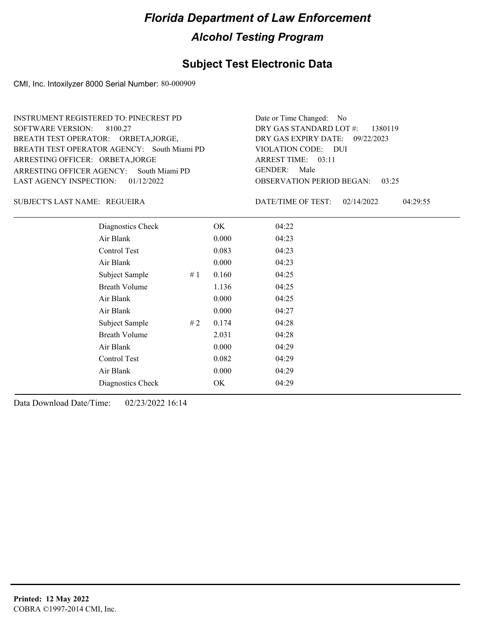### **Subject Test Electronic Data**

CMI, Inc. Intoxilyzer 8000 Serial Number: 80-000909

ARRESTING OFFICER AGENCY: GENDER: South Miami PD BREATH TEST OPERATOR AGENCY: South Miami PD VIOLATION CODE: SOFTWARE VERSION: 8100.27 ARRESTING OFFICER: ORBETA,JORGE BREATH TEST OPERATOR: ORBETA,JORGE, LAST AGENCY INSPECTION: 01/12/2022 INSTRUMENT REGISTERED TO: PINECREST PD

OBSERVATION PERIOD BEGAN: 03:25 VIOLATION CODE: DUI ARREST TIME: 03:11 09/22/2023 DRY GAS EXPIRY DATE: DRY GAS STANDARD LOT #: 1380119 Date or Time Changed: No GENDER: Male

REGUEIRA SUBJECT'S LAST NAME: DATE/TIME OF TEST:

DATE/TIME OF TEST: 02/14/2022 04:29:55

| Diagnostics Check    |    | OK    | 04:22 |  |
|----------------------|----|-------|-------|--|
| Air Blank            |    | 0.000 | 04:23 |  |
| Control Test         |    | 0.083 | 04:23 |  |
| Air Blank            |    | 0.000 | 04:23 |  |
| Subject Sample       | #1 | 0.160 | 04:25 |  |
| <b>Breath Volume</b> |    | 1.136 | 04:25 |  |
| Air Blank            |    | 0.000 | 04:25 |  |
| Air Blank            |    | 0.000 | 04:27 |  |
| Subject Sample       | #2 | 0.174 | 04:28 |  |
| <b>Breath Volume</b> |    | 2.031 | 04:28 |  |
| Air Blank            |    | 0.000 | 04:29 |  |
| Control Test         |    | 0.082 | 04:29 |  |
| Air Blank            |    | 0.000 | 04:29 |  |
| Diagnostics Check    |    | OK    | 04:29 |  |
|                      |    |       |       |  |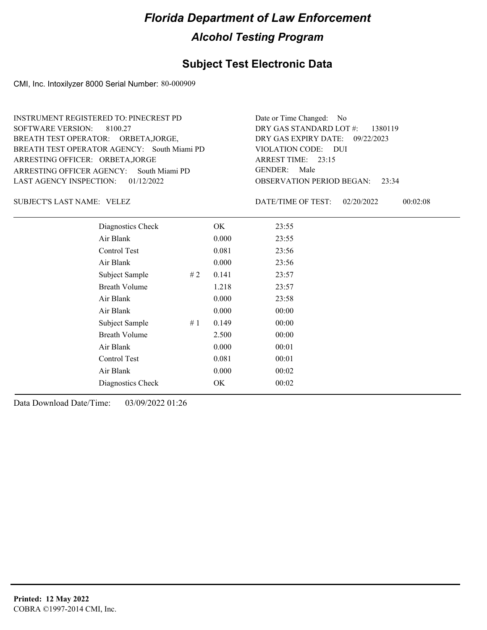### **Subject Test Electronic Data**

CMI, Inc. Intoxilyzer 8000 Serial Number: 80-000909

ARRESTING OFFICER AGENCY: GENDER: South Miami PD BREATH TEST OPERATOR AGENCY: South Miami PD VIOLATION CODE: SOFTWARE VERSION: 8100.27 ARRESTING OFFICER: ORBETA,JORGE BREATH TEST OPERATOR: ORBETA,JORGE, LAST AGENCY INSPECTION: 01/12/2022 INSTRUMENT REGISTERED TO: PINECREST PD

OBSERVATION PERIOD BEGAN: 23:34 VIOLATION CODE: DUI 23:15 ARREST TIME: 09/22/2023 DRY GAS EXPIRY DATE: DRY GAS STANDARD LOT #: 1380119 Date or Time Changed: No GENDER: Male

SUBJECT'S LAST NAME: VELEZ SUBJECT'S LAST NAME: VELEZ

DATE/TIME OF TEST: 02/20/2022 00:02:08

| Diagnostics Check    |       | OK    | 23:55 |
|----------------------|-------|-------|-------|
| Air Blank            |       | 0.000 | 23:55 |
| Control Test         |       | 0.081 | 23:56 |
| Air Blank            |       | 0.000 | 23:56 |
| Subject Sample       | #2    | 0.141 | 23:57 |
| <b>Breath Volume</b> |       | 1.218 | 23:57 |
| Air Blank            |       | 0.000 | 23:58 |
| Air Blank            |       | 0.000 | 00:00 |
| Subject Sample       | # $1$ | 0.149 | 00:00 |
| <b>Breath Volume</b> |       | 2.500 | 00:00 |
| Air Blank            |       | 0.000 | 00:01 |
| Control Test         |       | 0.081 | 00:01 |
| Air Blank            |       | 0.000 | 00:02 |
| Diagnostics Check    |       | OK    | 00:02 |
|                      |       |       |       |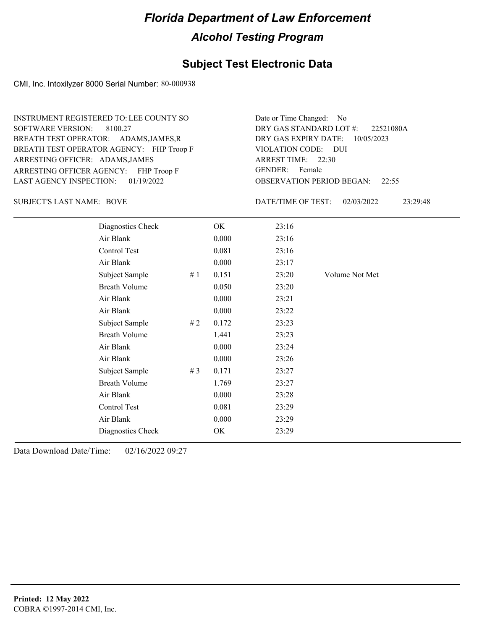### **Subject Test Electronic Data**

CMI, Inc. Intoxilyzer 8000 Serial Number: 80-000938

ARRESTING OFFICER AGENCY: FHP Troop F GENDER: BREATH TEST OPERATOR AGENCY: FHP Troop F VIOLATION CODE: SOFTWARE VERSION: 8100.27 ARRESTING OFFICER: ADAMS, JAMES BREATH TEST OPERATOR: ADAMS,JAMES,R LAST AGENCY INSPECTION: 01/19/2022 INSTRUMENT REGISTERED TO: LEE COUNTY SO

OBSERVATION PERIOD BEGAN: 22:55 VIOLATION CODE: DUI ARREST TIME: 22:30 DRY GAS EXPIRY DATE: 10/05/2023 22521080A DRY GAS STANDARD LOT #: Date or Time Changed: No GENDER: Female

SUBJECT'S LAST NAME: BOVE DATE/TIME OF TEST:

DATE/TIME OF TEST: 02/03/2022 23:29:48

| Diagnostics Check    |       | OK    | 23:16 |                |
|----------------------|-------|-------|-------|----------------|
| Air Blank            |       | 0.000 | 23:16 |                |
| Control Test         |       | 0.081 | 23:16 |                |
| Air Blank            |       | 0.000 | 23:17 |                |
| Subject Sample       | #1    | 0.151 | 23:20 | Volume Not Met |
| <b>Breath Volume</b> |       | 0.050 | 23:20 |                |
| Air Blank            |       | 0.000 | 23:21 |                |
| Air Blank            |       | 0.000 | 23:22 |                |
| Subject Sample       | #2    | 0.172 | 23:23 |                |
| <b>Breath Volume</b> |       | 1.441 | 23:23 |                |
| Air Blank            |       | 0.000 | 23:24 |                |
| Air Blank            |       | 0.000 | 23:26 |                |
| Subject Sample       | # $3$ | 0.171 | 23:27 |                |
| <b>Breath Volume</b> |       | 1.769 | 23:27 |                |
| Air Blank            |       | 0.000 | 23:28 |                |
| Control Test         |       | 0.081 | 23:29 |                |
| Air Blank            |       | 0.000 | 23:29 |                |
| Diagnostics Check    |       | OK.   | 23:29 |                |
|                      |       |       |       |                |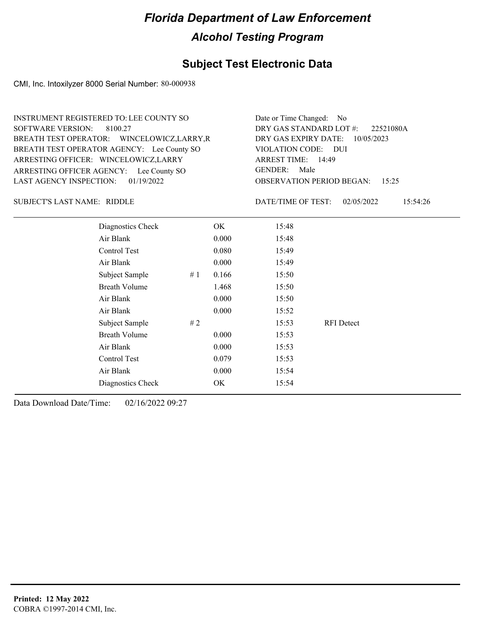### **Subject Test Electronic Data**

CMI, Inc. Intoxilyzer 8000 Serial Number: 80-000938

OBSERVATION PERIOD BEGAN: 15:25 ARRESTING OFFICER AGENCY: Lee County SO GENDER: BREATH TEST OPERATOR AGENCY: Lee County SO VIOLATION CODE: SOFTWARE VERSION: 8100.27 VIOLATION CODE: DUI 14:49 ARREST TIME: ARRESTING OFFICER: WINCELOWICZ,LARRY DRY GAS EXPIRY DATE: 10/05/2023 BREATH TEST OPERATOR: WINCELOWICZ,LARRY,R LAST AGENCY INSPECTION: 01/19/2022 INSTRUMENT REGISTERED TO: LEE COUNTY SO DRY GAS STANDARD LOT #: Date or Time Changed: No GENDER: Male

SUBJECT'S LAST NAME: RIDDLE DATE/TIME OF TEST:

DATE/TIME OF TEST: 02/05/2022 15:54:26

22521080A

| Diagnostics Check    |    | OK.   | 15:48 |                   |
|----------------------|----|-------|-------|-------------------|
| Air Blank            |    | 0.000 | 15:48 |                   |
| Control Test         |    | 0.080 | 15:49 |                   |
| Air Blank            |    | 0.000 | 15:49 |                   |
| Subject Sample       | #1 | 0.166 | 15:50 |                   |
| <b>Breath Volume</b> |    | 1.468 | 15:50 |                   |
| Air Blank            |    | 0.000 | 15:50 |                   |
| Air Blank            |    | 0.000 | 15:52 |                   |
| Subject Sample       | #2 |       | 15:53 | <b>RFI</b> Detect |
| <b>Breath Volume</b> |    | 0.000 | 15:53 |                   |
| Air Blank            |    | 0.000 | 15:53 |                   |
| Control Test         |    | 0.079 | 15:53 |                   |
| Air Blank            |    | 0.000 | 15:54 |                   |
| Diagnostics Check    |    | OK    | 15:54 |                   |
|                      |    |       |       |                   |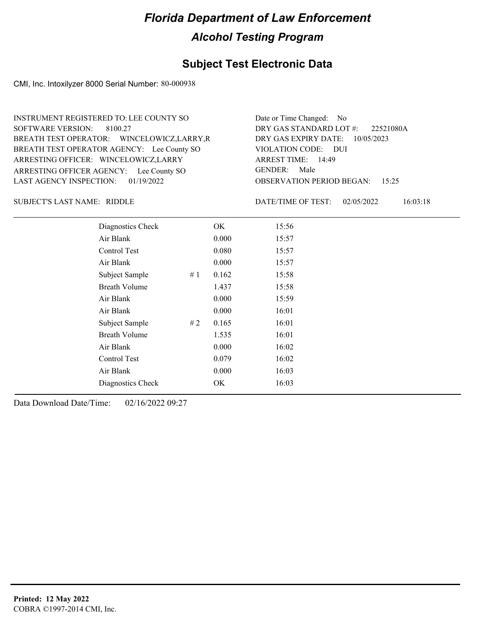### **Subject Test Electronic Data**

CMI, Inc. Intoxilyzer 8000 Serial Number: 80-000938

ARRESTING OFFICER AGENCY: Lee County SO GENDER: BREATH TEST OPERATOR AGENCY: Lee County SO VIOLATION CODE: SOFTWARE VERSION: 8100.27 ARRESTING OFFICER: WINCELOWICZ,LARRY BREATH TEST OPERATOR: WINCELOWICZ,LARRY,R LAST AGENCY INSPECTION: 01/19/2022 INSTRUMENT REGISTERED TO: LEE COUNTY SO

OBSERVATION PERIOD BEGAN: 15:25 VIOLATION CODE: DUI 14:49 ARREST TIME: DRY GAS EXPIRY DATE: 10/05/2023 22521080A DRY GAS STANDARD LOT #: Date or Time Changed: No GENDER: Male

SUBJECT'S LAST NAME: RIDDLE DATE/TIME OF TEST:

DATE/TIME OF TEST: 02/05/2022 16:03:18

| Diagnostics Check    |    | OK    | 15:56 |  |
|----------------------|----|-------|-------|--|
| Air Blank            |    | 0.000 | 15:57 |  |
| Control Test         |    | 0.080 | 15:57 |  |
| Air Blank            |    | 0.000 | 15:57 |  |
| Subject Sample       | #1 | 0.162 | 15:58 |  |
| <b>Breath Volume</b> |    | 1.437 | 15:58 |  |
| Air Blank            |    | 0.000 | 15:59 |  |
| Air Blank            |    | 0.000 | 16:01 |  |
| Subject Sample       | #2 | 0.165 | 16:01 |  |
| <b>Breath Volume</b> |    | 1.535 | 16:01 |  |
| Air Blank            |    | 0.000 | 16:02 |  |
| Control Test         |    | 0.079 | 16:02 |  |
| Air Blank            |    | 0.000 | 16:03 |  |
| Diagnostics Check    |    | OK    | 16:03 |  |
|                      |    |       |       |  |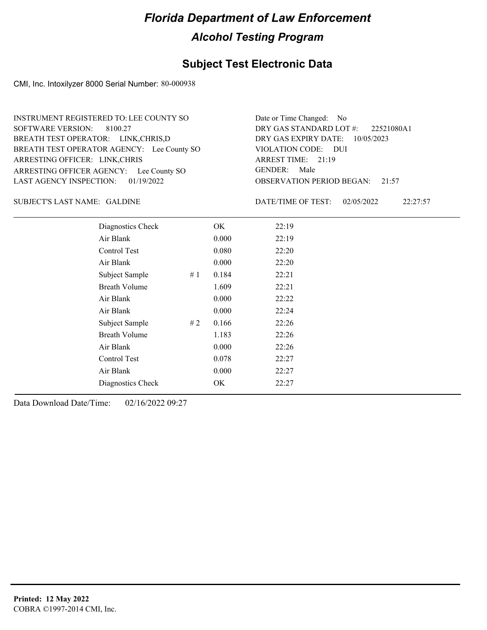### **Subject Test Electronic Data**

CMI, Inc. Intoxilyzer 8000 Serial Number: 80-000938

ARRESTING OFFICER AGENCY: Lee County SO GENDER: BREATH TEST OPERATOR AGENCY: Lee County SO VIOLATION CODE: SOFTWARE VERSION: 8100.27 ARRESTING OFFICER: LINK,CHRIS BREATH TEST OPERATOR: LINK,CHRIS,D LAST AGENCY INSPECTION: 01/19/2022 INSTRUMENT REGISTERED TO: LEE COUNTY SO

OBSERVATION PERIOD BEGAN: 21:57 VIOLATION CODE: DUI ARREST TIME: 21:19 DRY GAS EXPIRY DATE: 10/05/2023 22521080A1 DRY GAS STANDARD LOT #: Date or Time Changed: No GENDER: Male

SUBJECT'S LAST NAME: GALDINE  $\qquad \qquad$  DATE/TIME OF TEST:

DATE/TIME OF TEST: 02/05/2022 22:27:57

| Diagnostics Check    | OK    | 22:19 |
|----------------------|-------|-------|
| Air Blank            | 0.000 | 22:19 |
| Control Test         | 0.080 | 22:20 |
| Air Blank            | 0.000 | 22:20 |
| Subject Sample<br>#1 | 0.184 | 22:21 |
| <b>Breath Volume</b> | 1.609 | 22:21 |
| Air Blank            | 0.000 | 22:22 |
| Air Blank            | 0.000 | 22:24 |
| Subject Sample<br>#2 | 0.166 | 22:26 |
| <b>Breath Volume</b> | 1.183 | 22:26 |
| Air Blank            | 0.000 | 22:26 |
| Control Test         | 0.078 | 22:27 |
| Air Blank            | 0.000 | 22:27 |
| Diagnostics Check    | OK    | 22:27 |
|                      |       |       |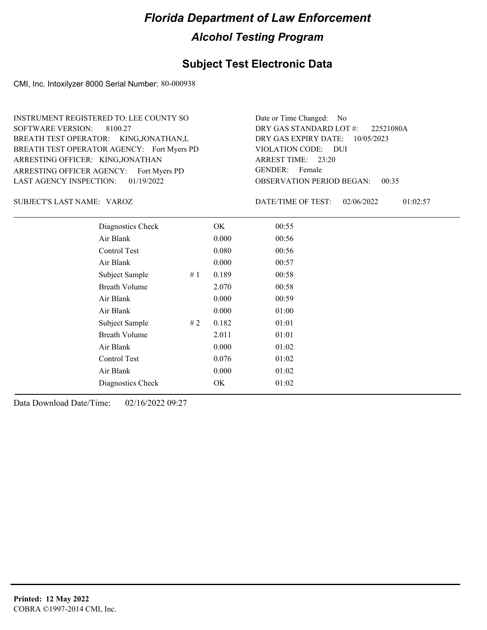### **Subject Test Electronic Data**

CMI, Inc. Intoxilyzer 8000 Serial Number: 80-000938

ARRESTING OFFICER AGENCY: Fort Myers PD GENDER: BREATH TEST OPERATOR AGENCY: Fort Myers PD VIOLATION CODE: SOFTWARE VERSION: 8100.27 ARRESTING OFFICER: KING,JONATHAN BREATH TEST OPERATOR: KING,JONATHAN,L LAST AGENCY INSPECTION: 01/19/2022 INSTRUMENT REGISTERED TO: LEE COUNTY SO

OBSERVATION PERIOD BEGAN: 00:35 VIOLATION CODE: DUI 23:20 ARREST TIME: DRY GAS EXPIRY DATE: 10/05/2023 22521080A DRY GAS STANDARD LOT #: Date or Time Changed: No GENDER: Female

VAROZ SUBJECT'S LAST NAME: DATE/TIME OF TEST:

DATE/TIME OF TEST: 02/06/2022 01:02:57

| Diagnostics Check    | OK    | 00:55 |
|----------------------|-------|-------|
| Air Blank            | 0.000 | 00:56 |
| Control Test         | 0.080 | 00:56 |
| Air Blank            | 0.000 | 00:57 |
| Subject Sample<br>#1 | 0.189 | 00:58 |
| <b>Breath Volume</b> | 2.070 | 00:58 |
| Air Blank            | 0.000 | 00:59 |
| Air Blank            | 0.000 | 01:00 |
| Subject Sample<br>#2 | 0.182 | 01:01 |
| <b>Breath Volume</b> | 2.011 | 01:01 |
| Air Blank            | 0.000 | 01:02 |
| Control Test         | 0.076 | 01:02 |
| Air Blank            | 0.000 | 01:02 |
| Diagnostics Check    | OK    | 01:02 |
|                      |       |       |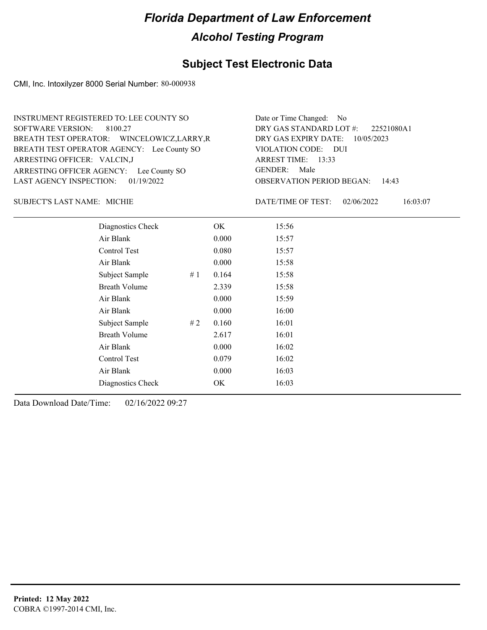### **Subject Test Electronic Data**

CMI, Inc. Intoxilyzer 8000 Serial Number: 80-000938

| INSTRUMENT REGISTERED TO: LEE COUNTY SO     | Date or Time Changed: No               |
|---------------------------------------------|----------------------------------------|
| SOFTWARE VERSION: 8100.27                   | DRY GAS STANDARD LOT $\#$ : 22521080A1 |
| BREATH TEST OPERATOR: WINCELOWICZ, LARRY, R | DRY GAS EXPIRY DATE: $10/05/2023$      |
| BREATH TEST OPERATOR AGENCY: Lee County SO  | VIOLATION CODE: DUI                    |
| ARRESTING OFFICER: VALCIN,J                 | ARREST TIME: 13:33                     |
| ARRESTING OFFICER AGENCY: Lee County SO     | GENDER: Male                           |
| LAST AGENCY INSPECTION: $01/19/2022$        | <b>OBSERVATION PERIOD BEGAN: 14:43</b> |

#### SUBJECT'S LAST NAME: MICHIE **Example 2018** DATE/TIME OF TEST:

DATE/TIME OF TEST: 02/06/2022 16:03:07

| Diagnostics Check    |    | OK    | 15:56 |
|----------------------|----|-------|-------|
| Air Blank            |    | 0.000 | 15:57 |
| Control Test         |    | 0.080 | 15:57 |
| Air Blank            |    | 0.000 | 15:58 |
| Subject Sample       | #1 | 0.164 | 15:58 |
| <b>Breath Volume</b> |    | 2.339 | 15:58 |
| Air Blank            |    | 0.000 | 15:59 |
| Air Blank            |    | 0.000 | 16:00 |
| Subject Sample       | #2 | 0.160 | 16:01 |
| <b>Breath Volume</b> |    | 2.617 | 16:01 |
| Air Blank            |    | 0.000 | 16:02 |
| <b>Control Test</b>  |    | 0.079 | 16:02 |
| Air Blank            |    | 0.000 | 16:03 |
| Diagnostics Check    |    | OK    | 16:03 |
|                      |    |       |       |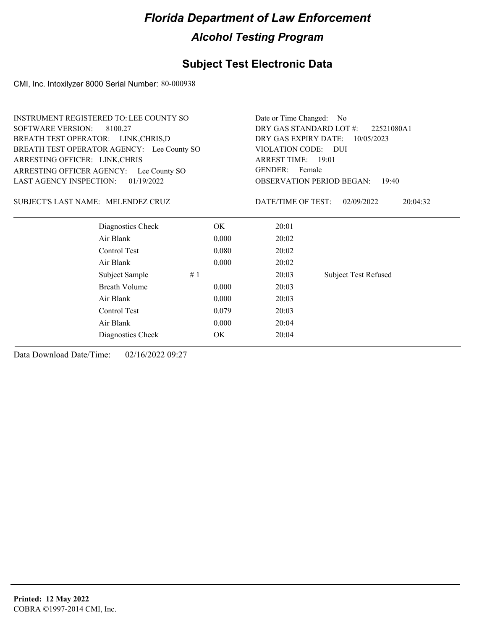### **Subject Test Electronic Data**

CMI, Inc. Intoxilyzer 8000 Serial Number: 80-000938

| <b>INSTRUMENT REGISTERED TO: LEE COUNTY SO</b> |                      | Date or Time Changed: No                  |                          |                             |  |  |
|------------------------------------------------|----------------------|-------------------------------------------|--------------------------|-----------------------------|--|--|
| <b>SOFTWARE VERSION:</b><br>8100.27            |                      | DRY GAS STANDARD LOT #:<br>22521080A1     |                          |                             |  |  |
| BREATH TEST OPERATOR: LINK, CHRIS, D           |                      | DRY GAS EXPIRY DATE:<br>10/05/2023        |                          |                             |  |  |
| BREATH TEST OPERATOR AGENCY: Lee County SO     |                      |                                           | VIOLATION CODE: DUI      |                             |  |  |
| ARRESTING OFFICER: LINK, CHRIS                 |                      |                                           | ARREST TIME: 19:01       |                             |  |  |
| ARRESTING OFFICER AGENCY: Lee County SO        |                      |                                           | <b>GENDER:</b><br>Female |                             |  |  |
| LAST AGENCY INSPECTION:                        | 01/19/2022           | <b>OBSERVATION PERIOD BEGAN:</b><br>19:40 |                          |                             |  |  |
| SUBJECT'S LAST NAME: MELENDEZ CRUZ             |                      |                                           | DATE/TIME OF TEST:       | 02/09/2022<br>20:04:32      |  |  |
|                                                | Diagnostics Check    | OK.                                       | 20:01                    |                             |  |  |
| Air Blank                                      |                      | 0.000                                     | 20:02                    |                             |  |  |
| Control Test                                   |                      | 0.080                                     | 20:02                    |                             |  |  |
| Air Blank                                      |                      | 0.000                                     | 20:02                    |                             |  |  |
|                                                | Subject Sample<br>#1 |                                           | 20:03                    | <b>Subject Test Refused</b> |  |  |
|                                                | <b>Breath Volume</b> | 0.000                                     | 20:03                    |                             |  |  |
| Air Blank                                      |                      | 20:03                                     |                          |                             |  |  |
| Control Test                                   |                      | 20:03                                     |                          |                             |  |  |
| Air Blank                                      |                      | 20:04                                     |                          |                             |  |  |
|                                                | Diagnostics Check    | OK                                        | 20:04                    |                             |  |  |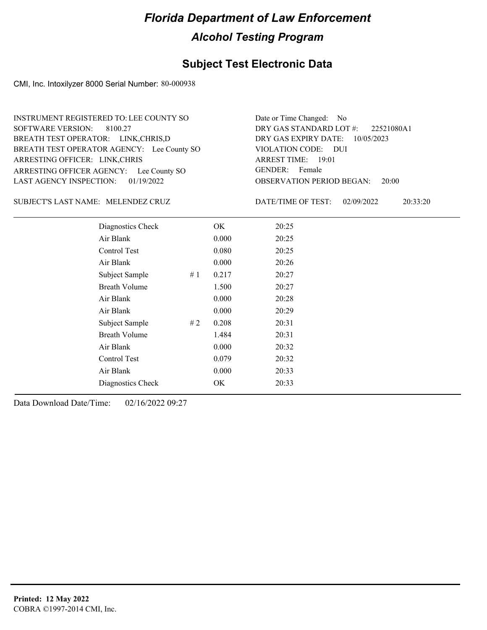### **Subject Test Electronic Data**

CMI, Inc. Intoxilyzer 8000 Serial Number: 80-000938

ARRESTING OFFICER AGENCY: Lee County SO GENDER: BREATH TEST OPERATOR AGENCY: Lee County SO VIOLATION CODE: SOFTWARE VERSION: 8100.27 ARRESTING OFFICER: LINK,CHRIS BREATH TEST OPERATOR: LINK,CHRIS,D LAST AGENCY INSPECTION: 01/19/2022 INSTRUMENT REGISTERED TO: LEE COUNTY SO

OBSERVATION PERIOD BEGAN: 20:00 VIOLATION CODE: DUI 19:01 ARREST TIME: DRY GAS EXPIRY DATE: 10/05/2023 22521080A1 DRY GAS STANDARD LOT #: Date or Time Changed: No GENDER: Female

MELENDEZ CRUZ SUBJECT'S LAST NAME: DATE/TIME OF TEST:

DATE/TIME OF TEST: 02/09/2022 20:33:20

| Diagnostics Check    |    | OK    | 20:25 |
|----------------------|----|-------|-------|
| Air Blank            |    | 0.000 | 20:25 |
| Control Test         |    | 0.080 | 20:25 |
| Air Blank            |    | 0.000 | 20:26 |
| Subject Sample       | #1 | 0.217 | 20:27 |
| <b>Breath Volume</b> |    | 1.500 | 20:27 |
| Air Blank            |    | 0.000 | 20:28 |
| Air Blank            |    | 0.000 | 20:29 |
| Subject Sample       | #2 | 0.208 | 20:31 |
| <b>Breath Volume</b> |    | 1.484 | 20:31 |
| Air Blank            |    | 0.000 | 20:32 |
| Control Test         |    | 0.079 | 20:32 |
| Air Blank            |    | 0.000 | 20:33 |
| Diagnostics Check    |    | OK    | 20:33 |
|                      |    |       |       |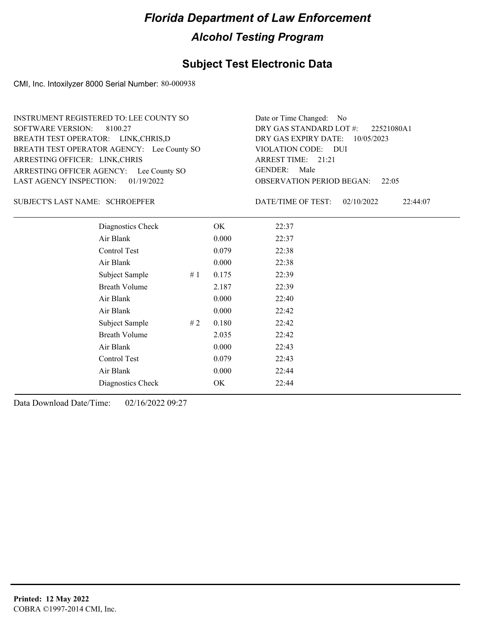### **Subject Test Electronic Data**

CMI, Inc. Intoxilyzer 8000 Serial Number: 80-000938

ARRESTING OFFICER AGENCY: Lee County SO GENDER: BREATH TEST OPERATOR AGENCY: Lee County SO VIOLATION CODE: SOFTWARE VERSION: 8100.27 ARRESTING OFFICER: LINK,CHRIS BREATH TEST OPERATOR: LINK,CHRIS,D LAST AGENCY INSPECTION: 01/19/2022 INSTRUMENT REGISTERED TO: LEE COUNTY SO

OBSERVATION PERIOD BEGAN: 22:05 VIOLATION CODE: DUI ARREST TIME: 21:21 DRY GAS EXPIRY DATE: 10/05/2023 22521080A1 DRY GAS STANDARD LOT #: Date or Time Changed: No GENDER: Male

SCHROEPFER SUBJECT'S LAST NAME: DATE/TIME OF TEST:

DATE/TIME OF TEST: 02/10/2022 22:44:07

| Diagnostics Check    |     | OK    | 22:37 |
|----------------------|-----|-------|-------|
| Air Blank            |     | 0.000 | 22:37 |
| Control Test         |     | 0.079 | 22:38 |
| Air Blank            |     | 0.000 | 22:38 |
| Subject Sample       | #1  | 0.175 | 22:39 |
| <b>Breath Volume</b> |     | 2.187 | 22:39 |
| Air Blank            |     | 0.000 | 22:40 |
| Air Blank            |     | 0.000 | 22:42 |
| Subject Sample       | # 2 | 0.180 | 22:42 |
| <b>Breath Volume</b> |     | 2.035 | 22:42 |
| Air Blank            |     | 0.000 | 22:43 |
| Control Test         |     | 0.079 | 22:43 |
| Air Blank            |     | 0.000 | 22:44 |
| Diagnostics Check    |     | OK    | 22:44 |
|                      |     |       |       |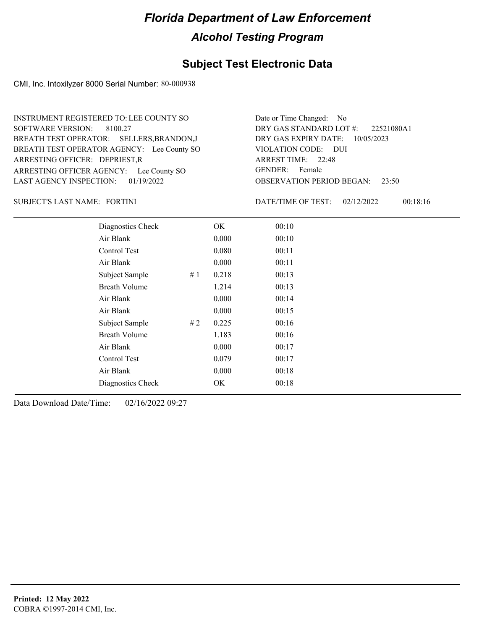### **Subject Test Electronic Data**

CMI, Inc. Intoxilyzer 8000 Serial Number: 80-000938

ARRESTING OFFICER AGENCY: Lee County SO GENDER: BREATH TEST OPERATOR AGENCY: Lee County SO VIOLATION CODE: SOFTWARE VERSION: 8100.27 ARRESTING OFFICER: DEPRIEST,R BREATH TEST OPERATOR: SELLERS,BRANDON,J LAST AGENCY INSPECTION: 01/19/2022 INSTRUMENT REGISTERED TO: LEE COUNTY SO

OBSERVATION PERIOD BEGAN: 23:50 VIOLATION CODE: DUI 22:48 ARREST TIME: DRY GAS EXPIRY DATE: 10/05/2023 22521080A1 DRY GAS STANDARD LOT #: Date or Time Changed: No GENDER: Female

FORTINI SUBJECT'S LAST NAME: DATE/TIME OF TEST:

DATE/TIME OF TEST: 02/12/2022 00:18:16

| Diagnostics Check    |    | OK.   | 00:10 |
|----------------------|----|-------|-------|
| Air Blank            |    | 0.000 | 00:10 |
| Control Test         |    | 0.080 | 00:11 |
| Air Blank            |    | 0.000 | 00:11 |
| Subject Sample       | #1 | 0.218 | 00:13 |
| <b>Breath Volume</b> |    | 1.214 | 00:13 |
| Air Blank            |    | 0.000 | 00:14 |
| Air Blank            |    | 0.000 | 00:15 |
| Subject Sample       | #2 | 0.225 | 00:16 |
| <b>Breath Volume</b> |    | 1.183 | 00:16 |
| Air Blank            |    | 0.000 | 00:17 |
| <b>Control Test</b>  |    | 0.079 | 00:17 |
| Air Blank            |    | 0.000 | 00:18 |
| Diagnostics Check    |    | OK    | 00:18 |
|                      |    |       |       |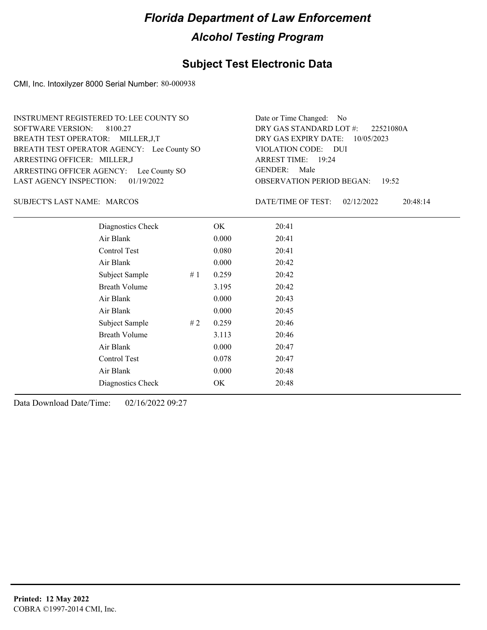### **Subject Test Electronic Data**

CMI, Inc. Intoxilyzer 8000 Serial Number: 80-000938

ARRESTING OFFICER AGENCY: Lee County SO GENDER: BREATH TEST OPERATOR AGENCY: Lee County SO VIOLATION CODE: SOFTWARE VERSION: 8100.27 ARRESTING OFFICER: MILLER,J BREATH TEST OPERATOR: MILLER,J,T LAST AGENCY INSPECTION: 01/19/2022 INSTRUMENT REGISTERED TO: LEE COUNTY SO

OBSERVATION PERIOD BEGAN: 19:52 VIOLATION CODE: DUI 19:24 ARREST TIME: DRY GAS EXPIRY DATE: 10/05/2023 22521080A DRY GAS STANDARD LOT #: Date or Time Changed: No GENDER: Male

#### SUBJECT'S LAST NAME: MARCOS DATE/TIME OF TEST:

DATE/TIME OF TEST: 02/12/2022 20:48:14

| Diagnostics Check    |    | OK    | 20:41 |
|----------------------|----|-------|-------|
| Air Blank            |    | 0.000 | 20:41 |
| Control Test         |    | 0.080 | 20:41 |
| Air Blank            |    | 0.000 | 20:42 |
| Subject Sample       | #1 | 0.259 | 20:42 |
| <b>Breath Volume</b> |    | 3.195 | 20:42 |
| Air Blank            |    | 0.000 | 20:43 |
| Air Blank            |    | 0.000 | 20:45 |
| Subject Sample       | #2 | 0.259 | 20:46 |
| <b>Breath Volume</b> |    | 3.113 | 20:46 |
| Air Blank            |    | 0.000 | 20:47 |
| Control Test         |    | 0.078 | 20:47 |
| Air Blank            |    | 0.000 | 20:48 |
| Diagnostics Check    |    | OK    | 20:48 |
|                      |    |       |       |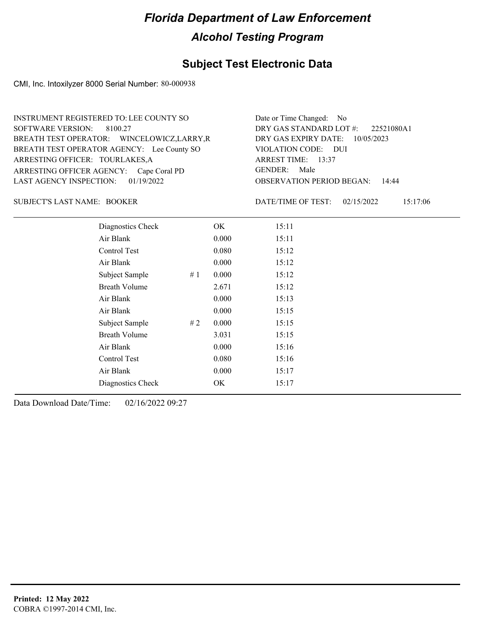### **Subject Test Electronic Data**

CMI, Inc. Intoxilyzer 8000 Serial Number: 80-000938

ARRESTING OFFICER AGENCY: Cape Coral PD GENDER: BREATH TEST OPERATOR AGENCY: Lee County SO VIOLATION CODE: SOFTWARE VERSION: 8100.27 ARRESTING OFFICER: TOURLAKES,A BREATH TEST OPERATOR: WINCELOWICZ,LARRY,R LAST AGENCY INSPECTION: 01/19/2022 INSTRUMENT REGISTERED TO: LEE COUNTY SO

OBSERVATION PERIOD BEGAN: 14:44 VIOLATION CODE: DUI 13:37 ARREST TIME: DRY GAS EXPIRY DATE: 10/05/2023 22521080A1 DRY GAS STANDARD LOT #: Date or Time Changed: No GENDER: Male

SUBJECT'S LAST NAME: BOOKER DATE/TIME OF TEST:

DATE/TIME OF TEST: 02/15/2022 15:17:06

| Diagnostics Check    |    | OK    | 15:11 |
|----------------------|----|-------|-------|
| Air Blank            |    | 0.000 | 15:11 |
| Control Test         |    | 0.080 | 15:12 |
| Air Blank            |    | 0.000 | 15:12 |
| Subject Sample       | #1 | 0.000 | 15:12 |
| <b>Breath Volume</b> |    | 2.671 | 15:12 |
| Air Blank            |    | 0.000 | 15:13 |
| Air Blank            |    | 0.000 | 15:15 |
| Subject Sample       | #2 | 0.000 | 15:15 |
| <b>Breath Volume</b> |    | 3.031 | 15:15 |
| Air Blank            |    | 0.000 | 15:16 |
| <b>Control Test</b>  |    | 0.080 | 15:16 |
| Air Blank            |    | 0.000 | 15:17 |
| Diagnostics Check    |    | OK    | 15:17 |
|                      |    |       |       |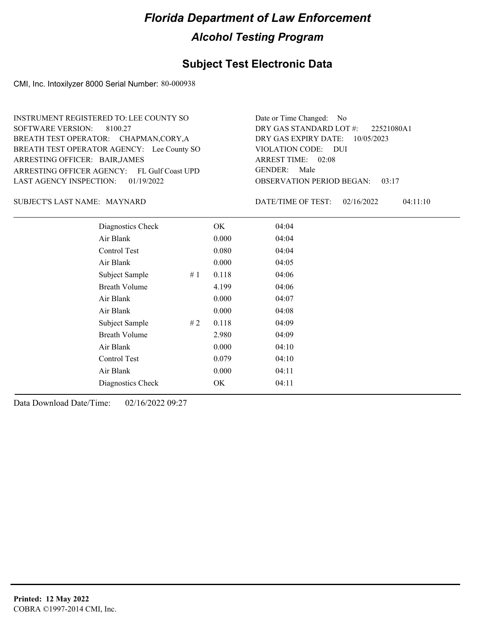### **Subject Test Electronic Data**

CMI, Inc. Intoxilyzer 8000 Serial Number: 80-000938

ARRESTING OFFICER AGENCY: FL Gulf Coast UPD GENDER: BREATH TEST OPERATOR AGENCY: Lee County SO VIOLATION CODE: SOFTWARE VERSION: 8100.27 ARRESTING OFFICER: BAIR, JAMES BREATH TEST OPERATOR: CHAPMAN,CORY,A LAST AGENCY INSPECTION: 01/19/2022 INSTRUMENT REGISTERED TO: LEE COUNTY SO

OBSERVATION PERIOD BEGAN: 03:17 VIOLATION CODE: DUI ARREST TIME: 02:08 DRY GAS EXPIRY DATE: 10/05/2023 22521080A1 DRY GAS STANDARD LOT #: Date or Time Changed: No GENDER: Male

#### SUBJECT'S LAST NAME: MAYNARD DATE/TIME OF TEST:

DATE/TIME OF TEST: 02/16/2022 04:11:10

| Diagnostics Check    |    | OK    | 04:04 |
|----------------------|----|-------|-------|
| Air Blank            |    | 0.000 | 04:04 |
| Control Test         |    | 0.080 | 04:04 |
| Air Blank            |    | 0.000 | 04:05 |
| Subject Sample       | #1 | 0.118 | 04:06 |
| <b>Breath Volume</b> |    | 4.199 | 04:06 |
| Air Blank            |    | 0.000 | 04:07 |
| Air Blank            |    | 0.000 | 04:08 |
| Subject Sample       | #2 | 0.118 | 04:09 |
| <b>Breath Volume</b> |    | 2.980 | 04:09 |
| Air Blank            |    | 0.000 | 04:10 |
| Control Test         |    | 0.079 | 04:10 |
| Air Blank            |    | 0.000 | 04:11 |
| Diagnostics Check    |    | OK    | 04:11 |
|                      |    |       |       |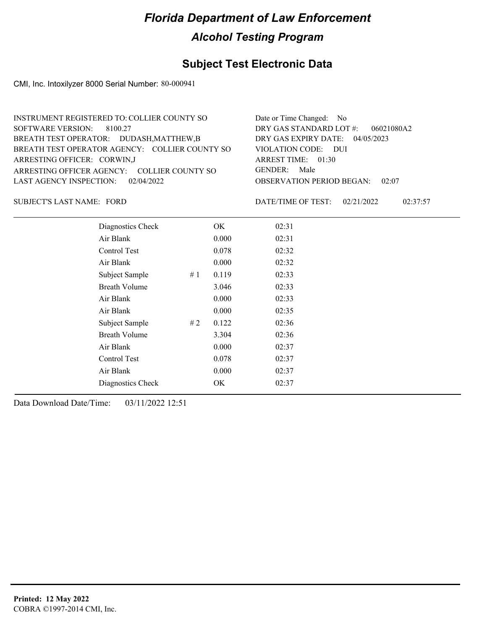### **Subject Test Electronic Data**

CMI, Inc. Intoxilyzer 8000 Serial Number: 80-000941

| Date or Time Changed: No               |
|----------------------------------------|
| DRY GAS STANDARD LOT $\#$ : 06021080A2 |
| DRY GAS EXPIRY DATE: $04/05/2023$      |
| VIOLATION CODE: DUI                    |
| ARREST TIME: $01:30$                   |
| GENDER: Male                           |
| <b>OBSERVATION PERIOD BEGAN: 02:07</b> |
|                                        |

SUBJECT'S LAST NAME: FORD DATE/TIME OF TEST:

DATE/TIME OF TEST: 02/21/2022 02:37:57

| Diagnostics Check    |    | OK    | 02:31 |  |
|----------------------|----|-------|-------|--|
| Air Blank            |    | 0.000 | 02:31 |  |
| Control Test         |    | 0.078 | 02:32 |  |
| Air Blank            |    | 0.000 | 02:32 |  |
| Subject Sample       | #1 | 0.119 | 02:33 |  |
| <b>Breath Volume</b> |    | 3.046 | 02:33 |  |
| Air Blank            |    | 0.000 | 02:33 |  |
| Air Blank            |    | 0.000 | 02:35 |  |
| Subject Sample       | #2 | 0.122 | 02:36 |  |
| <b>Breath Volume</b> |    | 3.304 | 02:36 |  |
| Air Blank            |    | 0.000 | 02:37 |  |
| <b>Control Test</b>  |    | 0.078 | 02:37 |  |
| Air Blank            |    | 0.000 | 02:37 |  |
| Diagnostics Check    |    | OK    | 02:37 |  |
|                      |    |       |       |  |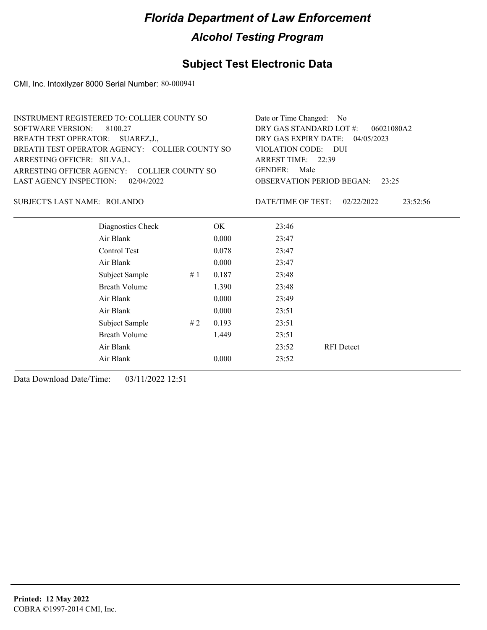### **Subject Test Electronic Data**

CMI, Inc. Intoxilyzer 8000 Serial Number: 80-000941

| <b>INSTRUMENT REGISTERED TO: COLLIER COUNTY SO</b> | Date or Time Changed: No               |
|----------------------------------------------------|----------------------------------------|
| SOFTWARE VERSION: 8100.27                          | DRY GAS STANDARD LOT $#$ : 06021080A2  |
| BREATH TEST OPERATOR: SUAREZ, J.,                  | DRY GAS EXPIRY DATE: 04/05/2023        |
| BREATH TEST OPERATOR AGENCY: COLLIER COUNTY SO     | VIOLATION CODE: DUI                    |
| ARRESTING OFFICER: SILVA, L.                       | ARREST TIME: 22:39                     |
| ARRESTING OFFICER AGENCY: COLLIER COUNTY SO        | GENDER: Male                           |
| LAST AGENCY INSPECTION: 02/04/2022                 | <b>OBSERVATION PERIOD BEGAN:</b> 23:25 |
|                                                    |                                        |

#### ROLANDO SUBJECT'S LAST NAME: DATE/TIME OF TEST:

DATE/TIME OF TEST: 02/22/2022 23:52:56

| Diagnostics Check    |    | OK    | 23:46 |                   |
|----------------------|----|-------|-------|-------------------|
| Air Blank            |    | 0.000 | 23:47 |                   |
| Control Test         |    | 0.078 | 23:47 |                   |
| Air Blank            |    | 0.000 | 23:47 |                   |
| Subject Sample       | #1 | 0.187 | 23:48 |                   |
| <b>Breath Volume</b> |    | 1.390 | 23:48 |                   |
| Air Blank            |    | 0.000 | 23:49 |                   |
| Air Blank            |    | 0.000 | 23:51 |                   |
| Subject Sample       | #2 | 0.193 | 23:51 |                   |
| <b>Breath Volume</b> |    | 1.449 | 23:51 |                   |
| Air Blank            |    |       | 23:52 | <b>RFI</b> Detect |
| Air Blank            |    | 0.000 | 23:52 |                   |
|                      |    |       |       |                   |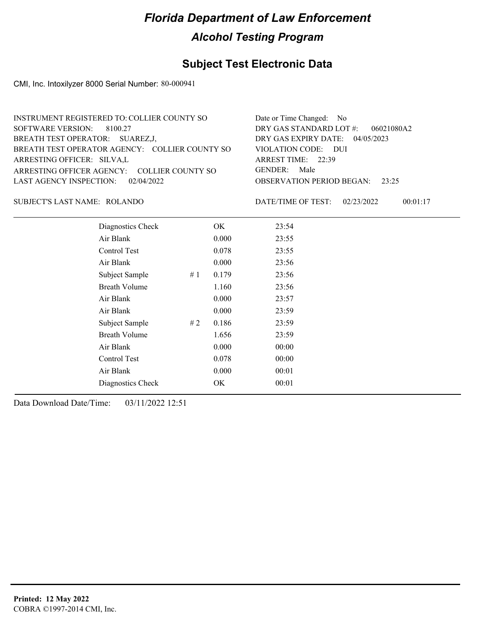### **Subject Test Electronic Data**

CMI, Inc. Intoxilyzer 8000 Serial Number: 80-000941

| <b>INSTRUMENT REGISTERED TO: COLLIER COUNTY SO</b> | Date or Time Changed: No               |
|----------------------------------------------------|----------------------------------------|
| SOFTWARE VERSION: 8100.27                          | DRY GAS STANDARD LOT $\#$ : 06021080A2 |
| BREATH TEST OPERATOR: SUAREZ, J,                   | DRY GAS EXPIRY DATE: $04/05/2023$      |
| BREATH TEST OPERATOR AGENCY: COLLIER COUNTY SO     | VIOLATION CODE: DUI                    |
| ARRESTING OFFICER: SILVA,L                         | ARREST TIME: 22:39                     |
| ARRESTING OFFICER AGENCY: COLLIER COUNTY SO        | GENDER: Male                           |
| LAST AGENCY INSPECTION: $02/04/2022$               | <b>OBSERVATION PERIOD BEGAN:</b> 23:25 |
|                                                    |                                        |

ROLANDO SUBJECT'S LAST NAME: DATE/TIME OF TEST:

DATE/TIME OF TEST: 02/23/2022 00:01:17

| Diagnostics Check    |    | OK    | 23:54 |
|----------------------|----|-------|-------|
| Air Blank            |    | 0.000 | 23:55 |
| Control Test         |    | 0.078 | 23:55 |
| Air Blank            |    | 0.000 | 23:56 |
| Subject Sample       | #1 | 0.179 | 23:56 |
| Breath Volume        |    | 1.160 | 23:56 |
| Air Blank            |    | 0.000 | 23:57 |
| Air Blank            |    | 0.000 | 23:59 |
| Subject Sample       | #2 | 0.186 | 23:59 |
| <b>Breath Volume</b> |    | 1.656 | 23:59 |
| Air Blank            |    | 0.000 | 00:00 |
| Control Test         |    | 0.078 | 00:00 |
| Air Blank            |    | 0.000 | 00:01 |
| Diagnostics Check    |    | OK    | 00:01 |
|                      |    |       |       |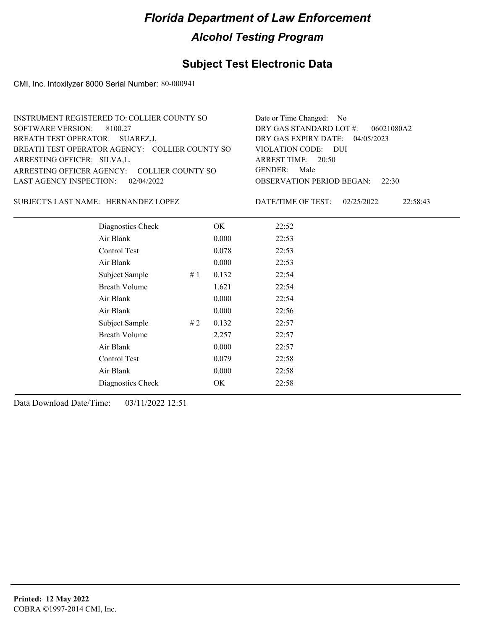### **Subject Test Electronic Data**

CMI, Inc. Intoxilyzer 8000 Serial Number: 80-000941

| <b>INSTRUMENT REGISTERED TO: COLLIER COUNTY SO</b> | Date or Time Changed: No               |
|----------------------------------------------------|----------------------------------------|
| SOFTWARE VERSION: 8100.27                          | DRY GAS STANDARD LOT $\#$ : 06021080A2 |
| BREATH TEST OPERATOR: SUAREZ,J,                    | DRY GAS EXPIRY DATE: $04/05/2023$      |
| BREATH TEST OPERATOR AGENCY: COLLIER COUNTY SO     | VIOLATION CODE: DUI                    |
| ARRESTING OFFICER: SILVA, L.                       | ARREST TIME: 20:50                     |
| ARRESTING OFFICER AGENCY: COLLIER COUNTY SO        | GENDER: Male                           |
| LAST AGENCY INSPECTION: 02/04/2022                 | <b>OBSERVATION PERIOD BEGAN:</b> 22:30 |
|                                                    |                                        |

SUBJECT'S LAST NAME: HERNANDEZ LOPEZ **Example 12 SET ASSESSED** DATE/TIME OF TEST:

DATE/TIME OF TEST: 02/25/2022 22:58:43

| Diagnostics Check    |    | OK    | 22:52 |
|----------------------|----|-------|-------|
| Air Blank            |    | 0.000 | 22:53 |
| Control Test         |    | 0.078 | 22:53 |
| Air Blank            |    | 0.000 | 22:53 |
| Subject Sample       | #1 | 0.132 | 22:54 |
| Breath Volume        |    | 1.621 | 22:54 |
| Air Blank            |    | 0.000 | 22:54 |
| Air Blank            |    | 0.000 | 22:56 |
| Subject Sample       | #2 | 0.132 | 22:57 |
| <b>Breath Volume</b> |    | 2.257 | 22:57 |
| Air Blank            |    | 0.000 | 22:57 |
| Control Test         |    | 0.079 | 22:58 |
| Air Blank            |    | 0.000 | 22:58 |
| Diagnostics Check    |    | OK    | 22:58 |
|                      |    |       |       |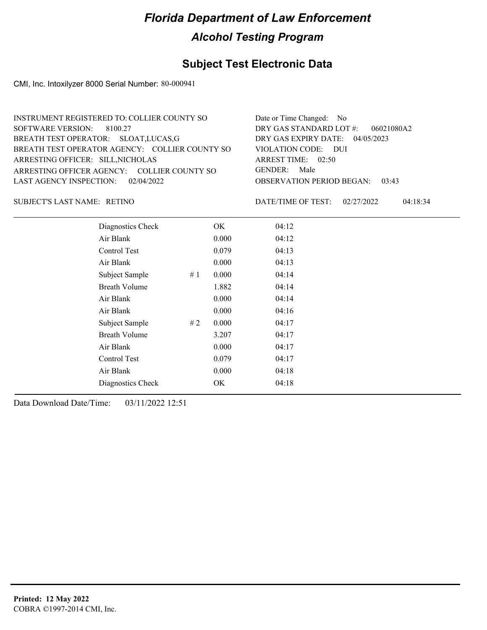### **Subject Test Electronic Data**

CMI, Inc. Intoxilyzer 8000 Serial Number: 80-000941

| INSTRUMENT REGISTERED TO: COLLIER COUNTY SO    | Date or Time Changed: No               |
|------------------------------------------------|----------------------------------------|
| SOFTWARE VERSION: 8100.27                      | DRY GAS STANDARD LOT $\#$ : 06021080A2 |
| BREATH TEST OPERATOR: SLOAT, LUCAS, G          | DRY GAS EXPIRY DATE: $04/05/2023$      |
| BREATH TEST OPERATOR AGENCY: COLLIER COUNTY SO | VIOLATION CODE: DUI                    |
| ARRESTING OFFICER: SILL, NICHOLAS              | ARREST TIME: 02:50                     |
| ARRESTING OFFICER AGENCY: COLLIER COUNTY SO    | GENDER: Male                           |
| LAST AGENCY INSPECTION: 02/04/2022             | <b>OBSERVATION PERIOD BEGAN: 03:43</b> |
|                                                |                                        |

RETINO SUBJECT'S LAST NAME: DATE/TIME OF TEST:

DATE/TIME OF TEST: 02/27/2022 04:18:34

| Diagnostics Check    |    | OK    | 04:12 |
|----------------------|----|-------|-------|
| Air Blank            |    | 0.000 | 04:12 |
| Control Test         |    | 0.079 | 04:13 |
| Air Blank            |    | 0.000 | 04:13 |
| Subject Sample       | #1 | 0.000 | 04:14 |
| <b>Breath Volume</b> |    | 1.882 | 04:14 |
| Air Blank            |    | 0.000 | 04:14 |
| Air Blank            |    | 0.000 | 04:16 |
| Subject Sample       | #2 | 0.000 | 04:17 |
| <b>Breath Volume</b> |    | 3.207 | 04:17 |
| Air Blank            |    | 0.000 | 04:17 |
| Control Test         |    | 0.079 | 04:17 |
| Air Blank            |    | 0.000 | 04:18 |
| Diagnostics Check    |    | OK    | 04:18 |
|                      |    |       |       |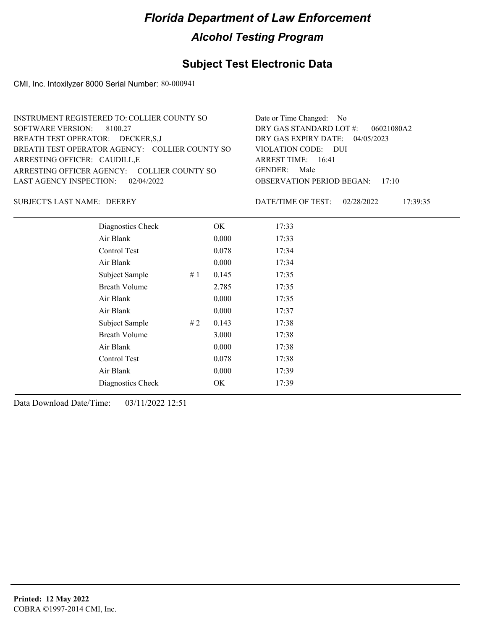### **Subject Test Electronic Data**

CMI, Inc. Intoxilyzer 8000 Serial Number: 80-000941

| INSTRUMENT REGISTERED TO: COLLIER COUNTY SO    | Date or Time Changed: No               |
|------------------------------------------------|----------------------------------------|
| SOFTWARE VERSION: 8100.27                      | DRY GAS STANDARD LOT $\#$ : 06021080A2 |
| BREATH TEST OPERATOR: DECKER, S, J             | DRY GAS EXPIRY DATE: $04/05/2023$      |
| BREATH TEST OPERATOR AGENCY: COLLIER COUNTY SO | VIOLATION CODE: DUI                    |
| ARRESTING OFFICER: CAUDILL,E                   | ARREST TIME: $16:41$                   |
| ARRESTING OFFICER AGENCY: COLLIER COUNTY SO    | GENDER: Male                           |
| LAST AGENCY INSPECTION: 02/04/2022             | <b>OBSERVATION PERIOD BEGAN: 17:10</b> |
|                                                |                                        |

SUBJECT'S LAST NAME: DEEREY DATE/TIME OF TEST:

DATE/TIME OF TEST: 02/28/2022 17:39:35

| Diagnostics Check    |    | OK    | 17:33 |
|----------------------|----|-------|-------|
| Air Blank            |    | 0.000 | 17:33 |
| Control Test         |    | 0.078 | 17:34 |
| Air Blank            |    | 0.000 | 17:34 |
| Subject Sample       | #1 | 0.145 | 17:35 |
| <b>Breath Volume</b> |    | 2.785 | 17:35 |
| Air Blank            |    | 0.000 | 17:35 |
| Air Blank            |    | 0.000 | 17:37 |
| Subject Sample       | #2 | 0.143 | 17:38 |
| <b>Breath Volume</b> |    | 3.000 | 17:38 |
| Air Blank            |    | 0.000 | 17:38 |
| Control Test         |    | 0.078 | 17:38 |
| Air Blank            |    | 0.000 | 17:39 |
| Diagnostics Check    |    | OK    | 17:39 |
|                      |    |       |       |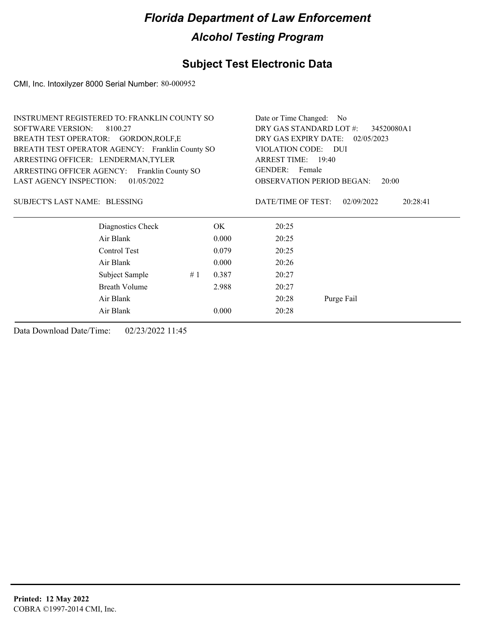### **Subject Test Electronic Data**

CMI, Inc. Intoxilyzer 8000 Serial Number: 80-000952

| <b>INSTRUMENT REGISTERED TO: FRANKLIN COUNTY SO</b> |                                                 |                    |       | Date or Time Changed: No                  |                        |  |
|-----------------------------------------------------|-------------------------------------------------|--------------------|-------|-------------------------------------------|------------------------|--|
| <b>SOFTWARE VERSION:</b><br>8100.27                 |                                                 |                    |       | DRY GAS STANDARD LOT #:<br>34520080A1     |                        |  |
| BREATH TEST OPERATOR: GORDON, ROLF, E               |                                                 |                    |       | DRY GAS EXPIRY DATE:<br>02/05/2023        |                        |  |
|                                                     | BREATH TEST OPERATOR AGENCY: Franklin County SO |                    |       | VIOLATION CODE: DUI                       |                        |  |
| ARRESTING OFFICER: LENDERMAN, TYLER                 |                                                 | ARREST TIME: 19:40 |       |                                           |                        |  |
| ARRESTING OFFICER AGENCY:<br>Franklin County SO     |                                                 |                    |       | GENDER: Female                            |                        |  |
| <b>LAST AGENCY INSPECTION:</b>                      | 01/05/2022                                      |                    |       | <b>OBSERVATION PERIOD BEGAN:</b><br>20:00 |                        |  |
| SUBJECT'S LAST NAME: BLESSING                       |                                                 |                    |       | DATE/TIME OF TEST:                        | 02/09/2022<br>20:28:41 |  |
|                                                     | Diagnostics Check                               |                    | OK    | 20:25                                     |                        |  |
|                                                     | Air Blank                                       |                    | 0.000 | 20:25                                     |                        |  |
|                                                     | Control Test                                    |                    | 0.079 | 20:25                                     |                        |  |
|                                                     | Air Blank                                       |                    | 0.000 | 20:26                                     |                        |  |
|                                                     | Subject Sample                                  | #1                 | 0.387 | 20:27                                     |                        |  |
|                                                     | <b>Breath Volume</b>                            |                    | 2.988 | 20:27                                     |                        |  |
|                                                     | Air Blank                                       |                    |       | 20:28                                     | Purge Fail             |  |
|                                                     | Air Blank                                       |                    | 0.000 | 20:28                                     |                        |  |
|                                                     |                                                 |                    |       |                                           |                        |  |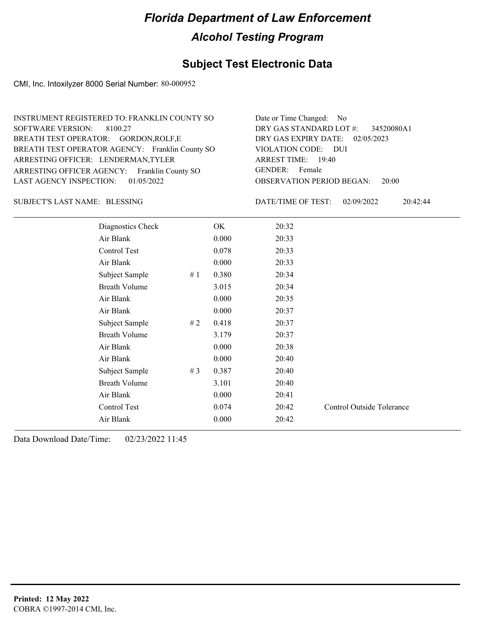#### **Subject Test Electronic Data**

CMI, Inc. Intoxilyzer 8000 Serial Number: 80-000952

| Date or Time Changed: No               |
|----------------------------------------|
| DRY GAS STANDARD LOT #: 34520080A1     |
| DRY GAS EXPIRY DATE: 02/05/2023        |
| VIOLATION CODE: DUI                    |
| ARREST TIME: 19:40                     |
| GENDER: Female                         |
| <b>OBSERVATION PERIOD BEGAN: 20:00</b> |
|                                        |

#### BLESSING SUBJECT'S LAST NAME: DATE/TIME OF TEST:

DATE/TIME OF TEST: 02/09/2022 20:42:44

| Diagnostics Check    |       | OK    | 20:32 |                                  |
|----------------------|-------|-------|-------|----------------------------------|
| Air Blank            |       | 0.000 | 20:33 |                                  |
| Control Test         |       | 0.078 | 20:33 |                                  |
| Air Blank            |       | 0.000 | 20:33 |                                  |
| Subject Sample       | #1    | 0.380 | 20:34 |                                  |
| <b>Breath Volume</b> |       | 3.015 | 20:34 |                                  |
| Air Blank            |       | 0.000 | 20:35 |                                  |
| Air Blank            |       | 0.000 | 20:37 |                                  |
| Subject Sample       | #2    | 0.418 | 20:37 |                                  |
| <b>Breath Volume</b> |       | 3.179 | 20:37 |                                  |
| Air Blank            |       | 0.000 | 20:38 |                                  |
| Air Blank            |       | 0.000 | 20:40 |                                  |
| Subject Sample       | # $3$ | 0.387 | 20:40 |                                  |
| <b>Breath Volume</b> |       | 3.101 | 20:40 |                                  |
| Air Blank            |       | 0.000 | 20:41 |                                  |
| Control Test         |       | 0.074 | 20:42 | <b>Control Outside Tolerance</b> |
| Air Blank            |       | 0.000 | 20:42 |                                  |
|                      |       |       |       |                                  |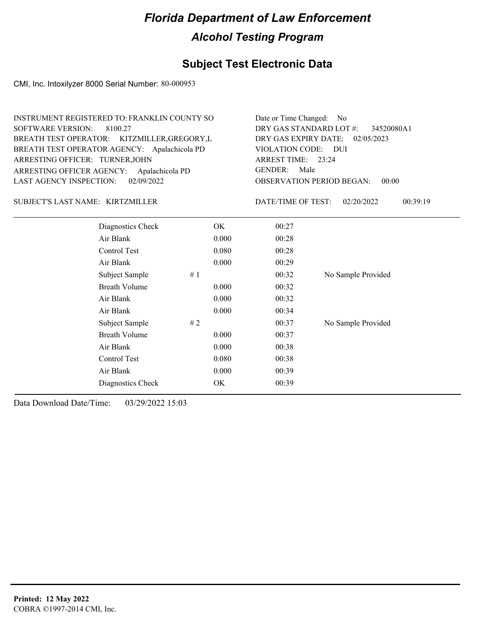### **Subject Test Electronic Data**

CMI, Inc. Intoxilyzer 8000 Serial Number: 80-000953

| INSTRUMENT REGISTERED TO: FRANKLIN COUNTY SO | Date or Time Changed: No               |
|----------------------------------------------|----------------------------------------|
| SOFTWARE VERSION: 8100.27                    | DRY GAS STANDARD LOT $\#$ : 34520080A1 |
| BREATH TEST OPERATOR: KITZMILLER, GREGORY, L | DRY GAS EXPIRY DATE: 02/05/2023        |
| BREATH TEST OPERATOR AGENCY: Apalachicola PD | VIOLATION CODE: DUI                    |
| ARRESTING OFFICER: TURNER, JOHN              | ARREST TIME: 23:24                     |
| ARRESTING OFFICER AGENCY: Apalachicola PD    | GENDER: Male                           |
| LAST AGENCY INSPECTION: $02/09/2022$         | <b>OBSERVATION PERIOD BEGAN: 00:00</b> |

#### KIRTZMILLER SUBJECT'S LAST NAME: DATE/TIME OF TEST:

DATE/TIME OF TEST: 02/20/2022 00:39:19

| Diagnostics Check    | OK    | 00:27 |                    |
|----------------------|-------|-------|--------------------|
| Air Blank            | 0.000 | 00:28 |                    |
| Control Test         | 0.080 | 00:28 |                    |
| Air Blank            | 0.000 | 00:29 |                    |
| Subject Sample<br>#1 |       | 00:32 | No Sample Provided |
| <b>Breath Volume</b> | 0.000 | 00:32 |                    |
| Air Blank            | 0.000 | 00:32 |                    |
| Air Blank            | 0.000 | 00:34 |                    |
| Subject Sample<br>#2 |       | 00:37 | No Sample Provided |
| <b>Breath Volume</b> | 0.000 | 00:37 |                    |
| Air Blank            | 0.000 | 00:38 |                    |
| Control Test         | 0.080 | 00:38 |                    |
| Air Blank            | 0.000 | 00:39 |                    |
| Diagnostics Check    | OK    | 00:39 |                    |
|                      |       |       |                    |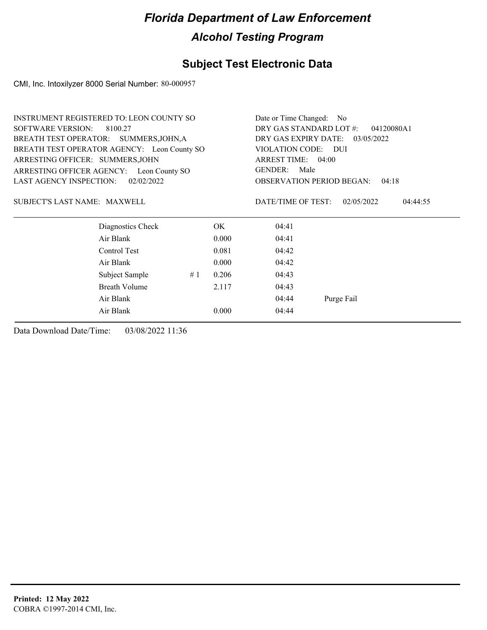### **Subject Test Electronic Data**

CMI, Inc. Intoxilyzer 8000 Serial Number: 80-000957

|                                          | <b>INSTRUMENT REGISTERED TO: LEON COUNTY SO</b> |                                                                                        |       | Date or Time Changed: No              |                                           |  |
|------------------------------------------|-------------------------------------------------|----------------------------------------------------------------------------------------|-------|---------------------------------------|-------------------------------------------|--|
| <b>SOFTWARE VERSION:</b><br>8100.27      |                                                 |                                                                                        |       | DRY GAS STANDARD LOT #:<br>04120080A1 |                                           |  |
|                                          | BREATH TEST OPERATOR: SUMMERS, JOHN, A          | DRY GAS EXPIRY DATE: 03/05/2022<br>VIOLATION CODE:<br><b>DUI</b><br>ARREST TIME: 04:00 |       |                                       |                                           |  |
|                                          | BREATH TEST OPERATOR AGENCY: Leon County SO     |                                                                                        |       |                                       |                                           |  |
| ARRESTING OFFICER: SUMMERS, JOHN         |                                                 |                                                                                        |       |                                       |                                           |  |
| ARRESTING OFFICER AGENCY: Leon County SO |                                                 |                                                                                        |       | <b>GENDER:</b><br>Male                |                                           |  |
| <b>LAST AGENCY INSPECTION:</b>           | 02/02/2022                                      |                                                                                        |       |                                       | <b>OBSERVATION PERIOD BEGAN:</b><br>04:18 |  |
| SUBJECT'S LAST NAME: MAXWELL             |                                                 |                                                                                        |       | DATE/TIME OF TEST:                    | 02/05/2022<br>04:44:55                    |  |
|                                          | Diagnostics Check                               |                                                                                        | OK.   | 04:41                                 |                                           |  |
|                                          | Air Blank                                       |                                                                                        | 0.000 | 04:41                                 |                                           |  |
|                                          | Control Test                                    |                                                                                        | 0.081 | 04:42                                 |                                           |  |
|                                          | Air Blank                                       |                                                                                        | 0.000 | 04:42                                 |                                           |  |
|                                          | Subject Sample                                  | #1                                                                                     | 0.206 | 04:43                                 |                                           |  |
|                                          | Breath Volume                                   |                                                                                        | 2.117 | 04:43                                 |                                           |  |
|                                          | Air Blank                                       |                                                                                        |       | 04:44                                 | Purge Fail                                |  |
|                                          | Air Blank                                       |                                                                                        | 0.000 | 04:44                                 |                                           |  |
|                                          |                                                 |                                                                                        |       |                                       |                                           |  |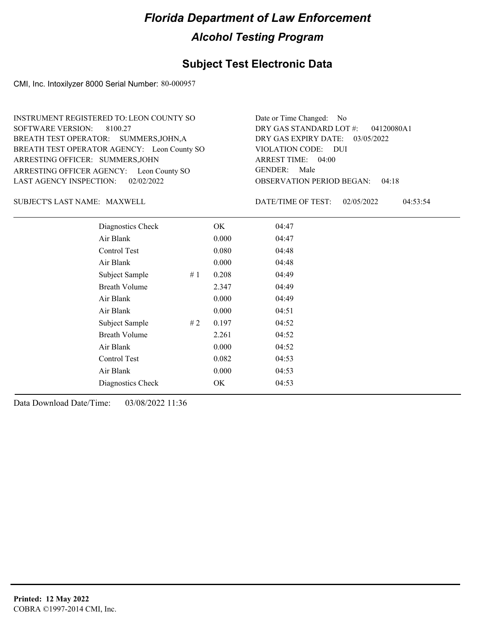#### **Subject Test Electronic Data**

CMI, Inc. Intoxilyzer 8000 Serial Number: 80-000957

ARRESTING OFFICER AGENCY: Leon County SO GENDER: BREATH TEST OPERATOR AGENCY: Leon County SO VIOLATION CODE: SOFTWARE VERSION: 8100.27 ARRESTING OFFICER: SUMMERS, JOHN BREATH TEST OPERATOR: SUMMERS, JOHN, A LAST AGENCY INSPECTION: 02/02/2022 INSTRUMENT REGISTERED TO: LEON COUNTY SO

OBSERVATION PERIOD BEGAN: 04:18 VIOLATION CODE: DUI ARREST TIME: 04:00 DRY GAS EXPIRY DATE: 03/05/2022 04120080A1 DRY GAS STANDARD LOT #: Date or Time Changed: No GENDER: Male

SUBJECT'S LAST NAME: MAXWELL DATE/TIME OF TEST:

DATE/TIME OF TEST: 02/05/2022 04:53:54

| Diagnostics Check    |    | OK    | 04:47 |
|----------------------|----|-------|-------|
| Air Blank            |    | 0.000 | 04:47 |
| Control Test         |    | 0.080 | 04:48 |
| Air Blank            |    | 0.000 | 04:48 |
| Subject Sample       | #1 | 0.208 | 04:49 |
| <b>Breath Volume</b> |    | 2.347 | 04:49 |
| Air Blank            |    | 0.000 | 04:49 |
| Air Blank            |    | 0.000 | 04:51 |
| Subject Sample       | #2 | 0.197 | 04:52 |
| <b>Breath Volume</b> |    | 2.261 | 04:52 |
| Air Blank            |    | 0.000 | 04:52 |
| Control Test         |    | 0.082 | 04:53 |
| Air Blank            |    | 0.000 | 04:53 |
| Diagnostics Check    |    | OK    | 04:53 |
|                      |    |       |       |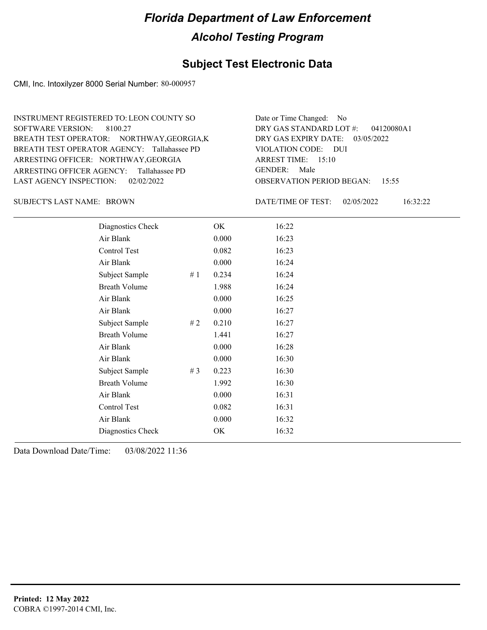#### **Subject Test Electronic Data**

CMI, Inc. Intoxilyzer 8000 Serial Number: 80-000957

ARRESTING OFFICER AGENCY: Tallahassee PD GENDER: BREATH TEST OPERATOR AGENCY: Tallahassee PD VIOLATION CODE: SOFTWARE VERSION: 8100.27 ARRESTING OFFICER: NORTHWAY, GEORGIA BREATH TEST OPERATOR: NORTHWAY,GEORGIA,K LAST AGENCY INSPECTION: 02/02/2022 INSTRUMENT REGISTERED TO: LEON COUNTY SO

OBSERVATION PERIOD BEGAN: 15:55 VIOLATION CODE: DUI ARREST TIME: 15:10 DRY GAS EXPIRY DATE: 03/05/2022 04120080A1 DRY GAS STANDARD LOT #: Date or Time Changed: No GENDER: Male

SUBJECT'S LAST NAME: BROWN DATE/TIME OF TEST:

DATE/TIME OF TEST: 02/05/2022 16:32:22

| Diagnostics Check    |       | OK    | 16:22 |
|----------------------|-------|-------|-------|
| Air Blank            |       | 0.000 | 16:23 |
| Control Test         |       | 0.082 | 16:23 |
| Air Blank            |       | 0.000 | 16:24 |
| Subject Sample       | #1    | 0.234 | 16:24 |
| <b>Breath Volume</b> |       | 1.988 | 16:24 |
| Air Blank            |       | 0.000 | 16:25 |
| Air Blank            |       | 0.000 | 16:27 |
| Subject Sample       | #2    | 0.210 | 16:27 |
| <b>Breath Volume</b> |       | 1.441 | 16:27 |
| Air Blank            |       | 0.000 | 16:28 |
| Air Blank            |       | 0.000 | 16:30 |
| Subject Sample       | # $3$ | 0.223 | 16:30 |
| <b>Breath Volume</b> |       | 1.992 | 16:30 |
| Air Blank            |       | 0.000 | 16:31 |
| Control Test         |       | 0.082 | 16:31 |
| Air Blank            |       | 0.000 | 16:32 |
| Diagnostics Check    |       | OK    | 16:32 |
|                      |       |       |       |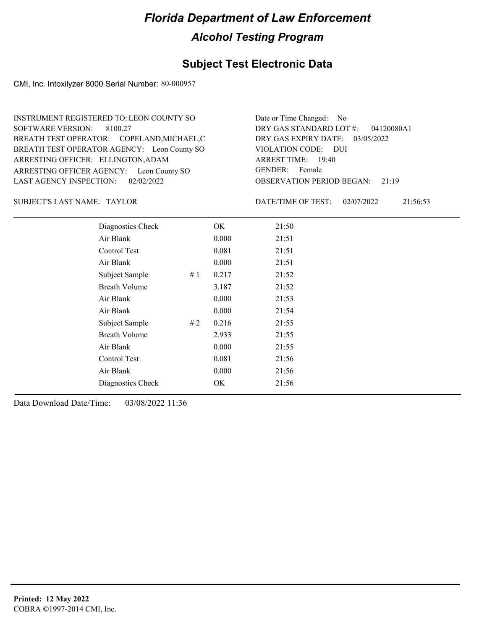#### **Subject Test Electronic Data**

CMI, Inc. Intoxilyzer 8000 Serial Number: 80-000957

ARRESTING OFFICER AGENCY: Leon County SO GENDER: BREATH TEST OPERATOR AGENCY: Leon County SO VIOLATION CODE: SOFTWARE VERSION: 8100.27 ARRESTING OFFICER: ELLINGTON, ADAM BREATH TEST OPERATOR: COPELAND,MICHAEL,C LAST AGENCY INSPECTION: 02/02/2022 INSTRUMENT REGISTERED TO: LEON COUNTY SO

OBSERVATION PERIOD BEGAN: 21:19 VIOLATION CODE: DUI 19:40 ARREST TIME: DRY GAS EXPIRY DATE: 03/05/2022 04120080A1 DRY GAS STANDARD LOT #: Date or Time Changed: No GENDER: Female

SUBJECT'S LAST NAME: TAYLOR DATE/TIME OF TEST:

DATE/TIME OF TEST: 02/07/2022 21:56:53

| Diagnostics Check    |    | OK    | 21:50 |
|----------------------|----|-------|-------|
| Air Blank            |    | 0.000 | 21:51 |
| Control Test         |    | 0.081 | 21:51 |
| Air Blank            |    | 0.000 | 21:51 |
| Subject Sample       | #1 | 0.217 | 21:52 |
| <b>Breath Volume</b> |    | 3.187 | 21:52 |
| Air Blank            |    | 0.000 | 21:53 |
| Air Blank            |    | 0.000 | 21:54 |
| Subject Sample       | #2 | 0.216 | 21:55 |
| <b>Breath Volume</b> |    | 2.933 | 21:55 |
| Air Blank            |    | 0.000 | 21:55 |
| <b>Control Test</b>  |    | 0.081 | 21:56 |
| Air Blank            |    | 0.000 | 21:56 |
| Diagnostics Check    |    | OK    | 21:56 |
|                      |    |       |       |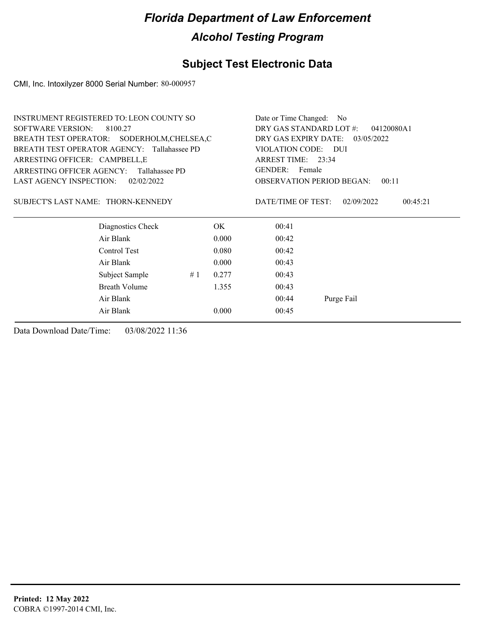### **Subject Test Electronic Data**

CMI, Inc. Intoxilyzer 8000 Serial Number: 80-000957

| <b>INSTRUMENT REGISTERED TO: LEON COUNTY SO</b> |                      | Date or Time Changed: No |                                 |                                       |                        |  |
|-------------------------------------------------|----------------------|--------------------------|---------------------------------|---------------------------------------|------------------------|--|
| <b>SOFTWARE VERSION:</b><br>8100.27             |                      |                          |                                 | DRY GAS STANDARD LOT #:<br>04120080A1 |                        |  |
| BREATH TEST OPERATOR: SODERHOLM, CHELSEA, C     |                      |                          | DRY GAS EXPIRY DATE: 03/05/2022 |                                       |                        |  |
| BREATH TEST OPERATOR AGENCY: Tallahassee PD     |                      |                          |                                 | VIOLATION CODE: DUI                   |                        |  |
| ARRESTING OFFICER: CAMPBELL, E                  |                      |                          | ARREST TIME: 23:34              |                                       |                        |  |
| ARRESTING OFFICER AGENCY:<br>Tallahassee PD     |                      |                          | GENDER: Female                  |                                       |                        |  |
| <b>LAST AGENCY INSPECTION:</b>                  | 02/02/2022           |                          |                                 | <b>OBSERVATION PERIOD BEGAN:</b>      | 00:11                  |  |
| SUBJECT'S LAST NAME: THORN-KENNEDY              |                      |                          |                                 | DATE/TIME OF TEST:                    | 02/09/2022<br>00:45:21 |  |
|                                                 | Diagnostics Check    |                          | OK.                             | 00:41                                 |                        |  |
| Air Blank                                       |                      |                          | 0.000                           | 00:42                                 |                        |  |
|                                                 | Control Test         |                          | 0.080                           | 00:42                                 |                        |  |
| Air Blank                                       |                      |                          | 0.000                           | 00:43                                 |                        |  |
|                                                 | Subject Sample       | #1                       | 0.277                           | 00:43                                 |                        |  |
|                                                 | <b>Breath Volume</b> |                          | 1.355                           | 00:43                                 |                        |  |
| Air Blank                                       |                      |                          |                                 | 00:44                                 | Purge Fail             |  |
| Air Blank                                       |                      |                          | 0.000                           | 00:45                                 |                        |  |
|                                                 |                      |                          |                                 |                                       |                        |  |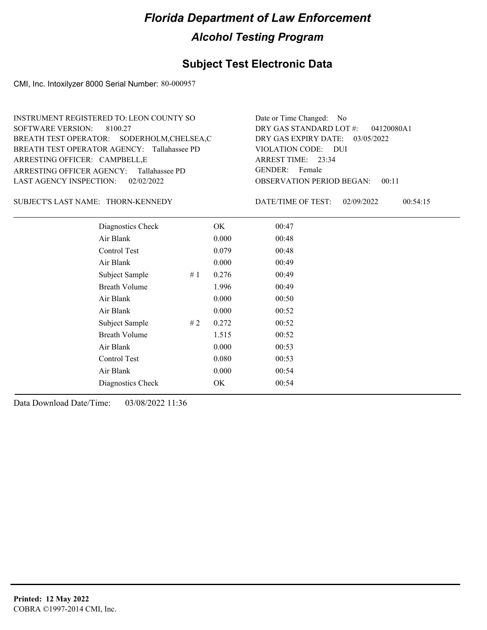### **Subject Test Electronic Data**

CMI, Inc. Intoxilyzer 8000 Serial Number: 80-000957

| INSTRUMENT REGISTERED TO: LEON COUNTY SO    | Date or Time Changed: No               |
|---------------------------------------------|----------------------------------------|
| SOFTWARE VERSION: 8100.27                   | DRY GAS STANDARD LOT $\#$ : 04120080A1 |
| BREATH TEST OPERATOR: SODERHOLM, CHELSEA, C | DRY GAS EXPIRY DATE: $03/05/2022$      |
| BREATH TEST OPERATOR AGENCY: Tallahassee PD | VIOLATION CODE: DUI                    |
| ARRESTING OFFICER: CAMPBELL, E              | ARREST TIME: 23:34                     |
| ARRESTING OFFICER AGENCY: Tallahassee PD    | GENDER: Female                         |
| LAST AGENCY INSPECTION: 02/02/2022          | <b>OBSERVATION PERIOD BEGAN: 00:11</b> |

#### SUBJECT'S LAST NAME: THORN-KENNEDY DATE/TIME OF TEST:

DATE/TIME OF TEST: 02/09/2022 00:54:15

| Diagnostics Check    |       | OK    | 00:47 |
|----------------------|-------|-------|-------|
| Air Blank            |       | 0.000 | 00:48 |
| Control Test         |       | 0.079 | 00:48 |
| Air Blank            |       | 0.000 | 00:49 |
| Subject Sample       | # $1$ | 0.276 | 00:49 |
| <b>Breath Volume</b> |       | 1.996 | 00:49 |
| Air Blank            |       | 0.000 | 00:50 |
| Air Blank            |       | 0.000 | 00:52 |
| Subject Sample       | #2    | 0.272 | 00:52 |
| <b>Breath Volume</b> |       | 1.515 | 00:52 |
| Air Blank            |       | 0.000 | 00:53 |
| Control Test         |       | 0.080 | 00:53 |
| Air Blank            |       | 0.000 | 00:54 |
| Diagnostics Check    |       | OK    | 00:54 |
|                      |       |       |       |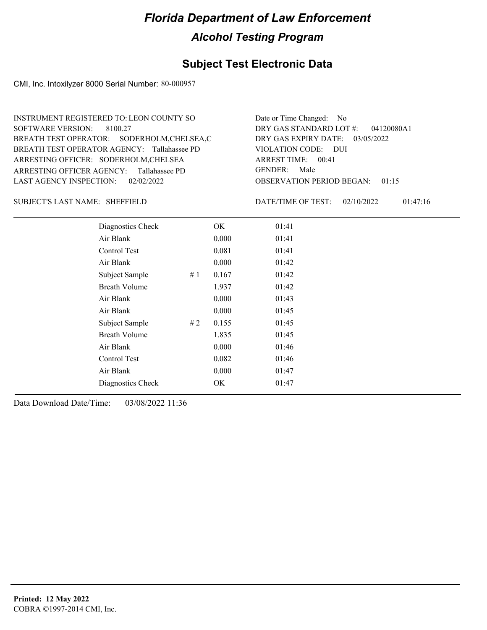#### **Subject Test Electronic Data**

CMI, Inc. Intoxilyzer 8000 Serial Number: 80-000957

OBSERVATION PERIOD BEGAN: 01:15 ARRESTING OFFICER AGENCY: Tallahassee PD GENDER: BREATH TEST OPERATOR AGENCY: Tallahassee PD VIOLATION CODE: SOFTWARE VERSION: 8100.27 VIOLATION CODE: DUI ARREST TIME: 00:41 ARRESTING OFFICER: SODERHOLM, CHELSEA DRY GAS EXPIRY DATE: 03/05/2022 04120080A1 BREATH TEST OPERATOR: SODERHOLM,CHELSEA,C LAST AGENCY INSPECTION: 02/02/2022 INSTRUMENT REGISTERED TO: LEON COUNTY SO DRY GAS STANDARD LOT #: Date or Time Changed: No GENDER: Male

SUBJECT'S LAST NAME: SHEFFIELD DATE/TIME OF TEST:

DATE/TIME OF TEST: 02/10/2022 01:47:16

| Diagnostics Check    | OK    | 01:41 |
|----------------------|-------|-------|
| Air Blank            | 0.000 | 01:41 |
| Control Test         | 0.081 | 01:41 |
| Air Blank            | 0.000 | 01:42 |
| Subject Sample<br>#1 | 0.167 | 01:42 |
| <b>Breath Volume</b> | 1.937 | 01:42 |
| Air Blank            | 0.000 | 01:43 |
| Air Blank            | 0.000 | 01:45 |
| Subject Sample<br>#2 | 0.155 | 01:45 |
| <b>Breath Volume</b> | 1.835 | 01:45 |
| Air Blank            | 0.000 | 01:46 |
| Control Test         | 0.082 | 01:46 |
| Air Blank            | 0.000 | 01:47 |
| Diagnostics Check    | OK    | 01:47 |
|                      |       |       |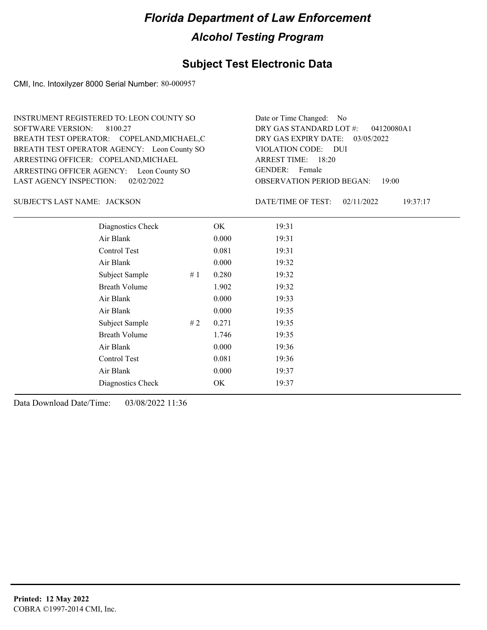#### **Subject Test Electronic Data**

CMI, Inc. Intoxilyzer 8000 Serial Number: 80-000957

ARRESTING OFFICER AGENCY: Leon County SO GENDER: BREATH TEST OPERATOR AGENCY: Leon County SO VIOLATION CODE: SOFTWARE VERSION: ARRESTING OFFICER: COPELAND, MICHAEL BREATH TEST OPERATOR: COPELAND,MICHAEL,C LAST AGENCY INSPECTION: 02/02/2022 8100.27 INSTRUMENT REGISTERED TO: LEON COUNTY SO

OBSERVATION PERIOD BEGAN: 19:00 VIOLATION CODE: DUI ARREST TIME: 18:20 DRY GAS EXPIRY DATE: 03/05/2022 04120080A1 DRY GAS STANDARD LOT #: Date or Time Changed: No GENDER: Female

JACKSON SUBJECT'S LAST NAME: DATE/TIME OF TEST:

DATE/TIME OF TEST: 02/11/2022 19:37:17

| Diagnostics Check    |    | OK    | 19:31 |
|----------------------|----|-------|-------|
| Air Blank            |    | 0.000 | 19:31 |
| Control Test         |    | 0.081 | 19:31 |
| Air Blank            |    | 0.000 | 19:32 |
| Subject Sample       | #1 | 0.280 | 19:32 |
| <b>Breath Volume</b> |    | 1.902 | 19:32 |
| Air Blank            |    | 0.000 | 19:33 |
| Air Blank            |    | 0.000 | 19:35 |
| Subject Sample       | #2 | 0.271 | 19:35 |
| <b>Breath Volume</b> |    | 1.746 | 19:35 |
| Air Blank            |    | 0.000 | 19:36 |
| Control Test         |    | 0.081 | 19:36 |
| Air Blank            |    | 0.000 | 19:37 |
| Diagnostics Check    |    | OK    | 19:37 |
|                      |    |       |       |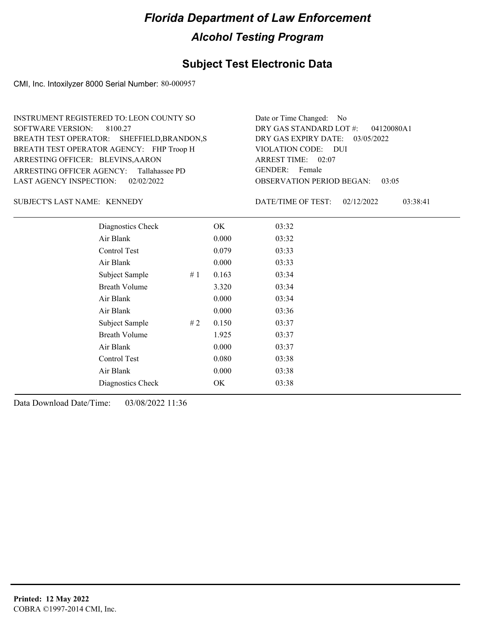#### **Subject Test Electronic Data**

CMI, Inc. Intoxilyzer 8000 Serial Number: 80-000957

ARRESTING OFFICER AGENCY: Tallahassee PD GENDER: BREATH TEST OPERATOR AGENCY: FHP Troop H VIOLATION CODE: SOFTWARE VERSION: 8100.27 ARRESTING OFFICER: BLEVINS, AARON BREATH TEST OPERATOR: SHEFFIELD,BRANDON,S LAST AGENCY INSPECTION: 02/02/2022 INSTRUMENT REGISTERED TO: LEON COUNTY SO

OBSERVATION PERIOD BEGAN: 03:05 VIOLATION CODE: DUI ARREST TIME: 02:07 DRY GAS EXPIRY DATE: 03/05/2022 04120080A1 DRY GAS STANDARD LOT #: Date or Time Changed: No GENDER: Female

SUBJECT'S LAST NAME: KENNEDY DATE/TIME OF TEST:

DATE/TIME OF TEST: 02/12/2022 03:38:41

| Diagnostics Check    |    | OK    | 03:32 |
|----------------------|----|-------|-------|
| Air Blank            |    | 0.000 | 03:32 |
| Control Test         |    | 0.079 | 03:33 |
| Air Blank            |    | 0.000 | 03:33 |
| Subject Sample       | #1 | 0.163 | 03:34 |
| <b>Breath Volume</b> |    | 3.320 | 03:34 |
| Air Blank            |    | 0.000 | 03:34 |
| Air Blank            |    | 0.000 | 03:36 |
| Subject Sample       | #2 | 0.150 | 03:37 |
| <b>Breath Volume</b> |    | 1.925 | 03:37 |
| Air Blank            |    | 0.000 | 03:37 |
| Control Test         |    | 0.080 | 03:38 |
| Air Blank            |    | 0.000 | 03:38 |
| Diagnostics Check    |    | OK    | 03:38 |
|                      |    |       |       |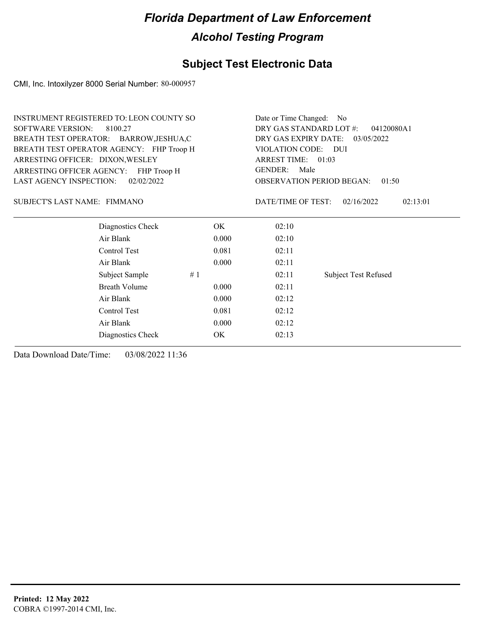### **Subject Test Electronic Data**

CMI, Inc. Intoxilyzer 8000 Serial Number: 80-000957

|                                | <b>INSTRUMENT REGISTERED TO: LEON COUNTY SO</b> | Date or Time Changed: No                                                                                  |       |                                           |                             |  |  |
|--------------------------------|-------------------------------------------------|-----------------------------------------------------------------------------------------------------------|-------|-------------------------------------------|-----------------------------|--|--|
| <b>SOFTWARE VERSION:</b>       | 8100.27                                         | DRY GAS STANDARD LOT #:<br>04120080A1                                                                     |       |                                           |                             |  |  |
|                                | BREATH TEST OPERATOR: BARROW, JESHUA, C         | DRY GAS EXPIRY DATE:<br>03/05/2022<br>VIOLATION CODE: DUI<br>ARREST TIME: 01:03<br><b>GENDER:</b><br>Male |       |                                           |                             |  |  |
|                                | BREATH TEST OPERATOR AGENCY: FHP Troop H        |                                                                                                           |       |                                           |                             |  |  |
|                                | ARRESTING OFFICER: DIXON, WESLEY                |                                                                                                           |       |                                           |                             |  |  |
|                                | ARRESTING OFFICER AGENCY: FHP Troop H           |                                                                                                           |       |                                           |                             |  |  |
| <b>LAST AGENCY INSPECTION:</b> | 02/02/2022                                      |                                                                                                           |       | <b>OBSERVATION PERIOD BEGAN:</b><br>01:50 |                             |  |  |
| SUBJECT'S LAST NAME: FIMMANO   |                                                 |                                                                                                           |       | DATE/TIME OF TEST:                        | 02:13:01<br>02/16/2022      |  |  |
|                                | Diagnostics Check                               |                                                                                                           | OK.   | 02:10                                     |                             |  |  |
|                                | Air Blank                                       |                                                                                                           | 0.000 | 02:10                                     |                             |  |  |
|                                | Control Test                                    |                                                                                                           | 0.081 | 02:11                                     |                             |  |  |
|                                | Air Blank                                       |                                                                                                           | 0.000 | 02:11                                     |                             |  |  |
|                                | Subject Sample                                  | #1                                                                                                        |       | 02:11                                     | <b>Subject Test Refused</b> |  |  |
|                                | <b>Breath Volume</b>                            |                                                                                                           | 0.000 | 02:11                                     |                             |  |  |
|                                | Air Blank                                       |                                                                                                           | 0.000 | 02:12                                     |                             |  |  |
|                                | Control Test                                    |                                                                                                           | 0.081 | 02:12                                     |                             |  |  |
|                                | Air Blank                                       |                                                                                                           | 0.000 | 02:12                                     |                             |  |  |
|                                | Diagnostics Check                               |                                                                                                           | OK.   | 02:13                                     |                             |  |  |
|                                |                                                 |                                                                                                           |       |                                           |                             |  |  |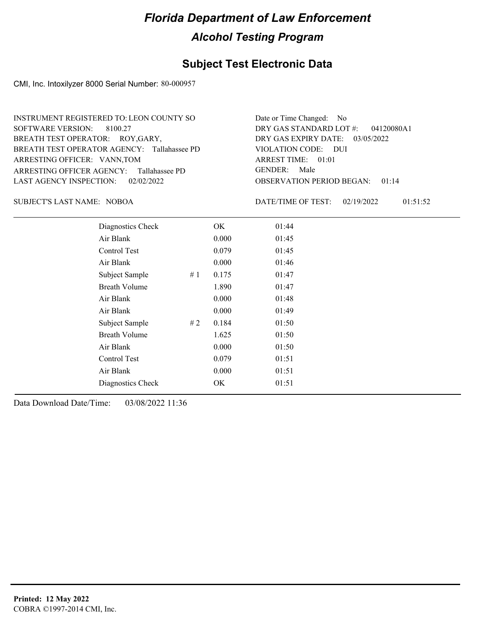#### **Subject Test Electronic Data**

CMI, Inc. Intoxilyzer 8000 Serial Number: 80-000957

| INSTRUMENT REGISTERED TO: LEON COUNTY SO    | Date or Time Changed: No    |
|---------------------------------------------|-----------------------------|
| SOFTWARE VERSION: 8100.27                   | DRY GAS STANDARD LOT        |
| BREATH TEST OPERATOR: ROY, GARY,            | DRY GAS EXPIRY DATE:        |
| BREATH TEST OPERATOR AGENCY: Tallahassee PD | VIOLATION CODE: DUI         |
| ARRESTING OFFICER: VANN, TOM                | ARREST TIME: 01:01          |
| ARRESTING OFFICER AGENCY: Tallahassee PD    | GENDER: Male                |
| LAST AGENCY INSPECTION: $02/02/2022$        | <b>OBSERVATION PERIOD B</b> |

OBSERVATION PERIOD BEGAN: 01:14 ARREST TIME: 01:01 DRY GAS EXPIRY DATE: 03/05/2022 DRY GAS STANDARD LOT #: 04120080A1 Date or Time Changed: No GENDER: Male

NOBOA SUBJECT'S LAST NAME: DATE/TIME OF TEST:

DATE/TIME OF TEST: 02/19/2022 01:51:52

| Diagnostics Check    |    | OK    | 01:44 |  |
|----------------------|----|-------|-------|--|
| Air Blank            |    | 0.000 | 01:45 |  |
| Control Test         |    | 0.079 | 01:45 |  |
| Air Blank            |    | 0.000 | 01:46 |  |
| Subject Sample       | #1 | 0.175 | 01:47 |  |
| <b>Breath Volume</b> |    | 1.890 | 01:47 |  |
| Air Blank            |    | 0.000 | 01:48 |  |
| Air Blank            |    | 0.000 | 01:49 |  |
| Subject Sample       | #2 | 0.184 | 01:50 |  |
| <b>Breath Volume</b> |    | 1.625 | 01:50 |  |
| Air Blank            |    | 0.000 | 01:50 |  |
| Control Test         |    | 0.079 | 01:51 |  |
| Air Blank            |    | 0.000 | 01:51 |  |
| Diagnostics Check    |    | OK    | 01:51 |  |
|                      |    |       |       |  |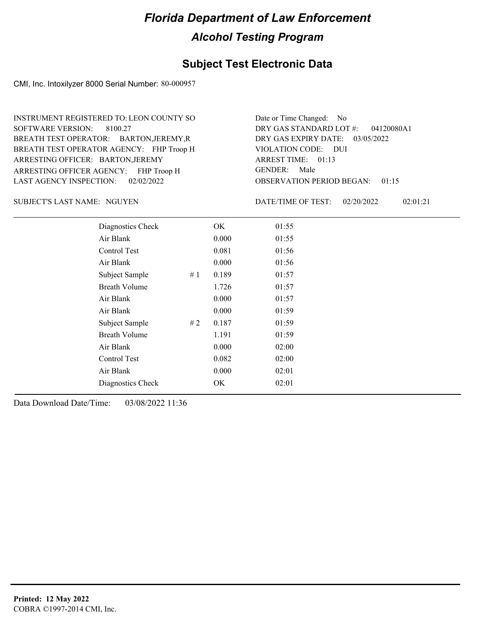#### **Subject Test Electronic Data**

CMI, Inc. Intoxilyzer 8000 Serial Number: 80-000957

ARRESTING OFFICER AGENCY: FHP Troop H GENDER: BREATH TEST OPERATOR AGENCY: FHP Troop H VIOLATION CODE: SOFTWARE VERSION: 8100.27 ARRESTING OFFICER: BARTON, JEREMY BREATH TEST OPERATOR: BARTON,JEREMY,R LAST AGENCY INSPECTION: 02/02/2022 INSTRUMENT REGISTERED TO: LEON COUNTY SO

OBSERVATION PERIOD BEGAN: 01:15 VIOLATION CODE: DUI ARREST TIME: 01:13 DRY GAS EXPIRY DATE: 03/05/2022 04120080A1 DRY GAS STANDARD LOT #: Date or Time Changed: No GENDER: Male

SUBJECT'S LAST NAME: NGUYEN **Example 20** DATE/TIME OF TEST:

DATE/TIME OF TEST: 02/20/2022 02:01:21

| Diagnostics Check    |     | OK    | 01:55 |
|----------------------|-----|-------|-------|
| Air Blank            |     | 0.000 | 01:55 |
| Control Test         |     | 0.081 | 01:56 |
| Air Blank            |     | 0.000 | 01:56 |
| Subject Sample       | #1  | 0.189 | 01:57 |
| <b>Breath Volume</b> |     | 1.726 | 01:57 |
| Air Blank            |     | 0.000 | 01:57 |
| Air Blank            |     | 0.000 | 01:59 |
| Subject Sample       | # 2 | 0.187 | 01:59 |
| <b>Breath Volume</b> |     | 1.191 | 01:59 |
| Air Blank            |     | 0.000 | 02:00 |
| Control Test         |     | 0.082 | 02:00 |
| Air Blank            |     | 0.000 | 02:01 |
| Diagnostics Check    |     | OK    | 02:01 |
|                      |     |       |       |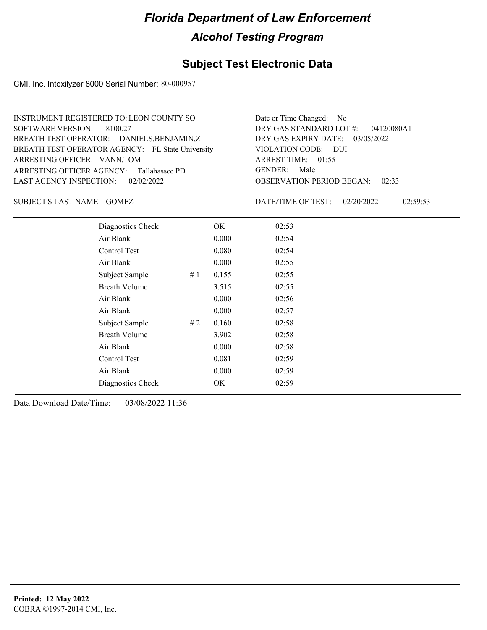### **Subject Test Electronic Data**

CMI, Inc. Intoxilyzer 8000 Serial Number: 80-000957

| INSTRUMENT REGISTERED TO: LEON COUNTY SO         | Date or Time Changed: No               |
|--------------------------------------------------|----------------------------------------|
| SOFTWARE VERSION: 8100.27                        | DRY GAS STANDARD LOT #: 04120080A1     |
| BREATH TEST OPERATOR: DANIELS, BENJAMIN, Z       | DRY GAS EXPIRY DATE: 03/05/2022        |
| BREATH TEST OPERATOR AGENCY: FL State University | VIOLATION CODE: DUI                    |
| ARRESTING OFFICER: VANN, TOM                     | ARREST TIME: 01:55                     |
| ARRESTING OFFICER AGENCY: Tallahassee PD         | GENDER: Male                           |
| LAST AGENCY INSPECTION: 02/02/2022               | <b>OBSERVATION PERIOD BEGAN: 02:33</b> |

GOMEZ SUBJECT'S LAST NAME: DATE/TIME OF TEST:

DATE/TIME OF TEST: 02/20/2022 02:59:53

| Diagnostics Check    |    | OK    | 02:53 |
|----------------------|----|-------|-------|
| Air Blank            |    | 0.000 | 02:54 |
| Control Test         |    | 0.080 | 02:54 |
| Air Blank            |    | 0.000 | 02:55 |
| Subject Sample<br>#1 |    | 0.155 | 02:55 |
| <b>Breath Volume</b> |    | 3.515 | 02:55 |
| Air Blank            |    | 0.000 | 02:56 |
| Air Blank            |    | 0.000 | 02:57 |
| Subject Sample       | #2 | 0.160 | 02:58 |
| <b>Breath Volume</b> |    | 3.902 | 02:58 |
| Air Blank            |    | 0.000 | 02:58 |
| Control Test         |    | 0.081 | 02:59 |
| Air Blank            |    | 0.000 | 02:59 |
| Diagnostics Check    |    | OK    | 02:59 |
|                      |    |       |       |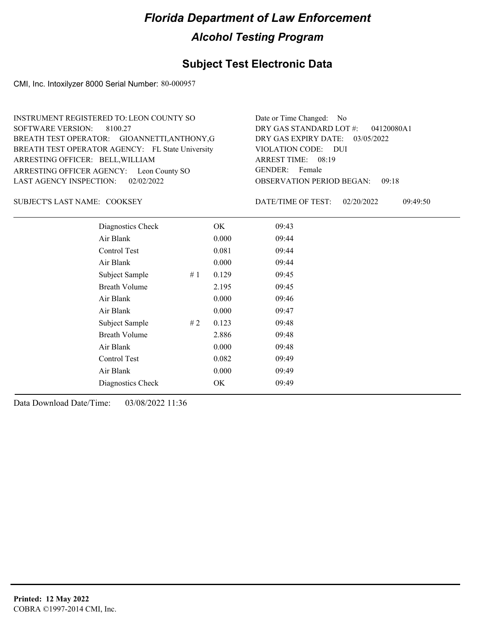#### **Subject Test Electronic Data**

CMI, Inc. Intoxilyzer 8000 Serial Number: 80-000957

OBSERVATION PERIOD BEGAN: 09:18 ARRESTING OFFICER AGENCY: Leon County SO GENDER: BREATH TEST OPERATOR AGENCY: FL State University VIOLATION CODE: SOFTWARE VERSION: 8100.27 VIOLATION CODE: DUI ARREST TIME: 08:19 ARRESTING OFFICER: BELL, WILLIAM DRY GAS EXPIRY DATE: 03/05/2022 04120080A1 BREATH TEST OPERATOR: GIOANNETTI,ANTHONY,G LAST AGENCY INSPECTION: 02/02/2022 INSTRUMENT REGISTERED TO: LEON COUNTY SO DRY GAS STANDARD LOT #: Date or Time Changed: No GENDER: Female

SUBJECT'S LAST NAME: COOKSEY DATE/TIME OF TEST:

DATE/TIME OF TEST: 02/20/2022 09:49:50

| Diagnostics Check    |    | OK    | 09:43 |
|----------------------|----|-------|-------|
| Air Blank            |    | 0.000 | 09:44 |
| Control Test         |    | 0.081 | 09:44 |
| Air Blank            |    | 0.000 | 09:44 |
| Subject Sample       | #1 | 0.129 | 09:45 |
| <b>Breath Volume</b> |    | 2.195 | 09:45 |
| Air Blank            |    | 0.000 | 09:46 |
| Air Blank            |    | 0.000 | 09:47 |
| Subject Sample       | #2 | 0.123 | 09:48 |
| <b>Breath Volume</b> |    | 2.886 | 09:48 |
| Air Blank            |    | 0.000 | 09:48 |
| <b>Control Test</b>  |    | 0.082 | 09:49 |
| Air Blank            |    | 0.000 | 09:49 |
| Diagnostics Check    |    | OK    | 09:49 |
|                      |    |       |       |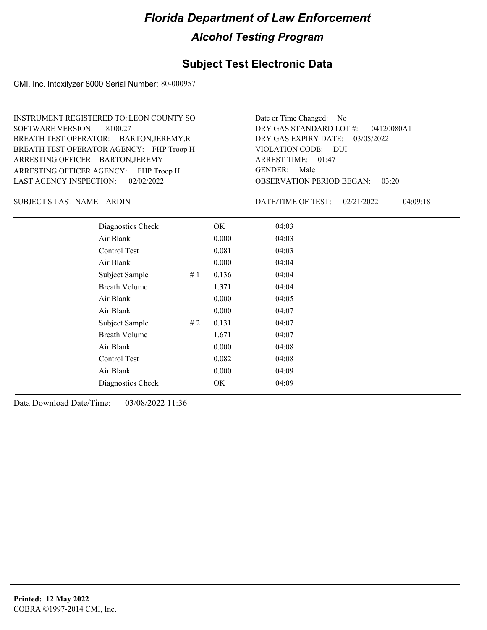#### **Subject Test Electronic Data**

CMI, Inc. Intoxilyzer 8000 Serial Number: 80-000957

ARRESTING OFFICER AGENCY: FHP Troop H GENDER: BREATH TEST OPERATOR AGENCY: FHP Troop H VIOLATION CODE: SOFTWARE VERSION: 8100.27 ARRESTING OFFICER: BARTON, JEREMY BREATH TEST OPERATOR: BARTON,JEREMY,R LAST AGENCY INSPECTION: 02/02/2022 INSTRUMENT REGISTERED TO: LEON COUNTY SO

OBSERVATION PERIOD BEGAN: 03:20 VIOLATION CODE: DUI ARREST TIME: 01:47 DRY GAS EXPIRY DATE: 03/05/2022 04120080A1 DRY GAS STANDARD LOT #: Date or Time Changed: No GENDER: Male

SUBJECT'S LAST NAME: ARDIN DATE/TIME OF TEST:

DATE/TIME OF TEST: 02/21/2022 04:09:18

| Diagnostics Check    |    | OK    | 04:03 |  |
|----------------------|----|-------|-------|--|
| Air Blank            |    | 0.000 | 04:03 |  |
| Control Test         |    | 0.081 | 04:03 |  |
| Air Blank            |    | 0.000 | 04:04 |  |
| Subject Sample       | #1 | 0.136 | 04:04 |  |
| <b>Breath Volume</b> |    | 1.371 | 04:04 |  |
| Air Blank            |    | 0.000 | 04:05 |  |
| Air Blank            |    | 0.000 | 04:07 |  |
| Subject Sample       | #2 | 0.131 | 04:07 |  |
| <b>Breath Volume</b> |    | 1.671 | 04:07 |  |
| Air Blank            |    | 0.000 | 04:08 |  |
| Control Test         |    | 0.082 | 04:08 |  |
| Air Blank            |    | 0.000 | 04:09 |  |
| Diagnostics Check    |    | OK    | 04:09 |  |
|                      |    |       |       |  |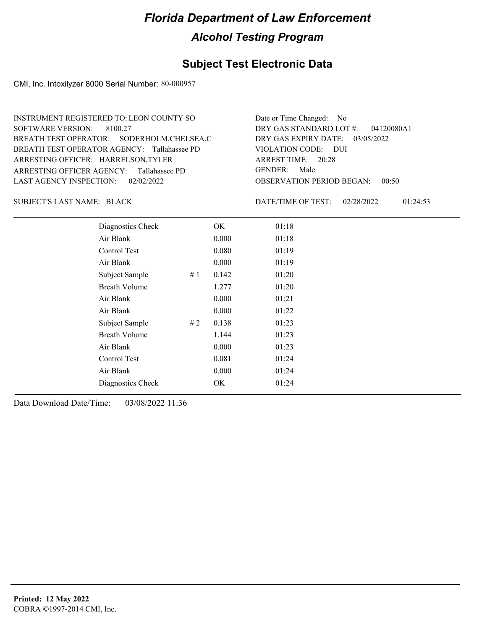#### **Subject Test Electronic Data**

CMI, Inc. Intoxilyzer 8000 Serial Number: 80-000957

ARRESTING OFFICER AGENCY: Tallahassee PD GENDER: BREATH TEST OPERATOR AGENCY: Tallahassee PD VIOLATION CODE: SOFTWARE VERSION: 8100.27 ARRESTING OFFICER: HARRELSON,TYLER BREATH TEST OPERATOR: SODERHOLM,CHELSEA,C LAST AGENCY INSPECTION: 02/02/2022 INSTRUMENT REGISTERED TO: LEON COUNTY SO

OBSERVATION PERIOD BEGAN: 00:50 VIOLATION CODE: DUI ARREST TIME: 20:28 DRY GAS EXPIRY DATE: 03/05/2022 04120080A1 DRY GAS STANDARD LOT #: Date or Time Changed: No GENDER: Male

SUBJECT'S LAST NAME: BLACK DATE/TIME OF TEST:

DATE/TIME OF TEST: 02/28/2022 01:24:53

| Diagnostics Check    | OK    | 01:18 |
|----------------------|-------|-------|
| Air Blank            | 0.000 | 01:18 |
| Control Test         | 0.080 | 01:19 |
| Air Blank            | 0.000 | 01:19 |
| Subject Sample<br>#1 | 0.142 | 01:20 |
| <b>Breath Volume</b> | 1.277 | 01:20 |
| Air Blank            | 0.000 | 01:21 |
| Air Blank            | 0.000 | 01:22 |
| Subject Sample<br>#2 | 0.138 | 01:23 |
| <b>Breath Volume</b> | 1.144 | 01:23 |
| Air Blank            | 0.000 | 01:23 |
| Control Test         | 0.081 | 01:24 |
| Air Blank            | 0.000 | 01:24 |
| Diagnostics Check    | OK    | 01:24 |
|                      |       |       |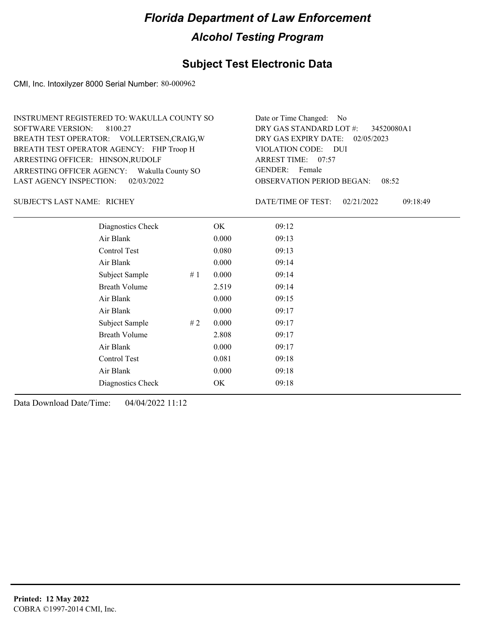### **Subject Test Electronic Data**

CMI, Inc. Intoxilyzer 8000 Serial Number: 80-000962

| INSTRUMENT REGISTERED TO: WAKULLA COUNTY SO | Date or Time Changed: No               |
|---------------------------------------------|----------------------------------------|
| SOFTWARE VERSION: 8100.27                   | DRY GAS STANDARD LOT #: 34520080A1     |
| BREATH TEST OPERATOR: VOLLERTSEN, CRAIG, W  | DRY GAS EXPIRY DATE: 02/05/2023        |
| BREATH TEST OPERATOR AGENCY: FHP Troop H    | VIOLATION CODE: DUI                    |
| ARRESTING OFFICER: HINSON, RUDOLF           | ARREST TIME: 07:57                     |
| ARRESTING OFFICER AGENCY: Wakulla County SO | GENDER: Female                         |
| LAST AGENCY INSPECTION: $02/03/2022$        | <b>OBSERVATION PERIOD BEGAN: 08:52</b> |

SUBJECT'S LAST NAME: RICHEY **Example 20** DATE/TIME OF TEST:

DATE/TIME OF TEST: 02/21/2022 09:18:49

| Diagnostics Check    |     | OK    | 09:12 |  |  |
|----------------------|-----|-------|-------|--|--|
| Air Blank            |     | 0.000 | 09:13 |  |  |
| Control Test         |     | 0.080 | 09:13 |  |  |
| Air Blank            |     | 0.000 | 09:14 |  |  |
| Subject Sample       | #1  | 0.000 | 09:14 |  |  |
| <b>Breath Volume</b> |     | 2.519 | 09:14 |  |  |
| Air Blank            |     | 0.000 | 09:15 |  |  |
| Air Blank            |     | 0.000 | 09:17 |  |  |
| Subject Sample       | # 2 | 0.000 | 09:17 |  |  |
| <b>Breath Volume</b> |     | 2.808 | 09:17 |  |  |
| Air Blank            |     | 0.000 | 09:17 |  |  |
| Control Test         |     | 0.081 | 09:18 |  |  |
| Air Blank            |     | 0.000 | 09:18 |  |  |
| Diagnostics Check    |     | OK    | 09:18 |  |  |
|                      |     |       |       |  |  |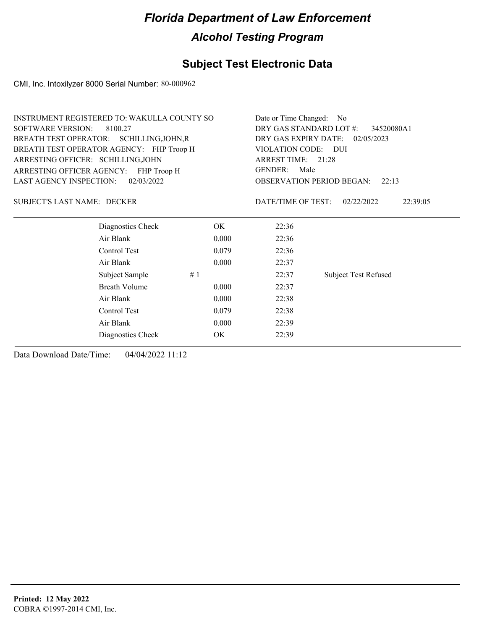### **Subject Test Electronic Data**

CMI, Inc. Intoxilyzer 8000 Serial Number: 80-000962

|                                       | <b>INSTRUMENT REGISTERED TO: WAKULLA COUNTY SO</b> | Date or Time Changed:<br>N <sub>0</sub> |                                           |                        |  |
|---------------------------------------|----------------------------------------------------|-----------------------------------------|-------------------------------------------|------------------------|--|
| <b>SOFTWARE VERSION:</b>              | 8100.27                                            | DRY GAS STANDARD LOT #:<br>34520080A1   |                                           |                        |  |
|                                       | BREATH TEST OPERATOR: SCHILLING, JOHN, R           |                                         | DRY GAS EXPIRY DATE:<br>02/05/2023        |                        |  |
|                                       | BREATH TEST OPERATOR AGENCY: FHP Troop H           |                                         | VIOLATION CODE: DUI                       |                        |  |
| ARRESTING OFFICER: SCHILLING, JOHN    |                                                    |                                         | ARREST TIME: 21:28                        |                        |  |
| ARRESTING OFFICER AGENCY: FHP Troop H |                                                    |                                         | <b>GENDER:</b><br>Male                    |                        |  |
| <b>LAST AGENCY INSPECTION:</b>        | 02/03/2022                                         |                                         | <b>OBSERVATION PERIOD BEGAN:</b><br>22:13 |                        |  |
| <b>SUBJECT'S LAST NAME: DECKER</b>    |                                                    |                                         | DATE/TIME OF TEST:                        | 22:39:05<br>02/22/2022 |  |
|                                       | Diagnostics Check                                  | OK.                                     | 22:36                                     |                        |  |
|                                       | Air Blank                                          | 0.000                                   | 22:36                                     |                        |  |
|                                       | Control Test                                       | 0.079                                   | 22:36                                     |                        |  |
|                                       | Air Blank                                          | 0.000                                   | 22:37                                     |                        |  |
|                                       | Subject Sample                                     | #1                                      | 22:37                                     | Subject Test Refused   |  |
|                                       | <b>Breath Volume</b>                               | 0.000                                   | 22:37                                     |                        |  |
|                                       | Air Blank                                          | 0.000                                   | 22:38                                     |                        |  |
|                                       | Control Test                                       | 0.079                                   | 22:38                                     |                        |  |
|                                       | Air Blank                                          | 0.000                                   | 22:39                                     |                        |  |
|                                       | Diagnostics Check                                  | <b>OK</b>                               | 22:39                                     |                        |  |
|                                       |                                                    |                                         |                                           |                        |  |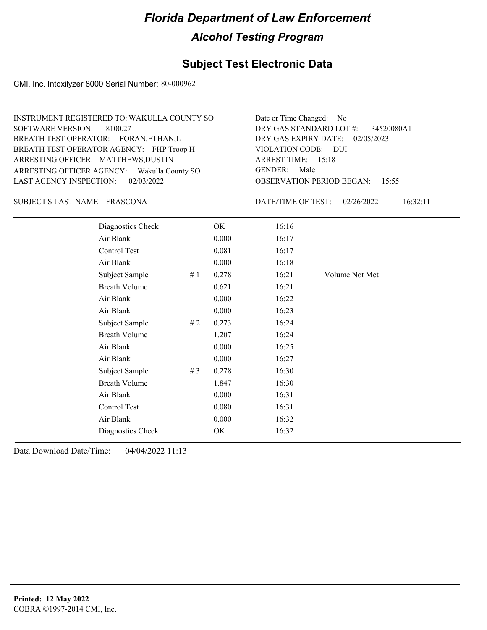### **Subject Test Electronic Data**

CMI, Inc. Intoxilyzer 8000 Serial Number: 80-000962

| INSTRUMENT REGISTERED TO: WAKULLA COUNTY SO | Date or Time Changed: No               |
|---------------------------------------------|----------------------------------------|
| SOFTWARE VERSION: 8100.27                   | DRY GAS STANDARD LOT #: 34520080A1     |
| BREATH TEST OPERATOR: FORAN, ETHAN, L       | DRY GAS EXPIRY DATE: 02/05/2023        |
| BREATH TEST OPERATOR AGENCY: FHP Troop H    | VIOLATION CODE: DUI                    |
| ARRESTING OFFICER: MATTHEWS, DUSTIN         | ARREST TIME: 15:18                     |
| ARRESTING OFFICER AGENCY: Wakulla County SO | GENDER: Male                           |
| LAST AGENCY INSPECTION: 02/03/2022          | <b>OBSERVATION PERIOD BEGAN: 15:55</b> |

#### FRASCONA SUBJECT'S LAST NAME: DATE/TIME OF TEST:

DATE/TIME OF TEST: 02/26/2022 16:32:11

| Diagnostics Check    |    | OK    | 16:16 |                |
|----------------------|----|-------|-------|----------------|
| Air Blank            |    | 0.000 | 16:17 |                |
| Control Test         |    | 0.081 | 16:17 |                |
| Air Blank            |    | 0.000 | 16:18 |                |
| Subject Sample       | #1 | 0.278 | 16:21 | Volume Not Met |
| <b>Breath Volume</b> |    | 0.621 | 16:21 |                |
| Air Blank            |    | 0.000 | 16:22 |                |
| Air Blank            |    | 0.000 | 16:23 |                |
| Subject Sample       | #2 | 0.273 | 16:24 |                |
| <b>Breath Volume</b> |    | 1.207 | 16:24 |                |
| Air Blank            |    | 0.000 | 16:25 |                |
| Air Blank            |    | 0.000 | 16:27 |                |
| Subject Sample       | #3 | 0.278 | 16:30 |                |
| <b>Breath Volume</b> |    | 1.847 | 16:30 |                |
| Air Blank            |    | 0.000 | 16:31 |                |
| Control Test         |    | 0.080 | 16:31 |                |
| Air Blank            |    | 0.000 | 16:32 |                |
| Diagnostics Check    |    | OK    | 16:32 |                |
|                      |    |       |       |                |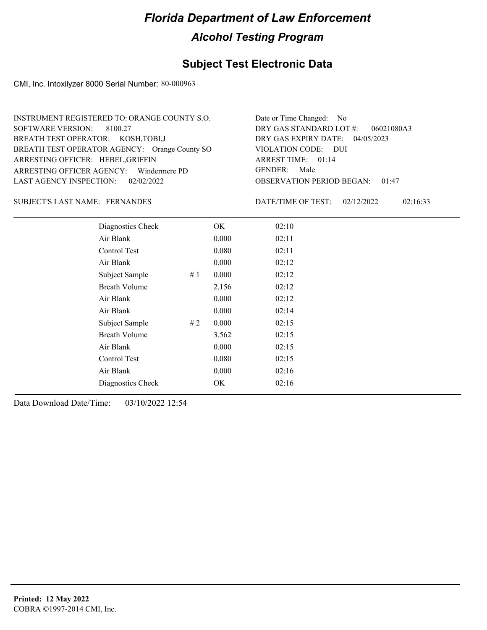### **Subject Test Electronic Data**

CMI, Inc. Intoxilyzer 8000 Serial Number: 80-000963

| INSTRUMENT REGISTERED TO: ORANGE COUNTY S.O.  | Date or Time Changed: No               |
|-----------------------------------------------|----------------------------------------|
| SOFTWARE VERSION: 8100.27                     | DRY GAS STANDARD LOT $\#$ : 06021080A3 |
| BREATH TEST OPERATOR: KOSH, TOBI, J           | DRY GAS EXPIRY DATE: 04/05/2023        |
| BREATH TEST OPERATOR AGENCY: Orange County SO | VIOLATION CODE: DUI                    |
| ARRESTING OFFICER: HEBEL, GRIFFIN             | ARREST TIME: 01:14                     |
| ARRESTING OFFICER AGENCY: Windermere PD       | GENDER: Male                           |
| LAST AGENCY INSPECTION: 02/02/2022            | <b>OBSERVATION PERIOD BEGAN: 01:47</b> |

#### SUBJECT'S LAST NAME: FERNANDES DATE/TIME OF TEST:

DATE/TIME OF TEST: 02/12/2022 02:16:33

| Diagnostics Check    |    | OK    | 02:10 |  |  |
|----------------------|----|-------|-------|--|--|
| Air Blank            |    | 0.000 | 02:11 |  |  |
| Control Test         |    | 0.080 | 02:11 |  |  |
| Air Blank            |    | 0.000 | 02:12 |  |  |
| Subject Sample       | #1 | 0.000 | 02:12 |  |  |
| <b>Breath Volume</b> |    | 2.156 | 02:12 |  |  |
| Air Blank            |    | 0.000 | 02:12 |  |  |
| Air Blank            |    | 0.000 | 02:14 |  |  |
| Subject Sample       | #2 | 0.000 | 02:15 |  |  |
| <b>Breath Volume</b> |    | 3.562 | 02:15 |  |  |
| Air Blank            |    | 0.000 | 02:15 |  |  |
| Control Test         |    | 0.080 | 02:15 |  |  |
| Air Blank            |    | 0.000 | 02:16 |  |  |
| Diagnostics Check    |    | OK    | 02:16 |  |  |
|                      |    |       |       |  |  |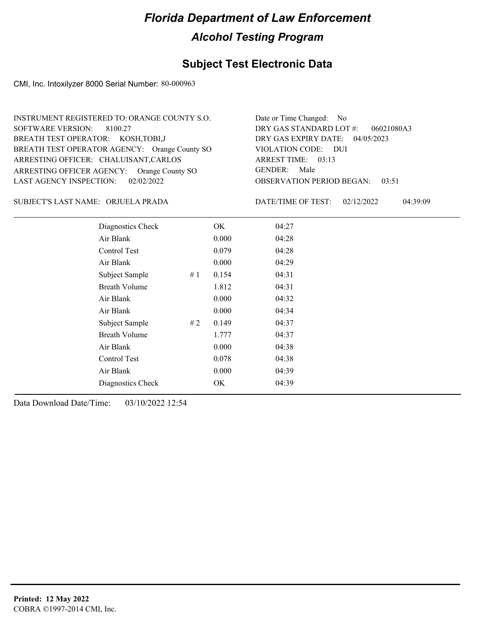### **Subject Test Electronic Data**

CMI, Inc. Intoxilyzer 8000 Serial Number: 80-000963

| INSTRUMENT REGISTERED TO: ORANGE COUNTY S.O.  | Date or Time Changed: No               |
|-----------------------------------------------|----------------------------------------|
| SOFTWARE VERSION: 8100.27                     | DRY GAS STANDARD LOT $\#$ : 06021080A3 |
| BREATH TEST OPERATOR: KOSH, TOBI, J           | DRY GAS EXPIRY DATE: 04/05/2023        |
| BREATH TEST OPERATOR AGENCY: Orange County SO | VIOLATION CODE: DUI                    |
| ARRESTING OFFICER: CHALUISANT, CARLOS         | ARREST TIME: 03:13                     |
| ARRESTING OFFICER AGENCY: Orange County SO    | GENDER: Male                           |
| LAST AGENCY INSPECTION: $02/02/2022$          | <b>OBSERVATION PERIOD BEGAN: 03:51</b> |
|                                               |                                        |

ORJUELA PRADA SUBJECT'S LAST NAME: DATE/TIME OF TEST:

DATE/TIME OF TEST: 02/12/2022 04:39:09

| Diagnostics Check    |     | OK    | 04:27 |
|----------------------|-----|-------|-------|
| Air Blank            |     | 0.000 | 04:28 |
| Control Test         |     | 0.079 | 04:28 |
| Air Blank            |     | 0.000 | 04:29 |
| Subject Sample       | #1  | 0.154 | 04:31 |
| <b>Breath Volume</b> |     | 1.812 | 04:31 |
| Air Blank            |     | 0.000 | 04:32 |
| Air Blank            |     | 0.000 | 04:34 |
| Subject Sample       | # 2 | 0.149 | 04:37 |
| <b>Breath Volume</b> |     | 1.777 | 04:37 |
| Air Blank            |     | 0.000 | 04:38 |
| Control Test         |     | 0.078 | 04:38 |
| Air Blank            |     | 0.000 | 04:39 |
| Diagnostics Check    |     | OK    | 04:39 |
|                      |     |       |       |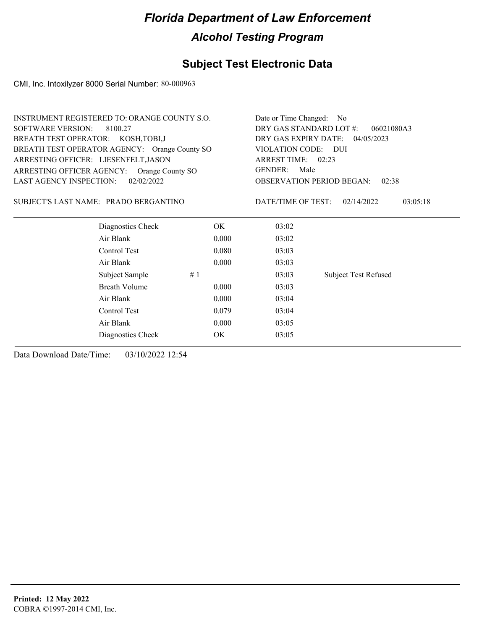### **Subject Test Electronic Data**

CMI, Inc. Intoxilyzer 8000 Serial Number: 80-000963

| DRY GAS STANDARD LOT #:<br><b>SOFTWARE VERSION:</b><br>8100.27<br>06021080A3<br>BREATH TEST OPERATOR: KOSH, TOBI, J<br>DRY GAS EXPIRY DATE: 04/05/2023<br>BREATH TEST OPERATOR AGENCY: Orange County SO<br>VIOLATION CODE: DUI<br>ARRESTING OFFICER: LIESENFELT, JASON<br>ARREST TIME: 02:23<br>GENDER:<br>Male<br>ARRESTING OFFICER AGENCY: Orange County SO<br><b>LAST AGENCY INSPECTION:</b><br>02/02/2022<br><b>OBSERVATION PERIOD BEGAN:</b><br>02:38<br>DATE/TIME OF TEST:<br>SUBJECT'S LAST NAME: PRADO BERGANTINO<br>02/14/2022<br>03:05:18<br>Diagnostics Check<br>OK<br>03:02<br>Air Blank<br>0.000<br>03:02<br>Control Test<br>0.080<br>03:03<br>Air Blank<br>0.000<br>03:03<br>Subject Sample<br>#1<br>03:03<br><b>Subject Test Refused</b><br><b>Breath Volume</b><br>0.000<br>03:03<br>Air Blank<br>0.000<br>03:04<br>Control Test<br>0.079<br>03:04<br>Air Blank<br>0.000<br>03:05 | <b>INSTRUMENT REGISTERED TO: ORANGE COUNTY S.O.</b> | Date or Time Changed: No |       |  |
|---------------------------------------------------------------------------------------------------------------------------------------------------------------------------------------------------------------------------------------------------------------------------------------------------------------------------------------------------------------------------------------------------------------------------------------------------------------------------------------------------------------------------------------------------------------------------------------------------------------------------------------------------------------------------------------------------------------------------------------------------------------------------------------------------------------------------------------------------------------------------------------------------|-----------------------------------------------------|--------------------------|-------|--|
|                                                                                                                                                                                                                                                                                                                                                                                                                                                                                                                                                                                                                                                                                                                                                                                                                                                                                                   |                                                     |                          |       |  |
|                                                                                                                                                                                                                                                                                                                                                                                                                                                                                                                                                                                                                                                                                                                                                                                                                                                                                                   |                                                     |                          |       |  |
|                                                                                                                                                                                                                                                                                                                                                                                                                                                                                                                                                                                                                                                                                                                                                                                                                                                                                                   |                                                     |                          |       |  |
|                                                                                                                                                                                                                                                                                                                                                                                                                                                                                                                                                                                                                                                                                                                                                                                                                                                                                                   |                                                     |                          |       |  |
|                                                                                                                                                                                                                                                                                                                                                                                                                                                                                                                                                                                                                                                                                                                                                                                                                                                                                                   |                                                     |                          |       |  |
|                                                                                                                                                                                                                                                                                                                                                                                                                                                                                                                                                                                                                                                                                                                                                                                                                                                                                                   |                                                     |                          |       |  |
|                                                                                                                                                                                                                                                                                                                                                                                                                                                                                                                                                                                                                                                                                                                                                                                                                                                                                                   |                                                     |                          |       |  |
|                                                                                                                                                                                                                                                                                                                                                                                                                                                                                                                                                                                                                                                                                                                                                                                                                                                                                                   |                                                     |                          |       |  |
|                                                                                                                                                                                                                                                                                                                                                                                                                                                                                                                                                                                                                                                                                                                                                                                                                                                                                                   |                                                     |                          |       |  |
|                                                                                                                                                                                                                                                                                                                                                                                                                                                                                                                                                                                                                                                                                                                                                                                                                                                                                                   |                                                     |                          |       |  |
|                                                                                                                                                                                                                                                                                                                                                                                                                                                                                                                                                                                                                                                                                                                                                                                                                                                                                                   |                                                     |                          |       |  |
|                                                                                                                                                                                                                                                                                                                                                                                                                                                                                                                                                                                                                                                                                                                                                                                                                                                                                                   |                                                     |                          |       |  |
|                                                                                                                                                                                                                                                                                                                                                                                                                                                                                                                                                                                                                                                                                                                                                                                                                                                                                                   |                                                     |                          |       |  |
|                                                                                                                                                                                                                                                                                                                                                                                                                                                                                                                                                                                                                                                                                                                                                                                                                                                                                                   |                                                     |                          |       |  |
|                                                                                                                                                                                                                                                                                                                                                                                                                                                                                                                                                                                                                                                                                                                                                                                                                                                                                                   |                                                     |                          |       |  |
|                                                                                                                                                                                                                                                                                                                                                                                                                                                                                                                                                                                                                                                                                                                                                                                                                                                                                                   |                                                     |                          |       |  |
|                                                                                                                                                                                                                                                                                                                                                                                                                                                                                                                                                                                                                                                                                                                                                                                                                                                                                                   | Diagnostics Check                                   | OK                       | 03:05 |  |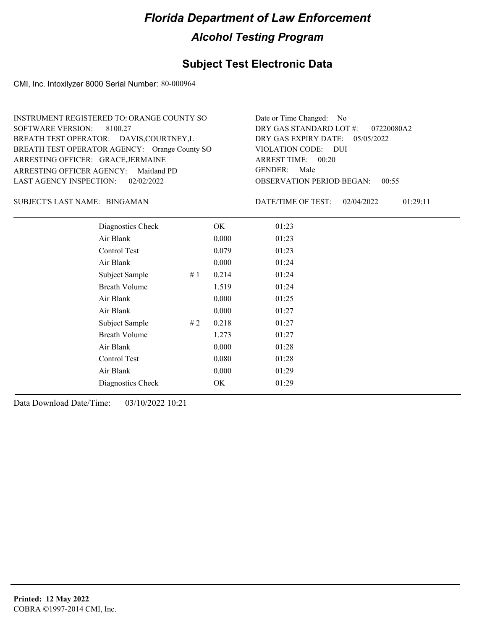### **Subject Test Electronic Data**

CMI, Inc. Intoxilyzer 8000 Serial Number: 80-000964

| INSTRUMENT REGISTERED TO: ORANGE COUNTY SO    | Date or Time Changed: No               |
|-----------------------------------------------|----------------------------------------|
| SOFTWARE VERSION: 8100.27                     | DRY GAS STANDARD LOT #: 07220080A2     |
| BREATH TEST OPERATOR: DAVIS, COURTNEY, L      | DRY GAS EXPIRY DATE: 05/05/2022        |
| BREATH TEST OPERATOR AGENCY: Orange County SO | VIOLATION CODE: DUI                    |
| ARRESTING OFFICER: GRACE, JERMAINE            | ARREST TIME: 00:20                     |
| ARRESTING OFFICER AGENCY: Maitland PD         | GENDER: Male                           |
| LAST AGENCY INSPECTION: 02/02/2022            | <b>OBSERVATION PERIOD BEGAN: 00:55</b> |

#### BINGAMAN SUBJECT'S LAST NAME: DATE/TIME OF TEST:

DATE/TIME OF TEST: 02/04/2022 01:29:11

| Diagnostics Check    |    | OK    | 01:23 |
|----------------------|----|-------|-------|
| Air Blank            |    | 0.000 | 01:23 |
| Control Test         |    | 0.079 | 01:23 |
| Air Blank            |    | 0.000 | 01:24 |
| Subject Sample       | #1 | 0.214 | 01:24 |
| <b>Breath Volume</b> |    | 1.519 | 01:24 |
| Air Blank            |    | 0.000 | 01:25 |
| Air Blank            |    | 0.000 | 01:27 |
| Subject Sample       | #2 | 0.218 | 01:27 |
| <b>Breath Volume</b> |    | 1.273 | 01:27 |
| Air Blank            |    | 0.000 | 01:28 |
| Control Test         |    | 0.080 | 01:28 |
| Air Blank            |    | 0.000 | 01:29 |
| Diagnostics Check    |    | OK    | 01:29 |
|                      |    |       |       |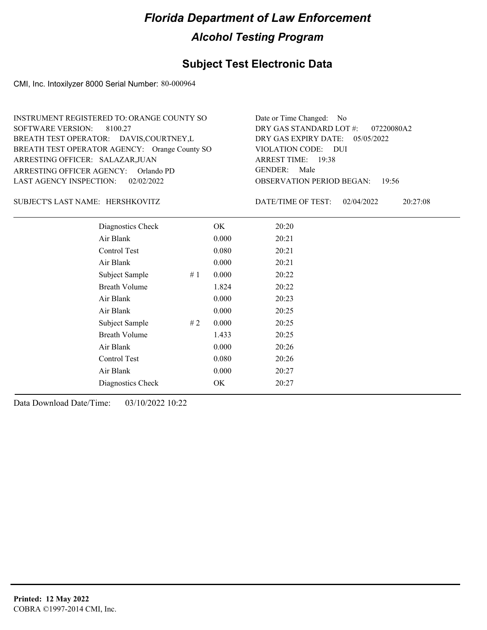### **Subject Test Electronic Data**

CMI, Inc. Intoxilyzer 8000 Serial Number: 80-000964

| INSTRUMENT REGISTERED TO: ORANGE COUNTY SO    | Date or Time Changed: No               |
|-----------------------------------------------|----------------------------------------|
| SOFTWARE VERSION: 8100.27                     | DRY GAS STANDARD LOT $\#$ : 07220080A2 |
| BREATH TEST OPERATOR: DAVIS, COURTNEY, L      | DRY GAS EXPIRY DATE: $05/05/2022$      |
| BREATH TEST OPERATOR AGENCY: Orange County SO | VIOLATION CODE: DUI                    |
| ARRESTING OFFICER: SALAZAR, JUAN              | ARREST TIME: 19:38                     |
| ARRESTING OFFICER AGENCY: Orlando PD          | GENDER: Male                           |
| LAST AGENCY INSPECTION: 02/02/2022            | <b>OBSERVATION PERIOD BEGAN: 19:56</b> |

#### HERSHKOVITZ SUBJECT'S LAST NAME: DATE/TIME OF TEST:

DATE/TIME OF TEST: 02/04/2022 20:27:08

| Diagnostics Check    |    | OK    | 20:20 |
|----------------------|----|-------|-------|
| Air Blank            |    | 0.000 | 20:21 |
| Control Test         |    | 0.080 | 20:21 |
| Air Blank            |    | 0.000 | 20:21 |
| Subject Sample       | #1 | 0.000 | 20:22 |
| <b>Breath Volume</b> |    | 1.824 | 20:22 |
| Air Blank            |    | 0.000 | 20:23 |
| Air Blank            |    | 0.000 | 20:25 |
| Subject Sample       | #2 | 0.000 | 20:25 |
| <b>Breath Volume</b> |    | 1.433 | 20:25 |
| Air Blank            |    | 0.000 | 20:26 |
| Control Test         |    | 0.080 | 20:26 |
| Air Blank            |    | 0.000 | 20:27 |
| Diagnostics Check    |    | OK    | 20:27 |
|                      |    |       |       |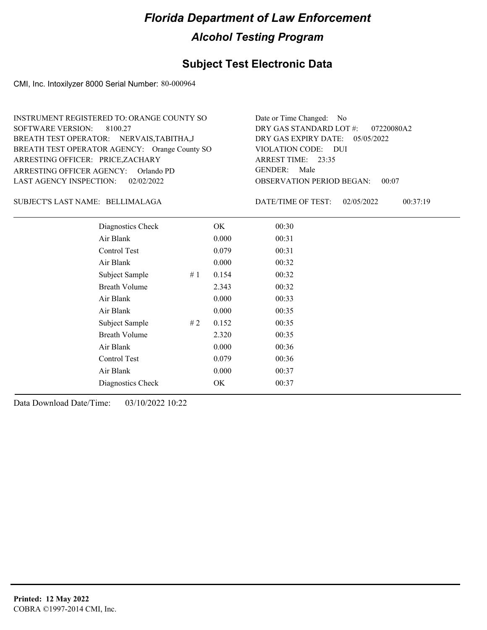### **Subject Test Electronic Data**

CMI, Inc. Intoxilyzer 8000 Serial Number: 80-000964

| INSTRUMENT REGISTERED TO: ORANGE COUNTY SO    | Date or Time Changed: No               |
|-----------------------------------------------|----------------------------------------|
| SOFTWARE VERSION: 8100.27                     | DRY GAS STANDARD LOT #: 07220080A2     |
| BREATH TEST OPERATOR: NERVAIS, TABITHA, J     | DRY GAS EXPIRY DATE: 05/05/2022        |
| BREATH TEST OPERATOR AGENCY: Orange County SO | VIOLATION CODE: DUI                    |
| ARRESTING OFFICER: PRICE,ZACHARY              | ARREST TIME: $23:35$                   |
| ARRESTING OFFICER AGENCY: Orlando PD          | GENDER: Male                           |
| LAST AGENCY INSPECTION: 02/02/2022            | <b>OBSERVATION PERIOD BEGAN: 00:07</b> |

#### BELLIMALAGA SUBJECT'S LAST NAME: DATE/TIME OF TEST:

DATE/TIME OF TEST: 02/05/2022 00:37:19

| Diagnostics Check    |    | OK    | 00:30 |
|----------------------|----|-------|-------|
| Air Blank            |    | 0.000 | 00:31 |
| Control Test         |    | 0.079 | 00:31 |
| Air Blank            |    | 0.000 | 00:32 |
| Subject Sample       | #1 | 0.154 | 00:32 |
| <b>Breath Volume</b> |    | 2.343 | 00:32 |
| Air Blank            |    | 0.000 | 00:33 |
| Air Blank            |    | 0.000 | 00:35 |
| Subject Sample       | #2 | 0.152 | 00:35 |
| <b>Breath Volume</b> |    | 2.320 | 00:35 |
| Air Blank            |    | 0.000 | 00:36 |
| Control Test         |    | 0.079 | 00:36 |
| Air Blank            |    | 0.000 | 00:37 |
| Diagnostics Check    |    | OK    | 00:37 |
|                      |    |       |       |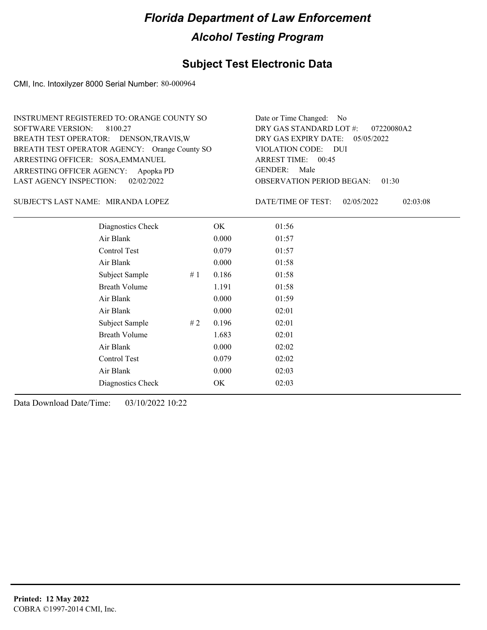### **Subject Test Electronic Data**

CMI, Inc. Intoxilyzer 8000 Serial Number: 80-000964

| Date or Time Changed: No               |
|----------------------------------------|
| DRY GAS STANDARD LOT $\#$ : 07220080A2 |
| DRY GAS EXPIRY DATE: 05/05/2022        |
| VIOLATION CODE: DUI                    |
| ARREST TIME: 00:45                     |
| GENDER: Male                           |
| <b>OBSERVATION PERIOD BEGAN: 01:30</b> |
|                                        |

#### SUBJECT'S LAST NAME: MIRANDA LOPEZ DATE/TIME OF TEST:

DATE/TIME OF TEST: 02/05/2022 02:03:08

| Diagnostics Check    |    | OK    | 01:56 |
|----------------------|----|-------|-------|
| Air Blank            |    | 0.000 | 01:57 |
| Control Test         |    | 0.079 | 01:57 |
| Air Blank            |    | 0.000 | 01:58 |
| Subject Sample       | #1 | 0.186 | 01:58 |
| <b>Breath Volume</b> |    | 1.191 | 01:58 |
| Air Blank            |    | 0.000 | 01:59 |
| Air Blank            |    | 0.000 | 02:01 |
| Subject Sample       | #2 | 0.196 | 02:01 |
| <b>Breath Volume</b> |    | 1.683 | 02:01 |
| Air Blank            |    | 0.000 | 02:02 |
| Control Test         |    | 0.079 | 02:02 |
| Air Blank            |    | 0.000 | 02:03 |
| Diagnostics Check    |    | OK    | 02:03 |
|                      |    |       |       |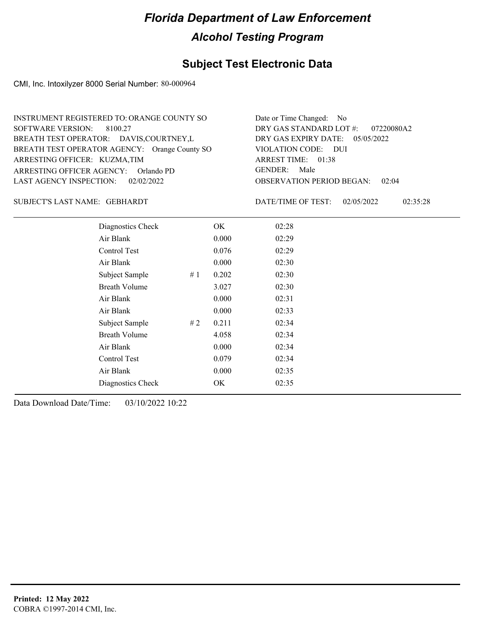### **Subject Test Electronic Data**

CMI, Inc. Intoxilyzer 8000 Serial Number: 80-000964

| INSTRUMENT REGISTERED TO: ORANGE COUNTY SO    | Date or Time Changed: No               |
|-----------------------------------------------|----------------------------------------|
| SOFTWARE VERSION: 8100.27                     | DRY GAS STANDARD LOT $\#$ : 07220080A2 |
| BREATH TEST OPERATOR: DAVIS, COURTNEY, L      | DRY GAS EXPIRY DATE: $05/05/2022$      |
| BREATH TEST OPERATOR AGENCY: Orange County SO | VIOLATION CODE: DUI                    |
| ARRESTING OFFICER: KUZMA,TIM                  | ARREST TIME: 01:38                     |
| ARRESTING OFFICER AGENCY: Orlando PD          | GENDER: Male                           |
| LAST AGENCY INSPECTION: 02/02/2022            | <b>OBSERVATION PERIOD BEGAN: 02:04</b> |

#### GEBHARDT SUBJECT'S LAST NAME: DATE/TIME OF TEST:

DATE/TIME OF TEST: 02/05/2022 02:35:28

| Diagnostics Check    |    | OK    | 02:28 |
|----------------------|----|-------|-------|
| Air Blank            |    | 0.000 | 02:29 |
| Control Test         |    | 0.076 | 02:29 |
| Air Blank            |    | 0.000 | 02:30 |
| Subject Sample       | #1 | 0.202 | 02:30 |
| <b>Breath Volume</b> |    | 3.027 | 02:30 |
| Air Blank            |    | 0.000 | 02:31 |
| Air Blank            |    | 0.000 | 02:33 |
| Subject Sample       | #2 | 0.211 | 02:34 |
| <b>Breath Volume</b> |    | 4.058 | 02:34 |
| Air Blank            |    | 0.000 | 02:34 |
| Control Test         |    | 0.079 | 02:34 |
| Air Blank            |    | 0.000 | 02:35 |
| Diagnostics Check    |    | OK    | 02:35 |
|                      |    |       |       |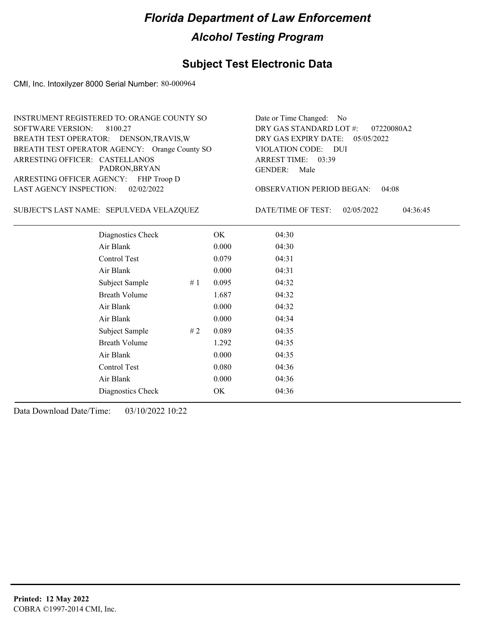### **Subject Test Electronic Data**

CMI, Inc. Intoxilyzer 8000 Serial Number: 80-000964

|                                | INSTRUMENT REGISTERED TO: ORANGE COUNTY SO    |    |       | Date or Time Changed: No             |            |          |
|--------------------------------|-----------------------------------------------|----|-------|--------------------------------------|------------|----------|
| <b>SOFTWARE VERSION:</b>       | 8100.27                                       |    |       | DRY GAS STANDARD LOT #:              | 07220080A2 |          |
|                                | BREATH TEST OPERATOR: DENSON, TRAVIS, W       |    |       | DRY GAS EXPIRY DATE:                 | 05/05/2022 |          |
|                                | BREATH TEST OPERATOR AGENCY: Orange County SO |    |       | <b>VIOLATION CODE:</b><br><b>DUI</b> |            |          |
| ARRESTING OFFICER: CASTELLANOS |                                               |    |       | ARREST TIME: 03:39                   |            |          |
|                                | PADRON, BRYAN                                 |    |       | <b>GENDER:</b><br>Male               |            |          |
|                                | ARRESTING OFFICER AGENCY: FHP Troop D         |    |       |                                      |            |          |
| LAST AGENCY INSPECTION:        | 02/02/2022                                    |    |       | <b>OBSERVATION PERIOD BEGAN:</b>     | 04:08      |          |
|                                | SUBJECT'S LAST NAME: SEPULVEDA VELAZQUEZ      |    |       | DATE/TIME OF TEST:                   | 02/05/2022 | 04:36:45 |
|                                | Diagnostics Check                             |    | OK    | 04:30                                |            |          |
|                                | Air Blank                                     |    | 0.000 | 04:30                                |            |          |
|                                | Control Test                                  |    | 0.079 | 04:31                                |            |          |
|                                | Air Blank                                     |    | 0.000 | 04:31                                |            |          |
|                                | Subject Sample                                | #1 | 0.095 | 04:32                                |            |          |
|                                | <b>Breath Volume</b>                          |    | 1.687 | 04:32                                |            |          |
|                                | Air Blank                                     |    | 0.000 | 04:32                                |            |          |
|                                | Air Blank                                     |    | 0.000 | 04:34                                |            |          |
|                                | Subject Sample                                | #2 | 0.089 | 04:35                                |            |          |
|                                | <b>Breath Volume</b>                          |    | 1.292 | 04:35                                |            |          |
|                                | Air Blank                                     |    | 0.000 | 04:35                                |            |          |
|                                | Control Test                                  |    | 0.080 | 04:36                                |            |          |
|                                | Air Blank                                     |    | 0.000 | 04:36                                |            |          |
|                                | Diagnostics Check                             |    | OK.   | 04:36                                |            |          |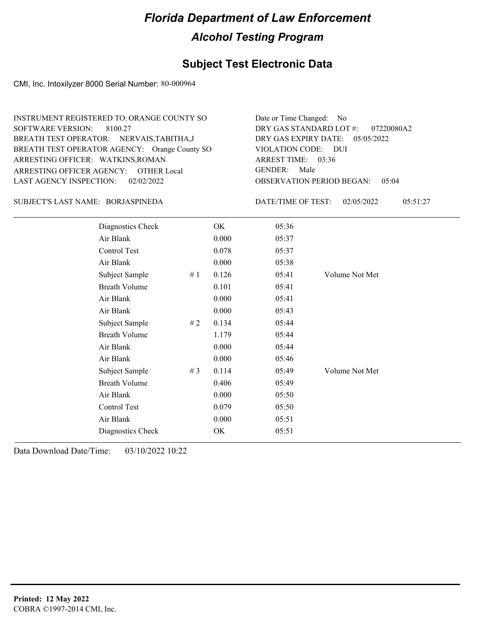### **Subject Test Electronic Data**

CMI, Inc. Intoxilyzer 8000 Serial Number: 80-000964

| INSTRUMENT REGISTERED TO: ORANGE COUNTY SO    | Date or Time Changed: No               |
|-----------------------------------------------|----------------------------------------|
| SOFTWARE VERSION: 8100.27                     | DRY GAS STANDARD LOT $\#$ : 07220080A2 |
| BREATH TEST OPERATOR: NERVAIS, TABITHA, J     | DRY GAS EXPIRY DATE: 05/05/2022        |
| BREATH TEST OPERATOR AGENCY: Orange County SO | VIOLATION CODE: DUI                    |
| ARRESTING OFFICER: WATKINS, ROMAN             | ARREST TIME: 03:36                     |
| ARRESTING OFFICER AGENCY: OTHER Local         | GENDER: Male                           |
| LAST AGENCY INSPECTION: 02/02/2022            | <b>OBSERVATION PERIOD BEGAN: 05:04</b> |

#### BORJASPINEDA SUBJECT'S LAST NAME: DATE/TIME OF TEST:

DATE/TIME OF TEST: 02/05/2022 05:51:27

| Diagnostics Check    |    | OK    | 05:36 |                |
|----------------------|----|-------|-------|----------------|
| Air Blank            |    | 0.000 | 05:37 |                |
| Control Test         |    | 0.078 | 05:37 |                |
| Air Blank            |    | 0.000 | 05:38 |                |
| Subject Sample       | #1 | 0.126 | 05:41 | Volume Not Met |
| <b>Breath Volume</b> |    | 0.101 | 05:41 |                |
| Air Blank            |    | 0.000 | 05:41 |                |
| Air Blank            |    | 0.000 | 05:43 |                |
| Subject Sample       | #2 | 0.134 | 05:44 |                |
| <b>Breath Volume</b> |    | 1.179 | 05:44 |                |
| Air Blank            |    | 0.000 | 05:44 |                |
| Air Blank            |    | 0.000 | 05:46 |                |
| Subject Sample       | #3 | 0.114 | 05:49 | Volume Not Met |
| <b>Breath Volume</b> |    | 0.406 | 05:49 |                |
| Air Blank            |    | 0.000 | 05:50 |                |
| Control Test         |    | 0.079 | 05:50 |                |
| Air Blank            |    | 0.000 | 05:51 |                |
| Diagnostics Check    |    | OK    | 05:51 |                |
|                      |    |       |       |                |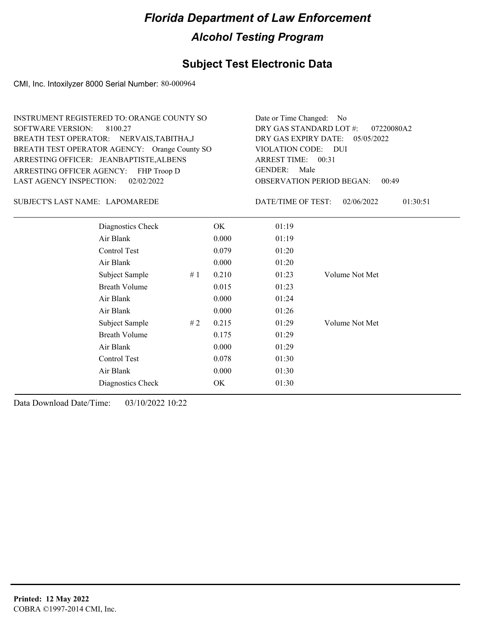### **Subject Test Electronic Data**

CMI, Inc. Intoxilyzer 8000 Serial Number: 80-000964

| <b>INSTRUMENT REGISTERED TO: ORANGE COUNTY SO</b><br>SOFTWARE VERSION: 8100.27<br>BREATH TEST OPERATOR: NERVAIS, TABITHA, J<br>BREATH TEST OPERATOR AGENCY: Orange County SO<br>ARRESTING OFFICER: JEANBAPTISTE, ALBENS<br>ARRESTING OFFICER AGENCY:<br>FHP Troop D<br><b>LAST AGENCY INSPECTION:</b><br>02/02/2022<br>SUBJECT'S LAST NAME: LAPOMAREDE |       | Date or Time Changed: No<br>DRY GAS STANDARD LOT #:<br>07220080A2<br>DRY GAS EXPIRY DATE:<br>05/05/2022<br>VIOLATION CODE: DUI<br>ARREST TIME: $00:31$<br>GENDER:<br>Male<br><b>OBSERVATION PERIOD BEGAN:</b><br>00:49<br>DATE/TIME OF TEST:<br>02/06/2022<br>01:30:51 |  |
|--------------------------------------------------------------------------------------------------------------------------------------------------------------------------------------------------------------------------------------------------------------------------------------------------------------------------------------------------------|-------|------------------------------------------------------------------------------------------------------------------------------------------------------------------------------------------------------------------------------------------------------------------------|--|
| Diagnostics Check                                                                                                                                                                                                                                                                                                                                      | OK.   | 01:19                                                                                                                                                                                                                                                                  |  |
| Air Blank                                                                                                                                                                                                                                                                                                                                              | 0.000 | 01:19                                                                                                                                                                                                                                                                  |  |

| Air Blank            |    | 0.000 | 01:19 |                |
|----------------------|----|-------|-------|----------------|
| Control Test         |    | 0.079 | 01:20 |                |
| Air Blank            |    | 0.000 | 01:20 |                |
| Subject Sample       | #1 | 0.210 | 01:23 | Volume Not Met |
| <b>Breath Volume</b> |    | 0.015 | 01:23 |                |
| Air Blank            |    | 0.000 | 01:24 |                |
| Air Blank            |    | 0.000 | 01:26 |                |
| Subject Sample       | #2 | 0.215 | 01:29 | Volume Not Met |
| <b>Breath Volume</b> |    | 0.175 | 01:29 |                |
| Air Blank            |    | 0.000 | 01:29 |                |
| Control Test         |    | 0.078 | 01:30 |                |
| Air Blank            |    | 0.000 | 01:30 |                |
| Diagnostics Check    |    | OK    | 01:30 |                |
|                      |    |       |       |                |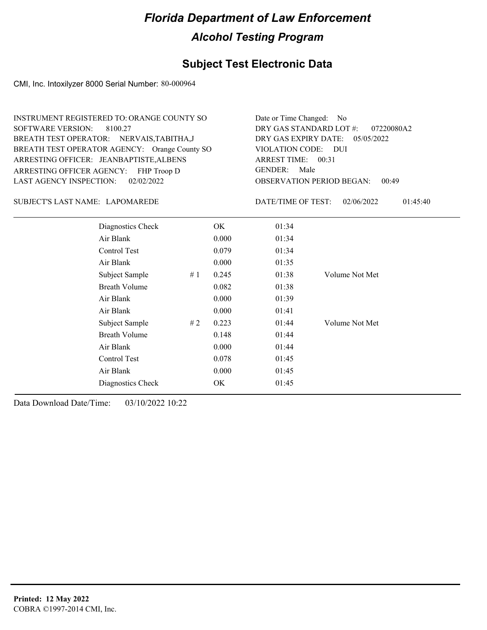### **Subject Test Electronic Data**

CMI, Inc. Intoxilyzer 8000 Serial Number: 80-000964

| <b>INSTRUMENT REGISTERED TO: ORANGE COUNTY SO</b><br><b>SOFTWARE VERSION:</b><br>8100.27<br>BREATH TEST OPERATOR: NERVAIS, TABITHA, J<br>BREATH TEST OPERATOR AGENCY: Orange County SO<br>ARRESTING OFFICER: JEANBAPTISTE, ALBENS<br>ARRESTING OFFICER AGENCY:<br>FHP Troop D<br>02/02/2022<br><b>LAST AGENCY INSPECTION:</b> |    |       | Date or Time Changed:<br>DRY GAS STANDARD LOT #:<br>DRY GAS EXPIRY DATE:<br><b>VIOLATION CODE:</b><br>ARREST TIME: 00:31<br><b>GENDER:</b><br>Male | No<br>07220080A2<br>05/05/2022<br>- DUI<br><b>OBSERVATION PERIOD BEGAN:</b><br>00:49 |  |
|-------------------------------------------------------------------------------------------------------------------------------------------------------------------------------------------------------------------------------------------------------------------------------------------------------------------------------|----|-------|----------------------------------------------------------------------------------------------------------------------------------------------------|--------------------------------------------------------------------------------------|--|
| SUBJECT'S LAST NAME: LAPOMAREDE                                                                                                                                                                                                                                                                                               |    |       | DATE/TIME OF TEST:                                                                                                                                 | 02/06/2022<br>01:45:40                                                               |  |
| Diagnostics Check                                                                                                                                                                                                                                                                                                             |    | OK    | 01:34                                                                                                                                              |                                                                                      |  |
| Air Blank                                                                                                                                                                                                                                                                                                                     |    | 0.000 | 01:34                                                                                                                                              |                                                                                      |  |
| Control Test                                                                                                                                                                                                                                                                                                                  |    | 0.079 | 01:34                                                                                                                                              |                                                                                      |  |
| Air Blank                                                                                                                                                                                                                                                                                                                     |    | 0.000 | 01:35                                                                                                                                              |                                                                                      |  |
| Subject Sample                                                                                                                                                                                                                                                                                                                | #1 | 0.245 | 01:38                                                                                                                                              | Volume Not Met                                                                       |  |
| <b>Breath Volume</b>                                                                                                                                                                                                                                                                                                          |    | 0.082 | 01:38                                                                                                                                              |                                                                                      |  |
| Air Blank                                                                                                                                                                                                                                                                                                                     |    | 0.000 | 01:39                                                                                                                                              |                                                                                      |  |
| Air Blank                                                                                                                                                                                                                                                                                                                     |    | 0.000 | 01:41                                                                                                                                              |                                                                                      |  |
| Subject Sample                                                                                                                                                                                                                                                                                                                | #2 | 0.223 | 01:44                                                                                                                                              | Volume Not Met                                                                       |  |
| <b>Breath Volume</b>                                                                                                                                                                                                                                                                                                          |    | 0.148 | 01:44                                                                                                                                              |                                                                                      |  |
| Air Blank                                                                                                                                                                                                                                                                                                                     |    | 0.000 | 01:44                                                                                                                                              |                                                                                      |  |
| Control Test                                                                                                                                                                                                                                                                                                                  |    | 0.078 | 01:45                                                                                                                                              |                                                                                      |  |
| Air Blank                                                                                                                                                                                                                                                                                                                     |    | 0.000 | 01:45                                                                                                                                              |                                                                                      |  |

Diagnostics Check OK 01:45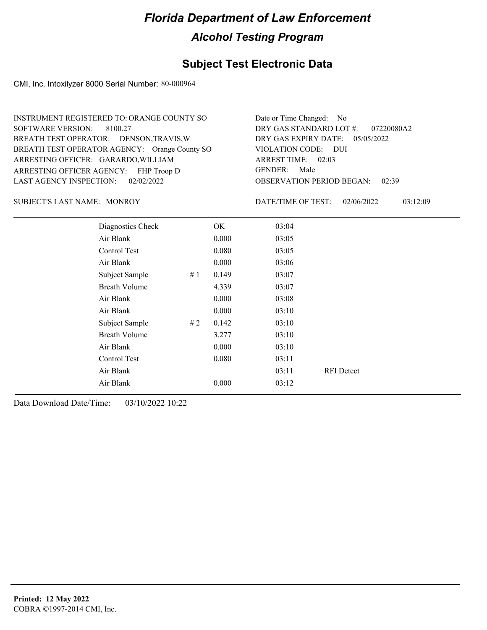### **Subject Test Electronic Data**

CMI, Inc. Intoxilyzer 8000 Serial Number: 80-000964

| INSTRUMENT REGISTERED TO: ORANGE COUNTY SO    | Date or Time Changed: No               |
|-----------------------------------------------|----------------------------------------|
| SOFTWARE VERSION: 8100.27                     | DRY GAS STANDARD LOT #: 07220080A2     |
| BREATH TEST OPERATOR: DENSON, TRAVIS, W       | DRY GAS EXPIRY DATE: 05/05/2022        |
| BREATH TEST OPERATOR AGENCY: Orange County SO | VIOLATION CODE: DUI                    |
| ARRESTING OFFICER: GARARDO, WILLIAM           | ARREST TIME: 02:03                     |
| ARRESTING OFFICER AGENCY: FHP Troop D         | GENDER: Male                           |
| LAST AGENCY INSPECTION: 02/02/2022            | <b>OBSERVATION PERIOD BEGAN: 02:39</b> |
|                                               |                                        |

SUBJECT'S LAST NAME: MONROY DATE/TIME OF TEST:

DATE/TIME OF TEST: 02/06/2022 03:12:09

| Diagnostics Check    |    | OK    | 03:04 |                   |
|----------------------|----|-------|-------|-------------------|
| Air Blank            |    | 0.000 | 03:05 |                   |
| Control Test         |    | 0.080 | 03:05 |                   |
| Air Blank            |    | 0.000 | 03:06 |                   |
| Subject Sample       | #1 | 0.149 | 03:07 |                   |
| <b>Breath Volume</b> |    | 4.339 | 03:07 |                   |
| Air Blank            |    | 0.000 | 03:08 |                   |
| Air Blank            |    | 0.000 | 03:10 |                   |
| Subject Sample       | #2 | 0.142 | 03:10 |                   |
| <b>Breath Volume</b> |    | 3.277 | 03:10 |                   |
| Air Blank            |    | 0.000 | 03:10 |                   |
| Control Test         |    | 0.080 | 03:11 |                   |
| Air Blank            |    |       | 03:11 | <b>RFI</b> Detect |
| Air Blank            |    | 0.000 | 03:12 |                   |
|                      |    |       |       |                   |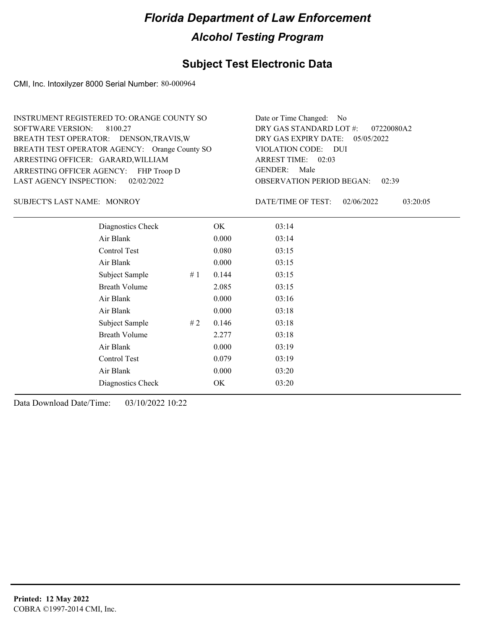### **Subject Test Electronic Data**

CMI, Inc. Intoxilyzer 8000 Serial Number: 80-000964

| INSTRUMENT REGISTERED TO: ORANGE COUNTY SO    | Date or Time Changed: No               |
|-----------------------------------------------|----------------------------------------|
| SOFTWARE VERSION: 8100.27                     | DRY GAS STANDARD LOT #: 07220080A2     |
| BREATH TEST OPERATOR: DENSON, TRAVIS, W       | DRY GAS EXPIRY DATE: 05/05/2022        |
| BREATH TEST OPERATOR AGENCY: Orange County SO | VIOLATION CODE: DUI                    |
| ARRESTING OFFICER: GARARD, WILLIAM            | ARREST TIME: 02:03                     |
| ARRESTING OFFICER AGENCY: FHP Troop D         | GENDER: Male                           |
| LAST AGENCY INSPECTION: 02/02/2022            | <b>OBSERVATION PERIOD BEGAN: 02:39</b> |

SUBJECT'S LAST NAME: MONROY DATE/TIME OF TEST:

DATE/TIME OF TEST: 02/06/2022 03:20:05

| Diagnostics Check    |    | OK    | 03:14 |
|----------------------|----|-------|-------|
| Air Blank            |    | 0.000 | 03:14 |
| Control Test         |    | 0.080 | 03:15 |
| Air Blank            |    | 0.000 | 03:15 |
| Subject Sample       | #1 | 0.144 | 03:15 |
| <b>Breath Volume</b> |    | 2.085 | 03:15 |
| Air Blank            |    | 0.000 | 03:16 |
| Air Blank            |    | 0.000 | 03:18 |
| Subject Sample       | #2 | 0.146 | 03:18 |
| <b>Breath Volume</b> |    | 2.277 | 03:18 |
| Air Blank            |    | 0.000 | 03:19 |
| Control Test         |    | 0.079 | 03:19 |
| Air Blank            |    | 0.000 | 03:20 |
| Diagnostics Check    |    | OK    | 03:20 |
|                      |    |       |       |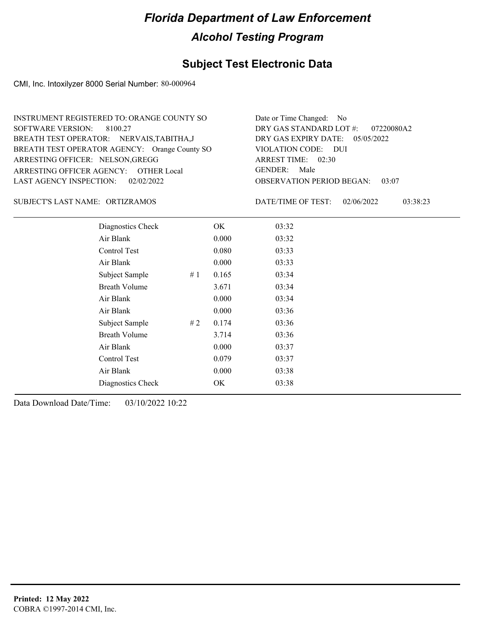### **Subject Test Electronic Data**

CMI, Inc. Intoxilyzer 8000 Serial Number: 80-000964

| INSTRUMENT REGISTERED TO: ORANGE COUNTY SO    | Date or Time Changed: No               |
|-----------------------------------------------|----------------------------------------|
| SOFTWARE VERSION: 8100.27                     | DRY GAS STANDARD LOT $\#$ : 07220080A2 |
| BREATH TEST OPERATOR: NERVAIS, TABITHA, J     | DRY GAS EXPIRY DATE: 05/05/2022        |
| BREATH TEST OPERATOR AGENCY: Orange County SO | VIOLATION CODE: DUI                    |
| ARRESTING OFFICER: NELSON, GREGG              | ARREST TIME: 02:30                     |
| ARRESTING OFFICER AGENCY: OTHER Local         | GENDER: Male                           |
| LAST AGENCY INSPECTION: 02/02/2022            | <b>OBSERVATION PERIOD BEGAN: 03:07</b> |

#### ORTIZRAMOS SUBJECT'S LAST NAME: DATE/TIME OF TEST:

DATE/TIME OF TEST: 02/06/2022 03:38:23

| Diagnostics Check    |    | OK    | 03:32 |  |
|----------------------|----|-------|-------|--|
| Air Blank            |    | 0.000 | 03:32 |  |
| Control Test         |    | 0.080 | 03:33 |  |
| Air Blank            |    | 0.000 | 03:33 |  |
| Subject Sample       | #1 | 0.165 | 03:34 |  |
| <b>Breath Volume</b> |    | 3.671 | 03:34 |  |
| Air Blank            |    | 0.000 | 03:34 |  |
| Air Blank            |    | 0.000 | 03:36 |  |
| Subject Sample       | #2 | 0.174 | 03:36 |  |
| <b>Breath Volume</b> |    | 3.714 | 03:36 |  |
| Air Blank            |    | 0.000 | 03:37 |  |
| Control Test         |    | 0.079 | 03:37 |  |
| Air Blank            |    | 0.000 | 03:38 |  |
| Diagnostics Check    |    | OK    | 03:38 |  |
|                      |    |       |       |  |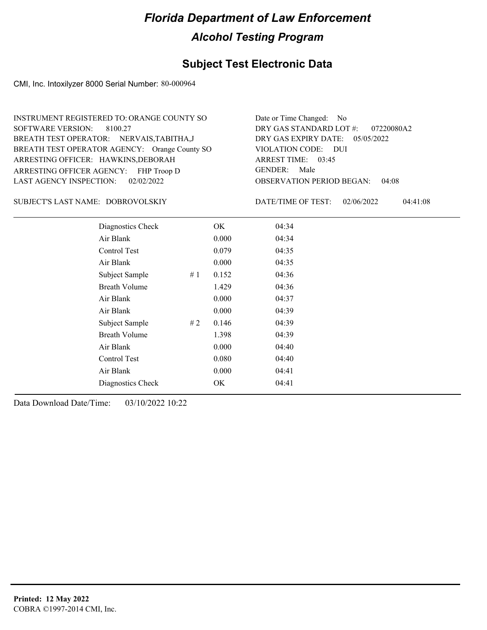## **Subject Test Electronic Data**

CMI, Inc. Intoxilyzer 8000 Serial Number: 80-000964

| INSTRUMENT REGISTERED TO: ORANGE COUNTY SO    | Date or Time Changed: No               |
|-----------------------------------------------|----------------------------------------|
| SOFTWARE VERSION: 8100.27                     | DRY GAS STANDARD LOT #: 07220080A2     |
| BREATH TEST OPERATOR: NERVAIS, TABITHA, J     | DRY GAS EXPIRY DATE: 05/05/2022        |
| BREATH TEST OPERATOR AGENCY: Orange County SO | VIOLATION CODE: DUI                    |
| ARRESTING OFFICER: HAWKINS, DEBORAH           | ARREST TIME: 03:45                     |
| ARRESTING OFFICER AGENCY: FHP Troop D         | GENDER: Male                           |
| LAST AGENCY INSPECTION: 02/02/2022            | <b>OBSERVATION PERIOD BEGAN: 04:08</b> |

#### DOBROVOLSKIY SUBJECT'S LAST NAME: DATE/TIME OF TEST:

DATE/TIME OF TEST: 02/06/2022 04:41:08

| Diagnostics Check    |    | OK    | 04:34 |
|----------------------|----|-------|-------|
| Air Blank            |    | 0.000 | 04:34 |
| Control Test         |    | 0.079 | 04:35 |
| Air Blank            |    | 0.000 | 04:35 |
| Subject Sample       | #1 | 0.152 | 04:36 |
| <b>Breath Volume</b> |    | 1.429 | 04:36 |
| Air Blank            |    | 0.000 | 04:37 |
| Air Blank            |    | 0.000 | 04:39 |
| Subject Sample       | #2 | 0.146 | 04:39 |
| <b>Breath Volume</b> |    | 1.398 | 04:39 |
| Air Blank            |    | 0.000 | 04:40 |
| Control Test         |    | 0.080 | 04:40 |
| Air Blank            |    | 0.000 | 04:41 |
| Diagnostics Check    |    | OK    | 04:41 |
|                      |    |       |       |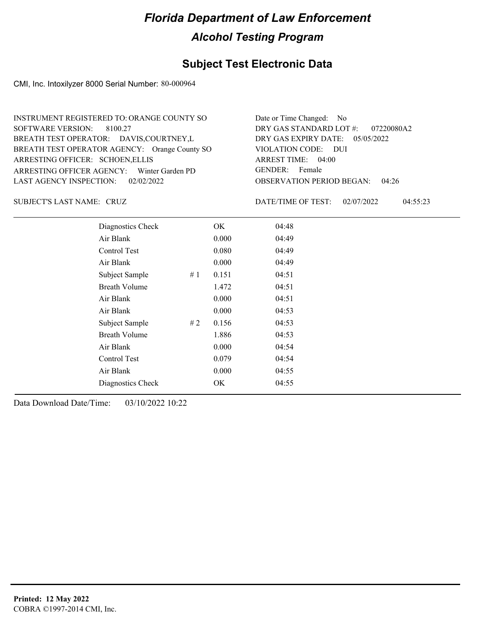## **Subject Test Electronic Data**

CMI, Inc. Intoxilyzer 8000 Serial Number: 80-000964

| INSTRUMENT REGISTERED TO: ORANGE COUNTY SO    | Date or Time Changed: No               |
|-----------------------------------------------|----------------------------------------|
| SOFTWARE VERSION: 8100.27                     | DRY GAS STANDARD LOT $\#$ : 07220080A2 |
| BREATH TEST OPERATOR: DAVIS, COURTNEY, L      | DRY GAS EXPIRY DATE: $05/05/2022$      |
| BREATH TEST OPERATOR AGENCY: Orange County SO | VIOLATION CODE: DUI                    |
| ARRESTING OFFICER: SCHOEN, ELLIS              | ARREST TIME: 04:00                     |
| ARRESTING OFFICER AGENCY: Winter Garden PD    | GENDER: Female                         |
| LAST AGENCY INSPECTION: 02/02/2022            | <b>OBSERVATION PERIOD BEGAN: 04:26</b> |

CRUZ SUBJECT'S LAST NAME: DATE/TIME OF TEST:

DATE/TIME OF TEST: 02/07/2022 04:55:23

| Diagnostics Check    |    | OK    | 04:48 |
|----------------------|----|-------|-------|
| Air Blank            |    | 0.000 | 04:49 |
| Control Test         |    | 0.080 | 04:49 |
| Air Blank            |    | 0.000 | 04:49 |
| Subject Sample       | #1 | 0.151 | 04:51 |
| <b>Breath Volume</b> |    | 1.472 | 04:51 |
| Air Blank            |    | 0.000 | 04:51 |
| Air Blank            |    | 0.000 | 04:53 |
| Subject Sample       | #2 | 0.156 | 04:53 |
| <b>Breath Volume</b> |    | 1.886 | 04:53 |
| Air Blank            |    | 0.000 | 04:54 |
| Control Test         |    | 0.079 | 04:54 |
| Air Blank            |    | 0.000 | 04:55 |
| Diagnostics Check    |    | OK    | 04:55 |
|                      |    |       |       |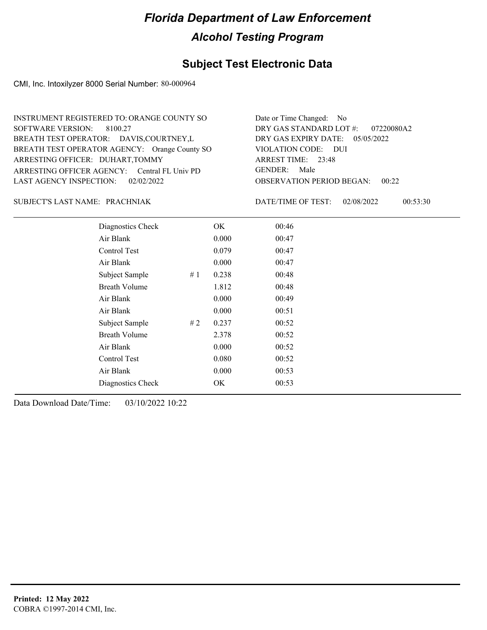## **Subject Test Electronic Data**

CMI, Inc. Intoxilyzer 8000 Serial Number: 80-000964

| INSTRUMENT REGISTERED TO: ORANGE COUNTY SO    | Date or Time Changed: No               |
|-----------------------------------------------|----------------------------------------|
| SOFTWARE VERSION: 8100.27                     | DRY GAS STANDARD LOT #: 07220080A2     |
| BREATH TEST OPERATOR: DAVIS, COURTNEY, L      | DRY GAS EXPIRY DATE: $05/05/2022$      |
| BREATH TEST OPERATOR AGENCY: Orange County SO | VIOLATION CODE: DUI                    |
| ARRESTING OFFICER: DUHART, TOMMY              | ARREST TIME: 23:48                     |
| ARRESTING OFFICER AGENCY: Central FL Univ PD  | GENDER: Male                           |
| LAST AGENCY INSPECTION: 02/02/2022            | <b>OBSERVATION PERIOD BEGAN: 00:22</b> |

#### PRACHNIAK SUBJECT'S LAST NAME: DATE/TIME OF TEST:

DATE/TIME OF TEST: 02/08/2022 00:53:30

| Diagnostics Check    |    | OK    | 00:46 |
|----------------------|----|-------|-------|
| Air Blank            |    | 0.000 | 00:47 |
| Control Test         |    | 0.079 | 00:47 |
| Air Blank            |    | 0.000 | 00:47 |
| Subject Sample       | #1 | 0.238 | 00:48 |
| <b>Breath Volume</b> |    | 1.812 | 00:48 |
| Air Blank            |    | 0.000 | 00:49 |
| Air Blank            |    | 0.000 | 00:51 |
| Subject Sample       | #2 | 0.237 | 00:52 |
| <b>Breath Volume</b> |    | 2.378 | 00:52 |
| Air Blank            |    | 0.000 | 00:52 |
| Control Test         |    | 0.080 | 00:52 |
| Air Blank            |    | 0.000 | 00:53 |
| Diagnostics Check    |    | OK    | 00:53 |
|                      |    |       |       |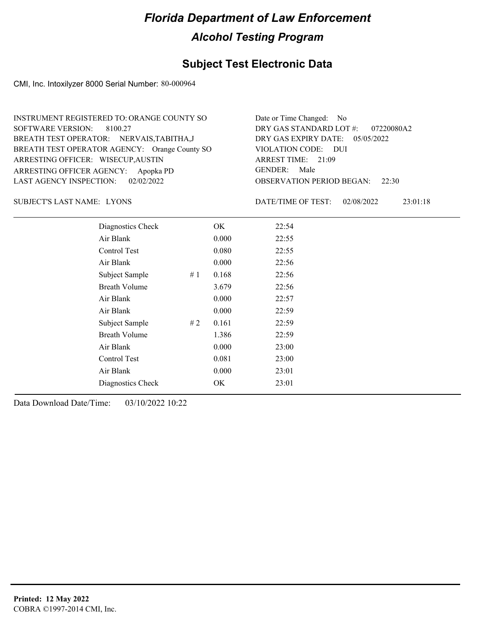## **Subject Test Electronic Data**

CMI, Inc. Intoxilyzer 8000 Serial Number: 80-000964

| INSTRUMENT REGISTERED TO: ORANGE COUNTY SO    | Date or Time Changed: No               |
|-----------------------------------------------|----------------------------------------|
| SOFTWARE VERSION: 8100.27                     | DRY GAS STANDARD LOT #: 07220080A2     |
| BREATH TEST OPERATOR: NERVAIS, TABITHA, J     | DRY GAS EXPIRY DATE: $05/05/2022$      |
| BREATH TEST OPERATOR AGENCY: Orange County SO | VIOLATION CODE: DUI                    |
| ARRESTING OFFICER: WISECUP, AUSTIN            | ARREST TIME: 21:09                     |
| ARRESTING OFFICER AGENCY: Apopka PD           | GENDER: Male                           |
| LAST AGENCY INSPECTION: 02/02/2022            | <b>OBSERVATION PERIOD BEGAN: 22:30</b> |

SUBJECT'S LAST NAME: LYONS DATE/TIME OF TEST:

DATE/TIME OF TEST: 02/08/2022 23:01:18

| Diagnostics Check    |    | OK    | 22:54 |
|----------------------|----|-------|-------|
| Air Blank            |    | 0.000 | 22:55 |
| Control Test         |    | 0.080 | 22:55 |
| Air Blank            |    | 0.000 | 22:56 |
| Subject Sample       | #1 | 0.168 | 22:56 |
| <b>Breath Volume</b> |    | 3.679 | 22:56 |
| Air Blank            |    | 0.000 | 22:57 |
| Air Blank            |    | 0.000 | 22:59 |
| Subject Sample       | #2 | 0.161 | 22:59 |
| <b>Breath Volume</b> |    | 1.386 | 22:59 |
| Air Blank            |    | 0.000 | 23:00 |
| <b>Control Test</b>  |    | 0.081 | 23:00 |
| Air Blank            |    | 0.000 | 23:01 |
| Diagnostics Check    |    | OK    | 23:01 |
|                      |    |       |       |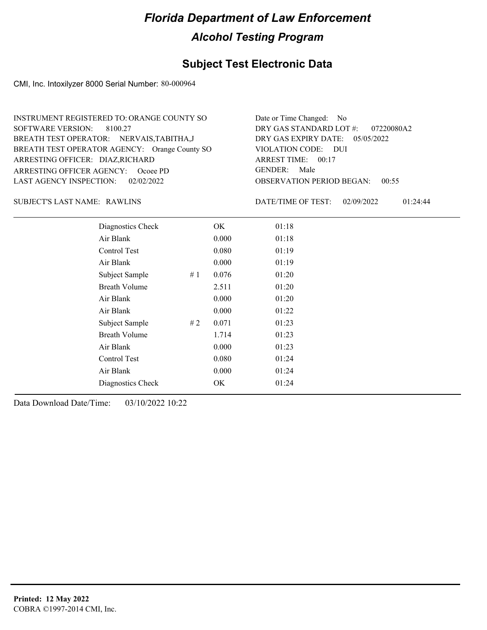## **Subject Test Electronic Data**

CMI, Inc. Intoxilyzer 8000 Serial Number: 80-000964

| INSTRUMENT REGISTERED TO: ORANGE COUNTY SO    | Date or Time Changed: No               |
|-----------------------------------------------|----------------------------------------|
| SOFTWARE VERSION: 8100.27                     | DRY GAS STANDARD LOT #: 07220080A2     |
| BREATH TEST OPERATOR: NERVAIS, TABITHA, J     | DRY GAS EXPIRY DATE: $05/05/2022$      |
| BREATH TEST OPERATOR AGENCY: Orange County SO | VIOLATION CODE: DUI                    |
| ARRESTING OFFICER: DIAZ, RICHARD              | ARREST TIME: 00:17                     |
| ARRESTING OFFICER AGENCY: Ocoee PD            | GENDER: Male                           |
| LAST AGENCY INSPECTION: 02/02/2022            | <b>OBSERVATION PERIOD BEGAN: 00:55</b> |

RAWLINS SUBJECT'S LAST NAME: DATE/TIME OF TEST:

DATE/TIME OF TEST: 02/09/2022 01:24:44

| Diagnostics Check    |    | OK    | 01:18 |  |
|----------------------|----|-------|-------|--|
| Air Blank            |    | 0.000 | 01:18 |  |
| Control Test         |    | 0.080 | 01:19 |  |
| Air Blank            |    | 0.000 | 01:19 |  |
| Subject Sample       | #1 | 0.076 | 01:20 |  |
| <b>Breath Volume</b> |    | 2.511 | 01:20 |  |
| Air Blank            |    | 0.000 | 01:20 |  |
| Air Blank            |    | 0.000 | 01:22 |  |
| Subject Sample       | #2 | 0.071 | 01:23 |  |
| <b>Breath Volume</b> |    | 1.714 | 01:23 |  |
| Air Blank            |    | 0.000 | 01:23 |  |
| Control Test         |    | 0.080 | 01:24 |  |
| Air Blank            |    | 0.000 | 01:24 |  |
| Diagnostics Check    |    | OK    | 01:24 |  |
|                      |    |       |       |  |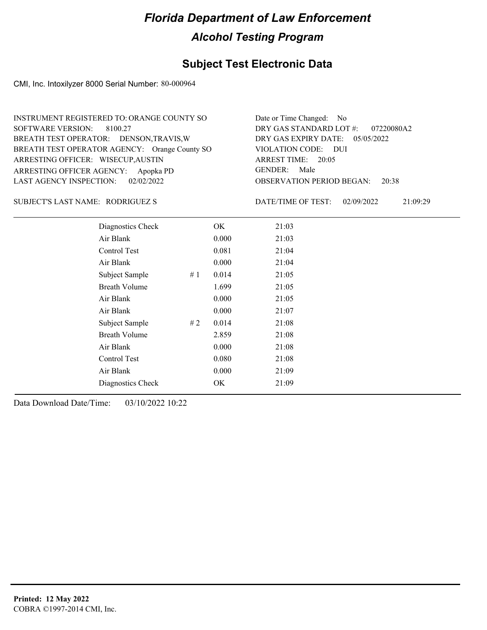## **Subject Test Electronic Data**

CMI, Inc. Intoxilyzer 8000 Serial Number: 80-000964

| Date or Time Changed: No               |
|----------------------------------------|
| DRY GAS STANDARD LOT $\#$ : 07220080A2 |
| DRY GAS EXPIRY DATE: 05/05/2022        |
| VIOLATION CODE: DUI                    |
| ARREST TIME: 20:05                     |
| GENDER: Male                           |
| <b>OBSERVATION PERIOD BEGAN: 20:38</b> |
|                                        |

#### RODRIGUEZ S SUBJECT'S LAST NAME: DATE/TIME OF TEST:

DATE/TIME OF TEST: 02/09/2022 21:09:29

| Diagnostics Check    |    | OK    | 21:03 |
|----------------------|----|-------|-------|
| Air Blank            |    | 0.000 | 21:03 |
| Control Test         |    | 0.081 | 21:04 |
| Air Blank            |    | 0.000 | 21:04 |
| Subject Sample       | #1 | 0.014 | 21:05 |
| <b>Breath Volume</b> |    | 1.699 | 21:05 |
| Air Blank            |    | 0.000 | 21:05 |
| Air Blank            |    | 0.000 | 21:07 |
| Subject Sample       | #2 | 0.014 | 21:08 |
| <b>Breath Volume</b> |    | 2.859 | 21:08 |
| Air Blank            |    | 0.000 | 21:08 |
| Control Test         |    | 0.080 | 21:08 |
| Air Blank            |    | 0.000 | 21:09 |
| Diagnostics Check    |    | OK    | 21:09 |
|                      |    |       |       |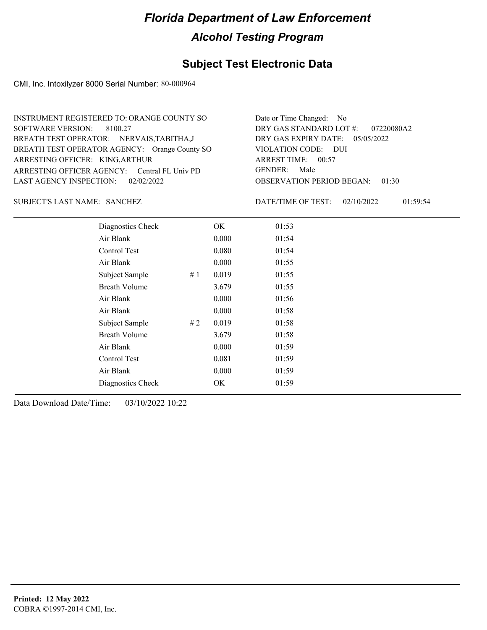### **Subject Test Electronic Data**

CMI, Inc. Intoxilyzer 8000 Serial Number: 80-000964

| INSTRUMENT REGISTERED TO: ORANGE COUNTY SO    | Date or Time Changed: No               |
|-----------------------------------------------|----------------------------------------|
| SOFTWARE VERSION: 8100.27                     | DRY GAS STANDARD LOT #: 07220080A2     |
| BREATH TEST OPERATOR: NERVAIS, TABITHA, J     | DRY GAS EXPIRY DATE: $05/05/2022$      |
| BREATH TEST OPERATOR AGENCY: Orange County SO | VIOLATION CODE: DUI                    |
| ARRESTING OFFICER: KING, ARTHUR               | ARREST TIME: 00:57                     |
| ARRESTING OFFICER AGENCY: Central FL Univ PD  | GENDER: Male                           |
| LAST AGENCY INSPECTION: 02/02/2022            | <b>OBSERVATION PERIOD BEGAN: 01:30</b> |

#### SANCHEZ SUBJECT'S LAST NAME: DATE/TIME OF TEST:

DATE/TIME OF TEST: 02/10/2022 01:59:54

| Diagnostics Check    |    | OK    | 01:53 |
|----------------------|----|-------|-------|
| Air Blank            |    | 0.000 | 01:54 |
| Control Test         |    | 0.080 | 01:54 |
| Air Blank            |    | 0.000 | 01:55 |
| Subject Sample       | #1 | 0.019 | 01:55 |
| <b>Breath Volume</b> |    | 3.679 | 01:55 |
| Air Blank            |    | 0.000 | 01:56 |
| Air Blank            |    | 0.000 | 01:58 |
| Subject Sample       | #2 | 0.019 | 01:58 |
| <b>Breath Volume</b> |    | 3.679 | 01:58 |
| Air Blank            |    | 0.000 | 01:59 |
| Control Test         |    | 0.081 | 01:59 |
| Air Blank            |    | 0.000 | 01:59 |
| Diagnostics Check    |    | OK    | 01:59 |
|                      |    |       |       |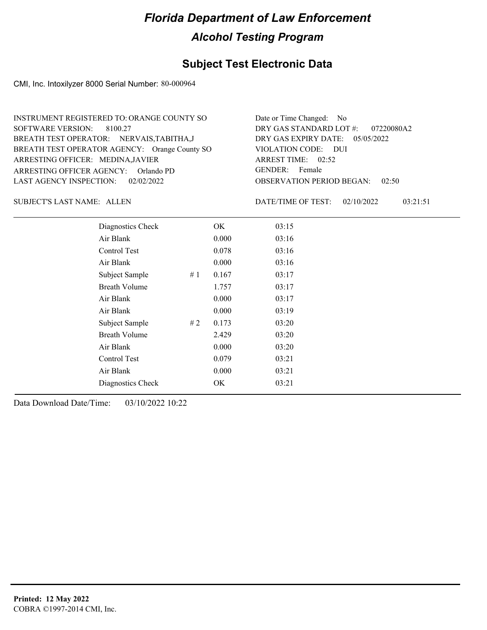## **Subject Test Electronic Data**

CMI, Inc. Intoxilyzer 8000 Serial Number: 80-000964

| INSTRUMENT REGISTERED TO: ORANGE COUNTY SO    | Date or Time Changed: No               |
|-----------------------------------------------|----------------------------------------|
| SOFTWARE VERSION: 8100.27                     | DRY GAS STANDARD LOT #: 07220080A2     |
| BREATH TEST OPERATOR: NERVAIS, TABITHA, J     | DRY GAS EXPIRY DATE: $05/05/2022$      |
| BREATH TEST OPERATOR AGENCY: Orange County SO | VIOLATION CODE: DUI                    |
| ARRESTING OFFICER: MEDINA, JAVIER             | ARREST TIME: 02:52                     |
| ARRESTING OFFICER AGENCY: Orlando PD          | GENDER: Female                         |
| LAST AGENCY INSPECTION: 02/02/2022            | <b>OBSERVATION PERIOD BEGAN: 02:50</b> |

SUBJECT'S LAST NAME: ALLEN DATE/TIME OF TEST:

DATE/TIME OF TEST: 02/10/2022 03:21:51

| Diagnostics Check    |    | OK    | 03:15 |
|----------------------|----|-------|-------|
| Air Blank            |    | 0.000 | 03:16 |
| Control Test         |    | 0.078 | 03:16 |
| Air Blank            |    | 0.000 | 03:16 |
| Subject Sample       | #1 | 0.167 | 03:17 |
| <b>Breath Volume</b> |    | 1.757 | 03:17 |
| Air Blank            |    | 0.000 | 03:17 |
| Air Blank            |    | 0.000 | 03:19 |
| Subject Sample       | #2 | 0.173 | 03:20 |
| <b>Breath Volume</b> |    | 2.429 | 03:20 |
| Air Blank            |    | 0.000 | 03:20 |
| Control Test         |    | 0.079 | 03:21 |
| Air Blank            |    | 0.000 | 03:21 |
| Diagnostics Check    |    | OK    | 03:21 |
|                      |    |       |       |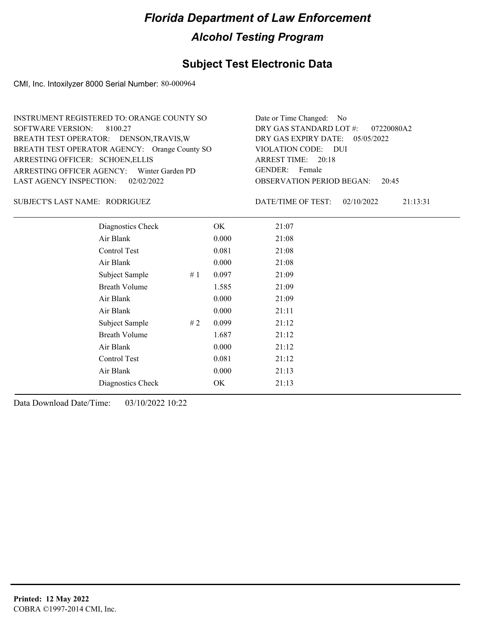## **Subject Test Electronic Data**

CMI, Inc. Intoxilyzer 8000 Serial Number: 80-000964

| INSTRUMENT REGISTERED TO: ORANGE COUNTY SO    | Date or Time Changed: No               |
|-----------------------------------------------|----------------------------------------|
| SOFTWARE VERSION: 8100.27                     | DRY GAS STANDARD LOT #: 07220080A2     |
| BREATH TEST OPERATOR: DENSON, TRAVIS, W       | DRY GAS EXPIRY DATE: 05/05/2022        |
| BREATH TEST OPERATOR AGENCY: Orange County SO | VIOLATION CODE: DUI                    |
| ARRESTING OFFICER: SCHOEN, ELLIS              | ARREST TIME: 20:18                     |
| ARRESTING OFFICER AGENCY: Winter Garden PD    | GENDER: Female                         |
| LAST AGENCY INSPECTION: $02/02/2022$          | <b>OBSERVATION PERIOD BEGAN:</b> 20:45 |

#### RODRIGUEZ SUBJECT'S LAST NAME: DATE/TIME OF TEST:

DATE/TIME OF TEST: 02/10/2022 21:13:31

| Diagnostics Check    |    | OK    | 21:07 |
|----------------------|----|-------|-------|
| Air Blank            |    | 0.000 | 21:08 |
| Control Test         |    | 0.081 | 21:08 |
| Air Blank            |    | 0.000 | 21:08 |
| Subject Sample       | #1 | 0.097 | 21:09 |
| <b>Breath Volume</b> |    | 1.585 | 21:09 |
| Air Blank            |    | 0.000 | 21:09 |
| Air Blank            |    | 0.000 | 21:11 |
| Subject Sample       | #2 | 0.099 | 21:12 |
| <b>Breath Volume</b> |    | 1.687 | 21:12 |
| Air Blank            |    | 0.000 | 21:12 |
| Control Test         |    | 0.081 | 21:12 |
| Air Blank            |    | 0.000 | 21:13 |
| Diagnostics Check    |    | OK    | 21:13 |
|                      |    |       |       |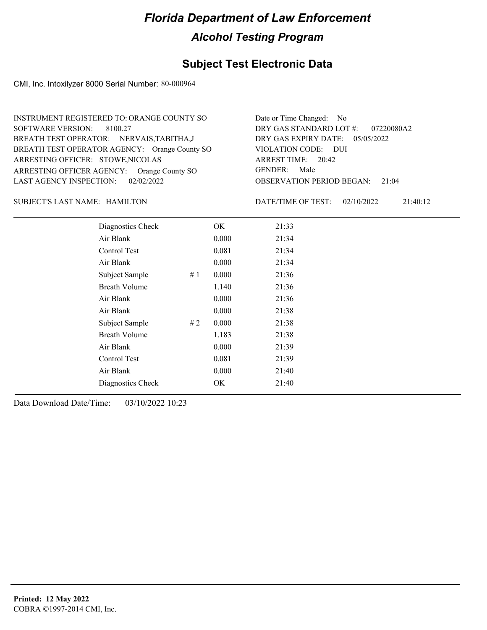## **Subject Test Electronic Data**

CMI, Inc. Intoxilyzer 8000 Serial Number: 80-000964

| INSTRUMENT REGISTERED TO: ORANGE COUNTY SO    | Date or Time Changed: No               |
|-----------------------------------------------|----------------------------------------|
| SOFTWARE VERSION: 8100.27                     | DRY GAS STANDARD LOT $\#$ : 07220080A2 |
| BREATH TEST OPERATOR: NERVAIS, TABITHA, J     | DRY GAS EXPIRY DATE: 05/05/2022        |
| BREATH TEST OPERATOR AGENCY: Orange County SO | VIOLATION CODE: DUI                    |
| ARRESTING OFFICER: STOWE, NICOLAS             | ARREST TIME: 20:42                     |
| ARRESTING OFFICER AGENCY: Orange County SO    | GENDER: Male                           |
| LAST AGENCY INSPECTION: $02/02/2022$          | <b>OBSERVATION PERIOD BEGAN: 21:04</b> |

#### HAMILTON SUBJECT'S LAST NAME: DATE/TIME OF TEST:

DATE/TIME OF TEST: 02/10/2022 21:40:12

| Diagnostics Check    |    | OK    | 21:33 |
|----------------------|----|-------|-------|
| Air Blank            |    | 0.000 | 21:34 |
| Control Test         |    | 0.081 | 21:34 |
| Air Blank            |    | 0.000 | 21:34 |
| Subject Sample       | #1 | 0.000 | 21:36 |
| <b>Breath Volume</b> |    | 1.140 | 21:36 |
| Air Blank            |    | 0.000 | 21:36 |
| Air Blank            |    | 0.000 | 21:38 |
| Subject Sample       | #2 | 0.000 | 21:38 |
| <b>Breath Volume</b> |    | 1.183 | 21:38 |
| Air Blank            |    | 0.000 | 21:39 |
| Control Test         |    | 0.081 | 21:39 |
| Air Blank            |    | 0.000 | 21:40 |
| Diagnostics Check    |    | OK    | 21:40 |
|                      |    |       |       |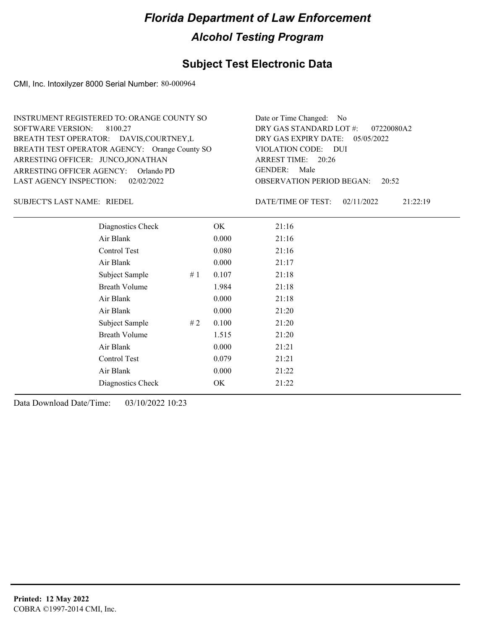## **Subject Test Electronic Data**

CMI, Inc. Intoxilyzer 8000 Serial Number: 80-000964

| INSTRUMENT REGISTERED TO: ORANGE COUNTY SO    | Date or Time Changed: No               |
|-----------------------------------------------|----------------------------------------|
| SOFTWARE VERSION: 8100.27                     | DRY GAS STANDARD LOT #: 07220080A2     |
| BREATH TEST OPERATOR: DAVIS, COURTNEY, L      | DRY GAS EXPIRY DATE: 05/05/2022        |
| BREATH TEST OPERATOR AGENCY: Orange County SO | VIOLATION CODE: DUI                    |
| ARRESTING OFFICER: JUNCO, JONATHAN            | ARREST TIME: 20:26                     |
| ARRESTING OFFICER AGENCY: Orlando PD          | GENDER: Male                           |
| LAST AGENCY INSPECTION: $02/02/2022$          | <b>OBSERVATION PERIOD BEGAN:</b> 20:52 |

SUBJECT'S LAST NAME: RIEDEL **Example 2018** DATE/TIME OF TEST:

DATE/TIME OF TEST: 02/11/2022 21:22:19

| Diagnostics Check    |    | OK    | 21:16 |
|----------------------|----|-------|-------|
| Air Blank            |    | 0.000 | 21:16 |
| Control Test         |    | 0.080 | 21:16 |
| Air Blank            |    | 0.000 | 21:17 |
| Subject Sample       | #1 | 0.107 | 21:18 |
| <b>Breath Volume</b> |    | 1.984 | 21:18 |
| Air Blank            |    | 0.000 | 21:18 |
| Air Blank            |    | 0.000 | 21:20 |
| Subject Sample       | #2 | 0.100 | 21:20 |
| <b>Breath Volume</b> |    | 1.515 | 21:20 |
| Air Blank            |    | 0.000 | 21:21 |
| <b>Control Test</b>  |    | 0.079 | 21:21 |
| Air Blank            |    | 0.000 | 21:22 |
| Diagnostics Check    |    | OK    | 21:22 |
|                      |    |       |       |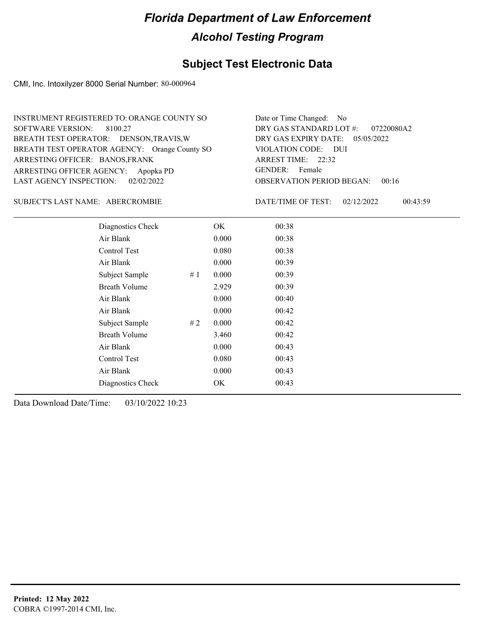## **Subject Test Electronic Data**

CMI, Inc. Intoxilyzer 8000 Serial Number: 80-000964

| INSTRUMENT REGISTERED TO: ORANGE COUNTY SO    | Date or Time Changed: No               |
|-----------------------------------------------|----------------------------------------|
| SOFTWARE VERSION: 8100.27                     | DRY GAS STANDARD LOT $\#$ : 07220080A2 |
| BREATH TEST OPERATOR: DENSON, TRAVIS, W       | DRY GAS EXPIRY DATE: $05/05/2022$      |
| BREATH TEST OPERATOR AGENCY: Orange County SO | VIOLATION CODE: DUI                    |
| ARRESTING OFFICER: BANOS, FRANK               | ARREST TIME: 22:32                     |
| ARRESTING OFFICER AGENCY: Apopka PD           | GENDER: Female                         |
| LAST AGENCY INSPECTION: 02/02/2022            | <b>OBSERVATION PERIOD BEGAN: 00:16</b> |

ABERCROMBIE SUBJECT'S LAST NAME: DATE/TIME OF TEST:

DATE/TIME OF TEST: 02/12/2022 00:43:59

| Diagnostics Check    |     | OK    | 00:38 |  |
|----------------------|-----|-------|-------|--|
| Air Blank            |     | 0.000 | 00:38 |  |
| Control Test         |     | 0.080 | 00:38 |  |
| Air Blank            |     | 0.000 | 00:39 |  |
| Subject Sample       | #1  | 0.000 | 00:39 |  |
| <b>Breath Volume</b> |     | 2.929 | 00:39 |  |
| Air Blank            |     | 0.000 | 00:40 |  |
| Air Blank            |     | 0.000 | 00:42 |  |
| Subject Sample       | # 2 | 0.000 | 00:42 |  |
| <b>Breath Volume</b> |     | 3.460 | 00:42 |  |
| Air Blank            |     | 0.000 | 00:43 |  |
| Control Test         |     | 0.080 | 00:43 |  |
| Air Blank            |     | 0.000 | 00:43 |  |
| Diagnostics Check    |     | OK    | 00:43 |  |
|                      |     |       |       |  |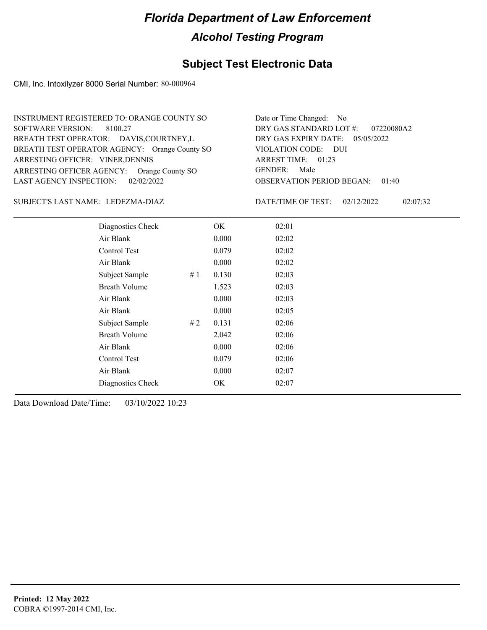## **Subject Test Electronic Data**

CMI, Inc. Intoxilyzer 8000 Serial Number: 80-000964

| INSTRUMENT REGISTERED TO: ORANGE COUNTY SO    | Date or Time Changed: No               |
|-----------------------------------------------|----------------------------------------|
| SOFTWARE VERSION: 8100.27                     | DRY GAS STANDARD LOT #: 07220080A2     |
| BREATH TEST OPERATOR: DAVIS, COURTNEY, L      | DRY GAS EXPIRY DATE: $05/05/2022$      |
| BREATH TEST OPERATOR AGENCY: Orange County SO | VIOLATION CODE: DUI                    |
| ARRESTING OFFICER: VINER, DENNIS              | ARREST TIME: 01:23                     |
| ARRESTING OFFICER AGENCY: Orange County SO    | GENDER: Male                           |
| LAST AGENCY INSPECTION: $02/02/2022$          | <b>OBSERVATION PERIOD BEGAN: 01:40</b> |

#### LEDEZMA-DIAZ SUBJECT'S LAST NAME: DATE/TIME OF TEST:

DATE/TIME OF TEST: 02/12/2022 02:07:32

| Diagnostics Check    |    | OK    | 02:01 |
|----------------------|----|-------|-------|
| Air Blank            |    | 0.000 | 02:02 |
| Control Test         |    | 0.079 | 02:02 |
| Air Blank            |    | 0.000 | 02:02 |
| Subject Sample       | #1 | 0.130 | 02:03 |
| <b>Breath Volume</b> |    | 1.523 | 02:03 |
| Air Blank            |    | 0.000 | 02:03 |
| Air Blank            |    | 0.000 | 02:05 |
| Subject Sample       | #2 | 0.131 | 02:06 |
| <b>Breath Volume</b> |    | 2.042 | 02:06 |
| Air Blank            |    | 0.000 | 02:06 |
| Control Test         |    | 0.079 | 02:06 |
| Air Blank            |    | 0.000 | 02:07 |
| Diagnostics Check    |    | OK    | 02:07 |
|                      |    |       |       |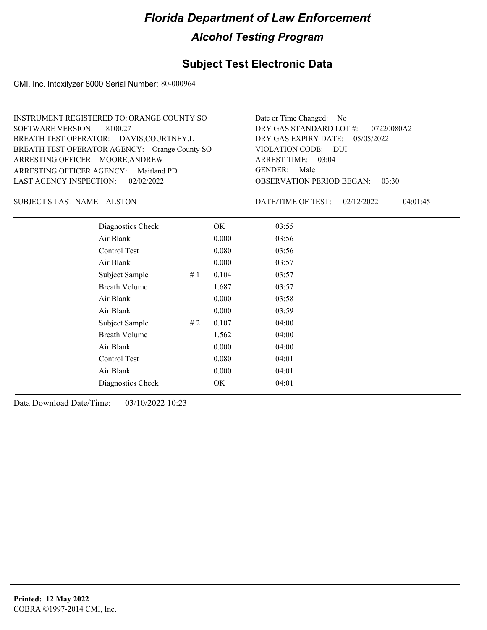## **Subject Test Electronic Data**

CMI, Inc. Intoxilyzer 8000 Serial Number: 80-000964

| INSTRUMENT REGISTERED TO: ORANGE COUNTY SO    | Date or Time Changed: No               |
|-----------------------------------------------|----------------------------------------|
| SOFTWARE VERSION: 8100.27                     | DRY GAS STANDARD LOT #: 07220080A2     |
| BREATH TEST OPERATOR: DAVIS, COURTNEY, L      | DRY GAS EXPIRY DATE: $05/05/2022$      |
| BREATH TEST OPERATOR AGENCY: Orange County SO | VIOLATION CODE: DUI                    |
| ARRESTING OFFICER: MOORE, ANDREW              | ARREST TIME: 03:04                     |
| ARRESTING OFFICER AGENCY: Maitland PD         | GENDER: Male                           |
| LAST AGENCY INSPECTION: 02/02/2022            | <b>OBSERVATION PERIOD BEGAN: 03:30</b> |

SUBJECT'S LAST NAME: ALSTON DATE/TIME OF TEST:

DATE/TIME OF TEST: 02/12/2022 04:01:45

| Diagnostics Check    |    | OK    | 03:55 |
|----------------------|----|-------|-------|
| Air Blank            |    | 0.000 | 03:56 |
| Control Test         |    | 0.080 | 03:56 |
| Air Blank            |    | 0.000 | 03:57 |
| Subject Sample       | #1 | 0.104 | 03:57 |
| <b>Breath Volume</b> |    | 1.687 | 03:57 |
| Air Blank            |    | 0.000 | 03:58 |
| Air Blank            |    | 0.000 | 03:59 |
| Subject Sample       | #2 | 0.107 | 04:00 |
| <b>Breath Volume</b> |    | 1.562 | 04:00 |
| Air Blank            |    | 0.000 | 04:00 |
| Control Test         |    | 0.080 | 04:01 |
| Air Blank            |    | 0.000 | 04:01 |
| Diagnostics Check    |    | OK    | 04:01 |
|                      |    |       |       |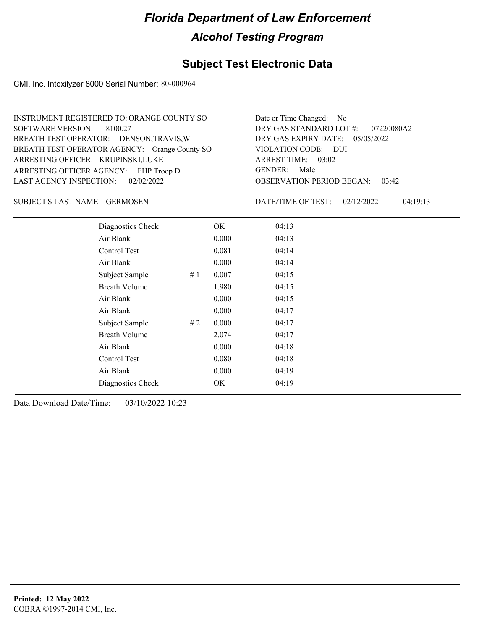## **Subject Test Electronic Data**

CMI, Inc. Intoxilyzer 8000 Serial Number: 80-000964

| INSTRUMENT REGISTERED TO: ORANGE COUNTY SO    | Date or Time Changed: No               |
|-----------------------------------------------|----------------------------------------|
| SOFTWARE VERSION: 8100.27                     | DRY GAS STANDARD LOT $\#$ : 07220080A2 |
| BREATH TEST OPERATOR: DENSON, TRAVIS, W       | DRY GAS EXPIRY DATE: $05/05/2022$      |
| BREATH TEST OPERATOR AGENCY: Orange County SO | VIOLATION CODE: DUI                    |
| ARRESTING OFFICER: KRUPINSKI,LUKE             | ARREST TIME: 03:02                     |
| ARRESTING OFFICER AGENCY: FHP Troop D         | GENDER: Male                           |
| LAST AGENCY INSPECTION: 02/02/2022            | <b>OBSERVATION PERIOD BEGAN: 03:42</b> |

GERMOSEN SUBJECT'S LAST NAME: DATE/TIME OF TEST:

DATE/TIME OF TEST: 02/12/2022 04:19:13

| Diagnostics Check    |    | OK    | 04:13 |
|----------------------|----|-------|-------|
| Air Blank            |    | 0.000 | 04:13 |
| Control Test         |    | 0.081 | 04:14 |
| Air Blank            |    | 0.000 | 04:14 |
| Subject Sample       | #1 | 0.007 | 04:15 |
| <b>Breath Volume</b> |    | 1.980 | 04:15 |
| Air Blank            |    | 0.000 | 04:15 |
| Air Blank            |    | 0.000 | 04:17 |
| Subject Sample       | #2 | 0.000 | 04:17 |
| <b>Breath Volume</b> |    | 2.074 | 04:17 |
| Air Blank            |    | 0.000 | 04:18 |
| Control Test         |    | 0.080 | 04:18 |
| Air Blank            |    | 0.000 | 04:19 |
| Diagnostics Check    |    | OK    | 04:19 |
|                      |    |       |       |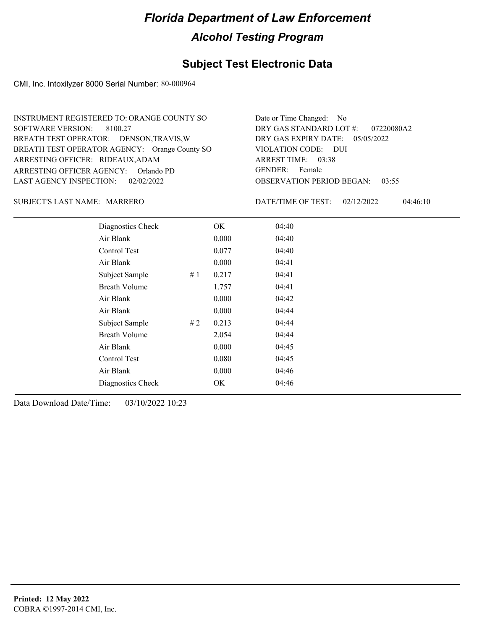#### **Subject Test Electronic Data**

CMI, Inc. Intoxilyzer 8000 Serial Number: 80-000964

ARRESTING OFFICER AGENCY: GENDER: Orlando PD BREATH TEST OPERATOR AGENCY: Orange County SO VIOLATION CODE: SOFTWARE VERSION: 8100.27 ARRESTING OFFICER: RIDEAUX,ADAM BREATH TEST OPERATOR: DENSON,TRAVIS,W LAST AGENCY INSPECTION: 02/02/2022 INSTRUMENT REGISTERED TO: ORANGE COUNTY SO

OBSERVATION PERIOD BEGAN: 03:55 VIOLATION CODE: DUI 03:38 ARREST TIME: DRY GAS EXPIRY DATE: 05/05/2022 07220080A2 DRY GAS STANDARD LOT #: Date or Time Changed: No GENDER: Female

MARRERO SUBJECT'S LAST NAME: DATE/TIME OF TEST:

DATE/TIME OF TEST: 02/12/2022 04:46:10

| Diagnostics Check    |    | OK    | 04:40 |
|----------------------|----|-------|-------|
| Air Blank            |    | 0.000 | 04:40 |
| Control Test         |    | 0.077 | 04:40 |
| Air Blank            |    | 0.000 | 04:41 |
| Subject Sample       | #1 | 0.217 | 04:41 |
| <b>Breath Volume</b> |    | 1.757 | 04:41 |
| Air Blank            |    | 0.000 | 04:42 |
| Air Blank            |    | 0.000 | 04:44 |
| Subject Sample       | #2 | 0.213 | 04:44 |
| <b>Breath Volume</b> |    | 2.054 | 04:44 |
| Air Blank            |    | 0.000 | 04:45 |
| Control Test         |    | 0.080 | 04:45 |
| Air Blank            |    | 0.000 | 04:46 |
| Diagnostics Check    |    | OK    | 04:46 |
|                      |    |       |       |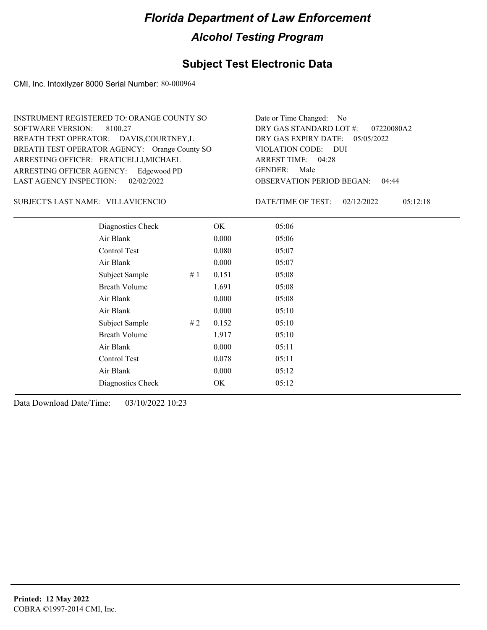## **Subject Test Electronic Data**

CMI, Inc. Intoxilyzer 8000 Serial Number: 80-000964

| INSTRUMENT REGISTERED TO: ORANGE COUNTY SO    | Date or Time Changed: No               |
|-----------------------------------------------|----------------------------------------|
| SOFTWARE VERSION: 8100.27                     | DRY GAS STANDARD LOT $\#$ : 07220080A2 |
| BREATH TEST OPERATOR: DAVIS, COURTNEY, L      | DRY GAS EXPIRY DATE: 05/05/2022        |
| BREATH TEST OPERATOR AGENCY: Orange County SO | VIOLATION CODE: DUI                    |
| ARRESTING OFFICER: FRATICELLI, MICHAEL        | ARREST TIME: 04:28                     |
| ARRESTING OFFICER AGENCY: Edgewood PD         | GENDER: Male                           |
| LAST AGENCY INSPECTION: 02/02/2022            | <b>OBSERVATION PERIOD BEGAN: 04:44</b> |
|                                               |                                        |

#### VILLAVICENCIO SUBJECT'S LAST NAME: DATE/TIME OF TEST:

DATE/TIME OF TEST: 02/12/2022 05:12:18

| Diagnostics Check    |    | OK    | 05:06 |  |
|----------------------|----|-------|-------|--|
| Air Blank            |    | 0.000 | 05:06 |  |
| Control Test         |    | 0.080 | 05:07 |  |
| Air Blank            |    | 0.000 | 05:07 |  |
| Subject Sample       | #1 | 0.151 | 05:08 |  |
| <b>Breath Volume</b> |    | 1.691 | 05:08 |  |
| Air Blank            |    | 0.000 | 05:08 |  |
| Air Blank            |    | 0.000 | 05:10 |  |
| Subject Sample       | #2 | 0.152 | 05:10 |  |
| <b>Breath Volume</b> |    | 1.917 | 05:10 |  |
| Air Blank            |    | 0.000 | 05:11 |  |
| Control Test         |    | 0.078 | 05:11 |  |
| Air Blank            |    | 0.000 | 05:12 |  |
| Diagnostics Check    |    | OK    | 05:12 |  |
|                      |    |       |       |  |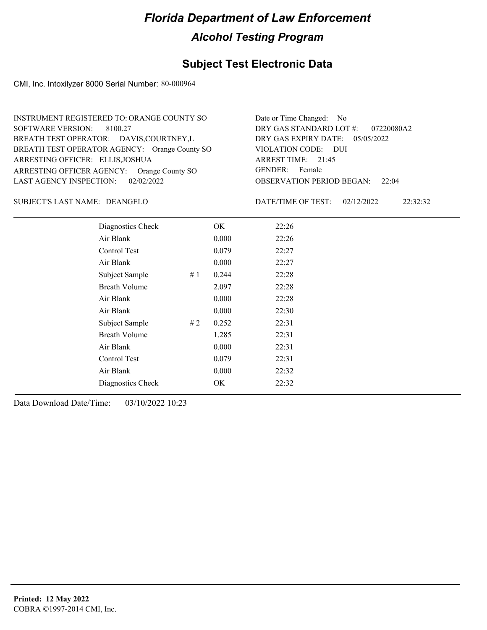## **Subject Test Electronic Data**

CMI, Inc. Intoxilyzer 8000 Serial Number: 80-000964

| INSTRUMENT REGISTERED TO: ORANGE COUNTY SO    | Date or Time Changed: No               |
|-----------------------------------------------|----------------------------------------|
| SOFTWARE VERSION: 8100.27                     | DRY GAS STANDARD LOT $\#$ : 07220080A2 |
| BREATH TEST OPERATOR: DAVIS, COURTNEY, L      | DRY GAS EXPIRY DATE: $05/05/2022$      |
| BREATH TEST OPERATOR AGENCY: Orange County SO | VIOLATION CODE: DUI                    |
| ARRESTING OFFICER: ELLIS, JOSHUA              | ARREST TIME: 21:45                     |
| ARRESTING OFFICER AGENCY: Orange County SO    | GENDER: Female                         |
| LAST AGENCY INSPECTION: $02/02/2022$          | <b>OBSERVATION PERIOD BEGAN:</b> 22:04 |

#### DEANGELO SUBJECT'S LAST NAME: DATE/TIME OF TEST:

DATE/TIME OF TEST: 02/12/2022 22:32:32

| Diagnostics Check    |    | OK    | 22:26 |
|----------------------|----|-------|-------|
| Air Blank            |    | 0.000 | 22:26 |
| Control Test         |    | 0.079 | 22:27 |
| Air Blank            |    | 0.000 | 22:27 |
| Subject Sample       | #1 | 0.244 | 22:28 |
| <b>Breath Volume</b> |    | 2.097 | 22:28 |
| Air Blank            |    | 0.000 | 22:28 |
| Air Blank            |    | 0.000 | 22:30 |
| Subject Sample       | #2 | 0.252 | 22:31 |
| <b>Breath Volume</b> |    | 1.285 | 22:31 |
| Air Blank            |    | 0.000 | 22:31 |
| Control Test         |    | 0.079 | 22:31 |
| Air Blank            |    | 0.000 | 22:32 |
| Diagnostics Check    |    | OK    | 22:32 |
|                      |    |       |       |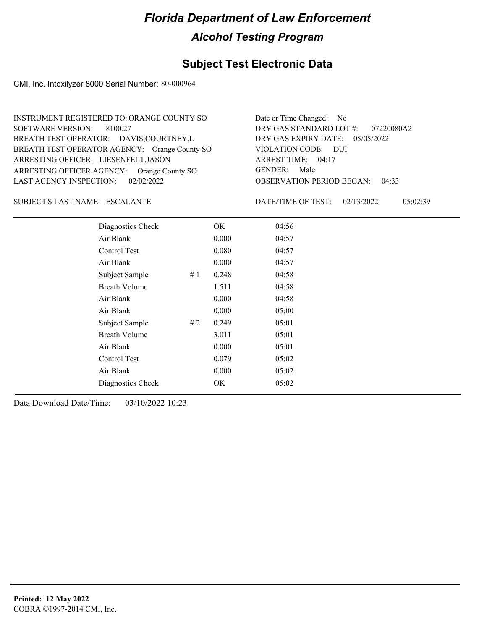### **Subject Test Electronic Data**

CMI, Inc. Intoxilyzer 8000 Serial Number: 80-000964

| INSTRUMENT REGISTERED TO: ORANGE COUNTY SO    | Date or Time Changed: No               |
|-----------------------------------------------|----------------------------------------|
| SOFTWARE VERSION: 8100.27                     | DRY GAS STANDARD LOT #: 07220080A2     |
| BREATH TEST OPERATOR: DAVIS, COURTNEY, L      | DRY GAS EXPIRY DATE: 05/05/2022        |
| BREATH TEST OPERATOR AGENCY: Orange County SO | VIOLATION CODE: DUI                    |
| ARRESTING OFFICER: LIESENFELT, JASON          | ARREST TIME: 04:17                     |
| ARRESTING OFFICER AGENCY: Orange County SO    | GENDER: Male                           |
| LAST AGENCY INSPECTION: 02/02/2022            | <b>OBSERVATION PERIOD BEGAN: 04:33</b> |

ESCALANTE SUBJECT'S LAST NAME: DATE/TIME OF TEST:

DATE/TIME OF TEST: 02/13/2022 05:02:39

| Diagnostics Check    |        | OK    | 04:56 |  |
|----------------------|--------|-------|-------|--|
| Air Blank            |        | 0.000 | 04:57 |  |
| Control Test         |        | 0.080 | 04:57 |  |
| Air Blank            |        | 0.000 | 04:57 |  |
| Subject Sample       | $\#$ 1 | 0.248 | 04:58 |  |
| <b>Breath Volume</b> |        | 1.511 | 04:58 |  |
| Air Blank            |        | 0.000 | 04:58 |  |
| Air Blank            |        | 0.000 | 05:00 |  |
| Subject Sample       | #2     | 0.249 | 05:01 |  |
| <b>Breath Volume</b> |        | 3.011 | 05:01 |  |
| Air Blank            |        | 0.000 | 05:01 |  |
| Control Test         |        | 0.079 | 05:02 |  |
| Air Blank            |        | 0.000 | 05:02 |  |
| Diagnostics Check    |        | OK    | 05:02 |  |
|                      |        |       |       |  |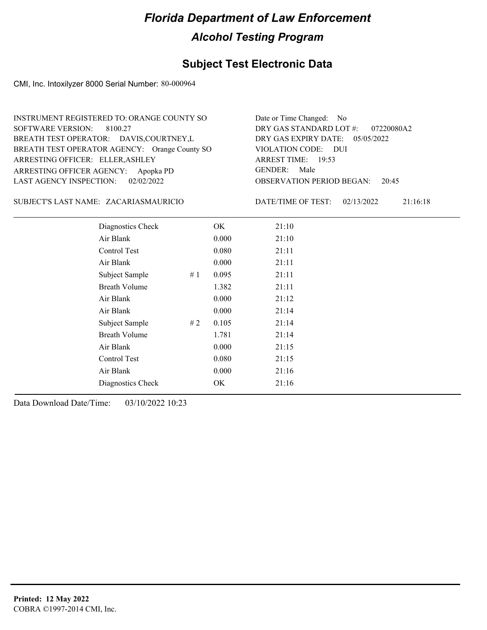## **Subject Test Electronic Data**

CMI, Inc. Intoxilyzer 8000 Serial Number: 80-000964

| INSTRUMENT REGISTERED TO: ORANGE COUNTY SO    | Date or Time Changed: No               |
|-----------------------------------------------|----------------------------------------|
| SOFTWARE VERSION: 8100.27                     | DRY GAS STANDARD LOT #: 07220080A2     |
| BREATH TEST OPERATOR: DAVIS, COURTNEY, L      | DRY GAS EXPIRY DATE: $05/05/2022$      |
| BREATH TEST OPERATOR AGENCY: Orange County SO | VIOLATION CODE: DUI                    |
| ARRESTING OFFICER: ELLER, ASHLEY              | ARREST TIME: 19:53                     |
| ARRESTING OFFICER AGENCY: Apopka PD           | GENDER: Male                           |
| LAST AGENCY INSPECTION: 02/02/2022            | <b>OBSERVATION PERIOD BEGAN: 20:45</b> |

#### ZACARIASMAURICIO SUBJECT'S LAST NAME: DATE/TIME OF TEST:

DATE/TIME OF TEST: 02/13/2022 21:16:18

| Diagnostics Check    | OK    | 21:10 |
|----------------------|-------|-------|
| Air Blank            | 0.000 | 21:10 |
| Control Test         | 0.080 | 21:11 |
| Air Blank            | 0.000 | 21:11 |
| Subject Sample<br>#1 | 0.095 | 21:11 |
| <b>Breath Volume</b> | 1.382 | 21:11 |
| Air Blank            | 0.000 | 21:12 |
| Air Blank            | 0.000 | 21:14 |
| Subject Sample<br>#2 | 0.105 | 21:14 |
| <b>Breath Volume</b> | 1.781 | 21:14 |
| Air Blank            | 0.000 | 21:15 |
| Control Test         | 0.080 | 21:15 |
| Air Blank            | 0.000 | 21:16 |
| Diagnostics Check    | OK    | 21:16 |
|                      |       |       |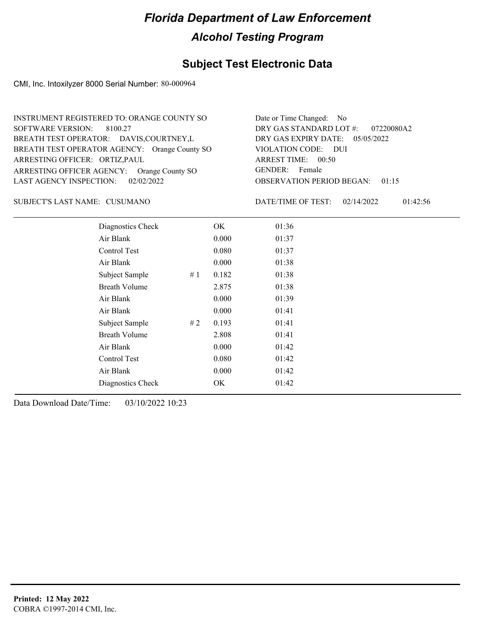### **Subject Test Electronic Data**

CMI, Inc. Intoxilyzer 8000 Serial Number: 80-000964

| INSTRUMENT REGISTERED TO: ORANGE COUNTY SO    | Date or Time Changed: No               |
|-----------------------------------------------|----------------------------------------|
| SOFTWARE VERSION: 8100.27                     | DRY GAS STANDARD LOT #: 07220080A2     |
| BREATH TEST OPERATOR: DAVIS, COURTNEY, L      | DRY GAS EXPIRY DATE: $05/05/2022$      |
| BREATH TEST OPERATOR AGENCY: Orange County SO | VIOLATION CODE: DUI                    |
| ARRESTING OFFICER: ORTIZ, PAUL                | ARREST TIME: 00:50                     |
| ARRESTING OFFICER AGENCY: Orange County SO    | GENDER: Female                         |
| LAST AGENCY INSPECTION: 02/02/2022            | <b>OBSERVATION PERIOD BEGAN: 01:15</b> |

#### CUSUMANO SUBJECT'S LAST NAME: DATE/TIME OF TEST:

DATE/TIME OF TEST: 02/14/2022 01:42:56

| Diagnostics Check    |    | OK    | 01:36 |
|----------------------|----|-------|-------|
| Air Blank            |    | 0.000 | 01:37 |
| Control Test         |    | 0.080 | 01:37 |
| Air Blank            |    | 0.000 | 01:38 |
| Subject Sample       | #1 | 0.182 | 01:38 |
| <b>Breath Volume</b> |    | 2.875 | 01:38 |
| Air Blank            |    | 0.000 | 01:39 |
| Air Blank            |    | 0.000 | 01:41 |
| Subject Sample       | #2 | 0.193 | 01:41 |
| <b>Breath Volume</b> |    | 2.808 | 01:41 |
| Air Blank            |    | 0.000 | 01:42 |
| Control Test         |    | 0.080 | 01:42 |
| Air Blank            |    | 0.000 | 01:42 |
| Diagnostics Check    |    | OK    | 01:42 |
|                      |    |       |       |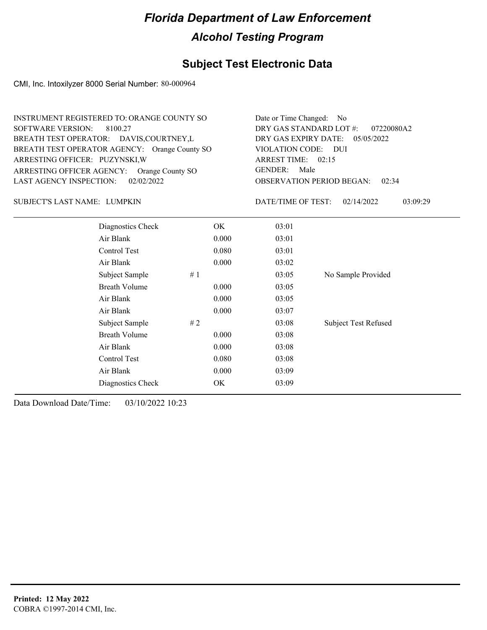## **Subject Test Electronic Data**

CMI, Inc. Intoxilyzer 8000 Serial Number: 80-000964

| INSTRUMENT REGISTERED TO: ORANGE COUNTY SO    | Date or Time Changed: No               |
|-----------------------------------------------|----------------------------------------|
| SOFTWARE VERSION: 8100.27                     | DRY GAS STANDARD LOT #: 07220080A2     |
| BREATH TEST OPERATOR: DAVIS, COURTNEY, L      | DRY GAS EXPIRY DATE: 05/05/2022        |
| BREATH TEST OPERATOR AGENCY: Orange County SO | VIOLATION CODE: DUI                    |
| ARRESTING OFFICER: PUZYNSKI, W                | ARREST TIME: 02:15                     |
| ARRESTING OFFICER AGENCY: Orange County SO    | GENDER: Male                           |
| LAST AGENCY INSPECTION: $02/02/2022$          | <b>OBSERVATION PERIOD BEGAN: 02:34</b> |

#### LUMPKIN SUBJECT'S LAST NAME: DATE/TIME OF TEST:

DATE/TIME OF TEST: 02/14/2022 03:09:29

| Diagnostics Check    | OK    | 03:01 |                             |
|----------------------|-------|-------|-----------------------------|
| Air Blank            | 0.000 | 03:01 |                             |
| Control Test         | 0.080 | 03:01 |                             |
| Air Blank            | 0.000 | 03:02 |                             |
| Subject Sample<br>#1 |       | 03:05 | No Sample Provided          |
| <b>Breath Volume</b> | 0.000 | 03:05 |                             |
| Air Blank            | 0.000 | 03:05 |                             |
| Air Blank            | 0.000 | 03:07 |                             |
| Subject Sample<br>#2 |       | 03:08 | <b>Subject Test Refused</b> |
| <b>Breath Volume</b> | 0.000 | 03:08 |                             |
| Air Blank            | 0.000 | 03:08 |                             |
| Control Test         | 0.080 | 03:08 |                             |
| Air Blank            | 0.000 | 03:09 |                             |
| Diagnostics Check    | OK    | 03:09 |                             |
|                      |       |       |                             |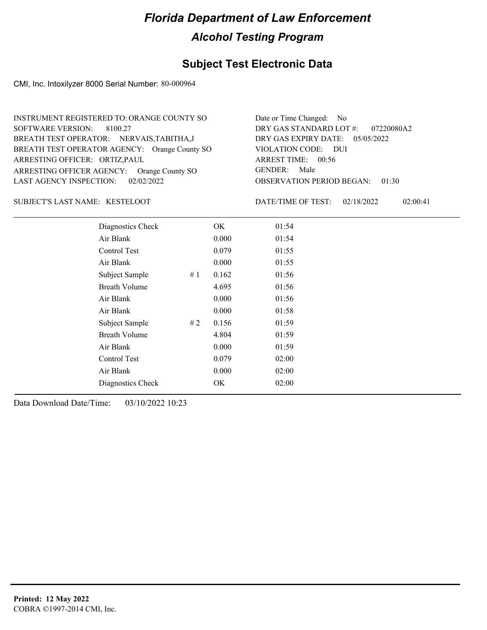## **Subject Test Electronic Data**

CMI, Inc. Intoxilyzer 8000 Serial Number: 80-000964

| INSTRUMENT REGISTERED TO: ORANGE COUNTY SO    | Date or Time Changed: No               |
|-----------------------------------------------|----------------------------------------|
| SOFTWARE VERSION: 8100.27                     | DRY GAS STANDARD LOT #: 07220080A2     |
| BREATH TEST OPERATOR: NERVAIS, TABITHA, J     | DRY GAS EXPIRY DATE: 05/05/2022        |
| BREATH TEST OPERATOR AGENCY: Orange County SO | VIOLATION CODE: DUI                    |
| ARRESTING OFFICER: ORTIZ, PAUL                | ARREST TIME: $00:56$                   |
| ARRESTING OFFICER AGENCY: Orange County SO    | GENDER: Male                           |
| LAST AGENCY INSPECTION: 02/02/2022            | <b>OBSERVATION PERIOD BEGAN: 01:30</b> |

#### SUBJECT'S LAST NAME: KESTELOOT DATE/TIME OF TEST:

DATE/TIME OF TEST: 02/18/2022 02:00:41

| Diagnostics Check    |    | OK    | 01:54 |  |
|----------------------|----|-------|-------|--|
| Air Blank            |    | 0.000 | 01:54 |  |
| Control Test         |    | 0.079 | 01:55 |  |
| Air Blank            |    | 0.000 | 01:55 |  |
| Subject Sample       | #1 | 0.162 | 01:56 |  |
| <b>Breath Volume</b> |    | 4.695 | 01:56 |  |
| Air Blank            |    | 0.000 | 01:56 |  |
| Air Blank            |    | 0.000 | 01:58 |  |
| Subject Sample       | #2 | 0.156 | 01:59 |  |
| <b>Breath Volume</b> |    | 4.804 | 01:59 |  |
| Air Blank            |    | 0.000 | 01:59 |  |
| Control Test         |    | 0.079 | 02:00 |  |
| Air Blank            |    | 0.000 | 02:00 |  |
| Diagnostics Check    |    | OK    | 02:00 |  |
|                      |    |       |       |  |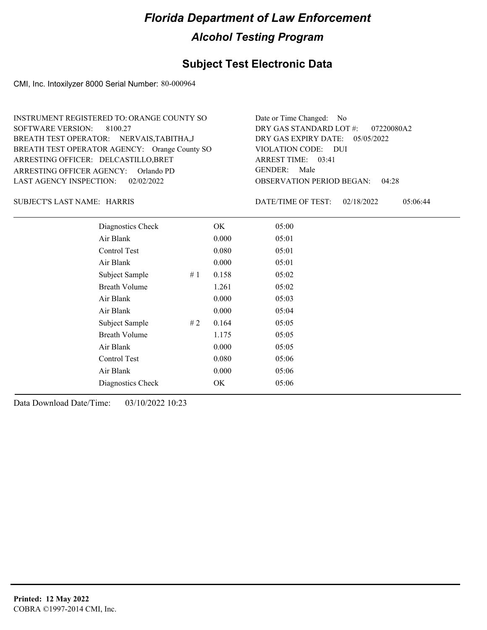## **Subject Test Electronic Data**

CMI, Inc. Intoxilyzer 8000 Serial Number: 80-000964

| INSTRUMENT REGISTERED TO: ORANGE COUNTY SO    | Date or Time Changed: No               |
|-----------------------------------------------|----------------------------------------|
| SOFTWARE VERSION: 8100.27                     | DRY GAS STANDARD LOT #: 07220080A2     |
| BREATH TEST OPERATOR: NERVAIS, TABITHA, J     | DRY GAS EXPIRY DATE: 05/05/2022        |
| BREATH TEST OPERATOR AGENCY: Orange County SO | VIOLATION CODE: DUI                    |
| ARRESTING OFFICER: DELCASTILLO, BRET          | ARREST TIME: 03:41                     |
| ARRESTING OFFICER AGENCY: Orlando PD          | GENDER: Male                           |
| LAST AGENCY INSPECTION: $02/02/2022$          | <b>OBSERVATION PERIOD BEGAN: 04:28</b> |

SUBJECT'S LAST NAME: HARRIS DATE/TIME OF TEST:

DATE/TIME OF TEST: 02/18/2022 05:06:44

| Diagnostics Check    |    | OK    | 05:00 |
|----------------------|----|-------|-------|
| Air Blank            |    | 0.000 | 05:01 |
| Control Test         |    | 0.080 | 05:01 |
| Air Blank            |    | 0.000 | 05:01 |
| Subject Sample       | #1 | 0.158 | 05:02 |
| <b>Breath Volume</b> |    | 1.261 | 05:02 |
| Air Blank            |    | 0.000 | 05:03 |
| Air Blank            |    | 0.000 | 05:04 |
| Subject Sample       | #2 | 0.164 | 05:05 |
| <b>Breath Volume</b> |    | 1.175 | 05:05 |
| Air Blank            |    | 0.000 | 05:05 |
| Control Test         |    | 0.080 | 05:06 |
| Air Blank            |    | 0.000 | 05:06 |
| Diagnostics Check    |    | OK    | 05:06 |
|                      |    |       |       |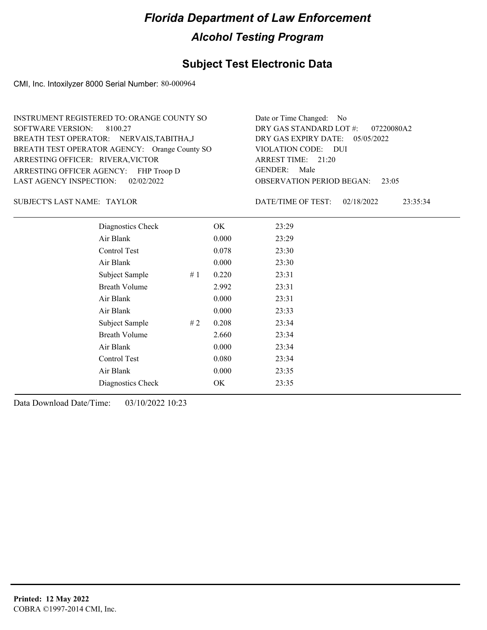## **Subject Test Electronic Data**

CMI, Inc. Intoxilyzer 8000 Serial Number: 80-000964

| INSTRUMENT REGISTERED TO: ORANGE COUNTY SO    | Date or Time Changed: No               |
|-----------------------------------------------|----------------------------------------|
| SOFTWARE VERSION: 8100.27                     | DRY GAS STANDARD LOT $\#$ : 07220080A2 |
| BREATH TEST OPERATOR: NERVAIS, TABITHA, J     | DRY GAS EXPIRY DATE: $05/05/2022$      |
| BREATH TEST OPERATOR AGENCY: Orange County SO | VIOLATION CODE: DUI                    |
| ARRESTING OFFICER: RIVERA, VICTOR             | ARREST TIME: 21:20                     |
| ARRESTING OFFICER AGENCY: FHP Troop D         | GENDER: Male                           |
| LAST AGENCY INSPECTION: 02/02/2022            | <b>OBSERVATION PERIOD BEGAN: 23:05</b> |

SUBJECT'S LAST NAME: TAYLOR DATE/TIME OF TEST:

DATE/TIME OF TEST: 02/18/2022 23:35:34

| Diagnostics Check    |    | OK    | 23:29 |
|----------------------|----|-------|-------|
| Air Blank            |    | 0.000 | 23:29 |
| Control Test         |    | 0.078 | 23:30 |
| Air Blank            |    | 0.000 | 23:30 |
| Subject Sample       | #1 | 0.220 | 23:31 |
| <b>Breath Volume</b> |    | 2.992 | 23:31 |
| Air Blank            |    | 0.000 | 23:31 |
| Air Blank            |    | 0.000 | 23:33 |
| Subject Sample       | #2 | 0.208 | 23:34 |
| <b>Breath Volume</b> |    | 2.660 | 23:34 |
| Air Blank            |    | 0.000 | 23:34 |
| Control Test         |    | 0.080 | 23:34 |
| Air Blank            |    | 0.000 | 23:35 |
| Diagnostics Check    |    | OK    | 23:35 |
|                      |    |       |       |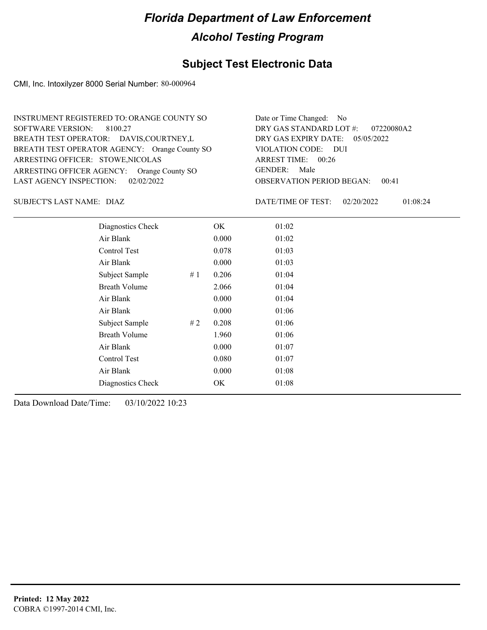## **Subject Test Electronic Data**

CMI, Inc. Intoxilyzer 8000 Serial Number: 80-000964

| INSTRUMENT REGISTERED TO: ORANGE COUNTY SO    | Date or Time Changed: No               |
|-----------------------------------------------|----------------------------------------|
| SOFTWARE VERSION: 8100.27                     | DRY GAS STANDARD LOT #: 07220080A2     |
| BREATH TEST OPERATOR: DAVIS, COURTNEY, L      | DRY GAS EXPIRY DATE: $05/05/2022$      |
| BREATH TEST OPERATOR AGENCY: Orange County SO | VIOLATION CODE: DUI                    |
| ARRESTING OFFICER: STOWE, NICOLAS             | ARREST TIME: 00:26                     |
| ARRESTING OFFICER AGENCY: Orange County SO    | GENDER: Male                           |
| LAST AGENCY INSPECTION: $02/02/2022$          | <b>OBSERVATION PERIOD BEGAN: 00:41</b> |

DIAZ SUBJECT'S LAST NAME: DATE/TIME OF TEST:

DATE/TIME OF TEST: 02/20/2022 01:08:24

| Diagnostics Check    |    | OK.   | 01:02 |
|----------------------|----|-------|-------|
| Air Blank            |    | 0.000 | 01:02 |
| Control Test         |    | 0.078 | 01:03 |
| Air Blank            |    | 0.000 | 01:03 |
| Subject Sample       | #1 | 0.206 | 01:04 |
| <b>Breath Volume</b> |    | 2.066 | 01:04 |
| Air Blank            |    | 0.000 | 01:04 |
| Air Blank            |    | 0.000 | 01:06 |
| Subject Sample       | #2 | 0.208 | 01:06 |
| <b>Breath Volume</b> |    | 1.960 | 01:06 |
| Air Blank            |    | 0.000 | 01:07 |
| Control Test         |    | 0.080 | 01:07 |
| Air Blank            |    | 0.000 | 01:08 |
| Diagnostics Check    |    | OK    | 01:08 |
|                      |    |       |       |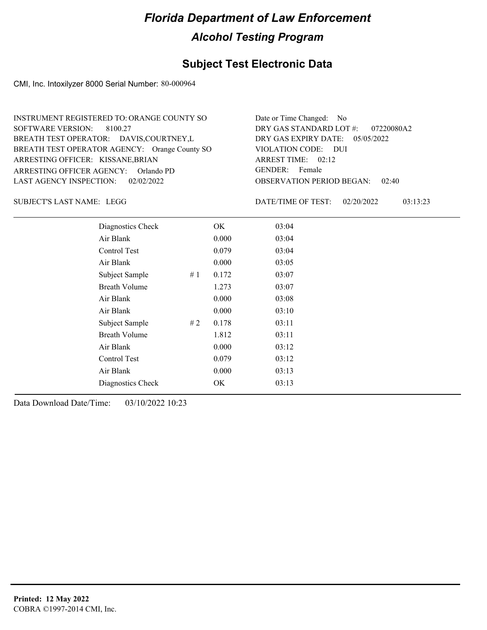## **Subject Test Electronic Data**

CMI, Inc. Intoxilyzer 8000 Serial Number: 80-000964

| INSTRUMENT REGISTERED TO: ORANGE COUNTY SO    | Date or Time Changed: No               |
|-----------------------------------------------|----------------------------------------|
| SOFTWARE VERSION: 8100.27                     | DRY GAS STANDARD LOT $\#$ : 07220080A2 |
| BREATH TEST OPERATOR: DAVIS, COURTNEY, L      | DRY GAS EXPIRY DATE: $05/05/2022$      |
| BREATH TEST OPERATOR AGENCY: Orange County SO | VIOLATION CODE: DUI                    |
| ARRESTING OFFICER: KISSANE, BRIAN             | ARREST TIME: 02:12                     |
| ARRESTING OFFICER AGENCY: Orlando PD          | GENDER: Female                         |
| LAST AGENCY INSPECTION: 02/02/2022            | <b>OBSERVATION PERIOD BEGAN: 02:40</b> |

SUBJECT'S LAST NAME: LEGG DATE/TIME OF TEST:

DATE/TIME OF TEST: 02/20/2022 03:13:23

| Diagnostics Check    |    | OK    | 03:04 |
|----------------------|----|-------|-------|
| Air Blank            |    | 0.000 | 03:04 |
| Control Test         |    | 0.079 | 03:04 |
| Air Blank            |    | 0.000 | 03:05 |
| Subject Sample       | #1 | 0.172 | 03:07 |
| <b>Breath Volume</b> |    | 1.273 | 03:07 |
| Air Blank            |    | 0.000 | 03:08 |
| Air Blank            |    | 0.000 | 03:10 |
| Subject Sample       | #2 | 0.178 | 03:11 |
| <b>Breath Volume</b> |    | 1.812 | 03:11 |
| Air Blank            |    | 0.000 | 03:12 |
| Control Test         |    | 0.079 | 03:12 |
| Air Blank            |    | 0.000 | 03:13 |
| Diagnostics Check    |    | OK    | 03:13 |
|                      |    |       |       |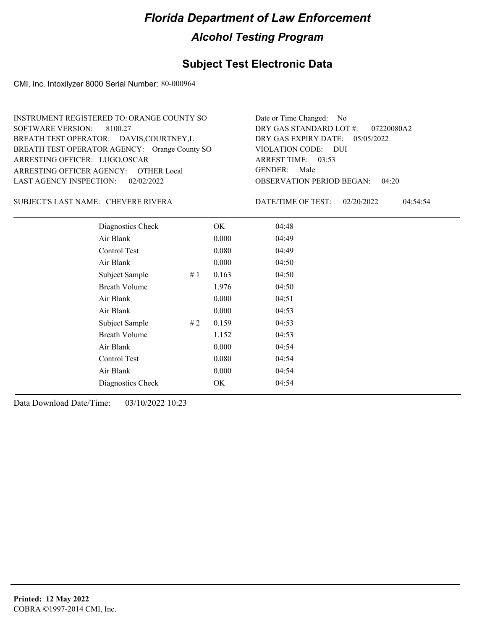## **Subject Test Electronic Data**

CMI, Inc. Intoxilyzer 8000 Serial Number: 80-000964

| INSTRUMENT REGISTERED TO: ORANGE COUNTY SO    | Date or Time Changed: No               |
|-----------------------------------------------|----------------------------------------|
| SOFTWARE VERSION: 8100.27                     | DRY GAS STANDARD LOT #: 07220080A2     |
| BREATH TEST OPERATOR: DAVIS, COURTNEY, L      | DRY GAS EXPIRY DATE: $05/05/2022$      |
| BREATH TEST OPERATOR AGENCY: Orange County SO | VIOLATION CODE: DUI                    |
| ARRESTING OFFICER: LUGO, OSCAR                | ARREST TIME: 03:53                     |
| ARRESTING OFFICER AGENCY: OTHER Local         | GENDER: Male                           |
| LAST AGENCY INSPECTION: 02/02/2022            | <b>OBSERVATION PERIOD BEGAN: 04:20</b> |

#### CHEVERE RIVERA SUBJECT'S LAST NAME: DATE/TIME OF TEST:

DATE/TIME OF TEST: 02/20/2022 04:54:54

| Diagnostics Check    |    | OK    | 04:48 |
|----------------------|----|-------|-------|
| Air Blank            |    | 0.000 | 04:49 |
| Control Test         |    | 0.080 | 04:49 |
| Air Blank            |    | 0.000 | 04:50 |
| Subject Sample       | #1 | 0.163 | 04:50 |
| <b>Breath Volume</b> |    | 1.976 | 04:50 |
| Air Blank            |    | 0.000 | 04:51 |
| Air Blank            |    | 0.000 | 04:53 |
| Subject Sample       | #2 | 0.159 | 04:53 |
| <b>Breath Volume</b> |    | 1.152 | 04:53 |
| Air Blank            |    | 0.000 | 04:54 |
| Control Test         |    | 0.080 | 04:54 |
| Air Blank            |    | 0.000 | 04:54 |
| Diagnostics Check    |    | OK    | 04:54 |
|                      |    |       |       |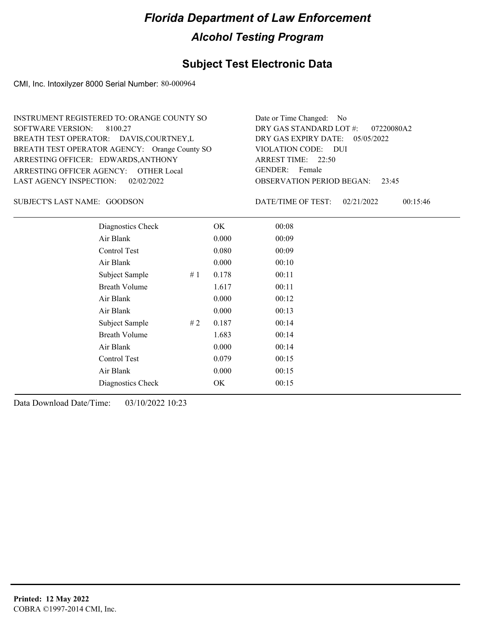#### **Subject Test Electronic Data**

CMI, Inc. Intoxilyzer 8000 Serial Number: 80-000964

OBSERVATION PERIOD BEGAN: 23:45 ARRESTING OFFICER AGENCY: GENDER: OTHER Local BREATH TEST OPERATOR AGENCY: Orange County SO VIOLATION CODE: SOFTWARE VERSION: VIOLATION CODE: DUI ARREST TIME: 22:50 ARRESTING OFFICER: EDWARDS, ANTHONY DRY GAS EXPIRY DATE: 05/05/2022 07220080A2 BREATH TEST OPERATOR: DAVIS,COURTNEY,L LAST AGENCY INSPECTION: 02/02/2022 8100.27 INSTRUMENT REGISTERED TO: ORANGE COUNTY SO DRY GAS STANDARD LOT #: Date or Time Changed: No GENDER: Female

SUBJECT'S LAST NAME: GOODSON DATE/TIME OF TEST:

DATE/TIME OF TEST: 02/21/2022 00:15:46

| Diagnostics Check    | OK    | 00:08 |
|----------------------|-------|-------|
| Air Blank            | 0.000 | 00:09 |
| Control Test         | 0.080 | 00:09 |
| Air Blank            | 0.000 | 00:10 |
| Subject Sample<br>#1 | 0.178 | 00:11 |
| <b>Breath Volume</b> | 1.617 | 00:11 |
| Air Blank            | 0.000 | 00:12 |
| Air Blank            | 0.000 | 00:13 |
| Subject Sample<br>#2 | 0.187 | 00:14 |
| <b>Breath Volume</b> | 1.683 | 00:14 |
| Air Blank            | 0.000 | 00:14 |
| Control Test         | 0.079 | 00:15 |
| Air Blank            | 0.000 | 00:15 |
| Diagnostics Check    | OK    | 00:15 |
|                      |       |       |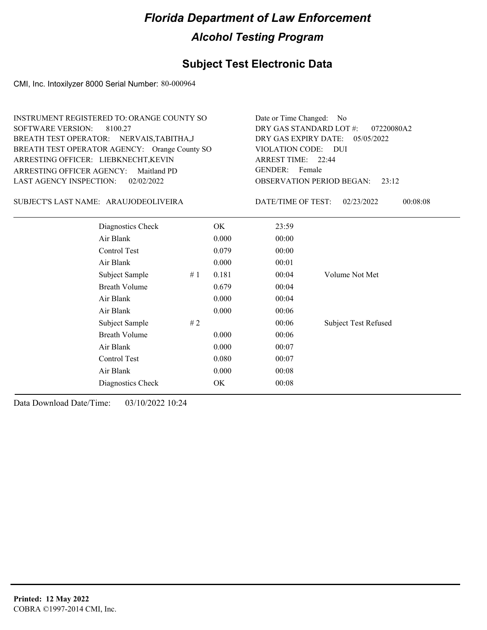## **Subject Test Electronic Data**

CMI, Inc. Intoxilyzer 8000 Serial Number: 80-000964

| <b>INSTRUMENT REGISTERED TO: ORANGE COUNTY SO</b><br><b>SOFTWARE VERSION:</b><br>8100.27<br>BREATH TEST OPERATOR: NERVAIS, TABITHA, J<br>BREATH TEST OPERATOR AGENCY: Orange County SO<br>ARRESTING OFFICER: LIEBKNECHT, KEVIN<br><b>ARRESTING OFFICER AGENCY:</b><br>Maitland PD | Date or Time Changed:<br>DRY GAS STANDARD LOT #:<br>DRY GAS EXPIRY DATE:<br>VIOLATION CODE: DUI<br>ARREST TIME: 22:44<br><b>GENDER:</b><br>Female | N <sub>0</sub><br>07220080A2<br>05/05/2022 |                                           |                             |  |
|-----------------------------------------------------------------------------------------------------------------------------------------------------------------------------------------------------------------------------------------------------------------------------------|---------------------------------------------------------------------------------------------------------------------------------------------------|--------------------------------------------|-------------------------------------------|-----------------------------|--|
| <b>LAST AGENCY INSPECTION:</b><br>02/02/2022                                                                                                                                                                                                                                      |                                                                                                                                                   |                                            | <b>OBSERVATION PERIOD BEGAN:</b><br>23:12 |                             |  |
| SUBJECT'S LAST NAME: ARAUJODEOLIVEIRA                                                                                                                                                                                                                                             |                                                                                                                                                   |                                            | DATE/TIME OF TEST:                        | 00:08:08<br>02/23/2022      |  |
| Diagnostics Check                                                                                                                                                                                                                                                                 |                                                                                                                                                   | OK                                         | 23:59                                     |                             |  |
| Air Blank                                                                                                                                                                                                                                                                         |                                                                                                                                                   | 0.000                                      | 00:00                                     |                             |  |
| Control Test                                                                                                                                                                                                                                                                      |                                                                                                                                                   | 0.079                                      | 00:00                                     |                             |  |
| Air Blank                                                                                                                                                                                                                                                                         |                                                                                                                                                   | 0.000                                      | 00:01                                     |                             |  |
| Subject Sample                                                                                                                                                                                                                                                                    | #1                                                                                                                                                | 0.181                                      | 00:04                                     | Volume Not Met              |  |
| <b>Breath Volume</b>                                                                                                                                                                                                                                                              |                                                                                                                                                   | 0.679                                      | 00:04                                     |                             |  |
| Air Blank                                                                                                                                                                                                                                                                         |                                                                                                                                                   | 0.000                                      | 00:04                                     |                             |  |
| Air Blank                                                                                                                                                                                                                                                                         |                                                                                                                                                   | 0.000                                      | 00:06                                     |                             |  |
| Subject Sample                                                                                                                                                                                                                                                                    | # $2$                                                                                                                                             |                                            | 00:06                                     | <b>Subject Test Refused</b> |  |
| <b>Breath Volume</b>                                                                                                                                                                                                                                                              |                                                                                                                                                   | 0.000                                      | 00:06                                     |                             |  |
| Air Blank                                                                                                                                                                                                                                                                         |                                                                                                                                                   | 00:07                                      |                                           |                             |  |
| Control Test                                                                                                                                                                                                                                                                      | 00:07                                                                                                                                             |                                            |                                           |                             |  |
| Air Blank                                                                                                                                                                                                                                                                         |                                                                                                                                                   | 0.000                                      | 00:08                                     |                             |  |
| Diagnostics Check                                                                                                                                                                                                                                                                 |                                                                                                                                                   | OK                                         | 00:08                                     |                             |  |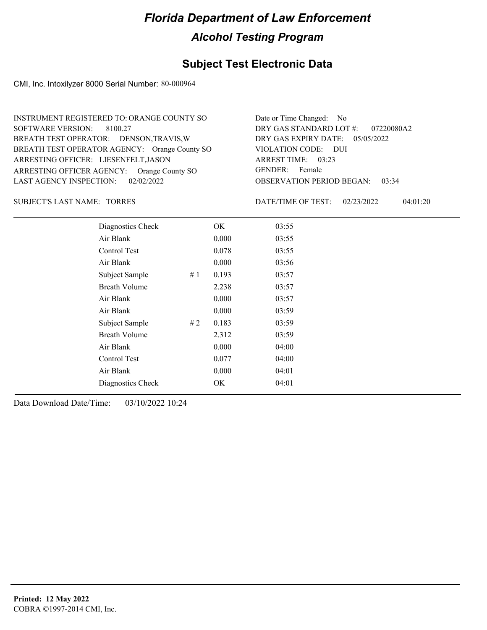## **Subject Test Electronic Data**

CMI, Inc. Intoxilyzer 8000 Serial Number: 80-000964

| INSTRUMENT REGISTERED TO: ORANGE COUNTY SO    | Date or Time Changed: No               |
|-----------------------------------------------|----------------------------------------|
| SOFTWARE VERSION: 8100.27                     | DRY GAS STANDARD LOT #: 07220080A2     |
| BREATH TEST OPERATOR: DENSON, TRAVIS, W       | DRY GAS EXPIRY DATE: 05/05/2022        |
| BREATH TEST OPERATOR AGENCY: Orange County SO | VIOLATION CODE: DUI                    |
| ARRESTING OFFICER: LIESENFELT, JASON          | ARREST TIME: 03:23                     |
| ARRESTING OFFICER AGENCY: Orange County SO    | GENDER: Female                         |
| LAST AGENCY INSPECTION: $02/02/2022$          | <b>OBSERVATION PERIOD BEGAN: 03:34</b> |

#### SUBJECT'S LAST NAME: TORRES DATE/TIME OF TEST:

DATE/TIME OF TEST: 02/23/2022 04:01:20

| Diagnostics Check    |    | OK    | 03:55 |
|----------------------|----|-------|-------|
| Air Blank            |    | 0.000 | 03:55 |
| Control Test         |    | 0.078 | 03:55 |
| Air Blank            |    | 0.000 | 03:56 |
| Subject Sample       | #1 | 0.193 | 03:57 |
| <b>Breath Volume</b> |    | 2.238 | 03:57 |
| Air Blank            |    | 0.000 | 03:57 |
| Air Blank            |    | 0.000 | 03:59 |
| Subject Sample       | #2 | 0.183 | 03:59 |
| <b>Breath Volume</b> |    | 2.312 | 03:59 |
| Air Blank            |    | 0.000 | 04:00 |
| Control Test         |    | 0.077 | 04:00 |
| Air Blank            |    | 0.000 | 04:01 |
| Diagnostics Check    |    | OK    | 04:01 |
|                      |    |       |       |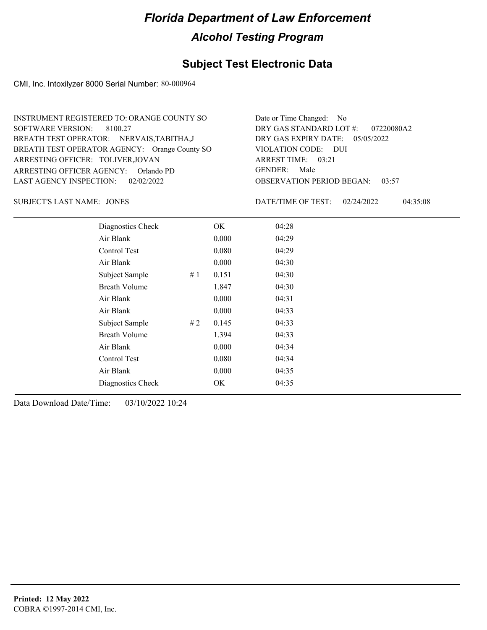## **Subject Test Electronic Data**

CMI, Inc. Intoxilyzer 8000 Serial Number: 80-000964

| INSTRUMENT REGISTERED TO: ORANGE COUNTY SO    | Date or Time Changed: No               |
|-----------------------------------------------|----------------------------------------|
| SOFTWARE VERSION: 8100.27                     | DRY GAS STANDARD LOT $\#$ : 07220080A2 |
| BREATH TEST OPERATOR: NERVAIS, TABITHA, J     | DRY GAS EXPIRY DATE: $05/05/2022$      |
| BREATH TEST OPERATOR AGENCY: Orange County SO | VIOLATION CODE: DUI                    |
| ARRESTING OFFICER: TOLIVER, JOVAN             | ARREST TIME: 03:21                     |
| ARRESTING OFFICER AGENCY: Orlando PD          | GENDER: Male                           |
| LAST AGENCY INSPECTION: 02/02/2022            | <b>OBSERVATION PERIOD BEGAN: 03:57</b> |

JONES SUBJECT'S LAST NAME: DATE/TIME OF TEST:

DATE/TIME OF TEST: 02/24/2022 04:35:08

| Diagnostics Check    |    | OK    | 04:28 |
|----------------------|----|-------|-------|
| Air Blank            |    | 0.000 | 04:29 |
| Control Test         |    | 0.080 | 04:29 |
| Air Blank            |    | 0.000 | 04:30 |
| Subject Sample       | #1 | 0.151 | 04:30 |
| <b>Breath Volume</b> |    | 1.847 | 04:30 |
| Air Blank            |    | 0.000 | 04:31 |
| Air Blank            |    | 0.000 | 04:33 |
| Subject Sample       | #2 | 0.145 | 04:33 |
| <b>Breath Volume</b> |    | 1.394 | 04:33 |
| Air Blank            |    | 0.000 | 04:34 |
| <b>Control Test</b>  |    | 0.080 | 04:34 |
| Air Blank            |    | 0.000 | 04:35 |
| Diagnostics Check    |    | OK    | 04:35 |
|                      |    |       |       |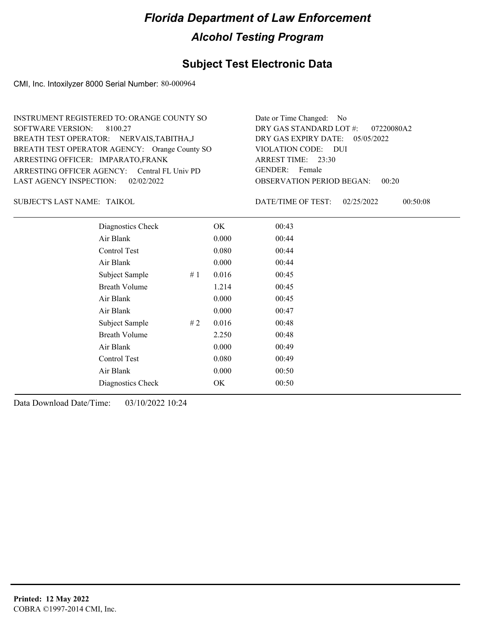## **Subject Test Electronic Data**

CMI, Inc. Intoxilyzer 8000 Serial Number: 80-000964

| INSTRUMENT REGISTERED TO: ORANGE COUNTY SO    | Date or Time Changed: No               |
|-----------------------------------------------|----------------------------------------|
| SOFTWARE VERSION: 8100.27                     | DRY GAS STANDARD LOT #: 07220080A2     |
| BREATH TEST OPERATOR: NERVAIS, TABITHA, J     | DRY GAS EXPIRY DATE: $05/05/2022$      |
| BREATH TEST OPERATOR AGENCY: Orange County SO | VIOLATION CODE: DUI                    |
| ARRESTING OFFICER: IMPARATO, FRANK            | ARREST TIME: 23:30                     |
| ARRESTING OFFICER AGENCY: Central FL Univ PD  | GENDER: Female                         |
| LAST AGENCY INSPECTION: 02/02/2022            | <b>OBSERVATION PERIOD BEGAN: 00:20</b> |
|                                               |                                        |

TAIKOL SUBJECT'S LAST NAME: DATE/TIME OF TEST:

DATE/TIME OF TEST: 02/25/2022 00:50:08

| Diagnostics Check    | OK    | 00:43 |
|----------------------|-------|-------|
| Air Blank            | 0.000 | 00:44 |
| Control Test         | 0.080 | 00:44 |
| Air Blank            | 0.000 | 00:44 |
| Subject Sample<br>#1 | 0.016 | 00:45 |
| <b>Breath Volume</b> | 1.214 | 00:45 |
| Air Blank            | 0.000 | 00:45 |
| Air Blank            | 0.000 | 00:47 |
| Subject Sample<br>#2 | 0.016 | 00:48 |
| <b>Breath Volume</b> | 2.250 | 00:48 |
| Air Blank            | 0.000 | 00:49 |
| Control Test         | 0.080 | 00:49 |
| Air Blank            | 0.000 | 00:50 |
| Diagnostics Check    | OK    | 00:50 |
|                      |       |       |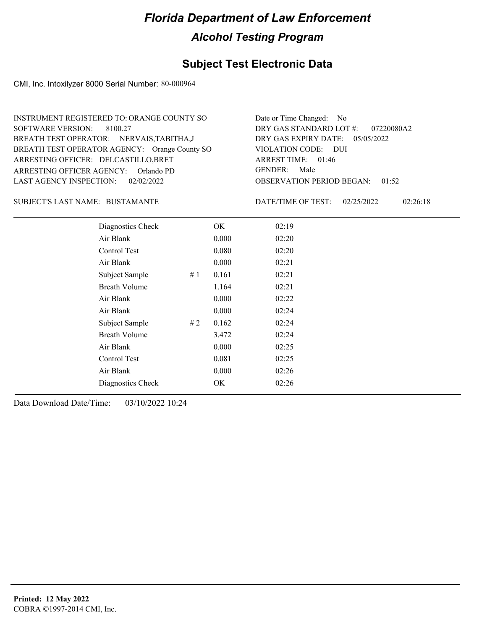## **Subject Test Electronic Data**

CMI, Inc. Intoxilyzer 8000 Serial Number: 80-000964

| INSTRUMENT REGISTERED TO: ORANGE COUNTY SO    | Date or Time Changed: No               |
|-----------------------------------------------|----------------------------------------|
| SOFTWARE VERSION: 8100.27                     | DRY GAS STANDARD LOT $\#$ : 07220080A2 |
| BREATH TEST OPERATOR: NERVAIS, TABITHA, J     | DRY GAS EXPIRY DATE: $05/05/2022$      |
| BREATH TEST OPERATOR AGENCY: Orange County SO | VIOLATION CODE: DUI                    |
| ARRESTING OFFICER: DELCASTILLO, BRET          | ARREST TIME: 01:46                     |
| ARRESTING OFFICER AGENCY: Orlando PD          | GENDER: Male                           |
| LAST AGENCY INSPECTION: $02/02/2022$          | <b>OBSERVATION PERIOD BEGAN: 01:52</b> |

#### BUSTAMANTE SUBJECT'S LAST NAME: DATE/TIME OF TEST:

DATE/TIME OF TEST: 02/25/2022 02:26:18

| Diagnostics Check    |    | OK    | 02:19 |
|----------------------|----|-------|-------|
| Air Blank            |    | 0.000 | 02:20 |
| Control Test         |    | 0.080 | 02:20 |
| Air Blank            |    | 0.000 | 02:21 |
| Subject Sample       | #1 | 0.161 | 02:21 |
| <b>Breath Volume</b> |    | 1.164 | 02:21 |
| Air Blank            |    | 0.000 | 02:22 |
| Air Blank            |    | 0.000 | 02:24 |
| Subject Sample       | #2 | 0.162 | 02:24 |
| <b>Breath Volume</b> |    | 3.472 | 02:24 |
| Air Blank            |    | 0.000 | 02:25 |
| Control Test         |    | 0.081 | 02:25 |
| Air Blank            |    | 0.000 | 02:26 |
| Diagnostics Check    |    | OK    | 02:26 |
|                      |    |       |       |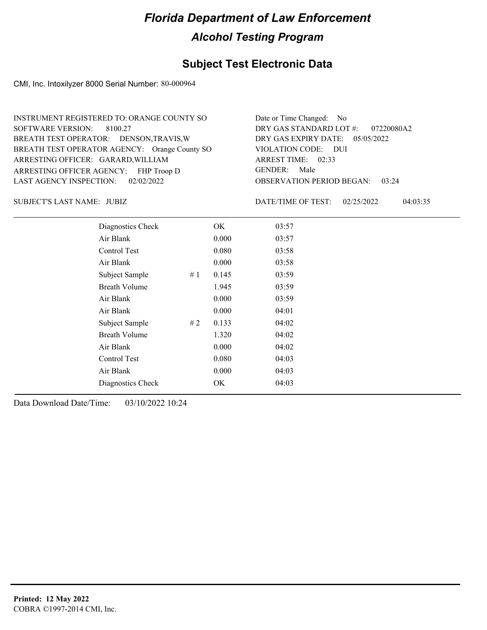## **Subject Test Electronic Data**

CMI, Inc. Intoxilyzer 8000 Serial Number: 80-000964

| INSTRUMENT REGISTERED TO: ORANGE COUNTY SO    | Date or Time Changed: No               |
|-----------------------------------------------|----------------------------------------|
| SOFTWARE VERSION: 8100.27                     | DRY GAS STANDARD LOT $\#$ : 07220080A2 |
| BREATH TEST OPERATOR: DENSON, TRAVIS, W       | DRY GAS EXPIRY DATE: $05/05/2022$      |
| BREATH TEST OPERATOR AGENCY: Orange County SO | VIOLATION CODE: DUI                    |
| ARRESTING OFFICER: GARARD, WILLIAM            | ARREST TIME: 02:33                     |
| ARRESTING OFFICER AGENCY: FHP Troop D         | GENDER: Male                           |
| LAST AGENCY INSPECTION: 02/02/2022            | <b>OBSERVATION PERIOD BEGAN: 03:24</b> |

JUBIZ SUBJECT'S LAST NAME: DATE/TIME OF TEST:

DATE/TIME OF TEST: 02/25/2022 04:03:35

| Diagnostics Check    |    | OK    | 03:57 |  |
|----------------------|----|-------|-------|--|
| Air Blank            |    | 0.000 | 03:57 |  |
| Control Test         |    | 0.080 | 03:58 |  |
| Air Blank            |    | 0.000 | 03:58 |  |
| Subject Sample       | #1 | 0.145 | 03:59 |  |
| <b>Breath Volume</b> |    | 1.945 | 03:59 |  |
| Air Blank            |    | 0.000 | 03:59 |  |
| Air Blank            |    | 0.000 | 04:01 |  |
| Subject Sample       | #2 | 0.133 | 04:02 |  |
| <b>Breath Volume</b> |    | 1.320 | 04:02 |  |
| Air Blank            |    | 0.000 | 04:02 |  |
| Control Test         |    | 0.080 | 04:03 |  |
| Air Blank            |    | 0.000 | 04:03 |  |
| Diagnostics Check    |    | OK    | 04:03 |  |
|                      |    |       |       |  |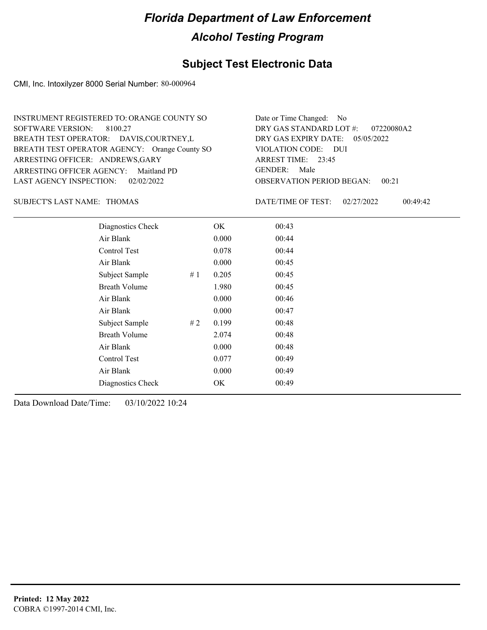#### **Subject Test Electronic Data**

CMI, Inc. Intoxilyzer 8000 Serial Number: 80-000964

OBSERVATION PERIOD BEGAN: 00:21 ARRESTING OFFICER AGENCY: Maitland PD GENDER: BREATH TEST OPERATOR AGENCY: Orange County SO VIOLATION CODE: SOFTWARE VERSION: 8100.27 VIOLATION CODE: DUI 23:45 ARREST TIME: ARRESTING OFFICER: ANDREWS, GARY DRY GAS EXPIRY DATE: 05/05/2022 07220080A2 BREATH TEST OPERATOR: DAVIS,COURTNEY,L LAST AGENCY INSPECTION: 02/02/2022 INSTRUMENT REGISTERED TO: ORANGE COUNTY SO DRY GAS STANDARD LOT #: Date or Time Changed: No GENDER: Male

#### SUBJECT'S LAST NAME: THOMAS DATE/TIME OF TEST:

DATE/TIME OF TEST: 02/27/2022 00:49:42

| Diagnostics Check    |    | OK    | 00:43 |
|----------------------|----|-------|-------|
| Air Blank            |    | 0.000 | 00:44 |
| Control Test         |    | 0.078 | 00:44 |
| Air Blank            |    | 0.000 | 00:45 |
| Subject Sample       | #1 | 0.205 | 00:45 |
| <b>Breath Volume</b> |    | 1.980 | 00:45 |
| Air Blank            |    | 0.000 | 00:46 |
| Air Blank            |    | 0.000 | 00:47 |
| Subject Sample       | #2 | 0.199 | 00:48 |
| <b>Breath Volume</b> |    | 2.074 | 00:48 |
| Air Blank            |    | 0.000 | 00:48 |
| Control Test         |    | 0.077 | 00:49 |
| Air Blank            |    | 0.000 | 00:49 |
| Diagnostics Check    |    | OK    | 00:49 |
|                      |    |       |       |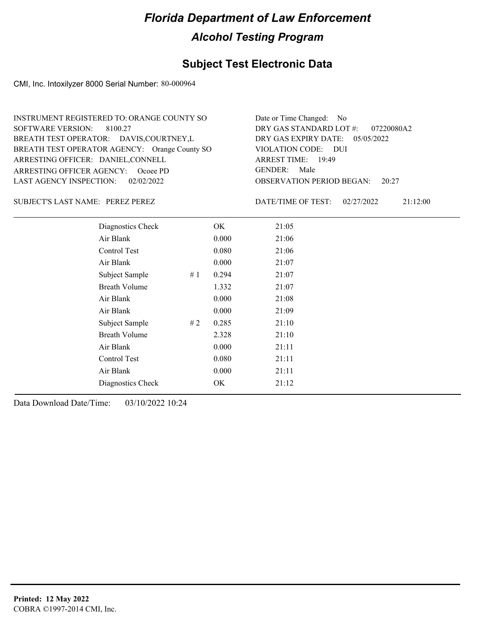## **Subject Test Electronic Data**

CMI, Inc. Intoxilyzer 8000 Serial Number: 80-000964

| INSTRUMENT REGISTERED TO: ORANGE COUNTY SO    | Date or Time Changed: No               |
|-----------------------------------------------|----------------------------------------|
| SOFTWARE VERSION: 8100.27                     | DRY GAS STANDARD LOT #: 07220080A2     |
| BREATH TEST OPERATOR: DAVIS, COURTNEY, L      | DRY GAS EXPIRY DATE: 05/05/2022        |
| BREATH TEST OPERATOR AGENCY: Orange County SO | VIOLATION CODE: DUI                    |
| ARRESTING OFFICER: DANIEL, CONNELL            | ARREST TIME: 19:49                     |
| ARRESTING OFFICER AGENCY: Ocoee PD            | GENDER: Male                           |
| LAST AGENCY INSPECTION: 02/02/2022            | <b>OBSERVATION PERIOD BEGAN:</b> 20:27 |

#### SUBJECT'S LAST NAME: PEREZ PEREZ VEREZ VEREZ AND ATE/TIME OF TEST:

DATE/TIME OF TEST: 02/27/2022 21:12:00

| Diagnostics Check    |    | OK    | 21:05 |
|----------------------|----|-------|-------|
| Air Blank            |    | 0.000 | 21:06 |
| Control Test         |    | 0.080 | 21:06 |
| Air Blank            |    | 0.000 | 21:07 |
| Subject Sample       | #1 | 0.294 | 21:07 |
| <b>Breath Volume</b> |    | 1.332 | 21:07 |
| Air Blank            |    | 0.000 | 21:08 |
| Air Blank            |    | 0.000 | 21:09 |
| Subject Sample       | #2 | 0.285 | 21:10 |
| <b>Breath Volume</b> |    | 2.328 | 21:10 |
| Air Blank            |    | 0.000 | 21:11 |
| Control Test         |    | 0.080 | 21:11 |
| Air Blank            |    | 0.000 | 21:11 |
| Diagnostics Check    |    | OK    | 21:12 |
|                      |    |       |       |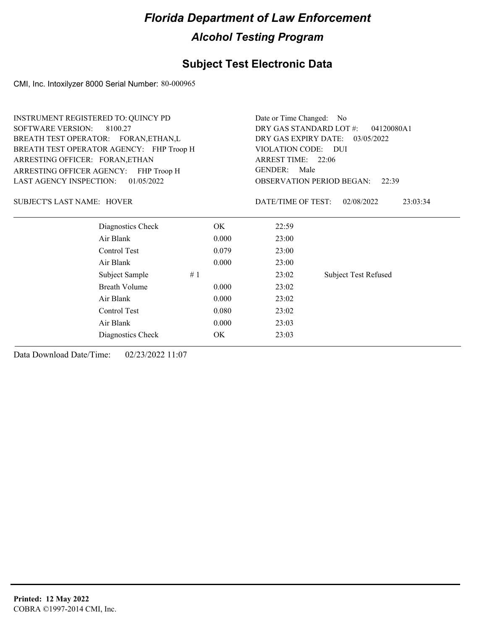## **Subject Test Electronic Data**

CMI, Inc. Intoxilyzer 8000 Serial Number: 80-000965

| <b>SOFTWARE VERSION:</b><br>DRY GAS STANDARD LOT #:<br>8100.27<br>04120080A1<br>BREATH TEST OPERATOR: FORAN, ETHAN, L<br>DRY GAS EXPIRY DATE:<br>03/05/2022<br>BREATH TEST OPERATOR AGENCY: FHP Troop H<br>VIOLATION CODE: DUI<br>ARREST TIME: 22:06<br>ARRESTING OFFICER: FORAN, ETHAN<br><b>GENDER:</b><br>Male<br>ARRESTING OFFICER AGENCY: FHP Troop H<br>01/05/2022<br><b>LAST AGENCY INSPECTION:</b><br><b>OBSERVATION PERIOD BEGAN:</b><br>22:39<br><b>SUBJECT'S LAST NAME: HOVER</b><br>DATE/TIME OF TEST:<br>02/08/2022<br>23:03:34<br>Diagnostics Check<br>OK.<br>22:59<br>Air Blank<br>0.000<br>23:00<br>Control Test<br>0.079<br>23:00<br>Air Blank<br>0.000<br>23:00<br><b>Subject Test Refused</b><br>Subject Sample<br>#1<br>23:02<br><b>Breath Volume</b><br>23:02<br>0.000<br>Air Blank<br>0.000<br>23:02<br>Control Test<br>0.080<br>23:02<br>Air Blank<br>0.000<br>23:03<br>Diagnostics Check<br>OK<br>23:03 | <b>INSTRUMENT REGISTERED TO: QUINCY PD</b> |  |  | Date or Time Changed: No |  |  |  |
|---------------------------------------------------------------------------------------------------------------------------------------------------------------------------------------------------------------------------------------------------------------------------------------------------------------------------------------------------------------------------------------------------------------------------------------------------------------------------------------------------------------------------------------------------------------------------------------------------------------------------------------------------------------------------------------------------------------------------------------------------------------------------------------------------------------------------------------------------------------------------------------------------------------------------------|--------------------------------------------|--|--|--------------------------|--|--|--|
|                                                                                                                                                                                                                                                                                                                                                                                                                                                                                                                                                                                                                                                                                                                                                                                                                                                                                                                                 |                                            |  |  |                          |  |  |  |
|                                                                                                                                                                                                                                                                                                                                                                                                                                                                                                                                                                                                                                                                                                                                                                                                                                                                                                                                 |                                            |  |  |                          |  |  |  |
|                                                                                                                                                                                                                                                                                                                                                                                                                                                                                                                                                                                                                                                                                                                                                                                                                                                                                                                                 |                                            |  |  |                          |  |  |  |
|                                                                                                                                                                                                                                                                                                                                                                                                                                                                                                                                                                                                                                                                                                                                                                                                                                                                                                                                 |                                            |  |  |                          |  |  |  |
|                                                                                                                                                                                                                                                                                                                                                                                                                                                                                                                                                                                                                                                                                                                                                                                                                                                                                                                                 |                                            |  |  |                          |  |  |  |
|                                                                                                                                                                                                                                                                                                                                                                                                                                                                                                                                                                                                                                                                                                                                                                                                                                                                                                                                 |                                            |  |  |                          |  |  |  |
|                                                                                                                                                                                                                                                                                                                                                                                                                                                                                                                                                                                                                                                                                                                                                                                                                                                                                                                                 |                                            |  |  |                          |  |  |  |
|                                                                                                                                                                                                                                                                                                                                                                                                                                                                                                                                                                                                                                                                                                                                                                                                                                                                                                                                 |                                            |  |  |                          |  |  |  |
|                                                                                                                                                                                                                                                                                                                                                                                                                                                                                                                                                                                                                                                                                                                                                                                                                                                                                                                                 |                                            |  |  |                          |  |  |  |
|                                                                                                                                                                                                                                                                                                                                                                                                                                                                                                                                                                                                                                                                                                                                                                                                                                                                                                                                 |                                            |  |  |                          |  |  |  |
|                                                                                                                                                                                                                                                                                                                                                                                                                                                                                                                                                                                                                                                                                                                                                                                                                                                                                                                                 |                                            |  |  |                          |  |  |  |
|                                                                                                                                                                                                                                                                                                                                                                                                                                                                                                                                                                                                                                                                                                                                                                                                                                                                                                                                 |                                            |  |  |                          |  |  |  |
|                                                                                                                                                                                                                                                                                                                                                                                                                                                                                                                                                                                                                                                                                                                                                                                                                                                                                                                                 |                                            |  |  |                          |  |  |  |
|                                                                                                                                                                                                                                                                                                                                                                                                                                                                                                                                                                                                                                                                                                                                                                                                                                                                                                                                 |                                            |  |  |                          |  |  |  |
|                                                                                                                                                                                                                                                                                                                                                                                                                                                                                                                                                                                                                                                                                                                                                                                                                                                                                                                                 |                                            |  |  |                          |  |  |  |
|                                                                                                                                                                                                                                                                                                                                                                                                                                                                                                                                                                                                                                                                                                                                                                                                                                                                                                                                 |                                            |  |  |                          |  |  |  |
|                                                                                                                                                                                                                                                                                                                                                                                                                                                                                                                                                                                                                                                                                                                                                                                                                                                                                                                                 |                                            |  |  |                          |  |  |  |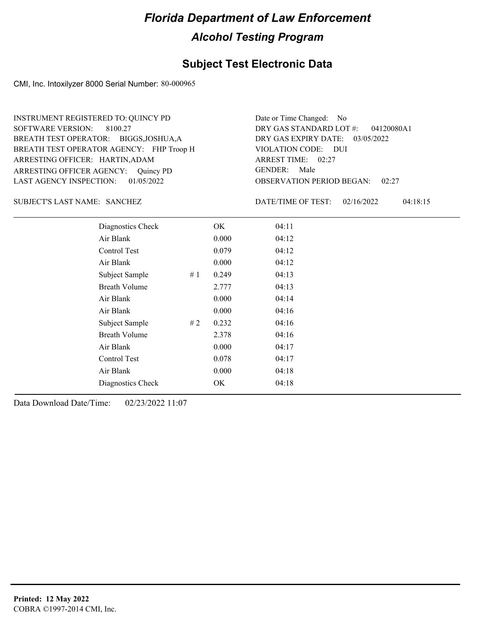#### **Subject Test Electronic Data**

CMI, Inc. Intoxilyzer 8000 Serial Number: 80-000965

ARRESTING OFFICER AGENCY: Quincy PD GENDER: BREATH TEST OPERATOR AGENCY: FHP Troop H VIOLATION CODE: SOFTWARE VERSION: ARRESTING OFFICER: HARTIN,ADAM BREATH TEST OPERATOR: BIGGS,JOSHUA,A LAST AGENCY INSPECTION: 01/05/2022 8100.27 INSTRUMENT REGISTERED TO: QUINCY PD

OBSERVATION PERIOD BEGAN: 02:27 VIOLATION CODE: DUI ARREST TIME: 02:27 DRY GAS EXPIRY DATE: 03/05/2022 04120080A1 DRY GAS STANDARD LOT #: Date or Time Changed: No GENDER: Male

SANCHEZ SUBJECT'S LAST NAME: DATE/TIME OF TEST:

DATE/TIME OF TEST: 02/16/2022 04:18:15

| Diagnostics Check    |    | OK    | 04:11 |
|----------------------|----|-------|-------|
| Air Blank            |    | 0.000 | 04:12 |
| Control Test         |    | 0.079 | 04:12 |
| Air Blank            |    | 0.000 | 04:12 |
| Subject Sample       | #1 | 0.249 | 04:13 |
| <b>Breath Volume</b> |    | 2.777 | 04:13 |
| Air Blank            |    | 0.000 | 04:14 |
| Air Blank            |    | 0.000 | 04:16 |
| Subject Sample       | #2 | 0.232 | 04:16 |
| <b>Breath Volume</b> |    | 2.378 | 04:16 |
| Air Blank            |    | 0.000 | 04:17 |
| <b>Control Test</b>  |    | 0.078 | 04:17 |
| Air Blank            |    | 0.000 | 04:18 |
| Diagnostics Check    |    | OK    | 04:18 |
|                      |    |       |       |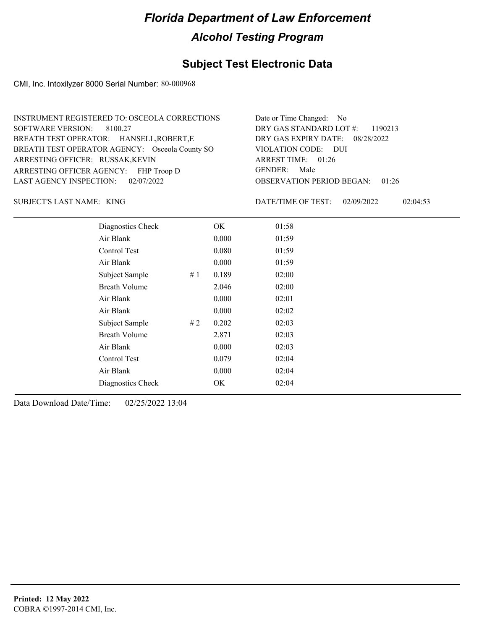## **Subject Test Electronic Data**

CMI, Inc. Intoxilyzer 8000 Serial Number: 80-000968

| INSTRUMENT REGISTERED TO: OSCEOLA CORRECTIONS  | Date or Time Changed: No               |
|------------------------------------------------|----------------------------------------|
| SOFTWARE VERSION: 8100.27                      | DRY GAS STANDARD LOT $\#$ : 1190213    |
| BREATH TEST OPERATOR: HANSELL, ROBERT, E       | DRY GAS EXPIRY DATE: 08/28/2022        |
| BREATH TEST OPERATOR AGENCY: Osceola County SO | VIOLATION CODE: DUI                    |
| ARRESTING OFFICER: RUSSAK, KEVIN               | ARREST TIME: 01:26                     |
| ARRESTING OFFICER AGENCY: FHP Troop D          | GENDER: Male                           |
| LAST AGENCY INSPECTION: $02/07/2022$           | <b>OBSERVATION PERIOD BEGAN: 01:26</b> |

KING SUBJECT'S LAST NAME: DATE/TIME OF TEST:

DATE/TIME OF TEST: 02/09/2022 02:04:53

| Diagnostics Check    |    | OK    | 01:58 |
|----------------------|----|-------|-------|
| Air Blank            |    | 0.000 | 01:59 |
| Control Test         |    | 0.080 | 01:59 |
| Air Blank            |    | 0.000 | 01:59 |
| Subject Sample       | #1 | 0.189 | 02:00 |
| <b>Breath Volume</b> |    | 2.046 | 02:00 |
| Air Blank            |    | 0.000 | 02:01 |
| Air Blank            |    | 0.000 | 02:02 |
| Subject Sample       | #2 | 0.202 | 02:03 |
| <b>Breath Volume</b> |    | 2.871 | 02:03 |
| Air Blank            |    | 0.000 | 02:03 |
| Control Test         |    | 0.079 | 02:04 |
| Air Blank            |    | 0.000 | 02:04 |
| Diagnostics Check    |    | OK    | 02:04 |
|                      |    |       |       |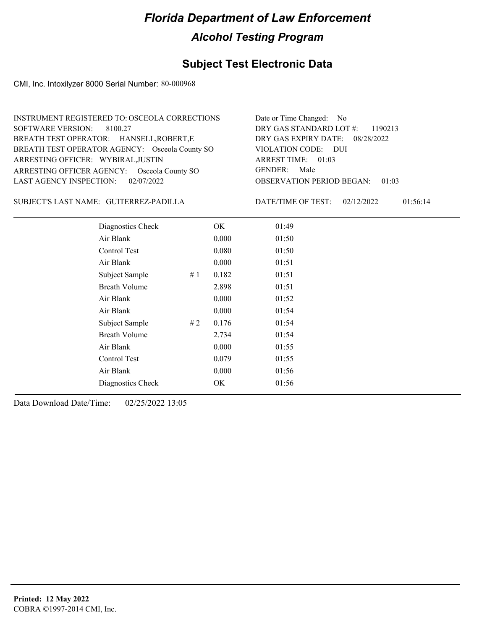## **Subject Test Electronic Data**

CMI, Inc. Intoxilyzer 8000 Serial Number: 80-000968

| INSTRUMENT REGISTERED TO: OSCEOLA CORRECTIONS  | Date or Time Changed: No               |
|------------------------------------------------|----------------------------------------|
| SOFTWARE VERSION: 8100.27                      | DRY GAS STANDARD LOT $\#$ : 1190213    |
| BREATH TEST OPERATOR: HANSELL, ROBERT, E       | DRY GAS EXPIRY DATE: 08/28/2022        |
| BREATH TEST OPERATOR AGENCY: Osceola County SO | VIOLATION CODE: DUI                    |
| ARRESTING OFFICER: WYBIRAL, JUSTIN             | ARREST TIME: 01:03                     |
| ARRESTING OFFICER AGENCY: Osceola County SO    | GENDER: Male                           |
| LAST AGENCY INSPECTION: $02/07/2022$           | <b>OBSERVATION PERIOD BEGAN: 01:03</b> |

#### SUBJECT'S LAST NAME: GUITERREZ-PADILLA DATE/TIME OF TEST:

DATE/TIME OF TEST: 02/12/2022 01:56:14

| Diagnostics Check    |     | OK    | 01:49 |
|----------------------|-----|-------|-------|
| Air Blank            |     | 0.000 | 01:50 |
| Control Test         |     | 0.080 | 01:50 |
| Air Blank            |     | 0.000 | 01:51 |
| Subject Sample       | #1  | 0.182 | 01:51 |
| <b>Breath Volume</b> |     | 2.898 | 01:51 |
| Air Blank            |     | 0.000 | 01:52 |
| Air Blank            |     | 0.000 | 01:54 |
| Subject Sample       | # 2 | 0.176 | 01:54 |
| <b>Breath Volume</b> |     | 2.734 | 01:54 |
| Air Blank            |     | 0.000 | 01:55 |
| Control Test         |     | 0.079 | 01:55 |
| Air Blank            |     | 0.000 | 01:56 |
| Diagnostics Check    |     | OK    | 01:56 |
|                      |     |       |       |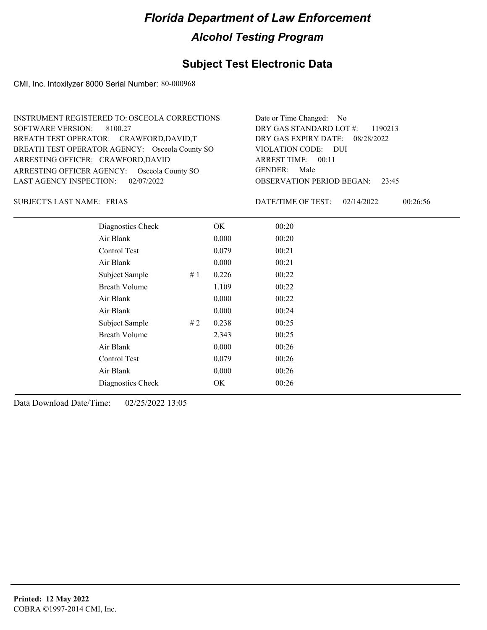## **Subject Test Electronic Data**

CMI, Inc. Intoxilyzer 8000 Serial Number: 80-000968

| INSTRUMENT REGISTERED TO: OSCEOLA CORRECTIONS  | Date or Time Changed: No               |
|------------------------------------------------|----------------------------------------|
| SOFTWARE VERSION: 8100.27                      | DRY GAS STANDARD LOT #: 1190213        |
| BREATH TEST OPERATOR: CRAWFORD, DAVID, T       | DRY GAS EXPIRY DATE: 08/28/2022        |
| BREATH TEST OPERATOR AGENCY: Osceola County SO | VIOLATION CODE: DUI                    |
| ARRESTING OFFICER: CRAWFORD, DAVID             | ARREST TIME: 00:11                     |
| ARRESTING OFFICER AGENCY: Osceola County SO    | GENDER: Male                           |
| LAST AGENCY INSPECTION: $02/07/2022$           | <b>OBSERVATION PERIOD BEGAN: 23:45</b> |

FRIAS SUBJECT'S LAST NAME: DATE/TIME OF TEST:

DATE/TIME OF TEST: 02/14/2022 00:26:56

| Diagnostics Check    |    | OK    | 00:20 |  |
|----------------------|----|-------|-------|--|
| Air Blank            |    | 0.000 | 00:20 |  |
| Control Test         |    | 0.079 | 00:21 |  |
| Air Blank            |    | 0.000 | 00:21 |  |
| Subject Sample       | #1 | 0.226 | 00:22 |  |
| <b>Breath Volume</b> |    | 1.109 | 00:22 |  |
| Air Blank            |    | 0.000 | 00:22 |  |
| Air Blank            |    | 0.000 | 00:24 |  |
| Subject Sample       | #2 | 0.238 | 00:25 |  |
| <b>Breath Volume</b> |    | 2.343 | 00:25 |  |
| Air Blank            |    | 0.000 | 00:26 |  |
| Control Test         |    | 0.079 | 00:26 |  |
| Air Blank            |    | 0.000 | 00:26 |  |
| Diagnostics Check    |    | OK    | 00:26 |  |
|                      |    |       |       |  |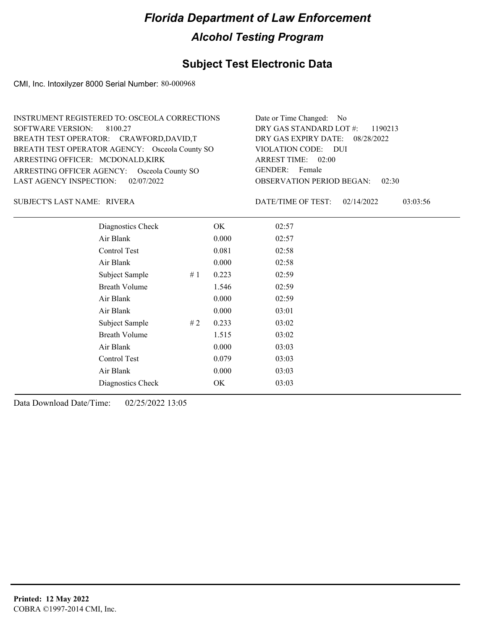## **Subject Test Electronic Data**

CMI, Inc. Intoxilyzer 8000 Serial Number: 80-000968

| INSTRUMENT REGISTERED TO: OSCEOLA CORRECTIONS  | Date or Time Changed: No               |
|------------------------------------------------|----------------------------------------|
| SOFTWARE VERSION: 8100.27                      | DRY GAS STANDARD LOT $\#$ : 1190213    |
| BREATH TEST OPERATOR: CRAWFORD, DAVID, T       | DRY GAS EXPIRY DATE: 08/28/2022        |
| BREATH TEST OPERATOR AGENCY: Osceola County SO | VIOLATION CODE: DUI                    |
| ARRESTING OFFICER: MCDONALD, KIRK              | ARREST TIME: 02:00                     |
| ARRESTING OFFICER AGENCY: Osceola County SO    | GENDER: Female                         |
| LAST AGENCY INSPECTION: $02/07/2022$           | <b>OBSERVATION PERIOD BEGAN: 02:30</b> |

RIVERA SUBJECT'S LAST NAME: DATE/TIME OF TEST:

DATE/TIME OF TEST: 02/14/2022 03:03:56

| Diagnostics Check    |    | OK    | 02:57 |
|----------------------|----|-------|-------|
| Air Blank            |    | 0.000 | 02:57 |
| Control Test         |    | 0.081 | 02:58 |
| Air Blank            |    | 0.000 | 02:58 |
| Subject Sample       | #1 | 0.223 | 02:59 |
| <b>Breath Volume</b> |    | 1.546 | 02:59 |
| Air Blank            |    | 0.000 | 02:59 |
| Air Blank            |    | 0.000 | 03:01 |
| Subject Sample       | #2 | 0.233 | 03:02 |
| <b>Breath Volume</b> |    | 1.515 | 03:02 |
| Air Blank            |    | 0.000 | 03:03 |
| Control Test         |    | 0.079 | 03:03 |
| Air Blank            |    | 0.000 | 03:03 |
| Diagnostics Check    |    | OK.   | 03:03 |
|                      |    |       |       |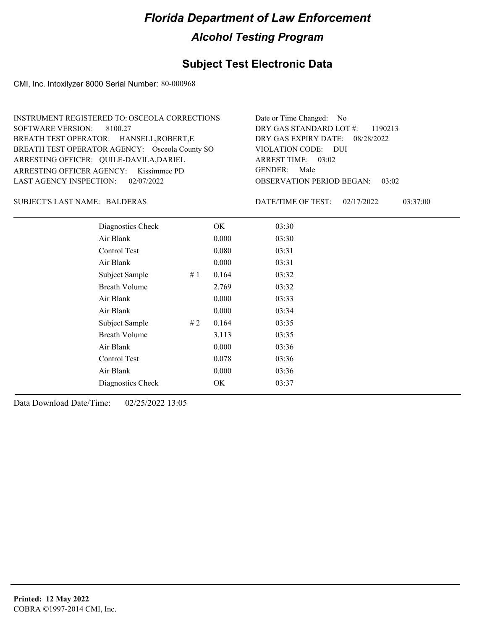## **Subject Test Electronic Data**

CMI, Inc. Intoxilyzer 8000 Serial Number: 80-000968

| INSTRUMENT REGISTERED TO: OSCEOLA CORRECTIONS  | Date or Time Changed: No               |
|------------------------------------------------|----------------------------------------|
| SOFTWARE VERSION: 8100.27                      | DRY GAS STANDARD LOT $\#$ : 1190213    |
| BREATH TEST OPERATOR: HANSELL, ROBERT, E       | DRY GAS EXPIRY DATE: 08/28/2022        |
| BREATH TEST OPERATOR AGENCY: Osceola County SO | VIOLATION CODE: DUI                    |
| ARRESTING OFFICER: QUILE-DAVILA, DARIEL        | ARREST TIME: $03:02$                   |
| ARRESTING OFFICER AGENCY: Kissimmee PD         | GENDER: Male                           |
| LAST AGENCY INSPECTION: 02/07/2022             | <b>OBSERVATION PERIOD BEGAN: 03:02</b> |

#### BALDERAS SUBJECT'S LAST NAME: DATE/TIME OF TEST:

DATE/TIME OF TEST: 02/17/2022 03:37:00

| Diagnostics Check    |    | OK    | 03:30 |
|----------------------|----|-------|-------|
| Air Blank            |    | 0.000 | 03:30 |
| Control Test         |    | 0.080 | 03:31 |
| Air Blank            |    | 0.000 | 03:31 |
| Subject Sample       | #1 | 0.164 | 03:32 |
| <b>Breath Volume</b> |    | 2.769 | 03:32 |
| Air Blank            |    | 0.000 | 03:33 |
| Air Blank            |    | 0.000 | 03:34 |
| Subject Sample       | #2 | 0.164 | 03:35 |
| <b>Breath Volume</b> |    | 3.113 | 03:35 |
| Air Blank            |    | 0.000 | 03:36 |
| Control Test         |    | 0.078 | 03:36 |
| Air Blank            |    | 0.000 | 03:36 |
| Diagnostics Check    |    | OK    | 03:37 |
|                      |    |       |       |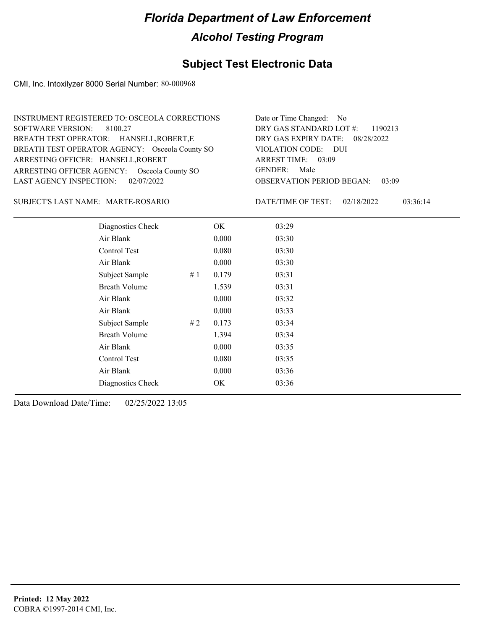## **Subject Test Electronic Data**

CMI, Inc. Intoxilyzer 8000 Serial Number: 80-000968

| INSTRUMENT REGISTERED TO: OSCEOLA CORRECTIONS  | Date or Time Changed: No               |
|------------------------------------------------|----------------------------------------|
| SOFTWARE VERSION: 8100.27                      | DRY GAS STANDARD LOT #: 1190213        |
| BREATH TEST OPERATOR: HANSELL, ROBERT, E       | DRY GAS EXPIRY DATE: 08/28/2022        |
| BREATH TEST OPERATOR AGENCY: Osceola County SO | VIOLATION CODE: DUI                    |
| ARRESTING OFFICER: HANSELL, ROBERT             | ARREST TIME: 03:09                     |
| ARRESTING OFFICER AGENCY: Osceola County SO    | GENDER: Male                           |
| LAST AGENCY INSPECTION: $02/07/2022$           | <b>OBSERVATION PERIOD BEGAN: 03:09</b> |

#### MARTE-ROSARIO SUBJECT'S LAST NAME: DATE/TIME OF TEST:

DATE/TIME OF TEST: 02/18/2022 03:36:14

| Diagnostics Check    | OK    | 03:29 |
|----------------------|-------|-------|
| Air Blank            | 0.000 | 03:30 |
| Control Test         | 0.080 | 03:30 |
| Air Blank            | 0.000 | 03:30 |
| Subject Sample<br>#1 | 0.179 | 03:31 |
| <b>Breath Volume</b> | 1.539 | 03:31 |
| Air Blank            | 0.000 | 03:32 |
| Air Blank            | 0.000 | 03:33 |
| Subject Sample<br>#2 | 0.173 | 03:34 |
| <b>Breath Volume</b> | 1.394 | 03:34 |
| Air Blank            | 0.000 | 03:35 |
| Control Test         | 0.080 | 03:35 |
| Air Blank            | 0.000 | 03:36 |
| Diagnostics Check    | OK    | 03:36 |
|                      |       |       |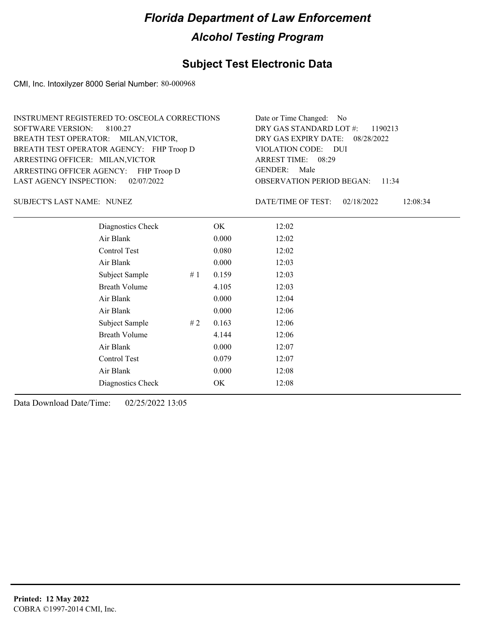## **Subject Test Electronic Data**

CMI, Inc. Intoxilyzer 8000 Serial Number: 80-000968

| INSTRUMENT REGISTERED TO: OSCEOLA CORRECTIONS | Date or Time Changed: No               |
|-----------------------------------------------|----------------------------------------|
| SOFTWARE VERSION: 8100.27                     | DRY GAS STANDARD LOT #: 1190213        |
| BREATH TEST OPERATOR: MILAN, VICTOR,          | DRY GAS EXPIRY DATE: 08/28/2022        |
| BREATH TEST OPERATOR AGENCY: FHP Troop D      | VIOLATION CODE: DUI                    |
| ARRESTING OFFICER: MILAN, VICTOR              | ARREST TIME: 08:29                     |
| ARRESTING OFFICER AGENCY: FHP Troop D         | GENDER: Male                           |
| LAST AGENCY INSPECTION: $02/07/2022$          | <b>OBSERVATION PERIOD BEGAN: 11:34</b> |

NUNEZ SUBJECT'S LAST NAME: DATE/TIME OF TEST:

DATE/TIME OF TEST: 02/18/2022 12:08:34

| Diagnostics Check    |    | OK    | 12:02 |
|----------------------|----|-------|-------|
| Air Blank            |    | 0.000 | 12:02 |
| Control Test         |    | 0.080 | 12:02 |
| Air Blank            |    | 0.000 | 12:03 |
| Subject Sample       | #1 | 0.159 | 12:03 |
| <b>Breath Volume</b> |    | 4.105 | 12:03 |
| Air Blank            |    | 0.000 | 12:04 |
| Air Blank            |    | 0.000 | 12:06 |
| Subject Sample       | #2 | 0.163 | 12:06 |
| <b>Breath Volume</b> |    | 4.144 | 12:06 |
| Air Blank            |    | 0.000 | 12:07 |
| Control Test         |    | 0.079 | 12:07 |
| Air Blank            |    | 0.000 | 12:08 |
| Diagnostics Check    |    | OK    | 12:08 |
|                      |    |       |       |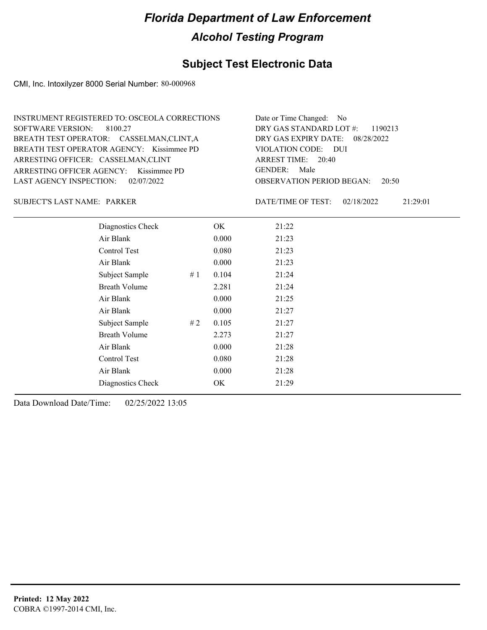## **Subject Test Electronic Data**

CMI, Inc. Intoxilyzer 8000 Serial Number: 80-000968

| INSTRUMENT REGISTERED TO: OSCEOLA CORRECTIONS | Date or Time Changed: No               |
|-----------------------------------------------|----------------------------------------|
| SOFTWARE VERSION: 8100.27                     | DRY GAS STANDARD LOT $\#$ : 1190213    |
| BREATH TEST OPERATOR: CASSELMAN,CLINT,A       | DRY GAS EXPIRY DATE: 08/28/2022        |
| BREATH TEST OPERATOR AGENCY: Kissimmee PD     | VIOLATION CODE: DUI                    |
| ARRESTING OFFICER: CASSELMAN,CLINT            | ARREST TIME: 20:40                     |
| ARRESTING OFFICER AGENCY: Kissimmee PD        | GENDER: Male                           |
| LAST AGENCY INSPECTION: 02/07/2022            | <b>OBSERVATION PERIOD BEGAN: 20:50</b> |

#### SUBJECT'S LAST NAME: PARKER DATE/TIME OF TEST:

DATE/TIME OF TEST: 02/18/2022 21:29:01

| Diagnostics Check    |    | OK    | 21:22 |  |
|----------------------|----|-------|-------|--|
| Air Blank            |    | 0.000 | 21:23 |  |
| Control Test         |    | 0.080 | 21:23 |  |
| Air Blank            |    | 0.000 | 21:23 |  |
| Subject Sample       | #1 | 0.104 | 21:24 |  |
| <b>Breath Volume</b> |    | 2.281 | 21:24 |  |
| Air Blank            |    | 0.000 | 21:25 |  |
| Air Blank            |    | 0.000 | 21:27 |  |
| Subject Sample       | #2 | 0.105 | 21:27 |  |
| <b>Breath Volume</b> |    | 2.273 | 21:27 |  |
| Air Blank            |    | 0.000 | 21:28 |  |
| Control Test         |    | 0.080 | 21:28 |  |
| Air Blank            |    | 0.000 | 21:28 |  |
| Diagnostics Check    |    | OK    | 21:29 |  |
|                      |    |       |       |  |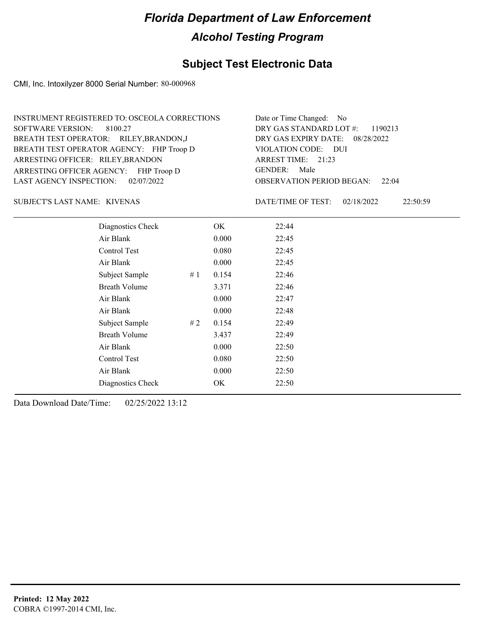## **Subject Test Electronic Data**

CMI, Inc. Intoxilyzer 8000 Serial Number: 80-000968

| INSTRUMENT REGISTERED TO: OSCEOLA CORRECTIONS | Date or Time Changed: No               |
|-----------------------------------------------|----------------------------------------|
| SOFTWARE VERSION: 8100.27                     | DRY GAS STANDARD LOT #: 1190213        |
| BREATH TEST OPERATOR: RILEY, BRANDON, J       | DRY GAS EXPIRY DATE: 08/28/2022        |
| BREATH TEST OPERATOR AGENCY: FHP Troop D      | VIOLATION CODE: DUI                    |
| ARRESTING OFFICER: RILEY, BRANDON             | ARREST TIME: 21:23                     |
| ARRESTING OFFICER AGENCY: FHP Troop D         | GENDER: Male                           |
| LAST AGENCY INSPECTION: 02/07/2022            | <b>OBSERVATION PERIOD BEGAN: 22:04</b> |

KIVENAS SUBJECT'S LAST NAME: DATE/TIME OF TEST:

DATE/TIME OF TEST: 02/18/2022 22:50:59

| Diagnostics Check    |    | OK    | 22:44 |  |
|----------------------|----|-------|-------|--|
| Air Blank            |    | 0.000 | 22:45 |  |
| Control Test         |    | 0.080 | 22:45 |  |
| Air Blank            |    | 0.000 | 22:45 |  |
| Subject Sample       | #1 | 0.154 | 22:46 |  |
| <b>Breath Volume</b> |    | 3.371 | 22:46 |  |
| Air Blank            |    | 0.000 | 22:47 |  |
| Air Blank            |    | 0.000 | 22:48 |  |
| Subject Sample       | #2 | 0.154 | 22:49 |  |
| <b>Breath Volume</b> |    | 3.437 | 22:49 |  |
| Air Blank            |    | 0.000 | 22:50 |  |
| Control Test         |    | 0.080 | 22:50 |  |
| Air Blank            |    | 0.000 | 22:50 |  |
| Diagnostics Check    |    | OK    | 22:50 |  |
|                      |    |       |       |  |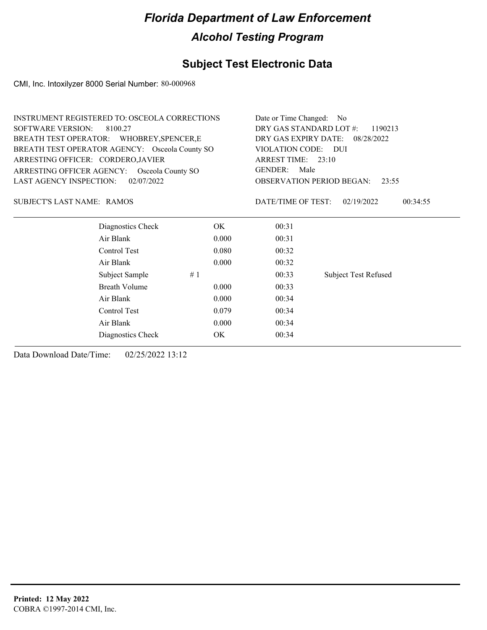## **Subject Test Electronic Data**

CMI, Inc. Intoxilyzer 8000 Serial Number: 80-000968

|                                           | <b>INSTRUMENT REGISTERED TO: OSCEOLA CORRECTIONS</b> |       | Date or Time Changed: No                  |                             |  |  |
|-------------------------------------------|------------------------------------------------------|-------|-------------------------------------------|-----------------------------|--|--|
| <b>SOFTWARE VERSION:</b><br>8100.27       |                                                      |       | DRY GAS STANDARD LOT #:<br>1190213        |                             |  |  |
| BREATH TEST OPERATOR: WHOBREY, SPENCER, E |                                                      |       | DRY GAS EXPIRY DATE:<br>08/28/2022        |                             |  |  |
|                                           | BREATH TEST OPERATOR AGENCY: Osceola County SO       |       | VIOLATION CODE: DUI<br>ARREST TIME: 23:10 |                             |  |  |
| ARRESTING OFFICER: CORDERO, JAVIER        |                                                      |       |                                           |                             |  |  |
|                                           | ARRESTING OFFICER AGENCY: Osceola County SO          |       | <b>GENDER:</b><br>Male                    |                             |  |  |
| 02/07/2022<br>LAST AGENCY INSPECTION:     |                                                      |       | <b>OBSERVATION PERIOD BEGAN:</b><br>23:55 |                             |  |  |
| SUBJECT'S LAST NAME: RAMOS                |                                                      |       | DATE/TIME OF TEST:                        | 02/19/2022<br>00:34:55      |  |  |
|                                           | Diagnostics Check                                    | OK.   | 00:31                                     |                             |  |  |
|                                           | Air Blank                                            | 0.000 | 00:31                                     |                             |  |  |
|                                           | Control Test                                         | 0.080 | 00:32                                     |                             |  |  |
|                                           | Air Blank                                            | 0.000 | 00:32                                     |                             |  |  |
|                                           | Subject Sample                                       | #1    | 00:33                                     | <b>Subject Test Refused</b> |  |  |
|                                           | <b>Breath Volume</b>                                 | 0.000 | 00:33                                     |                             |  |  |
|                                           | Air Blank                                            | 0.000 | 00:34                                     |                             |  |  |
|                                           | Control Test                                         | 0.079 | 00:34                                     |                             |  |  |
|                                           | Air Blank                                            | 0.000 | 00:34                                     |                             |  |  |
|                                           | Diagnostics Check                                    | OK    | 00:34                                     |                             |  |  |
|                                           |                                                      |       |                                           |                             |  |  |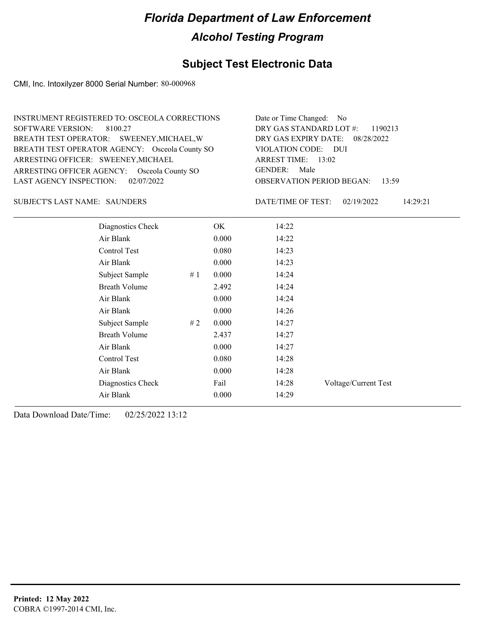## **Subject Test Electronic Data**

CMI, Inc. Intoxilyzer 8000 Serial Number: 80-000968

| INSTRUMENT REGISTERED TO: OSCEOLA CORRECTIONS  | Date or Time Changed: No               |
|------------------------------------------------|----------------------------------------|
| SOFTWARE VERSION: 8100.27                      | DRY GAS STANDARD LOT $\#$ : 1190213    |
| BREATH TEST OPERATOR: SWEENEY, MICHAEL, W      | DRY GAS EXPIRY DATE: 08/28/2022        |
| BREATH TEST OPERATOR AGENCY: Osceola County SO | VIOLATION CODE: DUI                    |
| ARRESTING OFFICER: SWEENEY, MICHAEL            | ARREST TIME: 13:02                     |
| ARRESTING OFFICER AGENCY: Osceola County SO    | GENDER: Male                           |
| LAST AGENCY INSPECTION: $02/07/2022$           | <b>OBSERVATION PERIOD BEGAN: 13:59</b> |

#### SUBJECT'S LAST NAME: SAUNDERS DATE/TIME OF TEST:

DATE/TIME OF TEST: 02/19/2022 14:29:21

| Diagnostics Check    |    | OK    | 14:22 |                      |
|----------------------|----|-------|-------|----------------------|
| Air Blank            |    | 0.000 | 14:22 |                      |
| Control Test         |    | 0.080 | 14:23 |                      |
| Air Blank            |    | 0.000 | 14:23 |                      |
| Subject Sample       | #1 | 0.000 | 14:24 |                      |
| <b>Breath Volume</b> |    | 2.492 | 14:24 |                      |
| Air Blank            |    | 0.000 | 14:24 |                      |
| Air Blank            |    | 0.000 | 14:26 |                      |
| Subject Sample       | #2 | 0.000 | 14:27 |                      |
| <b>Breath Volume</b> |    | 2.437 | 14:27 |                      |
| Air Blank            |    | 0.000 | 14:27 |                      |
| Control Test         |    | 0.080 | 14:28 |                      |
| Air Blank            |    | 0.000 | 14:28 |                      |
| Diagnostics Check    |    | Fail  | 14:28 | Voltage/Current Test |
| Air Blank            |    | 0.000 | 14:29 |                      |
|                      |    |       |       |                      |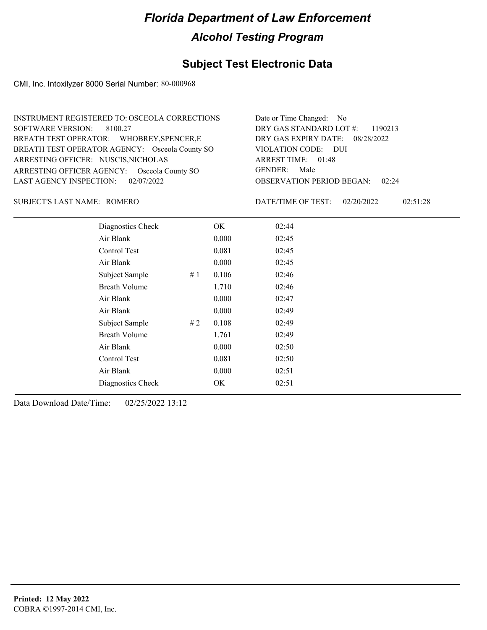## **Subject Test Electronic Data**

CMI, Inc. Intoxilyzer 8000 Serial Number: 80-000968

| INSTRUMENT REGISTERED TO: OSCEOLA CORRECTIONS  | Date or Time Changed: No               |
|------------------------------------------------|----------------------------------------|
| SOFTWARE VERSION: 8100.27                      | DRY GAS STANDARD LOT $\#$ : 1190213    |
| BREATH TEST OPERATOR: WHOBREY, SPENCER, E      | DRY GAS EXPIRY DATE: 08/28/2022        |
| BREATH TEST OPERATOR AGENCY: Osceola County SO | VIOLATION CODE: DUI                    |
| ARRESTING OFFICER: NUSCIS, NICHOLAS            | ARREST TIME: 01:48                     |
| ARRESTING OFFICER AGENCY: Osceola County SO    | GENDER: Male                           |
| LAST AGENCY INSPECTION: $02/07/2022$           | <b>OBSERVATION PERIOD BEGAN: 02:24</b> |

#### ROMERO SUBJECT'S LAST NAME: DATE/TIME OF TEST:

DATE/TIME OF TEST: 02/20/2022 02:51:28

| Diagnostics Check    |    | OK    | 02:44 |
|----------------------|----|-------|-------|
| Air Blank            |    | 0.000 | 02:45 |
| Control Test         |    | 0.081 | 02:45 |
| Air Blank            |    | 0.000 | 02:45 |
| Subject Sample       | #1 | 0.106 | 02:46 |
| <b>Breath Volume</b> |    | 1.710 | 02:46 |
| Air Blank            |    | 0.000 | 02:47 |
| Air Blank            |    | 0.000 | 02:49 |
| Subject Sample       | #2 | 0.108 | 02:49 |
| <b>Breath Volume</b> |    | 1.761 | 02:49 |
| Air Blank            |    | 0.000 | 02:50 |
| Control Test         |    | 0.081 | 02:50 |
| Air Blank            |    | 0.000 | 02:51 |
| Diagnostics Check    |    | OK    | 02:51 |
|                      |    |       |       |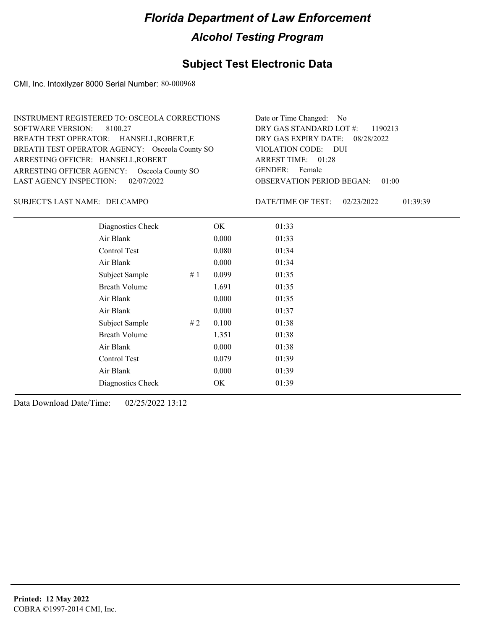## **Subject Test Electronic Data**

CMI, Inc. Intoxilyzer 8000 Serial Number: 80-000968

| INSTRUMENT REGISTERED TO: OSCEOLA CORRECTIONS  | Date or Time Changed: No               |
|------------------------------------------------|----------------------------------------|
| SOFTWARE VERSION: 8100.27                      | DRY GAS STANDARD LOT $\#$ : 1190213    |
| BREATH TEST OPERATOR: HANSELL, ROBERT, E       | DRY GAS EXPIRY DATE: 08/28/2022        |
| BREATH TEST OPERATOR AGENCY: Osceola County SO | VIOLATION CODE: DUI                    |
| ARRESTING OFFICER: HANSELL, ROBERT             | ARREST TIME: 01:28                     |
| ARRESTING OFFICER AGENCY: Osceola County SO    | GENDER: Female                         |
| LAST AGENCY INSPECTION: $02/07/2022$           | <b>OBSERVATION PERIOD BEGAN: 01:00</b> |

#### DELCAMPO SUBJECT'S LAST NAME: DATE/TIME OF TEST:

DATE/TIME OF TEST: 02/23/2022 01:39:39

| Diagnostics Check    |    | OK    | 01:33 |  |  |
|----------------------|----|-------|-------|--|--|
| Air Blank            |    | 0.000 | 01:33 |  |  |
| Control Test         |    | 0.080 | 01:34 |  |  |
| Air Blank            |    | 0.000 | 01:34 |  |  |
| Subject Sample       | #1 | 0.099 | 01:35 |  |  |
| <b>Breath Volume</b> |    | 1.691 | 01:35 |  |  |
| Air Blank            |    | 0.000 | 01:35 |  |  |
| Air Blank            |    | 0.000 | 01:37 |  |  |
| Subject Sample       | #2 | 0.100 | 01:38 |  |  |
| <b>Breath Volume</b> |    | 1.351 | 01:38 |  |  |
| Air Blank            |    | 0.000 | 01:38 |  |  |
| Control Test         |    | 0.079 | 01:39 |  |  |
| Air Blank            |    | 0.000 | 01:39 |  |  |
| Diagnostics Check    |    | OK    | 01:39 |  |  |
|                      |    |       |       |  |  |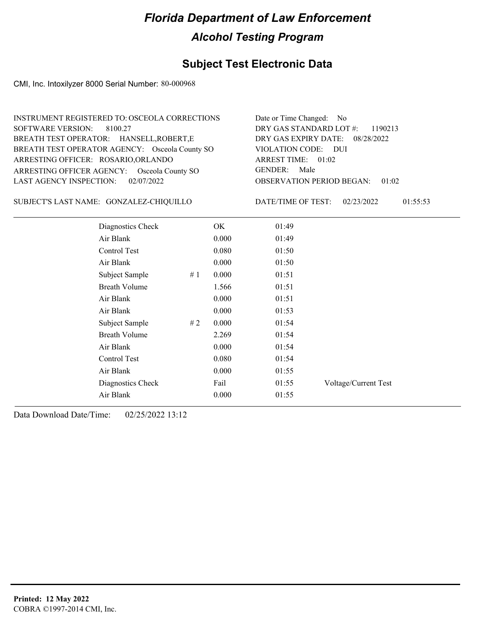## **Subject Test Electronic Data**

CMI, Inc. Intoxilyzer 8000 Serial Number: 80-000968

| INSTRUMENT REGISTERED TO: OSCEOLA CORRECTIONS  | Date or Time Changed: No               |
|------------------------------------------------|----------------------------------------|
| SOFTWARE VERSION: 8100.27                      | DRY GAS STANDARD LOT #: 1190213        |
| BREATH TEST OPERATOR: HANSELL, ROBERT, E       | DRY GAS EXPIRY DATE: 08/28/2022        |
| BREATH TEST OPERATOR AGENCY: Osceola County SO | VIOLATION CODE: DUI                    |
| ARRESTING OFFICER: ROSARIO, ORLANDO            | ARREST TIME: 01:02                     |
| ARRESTING OFFICER AGENCY: Osceola County SO    | GENDER: Male                           |
| LAST AGENCY INSPECTION: $02/07/2022$           | <b>OBSERVATION PERIOD BEGAN: 01:02</b> |

GONZALEZ-CHIQUILLO SUBJECT'S LAST NAME: DATE/TIME OF TEST:

DATE/TIME OF TEST: 02/23/2022 01:55:53

| Diagnostics Check    | OK    | 01:49 |                      |
|----------------------|-------|-------|----------------------|
| Air Blank            | 0.000 | 01:49 |                      |
| Control Test         | 0.080 | 01:50 |                      |
| Air Blank            | 0.000 | 01:50 |                      |
| Subject Sample<br>#1 | 0.000 | 01:51 |                      |
| <b>Breath Volume</b> | 1.566 | 01:51 |                      |
| Air Blank            | 0.000 | 01:51 |                      |
| Air Blank            | 0.000 | 01:53 |                      |
| Subject Sample<br>#2 | 0.000 | 01:54 |                      |
| <b>Breath Volume</b> | 2.269 | 01:54 |                      |
| Air Blank            | 0.000 | 01:54 |                      |
| Control Test         | 0.080 | 01:54 |                      |
| Air Blank            | 0.000 | 01:55 |                      |
| Diagnostics Check    | Fail  | 01:55 | Voltage/Current Test |
| Air Blank            | 0.000 | 01:55 |                      |
|                      |       |       |                      |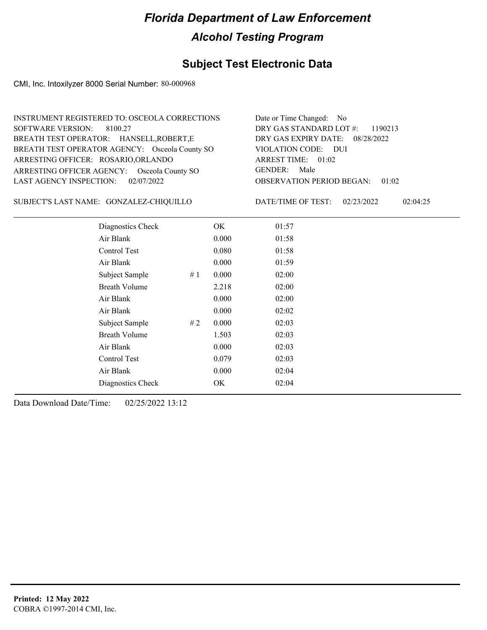## **Subject Test Electronic Data**

CMI, Inc. Intoxilyzer 8000 Serial Number: 80-000968

| INSTRUMENT REGISTERED TO: OSCEOLA CORRECTIONS  | Date or Time Changed: No               |
|------------------------------------------------|----------------------------------------|
| SOFTWARE VERSION: 8100.27                      | DRY GAS STANDARD LOT $\#$ : 1190213    |
| BREATH TEST OPERATOR: HANSELL, ROBERT, E       | DRY GAS EXPIRY DATE: 08/28/2022        |
| BREATH TEST OPERATOR AGENCY: Osceola County SO | VIOLATION CODE: DUI                    |
| ARRESTING OFFICER: ROSARIO, ORLANDO            | ARREST TIME: 01:02                     |
| ARRESTING OFFICER AGENCY: Osceola County SO    | GENDER: Male                           |
| LAST AGENCY INSPECTION: 02/07/2022             | <b>OBSERVATION PERIOD BEGAN: 01:02</b> |

GONZALEZ-CHIQUILLO SUBJECT'S LAST NAME: DATE/TIME OF TEST:

DATE/TIME OF TEST: 02/23/2022 02:04:25

| Diagnostics Check    |    | OK    | 01:57 |
|----------------------|----|-------|-------|
| Air Blank            |    | 0.000 | 01:58 |
| Control Test         |    | 0.080 | 01:58 |
| Air Blank            |    | 0.000 | 01:59 |
| Subject Sample       | #1 | 0.000 | 02:00 |
| <b>Breath Volume</b> |    | 2.218 | 02:00 |
| Air Blank            |    | 0.000 | 02:00 |
| Air Blank            |    | 0.000 | 02:02 |
| Subject Sample       | #2 | 0.000 | 02:03 |
| <b>Breath Volume</b> |    | 1.503 | 02:03 |
| Air Blank            |    | 0.000 | 02:03 |
| Control Test         |    | 0.079 | 02:03 |
| Air Blank            |    | 0.000 | 02:04 |
| Diagnostics Check    |    | OK    | 02:04 |
|                      |    |       |       |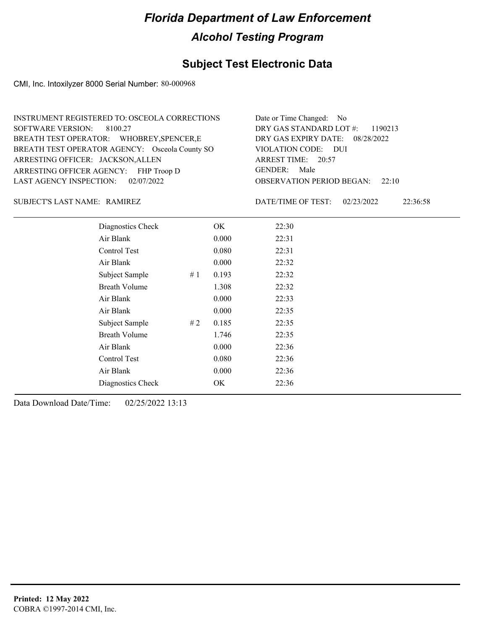## **Subject Test Electronic Data**

CMI, Inc. Intoxilyzer 8000 Serial Number: 80-000968

| INSTRUMENT REGISTERED TO: OSCEOLA CORRECTIONS  | Date or Time Changed: No               |
|------------------------------------------------|----------------------------------------|
| SOFTWARE VERSION: 8100.27                      | DRY GAS STANDARD LOT #: 1190213        |
| BREATH TEST OPERATOR: WHOBREY, SPENCER, E      | DRY GAS EXPIRY DATE: 08/28/2022        |
| BREATH TEST OPERATOR AGENCY: Osceola County SO | VIOLATION CODE: DUI                    |
| ARRESTING OFFICER: JACKSON, ALLEN              | ARREST TIME: 20:57                     |
| ARRESTING OFFICER AGENCY: FHP Troop D          | GENDER: Male                           |
| LAST AGENCY INSPECTION: $02/07/2022$           | <b>OBSERVATION PERIOD BEGAN: 22:10</b> |

#### SUBJECT'S LAST NAME: RAMIREZ DATE/TIME OF TEST:

DATE/TIME OF TEST: 02/23/2022 22:36:58

| Diagnostics Check    |    | OK    | 22:30 |
|----------------------|----|-------|-------|
| Air Blank            |    | 0.000 | 22:31 |
| Control Test         |    | 0.080 | 22:31 |
| Air Blank            |    | 0.000 | 22:32 |
| Subject Sample       | #1 | 0.193 | 22:32 |
| <b>Breath Volume</b> |    | 1.308 | 22:32 |
| Air Blank            |    | 0.000 | 22:33 |
| Air Blank            |    | 0.000 | 22:35 |
| Subject Sample       | #2 | 0.185 | 22:35 |
| <b>Breath Volume</b> |    | 1.746 | 22:35 |
| Air Blank            |    | 0.000 | 22:36 |
| Control Test         |    | 0.080 | 22:36 |
| Air Blank            |    | 0.000 | 22:36 |
| Diagnostics Check    |    | OK    | 22:36 |
|                      |    |       |       |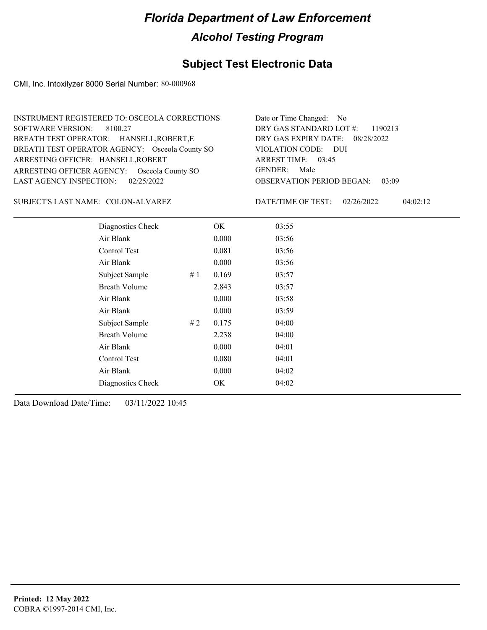## **Subject Test Electronic Data**

CMI, Inc. Intoxilyzer 8000 Serial Number: 80-000968

| INSTRUMENT REGISTERED TO: OSCEOLA CORRECTIONS  | Date or Time Changed: No               |
|------------------------------------------------|----------------------------------------|
| SOFTWARE VERSION: 8100.27                      | DRY GAS STANDARD LOT $\#$ : 1190213    |
| BREATH TEST OPERATOR: HANSELL, ROBERT, E       | DRY GAS EXPIRY DATE: 08/28/2022        |
| BREATH TEST OPERATOR AGENCY: Osceola County SO | VIOLATION CODE: DUI                    |
| ARRESTING OFFICER: HANSELL, ROBERT             | ARREST TIME: 03:45                     |
| ARRESTING OFFICER AGENCY: Osceola County SO    | GENDER: Male                           |
| LAST AGENCY INSPECTION: 02/25/2022             | <b>OBSERVATION PERIOD BEGAN: 03:09</b> |

SUBJECT'S LAST NAME: COLON-ALVAREZ DATE/TIME OF TEST:

DATE/TIME OF TEST: 02/26/2022 04:02:12

| Diagnostics Check    |    | OK    | 03:55 |
|----------------------|----|-------|-------|
| Air Blank            |    | 0.000 | 03:56 |
| Control Test         |    | 0.081 | 03:56 |
| Air Blank            |    | 0.000 | 03:56 |
| Subject Sample       | #1 | 0.169 | 03:57 |
| <b>Breath Volume</b> |    | 2.843 | 03:57 |
| Air Blank            |    | 0.000 | 03:58 |
| Air Blank            |    | 0.000 | 03:59 |
| Subject Sample       | #2 | 0.175 | 04:00 |
| <b>Breath Volume</b> |    | 2.238 | 04:00 |
| Air Blank            |    | 0.000 | 04:01 |
| Control Test         |    | 0.080 | 04:01 |
| Air Blank            |    | 0.000 | 04:02 |
| Diagnostics Check    |    | OK    | 04:02 |
|                      |    |       |       |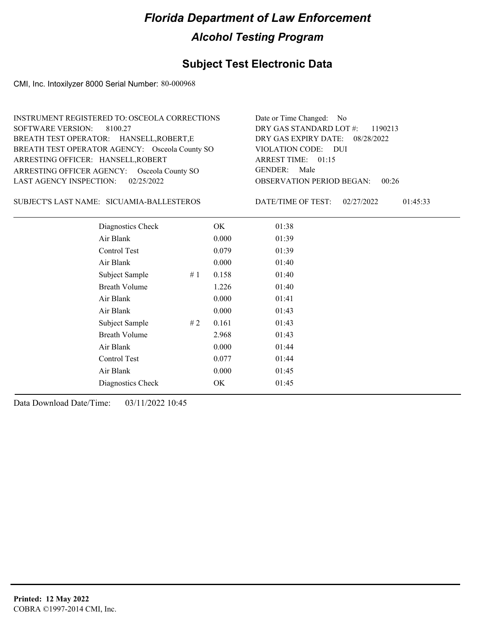## **Subject Test Electronic Data**

CMI, Inc. Intoxilyzer 8000 Serial Number: 80-000968

| INSTRUMENT REGISTERED TO: OSCEOLA CORRECTIONS  | Date or Time Changed: No               |
|------------------------------------------------|----------------------------------------|
| SOFTWARE VERSION: 8100.27                      | DRY GAS STANDARD LOT $\#$ : 1190213    |
| BREATH TEST OPERATOR: HANSELL, ROBERT, E       | DRY GAS EXPIRY DATE: 08/28/2022        |
| BREATH TEST OPERATOR AGENCY: Osceola County SO | VIOLATION CODE: DUI                    |
| ARRESTING OFFICER: HANSELL, ROBERT             | ARREST TIME: 01:15                     |
| ARRESTING OFFICER AGENCY: Osceola County SO    | GENDER: Male                           |
| LAST AGENCY INSPECTION: $02/25/2022$           | <b>OBSERVATION PERIOD BEGAN: 00:26</b> |

SUBJECT'S LAST NAME: SICUAMIA-BALLESTEROS DATE/TIME OF TEST:

DATE/TIME OF TEST: 02/27/2022 01:45:33

| Diagnostics Check    |    | OK    | 01:38 |
|----------------------|----|-------|-------|
| Air Blank            |    | 0.000 | 01:39 |
| Control Test         |    | 0.079 | 01:39 |
| Air Blank            |    | 0.000 | 01:40 |
| Subject Sample       | #1 | 0.158 | 01:40 |
| <b>Breath Volume</b> |    | 1.226 | 01:40 |
| Air Blank            |    | 0.000 | 01:41 |
| Air Blank            |    | 0.000 | 01:43 |
| Subject Sample       | #2 | 0.161 | 01:43 |
| <b>Breath Volume</b> |    | 2.968 | 01:43 |
| Air Blank            |    | 0.000 | 01:44 |
| Control Test         |    | 0.077 | 01:44 |
| Air Blank            |    | 0.000 | 01:45 |
| Diagnostics Check    |    | OK    | 01:45 |
|                      |    |       |       |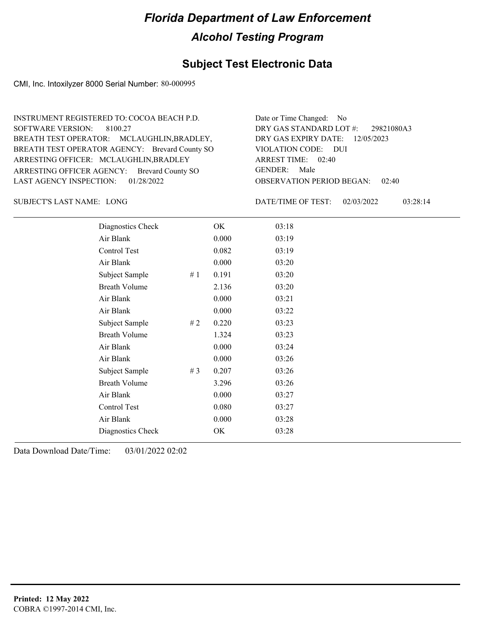#### **Subject Test Electronic Data**

CMI, Inc. Intoxilyzer 8000 Serial Number: 80-000995

ARRESTING OFFICER AGENCY: Brevard County SO GENDER: BREATH TEST OPERATOR AGENCY: Brevard County SO VIOLATION CODE: SOFTWARE VERSION: ARRESTING OFFICER: MCLAUGHLIN, BRADLEY BREATH TEST OPERATOR: MCLAUGHLIN,BRADLEY, LAST AGENCY INSPECTION: 01/28/2022 8100.27 INSTRUMENT REGISTERED TO: COCOA BEACH P.D.

OBSERVATION PERIOD BEGAN: 02:40 VIOLATION CODE: DUI 02:40 ARREST TIME: 12/05/2023 DRY GAS EXPIRY DATE: 29821080A3 DRY GAS STANDARD LOT #: Date or Time Changed: No GENDER: Male

SUBJECT'S LAST NAME: LONG  $\overline{D}$  DATE/TIME OF TEST:

DATE/TIME OF TEST: 02/03/2022 03:28:14

| Diagnostics Check    |    | OK    | 03:18 |
|----------------------|----|-------|-------|
| Air Blank            |    | 0.000 | 03:19 |
| Control Test         |    | 0.082 | 03:19 |
| Air Blank            |    | 0.000 | 03:20 |
| Subject Sample       | #1 | 0.191 | 03:20 |
| <b>Breath Volume</b> |    | 2.136 | 03:20 |
| Air Blank            |    | 0.000 | 03:21 |
| Air Blank            |    | 0.000 | 03:22 |
| Subject Sample       | #2 | 0.220 | 03:23 |
| <b>Breath Volume</b> |    | 1.324 | 03:23 |
| Air Blank            |    | 0.000 | 03:24 |
| Air Blank            |    | 0.000 | 03:26 |
| Subject Sample       | #3 | 0.207 | 03:26 |
| <b>Breath Volume</b> |    | 3.296 | 03:26 |
| Air Blank            |    | 0.000 | 03:27 |
| Control Test         |    | 0.080 | 03:27 |
| Air Blank            |    | 0.000 | 03:28 |
| Diagnostics Check    |    | OK    | 03:28 |
|                      |    |       |       |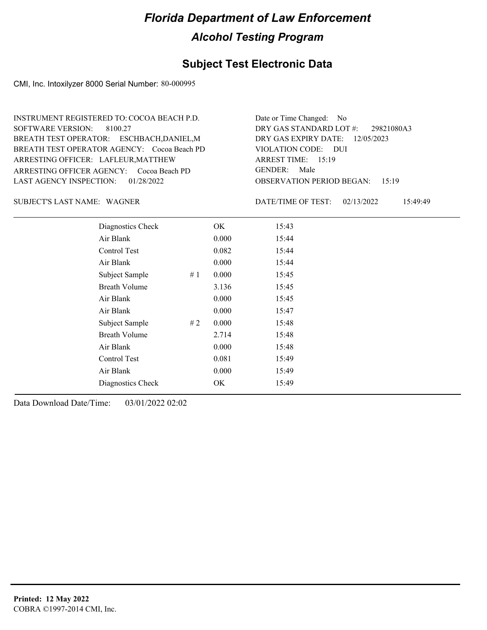#### **Subject Test Electronic Data**

CMI, Inc. Intoxilyzer 8000 Serial Number: 80-000995

ARRESTING OFFICER AGENCY: Cocoa Beach PD GENDER: BREATH TEST OPERATOR AGENCY: Cocoa Beach PD VIOLATION CODE: SOFTWARE VERSION: 8100.27 ARRESTING OFFICER: LAFLEUR, MATTHEW BREATH TEST OPERATOR: ESCHBACH,DANIEL,M LAST AGENCY INSPECTION: 01/28/2022 INSTRUMENT REGISTERED TO: COCOA BEACH P.D.

OBSERVATION PERIOD BEGAN: 15:19 VIOLATION CODE: DUI ARREST TIME: 15:19 12/05/2023 DRY GAS EXPIRY DATE: 29821080A3 DRY GAS STANDARD LOT #: Date or Time Changed: No GENDER: Male

SUBJECT'S LAST NAME: WAGNER **EXECUTE:** DATE/TIME OF TEST:

DATE/TIME OF TEST: 02/13/2022 15:49:49

| Diagnostics Check    | OK    | 15:43 |
|----------------------|-------|-------|
| Air Blank            | 0.000 | 15:44 |
| Control Test         | 0.082 | 15:44 |
| Air Blank            | 0.000 | 15:44 |
| Subject Sample<br>#1 | 0.000 | 15:45 |
| <b>Breath Volume</b> | 3.136 | 15:45 |
| Air Blank            | 0.000 | 15:45 |
| Air Blank            | 0.000 | 15:47 |
| Subject Sample<br>#2 | 0.000 | 15:48 |
| <b>Breath Volume</b> | 2.714 | 15:48 |
| Air Blank            | 0.000 | 15:48 |
| <b>Control Test</b>  | 0.081 | 15:49 |
| Air Blank            | 0.000 | 15:49 |
| Diagnostics Check    | OK    | 15:49 |
|                      |       |       |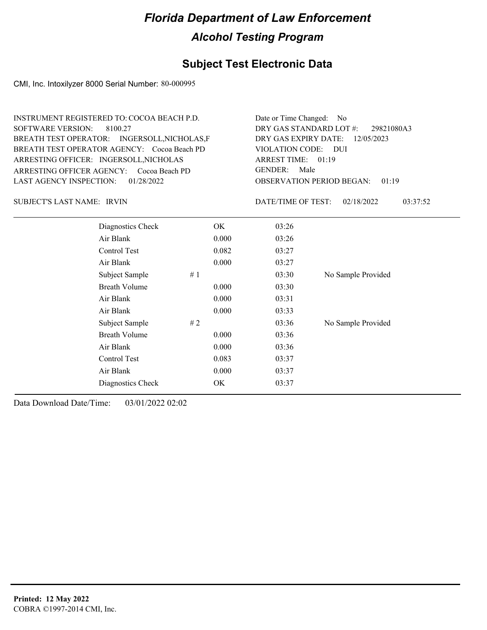## **Subject Test Electronic Data**

CMI, Inc. Intoxilyzer 8000 Serial Number: 80-000995

| INSTRUMENT REGISTERED TO: COCOA BEACH P.D.<br>SOFTWARE VERSION: 8100.27<br>BREATH TEST OPERATOR: INGERSOLL, NICHOLAS, F<br>BREATH TEST OPERATOR AGENCY: Cocoa Beach PD<br>ARRESTING OFFICER: INGERSOLL, NICHOLAS<br>ARRESTING OFFICER AGENCY: Cocoa Beach PD | Date or Time Changed: No<br>DRY GAS STANDARD LOT #:<br>29821080A3<br>DRY GAS EXPIRY DATE: $12/05/2023$<br>VIOLATION CODE: DUI<br>ARREST TIME: $01:19$<br>GENDER: Male |
|--------------------------------------------------------------------------------------------------------------------------------------------------------------------------------------------------------------------------------------------------------------|-----------------------------------------------------------------------------------------------------------------------------------------------------------------------|
| LAST AGENCY INSPECTION: 01/28/2022                                                                                                                                                                                                                           | <b>OBSERVATION PERIOD BEGAN: 01:19</b>                                                                                                                                |

SUBJECT'S LAST NAME: IRVIN FOR THE SERVICE OF TEST:

DATE/TIME OF TEST: 02/18/2022 03:37:52

| Diagnostics Check    |    | OK.   | 03:26 |                    |
|----------------------|----|-------|-------|--------------------|
| Air Blank            |    | 0.000 | 03:26 |                    |
| Control Test         |    | 0.082 | 03:27 |                    |
| Air Blank            |    | 0.000 | 03:27 |                    |
| Subject Sample       | #1 |       | 03:30 | No Sample Provided |
| <b>Breath Volume</b> |    | 0.000 | 03:30 |                    |
| Air Blank            |    | 0.000 | 03:31 |                    |
| Air Blank            |    | 0.000 | 03:33 |                    |
| Subject Sample       | #2 |       | 03:36 | No Sample Provided |
| <b>Breath Volume</b> |    | 0.000 | 03:36 |                    |
| Air Blank            |    | 0.000 | 03:36 |                    |
| Control Test         |    | 0.083 | 03:37 |                    |
| Air Blank            |    | 0.000 | 03:37 |                    |
| Diagnostics Check    |    | OK    | 03:37 |                    |
|                      |    |       |       |                    |